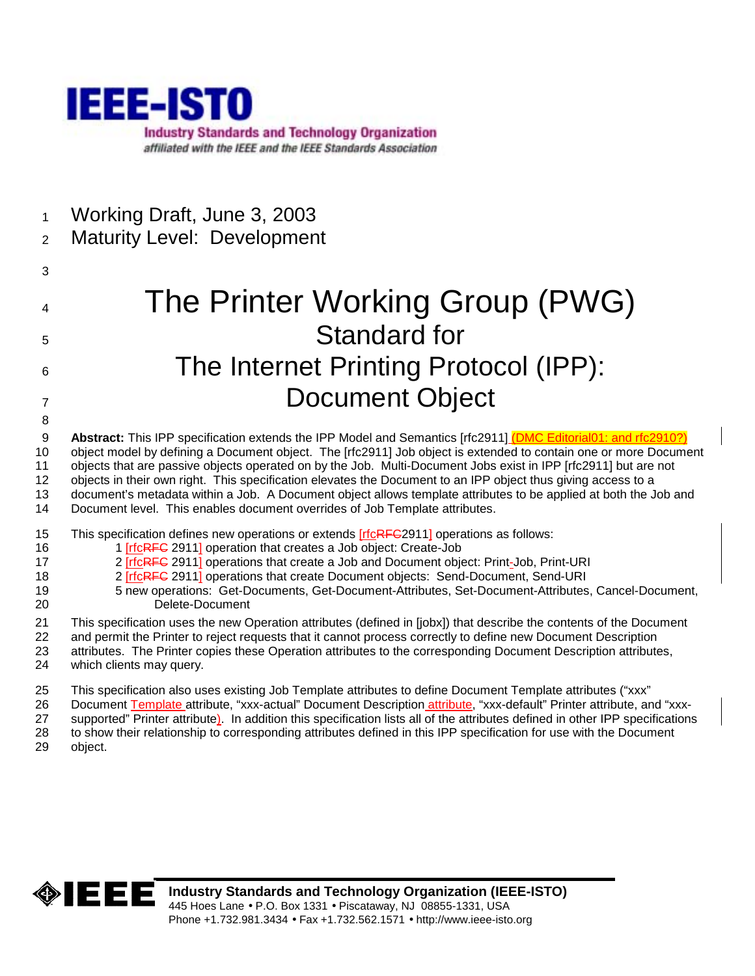

1 Working Draft, June 3, 2003

# 2 Maturity Level: Development

3

8

4 The Printer Working Group (PWG) 5 Standard for 6 The Internet Printing Protocol (IPP): 7 Document Object

9 **Abstract:** This IPP specification extends the IPP Model and Semantics [rfc2911] (DMC Editorial01: and rfc2910?) 10 object model by defining a Document object. The [rfc2911] Job object is extended to contain one or more Document 11 objects that are passive objects operated on by the Job. Multi-Document Jobs exist in IPP [rfc2911] but are not 12 objects in their own right. This specification elevates the Document to an IPP object thus giving access to a 13 document's metadata within a Job. A Document object allows template attributes to be applied at both the Job and

- 14 Document level. This enables document overrides of Job Template attributes.
- 15 This specification defines new operations or extends [rfcRFC2911] operations as follows:
- 16 16 1 [rfcRFC 2911] operation that creates a Job object: Create-Job
- 17 2 [rfcRFC 2911] operations that create a Job and Document object: Print-Job, Print-URI
- 18 2 [rfcRFC 2911] operations that create Document objects: Send-Document, Send-URI
- 19 5 new operations: Get-Documents, Get-Document-Attributes, Set-Document-Attributes, Cancel-Document, 20 Delete-Document
- 21 This specification uses the new Operation attributes (defined in [jobx]) that describe the contents of the Document
- 22 and permit the Printer to reject requests that it cannot process correctly to define new Document Description 23 attributes. The Printer copies these Operation attributes to the corresponding Document Description attributes, 24 which clients may query.
- 25 This specification also uses existing Job Template attributes to define Document Template attributes ("xxx"
- 26 Document Template attribute, "xxx-actual" Document Description attribute, "xxx-default" Printer attribute, and "xxx-
- 27 supported" Printer attribute). In addition this specification lists all of the attributes defined in other IPP specifications
- 28 to show their relationship to corresponding attributes defined in this IPP specification for use with the Document
- 29 object.

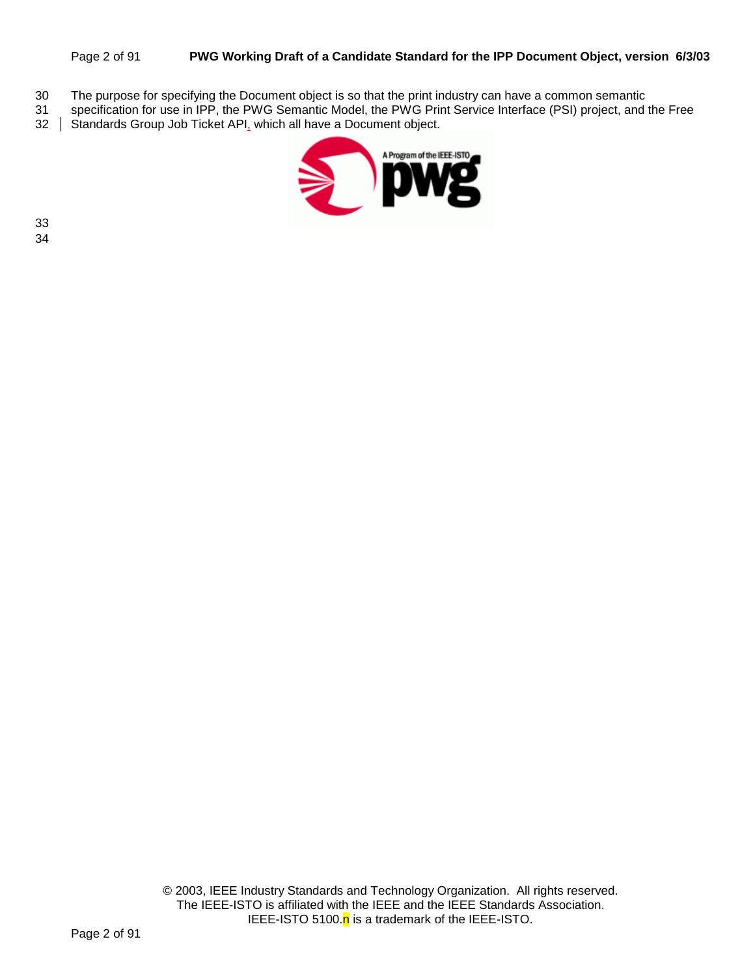#### Page 2 of 91 **PWG Working Draft of a Candidate Standard for the IPP Document Object, version 6/3/03**

- 30 The purpose for specifying the Document object is so that the print industry can have a common semantic
- 31 specification for use in IPP, the PWG Semantic Model, the PWG Print Service Interface (PSI) project, and the Free<br>32 | Standards Group Job Ticket API, which all have a Document object.
- Standards Group Job Ticket API, which all have a Document object.

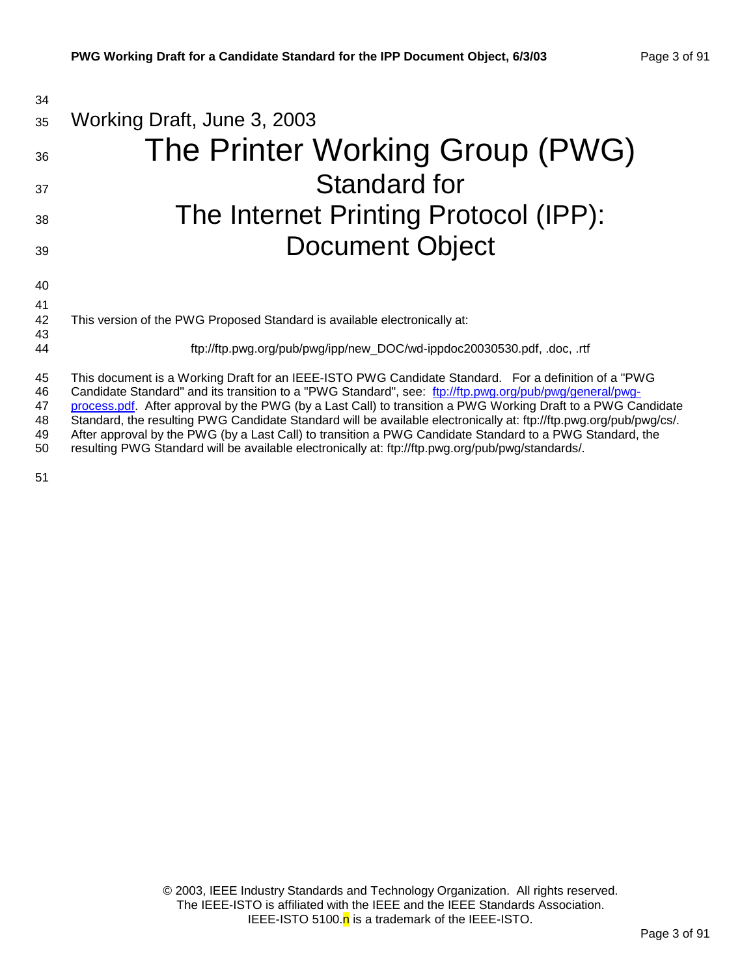| 34                         |                                                                                                                                                                                                                                                                                                                                                                                                                                                                                                                                                                   |
|----------------------------|-------------------------------------------------------------------------------------------------------------------------------------------------------------------------------------------------------------------------------------------------------------------------------------------------------------------------------------------------------------------------------------------------------------------------------------------------------------------------------------------------------------------------------------------------------------------|
| 35                         | Working Draft, June 3, 2003                                                                                                                                                                                                                                                                                                                                                                                                                                                                                                                                       |
| 36                         | The Printer Working Group (PWG)                                                                                                                                                                                                                                                                                                                                                                                                                                                                                                                                   |
| 37                         | <b>Standard for</b>                                                                                                                                                                                                                                                                                                                                                                                                                                                                                                                                               |
| 38                         | The Internet Printing Protocol (IPP):                                                                                                                                                                                                                                                                                                                                                                                                                                                                                                                             |
| 39                         | <b>Document Object</b>                                                                                                                                                                                                                                                                                                                                                                                                                                                                                                                                            |
| 40<br>41                   |                                                                                                                                                                                                                                                                                                                                                                                                                                                                                                                                                                   |
| 42<br>43                   | This version of the PWG Proposed Standard is available electronically at:                                                                                                                                                                                                                                                                                                                                                                                                                                                                                         |
| 44                         | ftp://ftp.pwg.org/pub/pwg/ipp/new_DOC/wd-ippdoc20030530.pdf, .doc, .rtf                                                                                                                                                                                                                                                                                                                                                                                                                                                                                           |
| 45<br>46<br>47<br>48<br>49 | This document is a Working Draft for an IEEE-ISTO PWG Candidate Standard. For a definition of a "PWG<br>Candidate Standard" and its transition to a "PWG Standard", see: ftp://ftp.pwg.org/pub/pwg/general/pwg-<br>process.pdf. After approval by the PWG (by a Last Call) to transition a PWG Working Draft to a PWG Candidate<br>Standard, the resulting PWG Candidate Standard will be available electronically at: ftp://ftp.pwg.org/pub/pwg/cs/.<br>After approval by the PWG (by a Last Call) to transition a PWG Candidate Standard to a PWG Standard, the |

50 resulting PWG Standard will be available electronically at: ftp://ftp.pwg.org/pub/pwg/standards/.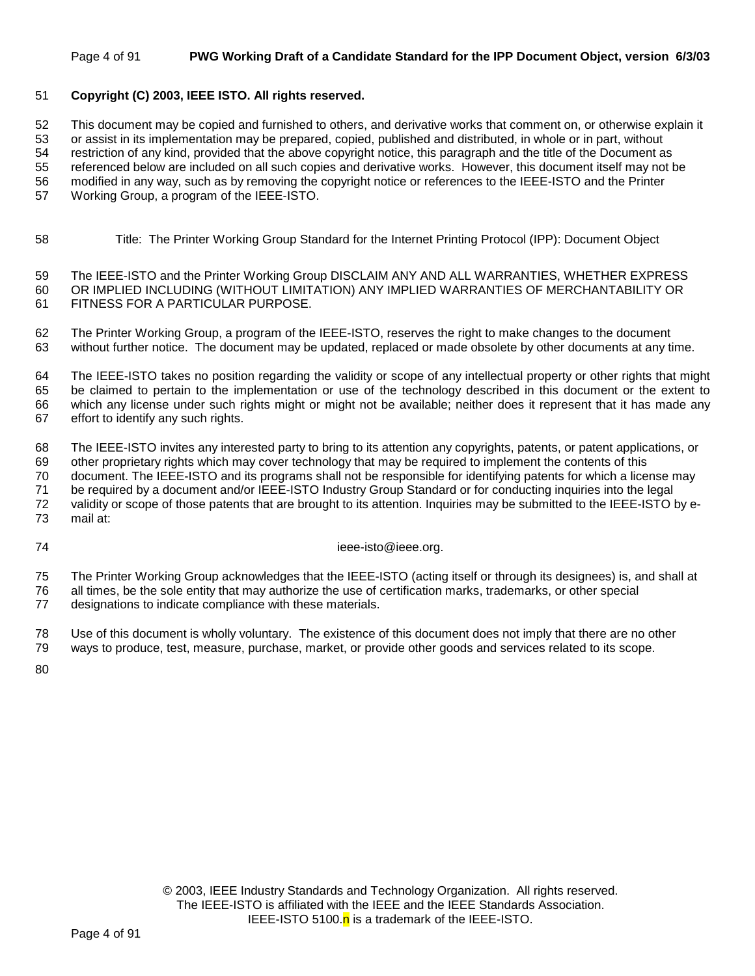#### Page 4 of 91 **PWG Working Draft of a Candidate Standard for the IPP Document Object, version 6/3/03**

#### 51 **Copyright (C) 2003, IEEE ISTO. All rights reserved.**

52 This document may be copied and furnished to others, and derivative works that comment on, or otherwise explain it 53 or assist in its implementation may be prepared, copied, published and distributed, in whole or in part, without

54 restriction of any kind, provided that the above copyright notice, this paragraph and the title of the Document as

55 referenced below are included on all such copies and derivative works. However, this document itself may not be

56 modified in any way, such as by removing the copyright notice or references to the IEEE-ISTO and the Printer

57 Working Group, a program of the IEEE-ISTO.

58 Title: The Printer Working Group Standard for the Internet Printing Protocol (IPP): Document Object

59 The IEEE-ISTO and the Printer Working Group DISCLAIM ANY AND ALL WARRANTIES, WHETHER EXPRESS 60 OR IMPLIED INCLUDING (WITHOUT LIMITATION) ANY IMPLIED WARRANTIES OF MERCHANTABILITY OR 61 FITNESS FOR A PARTICULAR PURPOSE.

62 The Printer Working Group, a program of the IEEE-ISTO, reserves the right to make changes to the document 63 without further notice. The document may be updated, replaced or made obsolete by other documents at any time.

64 The IEEE-ISTO takes no position regarding the validity or scope of any intellectual property or other rights that might 65 be claimed to pertain to the implementation or use of the technology described in this document or the extent to 66 which any license under such rights might or might not be available; neither does it represent that it has made any 67 effort to identify any such rights.

68 The IEEE-ISTO invites any interested party to bring to its attention any copyrights, patents, or patent applications, or

69 other proprietary rights which may cover technology that may be required to implement the contents of this 70 document. The IEEE-ISTO and its programs shall not be responsible for identifying patents for which a license may

71 be required by a document and/or IEEE-ISTO Industry Group Standard or for conducting inquiries into the legal

72 validity or scope of those patents that are brought to its attention. Inquiries may be submitted to the IEEE-ISTO by e-73 mail at:

74 ieee-isto@ieee.org.

75 The Printer Working Group acknowledges that the IEEE-ISTO (acting itself or through its designees) is, and shall at 76 all times, be the sole entity that may authorize the use of certification marks, trademarks, or other special

77 designations to indicate compliance with these materials.

78 Use of this document is wholly voluntary. The existence of this document does not imply that there are no other 79 ways to produce, test, measure, purchase, market, or provide other goods and services related to its scope.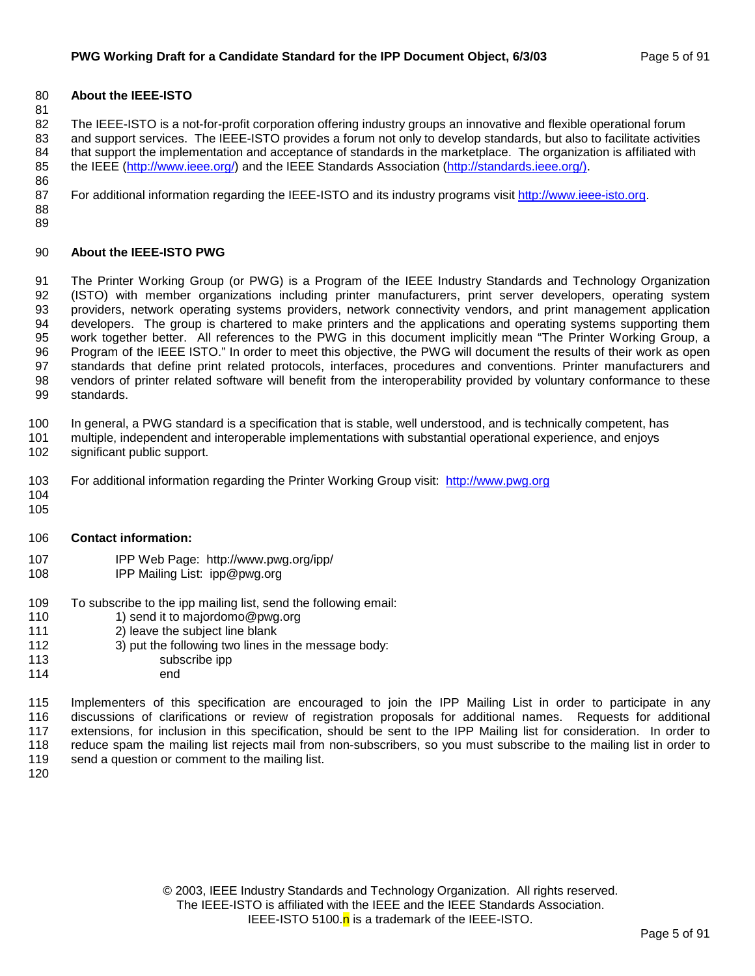#### 80 **About the IEEE-ISTO**

81

82 The IEEE-ISTO is a not-for-profit corporation offering industry groups an innovative and flexible operational forum 83 and support services. The IEEE-ISTO provides a forum not only to develop standards, but also to facilitate activities 84 that support the implementation and acceptance of standards in the marketplace. The organization is affiliated with 85 the IEEE (http://www.ieee.org/) and the IEEE Standards Association (http://standards.ieee.org/).

87 For additional information regarding the IEEE-ISTO and its industry programs visit http://www.ieee-isto.org.

88 89

86

#### 90 **About the IEEE-ISTO PWG**

91 The Printer Working Group (or PWG) is a Program of the IEEE Industry Standards and Technology Organization 92 (ISTO) with member organizations including printer manufacturers, print server developers, operating system 93 providers, network operating systems providers, network connectivity vendors, and print management application 94 developers. The group is chartered to make printers and the applications and operating systems supporting them 95 work together better. All references to the PWG in this document implicitly mean "The Printer Working Group, a 96 Program of the IEEE ISTO." In order to meet this objective, the PWG will document the results of their work as open 97 standards that define print related protocols, interfaces, procedures and conventions. Printer manufacturers and 98 vendors of printer related software will benefit from the interoperability provided by voluntary conformance to these 99 standards.

100 In general, a PWG standard is a specification that is stable, well understood, and is technically competent, has

- 101 multiple, independent and interoperable implementations with substantial operational experience, and enjoys
- 102 significant public support.
- 103 For additional information regarding the Printer Working Group visit: http://www.pwg.org
- 104 105
- 106 **Contact information:**
- 107 IPP Web Page: http://www.pwg.org/ipp/
- 108 IPP Mailing List: ipp@pwg.org
- 109 To subscribe to the ipp mailing list, send the following email:
- 110 1) send it to majordomo@pwg.org
- 111 2) leave the subject line blank
- 112 3) put the following two lines in the message body:
- 113 subscribe ipp
- 114 end

115 Implementers of this specification are encouraged to join the IPP Mailing List in order to participate in any 116 discussions of clarifications or review of registration proposals for additional names. Requests for additional 117 extensions, for inclusion in this specification, should be sent to the IPP Mailing list for consideration. In order to 118 reduce spam the mailing list rejects mail from non-subscribers, so you must subscribe to the mailing list in order to 119 send a question or comment to the mailing list.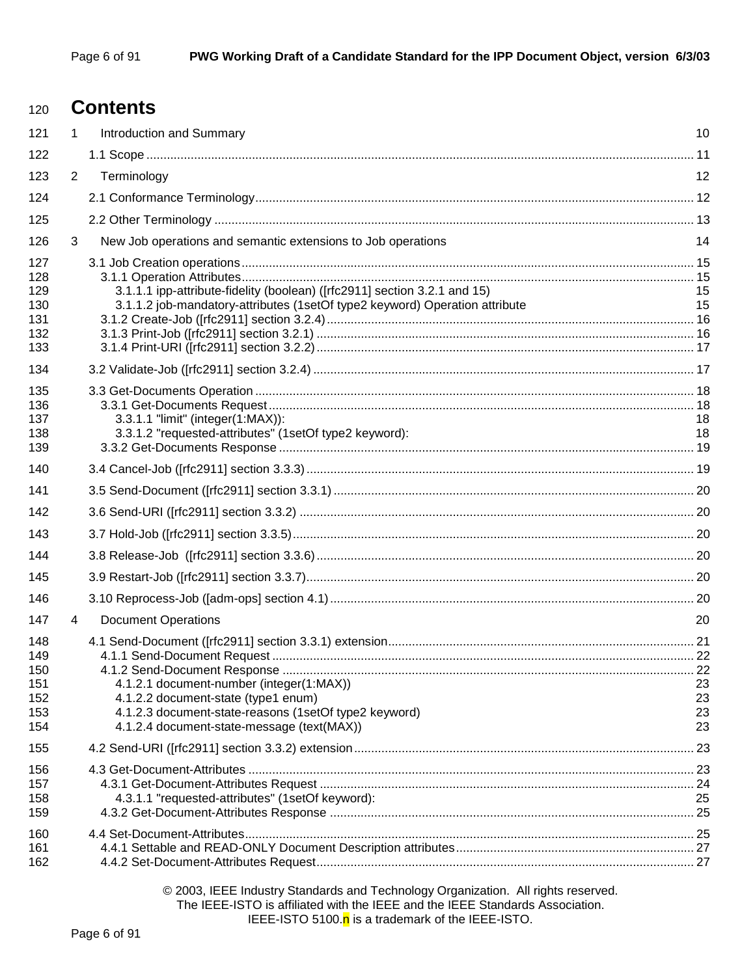# <sup>120</sup>**Contents**

| 121                                           | $\mathbf 1$    | Introduction and Summary                                                                                                                                                               | 10                   |
|-----------------------------------------------|----------------|----------------------------------------------------------------------------------------------------------------------------------------------------------------------------------------|----------------------|
| 122                                           |                |                                                                                                                                                                                        |                      |
| 123                                           | $\overline{2}$ | Terminology                                                                                                                                                                            | 12                   |
| 124                                           |                |                                                                                                                                                                                        |                      |
| 125                                           |                |                                                                                                                                                                                        |                      |
| 126                                           | 3              | New Job operations and semantic extensions to Job operations                                                                                                                           | 14                   |
| 127<br>128<br>129<br>130<br>131<br>132<br>133 |                | 3.1.1.1 ipp-attribute-fidelity (boolean) ([rfc2911] section 3.2.1 and 15)<br>3.1.1.2 job-mandatory-attributes (1setOf type2 keyword) Operation attribute                               | 15<br>15             |
| 134                                           |                |                                                                                                                                                                                        |                      |
| 135<br>136<br>137<br>138<br>139               |                | 3.3.1.1 "limit" (integer(1:MAX)):<br>3.3.1.2 "requested-attributes" (1setOf type2 keyword):                                                                                            | 18<br>18             |
| 140                                           |                |                                                                                                                                                                                        |                      |
| 141                                           |                |                                                                                                                                                                                        |                      |
| 142                                           |                |                                                                                                                                                                                        |                      |
| 143                                           |                |                                                                                                                                                                                        |                      |
| 144                                           |                |                                                                                                                                                                                        |                      |
| 145                                           |                |                                                                                                                                                                                        |                      |
| 146                                           |                |                                                                                                                                                                                        |                      |
| 147                                           | 4              | <b>Document Operations</b>                                                                                                                                                             | 20                   |
| 148<br>149<br>150<br>151<br>152<br>153<br>154 |                | 4.1.2.1 document-number (integer(1:MAX))<br>4.1.2.2 document-state (type1 enum)<br>4.1.2.3 document-state-reasons (1setOf type2 keyword)<br>4.1.2.4 document-state-message (text(MAX)) | 23<br>23<br>23<br>23 |
| 155                                           |                |                                                                                                                                                                                        |                      |
| 156<br>157<br>158<br>159                      |                | 4.3.1.1 "requested-attributes" (1setOf keyword):                                                                                                                                       | 25                   |
| 160<br>161<br>162                             |                |                                                                                                                                                                                        |                      |

© 2003, IEEE Industry Standards and Technology Organization. All rights reserved. The IEEE-ISTO is affiliated with the IEEE and the IEEE Standards Association. IEEE-ISTO 5100. $n$  is a trademark of the IEEE-ISTO.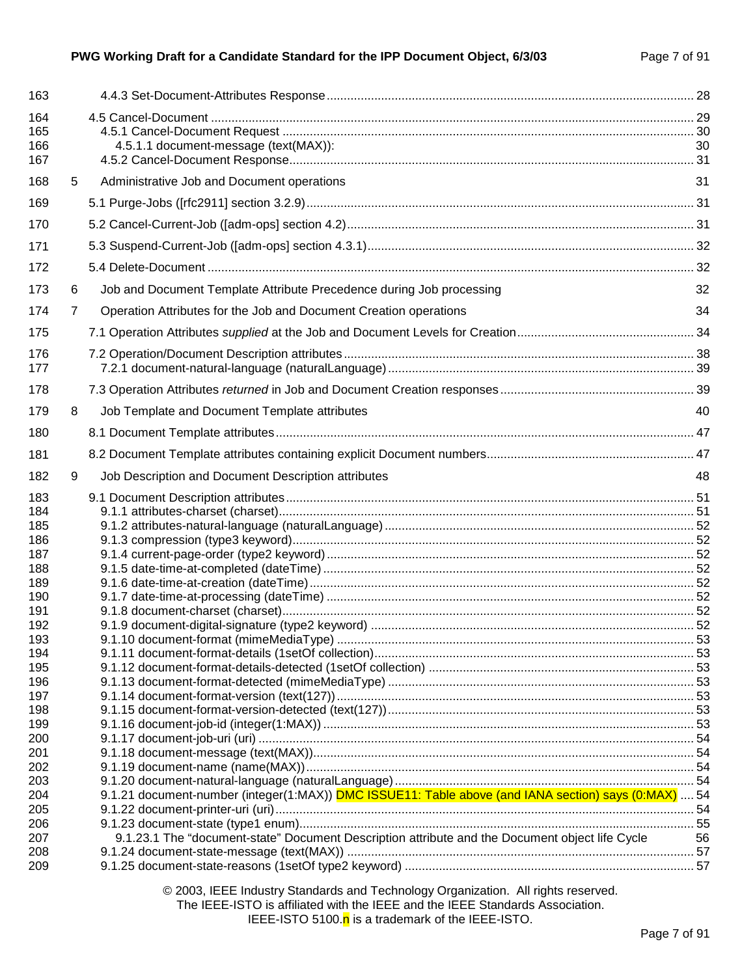#### **PWG Working Draft for a Candidate Standard for the IPP Document Object, 6/3/03** Page 7 of 91

| 163                                                                                                                                                           |                |                                                                                                            |    |
|---------------------------------------------------------------------------------------------------------------------------------------------------------------|----------------|------------------------------------------------------------------------------------------------------------|----|
| 164<br>165<br>166<br>167                                                                                                                                      |                | 4.5.1.1 document-message (text(MAX)):                                                                      | 30 |
| 168                                                                                                                                                           | 5              | Administrative Job and Document operations                                                                 | 31 |
| 169                                                                                                                                                           |                |                                                                                                            |    |
| 170                                                                                                                                                           |                |                                                                                                            |    |
| 171                                                                                                                                                           |                |                                                                                                            |    |
| 172                                                                                                                                                           |                |                                                                                                            |    |
| 173                                                                                                                                                           | 6              | Job and Document Template Attribute Precedence during Job processing                                       | 32 |
| 174                                                                                                                                                           | $\overline{7}$ | Operation Attributes for the Job and Document Creation operations                                          | 34 |
| 175                                                                                                                                                           |                |                                                                                                            |    |
| 176<br>177                                                                                                                                                    |                |                                                                                                            |    |
| 178                                                                                                                                                           |                |                                                                                                            |    |
| 179                                                                                                                                                           | 8              | Job Template and Document Template attributes                                                              | 40 |
| 180                                                                                                                                                           |                |                                                                                                            |    |
| 181                                                                                                                                                           |                |                                                                                                            |    |
| 182                                                                                                                                                           | 9              | Job Description and Document Description attributes                                                        | 48 |
| 184<br>185<br>186<br>187<br>188<br>189<br>190<br>191<br>192<br>193<br>194<br>195<br>196<br>197<br>198<br>199<br>200<br>201<br>202<br>203<br>204<br>205<br>206 |                | 9.1.21 document-number (integer(1:MAX)) <b>DMC ISSUE11: Table above (and IANA section) says (0:MAX)</b> 54 |    |
| 207<br>208                                                                                                                                                    |                | 9.1.23.1 The "document-state" Document Description attribute and the Document object life Cycle            | 56 |
| 209                                                                                                                                                           |                |                                                                                                            |    |
|                                                                                                                                                               |                |                                                                                                            |    |

© 2003, IEEE Industry Standards and Technology Organization. All rights reserved. The IEEE-ISTO is affiliated with the IEEE and the IEEE Standards Association. IEEE-ISTO 5100.<sup>n</sup> is a trademark of the IEEE-ISTO.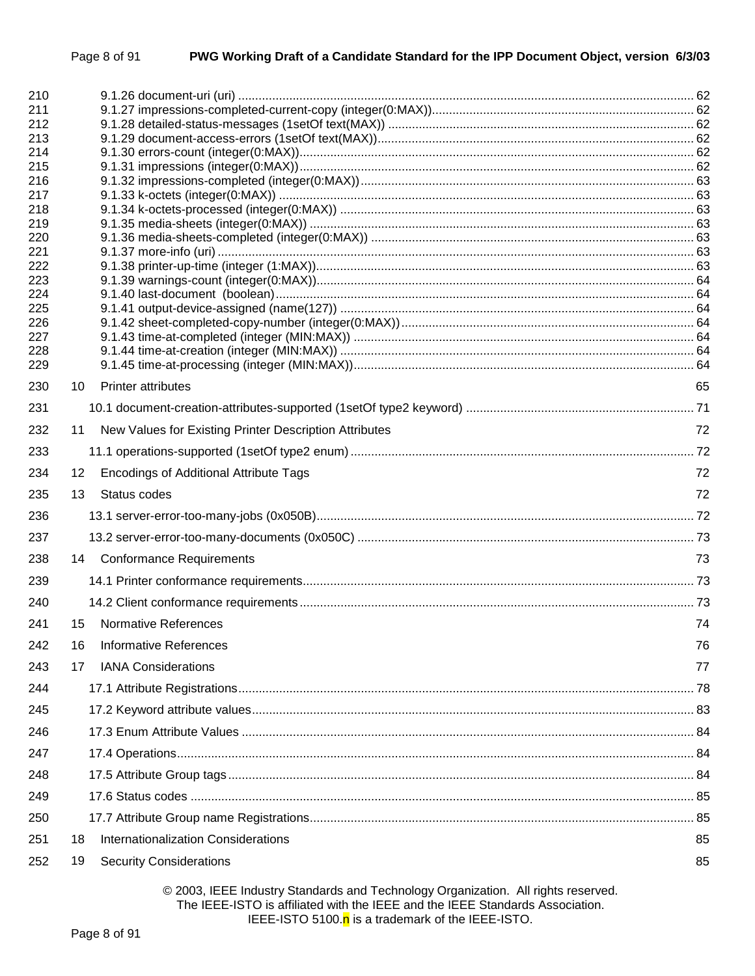| 210        |                                                              |    |
|------------|--------------------------------------------------------------|----|
| 211<br>212 |                                                              |    |
| 213        |                                                              |    |
| 214        |                                                              |    |
| 215        |                                                              |    |
| 216<br>217 |                                                              |    |
| 218        |                                                              |    |
| 219        |                                                              |    |
| 220        |                                                              |    |
| 221<br>222 |                                                              |    |
| 223        |                                                              |    |
| 224        |                                                              |    |
| 225        |                                                              |    |
| 226<br>227 |                                                              |    |
| 228        |                                                              |    |
| 229        |                                                              |    |
| 230        | <b>Printer attributes</b><br>10                              | 65 |
| 231        |                                                              |    |
| 232        | New Values for Existing Printer Description Attributes<br>11 | 72 |
| 233        |                                                              |    |
| 234        | <b>Encodings of Additional Attribute Tags</b><br>12          | 72 |
| 235        | Status codes<br>13                                           | 72 |
| 236        |                                                              |    |
| 237        |                                                              |    |
| 238        | 14 Conformance Requirements                                  | 73 |
| 239        |                                                              |    |
| 240        |                                                              |    |
| 241        | <b>Normative References</b><br>15                            | 74 |
| 242        | <b>Informative References</b><br>16                          | 76 |
| 243        | <b>IANA Considerations</b><br>17                             | 77 |
| 244        |                                                              |    |
| 245        |                                                              |    |
| 246        |                                                              |    |
| 247        |                                                              |    |
| 248        |                                                              |    |
| 249        |                                                              |    |
| 250        |                                                              |    |
| 251        | Internationalization Considerations<br>18                    | 85 |
| 252        | <b>Security Considerations</b><br>19                         | 85 |
|            |                                                              |    |

© 2003, IEEE Industry Standards and Technology Organization. All rights reserved. The IEEE-ISTO is affiliated with the IEEE and the IEEE Standards Association. IEEE-ISTO 5100.<sup>n</sup> is a trademark of the IEEE-ISTO.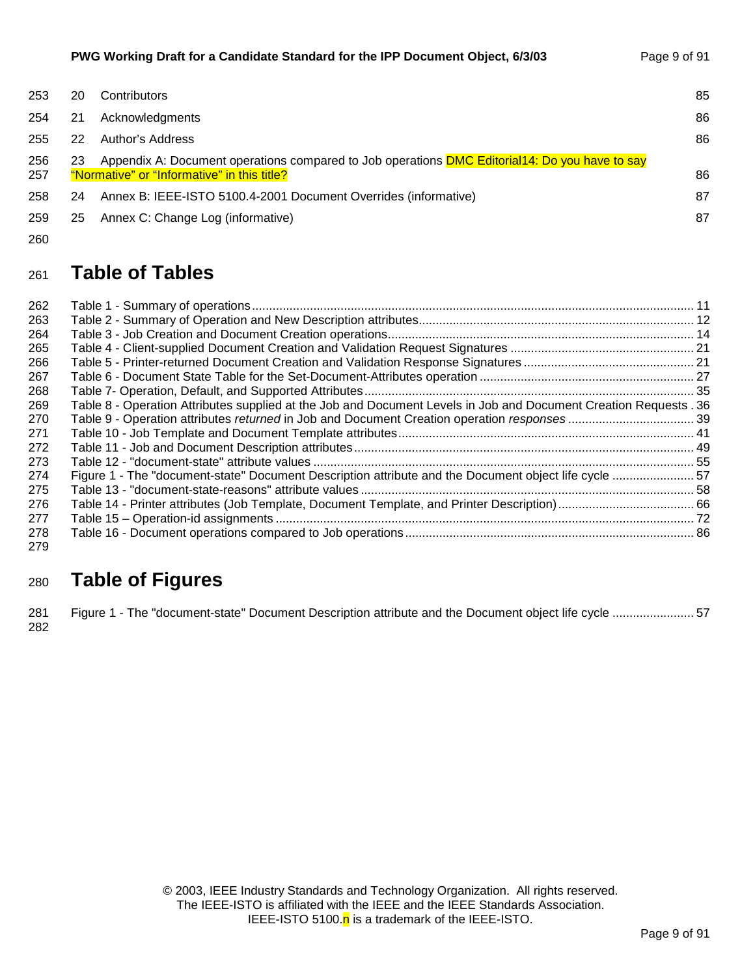| 253        | 20 | Contributors                                                                                                                                         | 85 |
|------------|----|------------------------------------------------------------------------------------------------------------------------------------------------------|----|
| 254        | 21 | Acknowledgments                                                                                                                                      | 86 |
| 255        | 22 | Author's Address                                                                                                                                     | 86 |
| 256<br>257 | 23 | Appendix A: Document operations compared to Job operations <b>DMC Editorial14: Do you have to say</b><br>"Normative" or "Informative" in this title? | 86 |
| 258        | 24 | Annex B: IEEE-ISTO 5100.4-2001 Document Overrides (informative)                                                                                      | 87 |
| 259        | 25 | Annex C: Change Log (informative)                                                                                                                    | 87 |

260

# <sup>261</sup>**Table of Tables**

| 262 |                                                                                                                  |  |
|-----|------------------------------------------------------------------------------------------------------------------|--|
| 263 |                                                                                                                  |  |
| 264 |                                                                                                                  |  |
| 265 |                                                                                                                  |  |
| 266 |                                                                                                                  |  |
| 267 |                                                                                                                  |  |
| 268 |                                                                                                                  |  |
| 269 | Table 8 - Operation Attributes supplied at the Job and Document Levels in Job and Document Creation Requests. 36 |  |
| 270 |                                                                                                                  |  |
| 271 |                                                                                                                  |  |
| 272 |                                                                                                                  |  |
| 273 |                                                                                                                  |  |
| 274 | Figure 1 - The "document-state" Document Description attribute and the Document object life cycle  57            |  |
| 275 |                                                                                                                  |  |
| 276 |                                                                                                                  |  |
| 277 |                                                                                                                  |  |
| 278 |                                                                                                                  |  |
| 279 |                                                                                                                  |  |

# <sup>280</sup>**Table of Figures**

281 Figure 1 - The "document-state" Document Description attribute and the Document object life cycle ........................ 57 282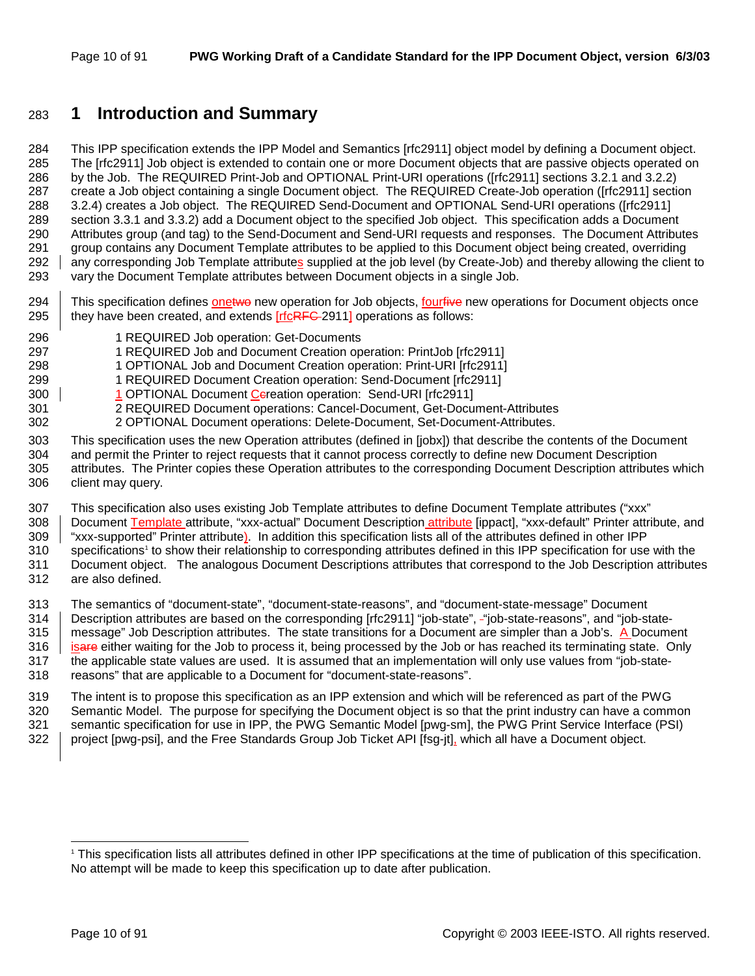## 283 **1 Introduction and Summary**

284 This IPP specification extends the IPP Model and Semantics [rfc2911] object model by defining a Document object. 285 The [rfc2911] Job object is extended to contain one or more Document objects that are passive objects operated on 286 by the Job. The REQUIRED Print-Job and OPTIONAL Print-URI operations ([rfc2911] sections 3.2.1 and 3.2.2) 287 create a Job object containing a single Document object. The REQUIRED Create-Job operation ([rfc2911] section 288 3.2.4) creates a Job object. The REQUIRED Send-Document and OPTIONAL Send-URI operations ([rfc2911] 289 section 3.3.1 and 3.3.2) add a Document object to the specified Job object. This specification adds a Document 290 Attributes group (and tag) to the Send-Document and Send-URI requests and responses. The Document Attributes 291 group contains any Document Template attributes to be applied to this Document object being created, overriding 292 any corresponding Job Template attributes supplied at the job level (by Create-Job) and thereby allowing the client to 293 vary the Document Template attributes between Document objects in a single Job.

- 294 This specification defines onetwo new operation for Job objects, fourfive new operations for Document objects once 295  $\parallel$  they have been created, and extends [rfc<del>RFC</del>-2911] operations as follows:
- 296 1 REQUIRED Job operation: Get-Documents
- 297 1 REQUIRED Job and Document Creation operation: PrintJob [rfc2911]
- 298 1 OPTIONAL Job and Document Creation operation: Print-URI [rfc2911]
- 299 1 REQUIRED Document Creation operation: Send-Document [rfc2911]
- 300 | 1 OPTIONAL Document Cereation operation: Send-URI [rfc2911]
- 301 2 REQUIRED Document operations: Cancel-Document, Get-Document-Attributes
- 302 2 OPTIONAL Document operations: Delete-Document, Set-Document-Attributes.
- 303 This specification uses the new Operation attributes (defined in [jobx]) that describe the contents of the Document 304 and permit the Printer to reject requests that it cannot process correctly to define new Document Description 305 attributes. The Printer copies these Operation attributes to the corresponding Document Description attributes which 306 client may query.
- 307 This specification also uses existing Job Template attributes to define Document Template attributes ("xxx"
- 308 | Document Template attribute, "xxx-actual" Document Description attribute [ippact], "xxx-default" Printer attribute, and
- 309 "xxx-supported" Printer attribute). In addition this specification lists all of the attributes defined in other IPP
- 310 specifications<sup>1</sup> to show their relationship to corresponding attributes defined in this IPP specification for use with the 311 Document object. The analogous Document Descriptions attributes that correspond to the Job Description attributes
- 312 are also defined.

313 The semantics of "document-state", "document-state-reasons", and "document-state-message" Document

- 314 Description attributes are based on the corresponding [rfc2911] "job-state", "job-state-reasons", and "job-state-315 message" Job Description attributes. The state transitions for a Document are simpler than a Job's. A Document 316  $\parallel$  isare either waiting for the Job to process it, being processed by the Job or has reached its terminating state. Only 317 the applicable state values are used. It is assumed that an implementation will only use values from "job-state-318 reasons" that are applicable to a Document for "document-state-reasons".
- 319 The intent is to propose this specification as an IPP extension and which will be referenced as part of the PWG 320 Semantic Model. The purpose for specifying the Document object is so that the print industry can have a common 321 semantic specification for use in IPP, the PWG Semantic Model [pwg-sm], the PWG Print Service Interface (PSI) 322 project [pwg-psi], and the Free Standards Group Job Ticket API [fsg-jt], which all have a Document object.

l

<sup>1</sup> This specification lists all attributes defined in other IPP specifications at the time of publication of this specification. No attempt will be made to keep this specification up to date after publication.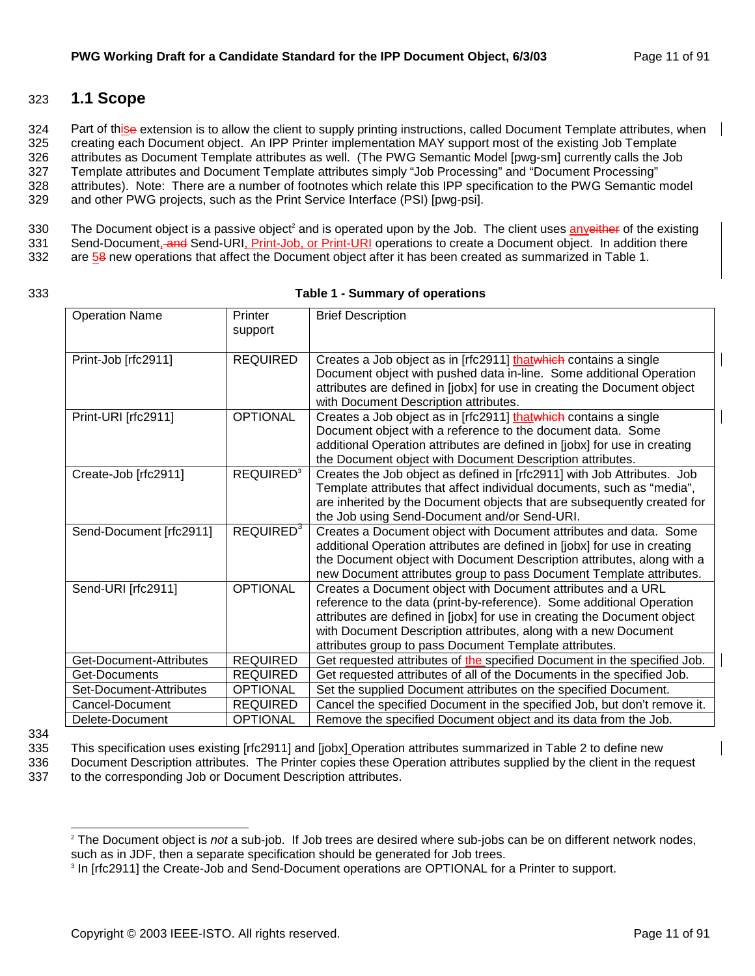## 323 **1.1 Scope**

324 Part of thise extension is to allow the client to supply printing instructions, called Document Template attributes, when 325 creating each Document object. An IPP Printer implementation MAY support most of the existing Job Template 326 attributes as Document Template attributes as well. (The PWG Semantic Model [pwg-sm] currently calls the Job 327 Template attributes and Document Template attributes simply "Job Processing" and "Document Processing" 328 attributes). Note: There are a number of footnotes which relate this IPP specification to the PWG Semantic model 329 and other PWG projects, such as the Print Service Interface (PSI) [pwg-psi].

330 The Document object is a passive object<sup>2</sup> and is operated upon by the Job. The client uses anyeither of the existing

331 Send-Document, and Send-URI, Print-Job, or Print-URI operations to create a Document object. In addition there

332 are 58 new operations that affect the Document object after it has been created as summarized in Table 1.

#### 333 **Table 1 - Summary of operations**

| <b>Operation Name</b>   | Printer                     | <b>Brief Description</b>                                                                                                           |
|-------------------------|-----------------------------|------------------------------------------------------------------------------------------------------------------------------------|
|                         | support                     |                                                                                                                                    |
| Print-Job [rfc2911]     | <b>REQUIRED</b>             | Creates a Job object as in [rfc2911] thatwhich contains a single                                                                   |
|                         |                             | Document object with pushed data in-line. Some additional Operation                                                                |
|                         |                             | attributes are defined in [jobx] for use in creating the Document object<br>with Document Description attributes.                  |
| Print-URI [rfc2911]     | <b>OPTIONAL</b>             | Creates a Job object as in [rfc2911] thatwhich contains a single                                                                   |
|                         |                             | Document object with a reference to the document data. Some                                                                        |
|                         |                             | additional Operation attributes are defined in [jobx] for use in creating                                                          |
|                         |                             | the Document object with Document Description attributes.                                                                          |
| Create-Job [rfc2911]    | <b>REQUIRED<sup>3</sup></b> | Creates the Job object as defined in [rfc2911] with Job Attributes. Job                                                            |
|                         |                             | Template attributes that affect individual documents, such as "media",                                                             |
|                         |                             | are inherited by the Document objects that are subsequently created for                                                            |
|                         |                             | the Job using Send-Document and/or Send-URI.                                                                                       |
| Send-Document [rfc2911] | REQUIRED <sup>3</sup>       | Creates a Document object with Document attributes and data. Some                                                                  |
|                         |                             | additional Operation attributes are defined in [jobx] for use in creating                                                          |
|                         |                             | the Document object with Document Description attributes, along with a                                                             |
|                         |                             | new Document attributes group to pass Document Template attributes.                                                                |
| Send-URI [rfc2911]      | <b>OPTIONAL</b>             | Creates a Document object with Document attributes and a URL                                                                       |
|                         |                             | reference to the data (print-by-reference). Some additional Operation                                                              |
|                         |                             | attributes are defined in [jobx] for use in creating the Document object                                                           |
|                         |                             | with Document Description attributes, along with a new Document                                                                    |
| Get-Document-Attributes | <b>REQUIRED</b>             | attributes group to pass Document Template attributes.<br>Get requested attributes of the specified Document in the specified Job. |
| Get-Documents           | <b>REQUIRED</b>             | Get requested attributes of all of the Documents in the specified Job.                                                             |
| Set-Document-Attributes | <b>OPTIONAL</b>             | Set the supplied Document attributes on the specified Document.                                                                    |
| Cancel-Document         | <b>REQUIRED</b>             | Cancel the specified Document in the specified Job, but don't remove it.                                                           |
| Delete-Document         | <b>OPTIONAL</b>             | Remove the specified Document object and its data from the Job.                                                                    |
|                         |                             |                                                                                                                                    |

<sup>334</sup> 

l

335 This specification uses existing [rfc2911] and [jobx] Operation attributes summarized in Table 2 to define new

336 Document Description attributes. The Printer copies these Operation attributes supplied by the client in the request 337 to the corresponding Job or Document Description attributes.

<sup>2</sup> The Document object is *not* a sub-job. If Job trees are desired where sub-jobs can be on different network nodes, such as in JDF, then a separate specification should be generated for Job trees.

<sup>&</sup>lt;sup>3</sup> In [rfc2911] the Create-Job and Send-Document operations are OPTIONAL for a Printer to support.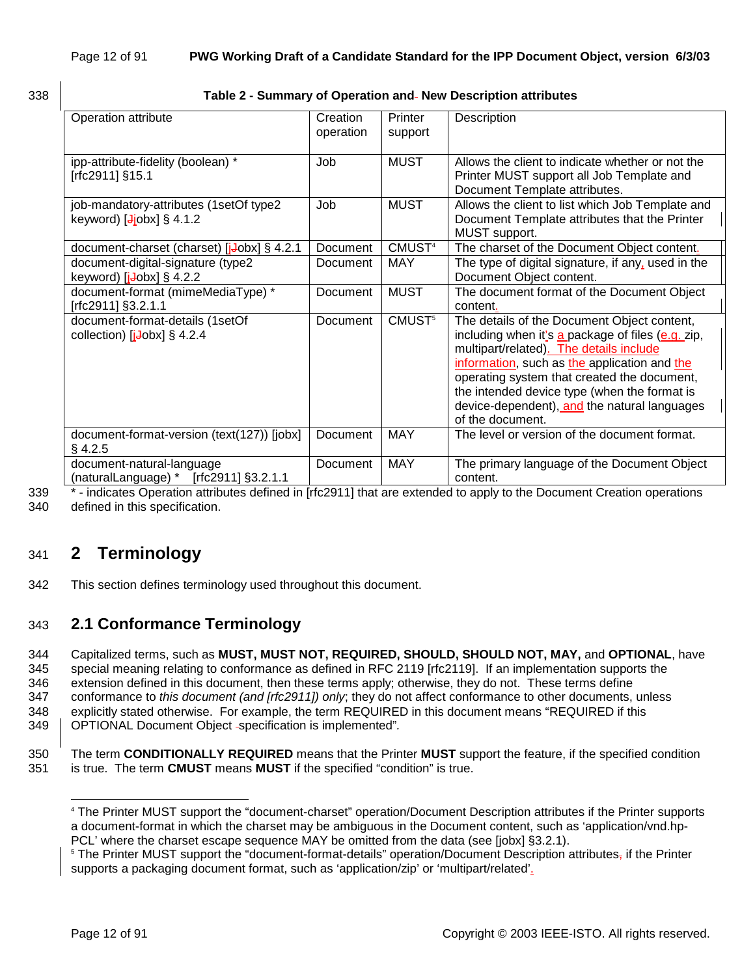|                               | I  |
|-------------------------------|----|
| I<br>۰.<br>w<br>×<br>۰.<br>۰, | ۰, |

#### 338 **Table 2 - Summary of Operation and New Description attributes**

| Operation attribute                                                                             | Creation<br>operation | Printer<br>support | Description                                                                                                                                                                                                                                                                                                                                                    |
|-------------------------------------------------------------------------------------------------|-----------------------|--------------------|----------------------------------------------------------------------------------------------------------------------------------------------------------------------------------------------------------------------------------------------------------------------------------------------------------------------------------------------------------------|
| ipp-attribute-fidelity (boolean) *<br>[rfc2911] §15.1                                           | Job                   | <b>MUST</b>        | Allows the client to indicate whether or not the<br>Printer MUST support all Job Template and<br>Document Template attributes.                                                                                                                                                                                                                                 |
| job-mandatory-attributes (1setOf type2<br>keyword) $\left[\frac{J}{\theta}\right]$ obx] § 4.1.2 | Job                   | <b>MUST</b>        | Allows the client to list which Job Template and<br>Document Template attributes that the Printer<br>MUST support.                                                                                                                                                                                                                                             |
| document-charset (charset) [jJobx] § 4.2.1                                                      | Document              | CMUST <sup>4</sup> | The charset of the Document Object content.                                                                                                                                                                                                                                                                                                                    |
| document-digital-signature (type2<br>keyword) $[i\text{-} \text{obs}]$ § 4.2.2                  | Document              | <b>MAY</b>         | The type of digital signature, if any, used in the<br>Document Object content.                                                                                                                                                                                                                                                                                 |
| document-format (mimeMediaType) *<br>[rfc2911] §3.2.1.1                                         | Document              | <b>MUST</b>        | The document format of the Document Object<br>content.                                                                                                                                                                                                                                                                                                         |
| document-format-details (1setOf<br>collection) $[i\text{-} \text{obs}]$ § 4.2.4                 | Document              | CMUST <sup>5</sup> | The details of the Document Object content,<br>including when it's a package of files (e.g. zip,<br>multipart/related). The details include<br>information, such as the application and the<br>operating system that created the document,<br>the intended device type (when the format is<br>device-dependent), and the natural languages<br>of the document. |
| document-format-version (text(127)) [jobx]<br>$§$ 4.2.5                                         | Document              | <b>MAY</b>         | The level or version of the document format.                                                                                                                                                                                                                                                                                                                   |
| document-natural-language<br>(naturalLanguage) * $[rfc2911]$ §3.2.1.1                           | Document              | <b>MAY</b>         | The primary language of the Document Object<br>content.                                                                                                                                                                                                                                                                                                        |

339 \* - indicates Operation attributes defined in [rfc2911] that are extended to apply to the Document Creation operations 340 defined in this specification.

# 341 **2 Terminology**

342 This section defines terminology used throughout this document.

## 343 **2.1 Conformance Terminology**

344 Capitalized terms, such as **MUST, MUST NOT, REQUIRED, SHOULD, SHOULD NOT, MAY,** and **OPTIONAL**, have 345 special meaning relating to conformance as defined in RFC 2119 [rfc2119]. If an implementation supports the 346 extension defined in this document, then these terms apply; otherwise, they do not. These terms define 347 conformance to *this document (and [rfc2911]) only*; they do not affect conformance to other documents, unless 348 explicitly stated otherwise. For example, the term REQUIRED in this document means "REQUIRED if this 349 OPTIONAL Document Object specification is implemented"*.* 

350 The term **CONDITIONALLY REQUIRED** means that the Printer **MUST** support the feature, if the specified condition 351 is true. The term **CMUST** means **MUST** if the specified "condition" is true.

l

<sup>4</sup> The Printer MUST support the "document-charset" operation/Document Description attributes if the Printer supports a document-format in which the charset may be ambiguous in the Document content, such as 'application/vnd.hp-PCL' where the charset escape sequence MAY be omitted from the data (see [jobx] §3.2.1).

<sup>&</sup>lt;sup>5</sup> The Printer MUST support the "document-format-details" operation/Document Description attributes<sub>7</sub> if the Printer supports a packaging document format, such as 'application/zip' or 'multipart/related'.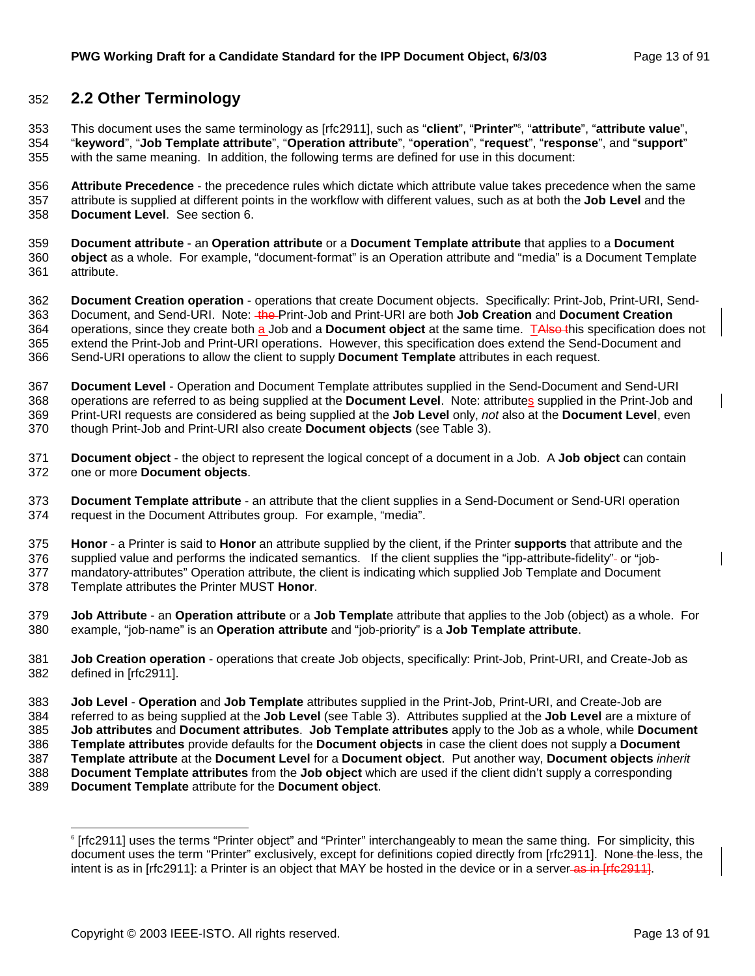## 352 **2.2 Other Terminology**

This document uses the same terminology as [rfc2911], such as "**client**", "**Printer**" <sup>6</sup> 353 , "**attribute**", "**attribute value**", 354 "**keyword**", "**Job Template attribute**", "**Operation attribute**", "**operation**", "**request**", "**response**", and "**support**" 355 with the same meaning. In addition, the following terms are defined for use in this document:

356 **Attribute Precedence** - the precedence rules which dictate which attribute value takes precedence when the same 357 attribute is supplied at different points in the workflow with different values, such as at both the **Job Level** and the 358 **Document Level**. See section 6.

359 **Document attribute** - an **Operation attribute** or a **Document Template attribute** that applies to a **Document**  360 **object** as a whole. For example, "document-format" is an Operation attribute and "media" is a Document Template 361 attribute.

362 **Document Creation operation** - operations that create Document objects. Specifically: Print-Job, Print-URI, Send-363 Document, and Send-URI. Note: the Print-Job and Print-URI are both **Job Creation** and **Document Creation** 364 operations, since they create both a Job and a **Document object** at the same time. TAlso this specification does not 365 extend the Print-Job and Print-URI operations. However, this specification does extend the Send-Document and 366 Send-URI operations to allow the client to supply **Document Template** attributes in each request.

367 **Document Level** - Operation and Document Template attributes supplied in the Send-Document and Send-URI 368 operations are referred to as being supplied at the **Document Level**. Note: attributes supplied in the Print-Job and 369 Print-URI requests are considered as being supplied at the **Job Level** only, *not* also at the **Document Level**, even 370 though Print-Job and Print-URI also create **Document objects** (see Table 3).

371 **Document object** - the object to represent the logical concept of a document in a Job. A **Job object** can contain 372 one or more **Document objects**.

373 **Document Template attribute** - an attribute that the client supplies in a Send-Document or Send-URI operation 374 request in the Document Attributes group. For example, "media".

375 **Honor** - a Printer is said to **Honor** an attribute supplied by the client, if the Printer **supports** that attribute and the

376 supplied value and performs the indicated semantics. If the client supplies the "ipp-attribute-fidelity"- or "job-377 mandatory-attributes" Operation attribute, the client is indicating which supplied Job Template and Document 378 Template attributes the Printer MUST **Honor**.

379 **Job Attribute** - an **Operation attribute** or a **Job Templat**e attribute that applies to the Job (object) as a whole. For

380 example, "job-name" is an **Operation attribute** and "job-priority" is a **Job Template attribute**.

381 **Job Creation operation** - operations that create Job objects, specifically: Print-Job, Print-URI, and Create-Job as 382 defined in [rfc2911].

383 **Job Level** - **Operation** and **Job Template** attributes supplied in the Print-Job, Print-URI, and Create-Job are

384 referred to as being supplied at the **Job Level** (see Table 3). Attributes supplied at the **Job Level** are a mixture of

385 **Job attributes** and **Document attributes**. **Job Template attributes** apply to the Job as a whole, while **Document** 

386 **Template attributes** provide defaults for the **Document objects** in case the client does not supply a **Document**  387 **Template attribute** at the **Document Level** for a **Document object**. Put another way, **Document objects** *inherit*

388 **Document Template attributes** from the **Job object** which are used if the client didn't supply a corresponding

389 **Document Template** attribute for the **Document object**.

l 6 [rfc2911] uses the terms "Printer object" and "Printer" interchangeably to mean the same thing. For simplicity, this document uses the term "Printer" exclusively, except for definitions copied directly from [rfc2911]. None the less, the intent is as in [rfc2911]: a Printer is an object that MAY be hosted in the device or in a server-as in [rfc2911].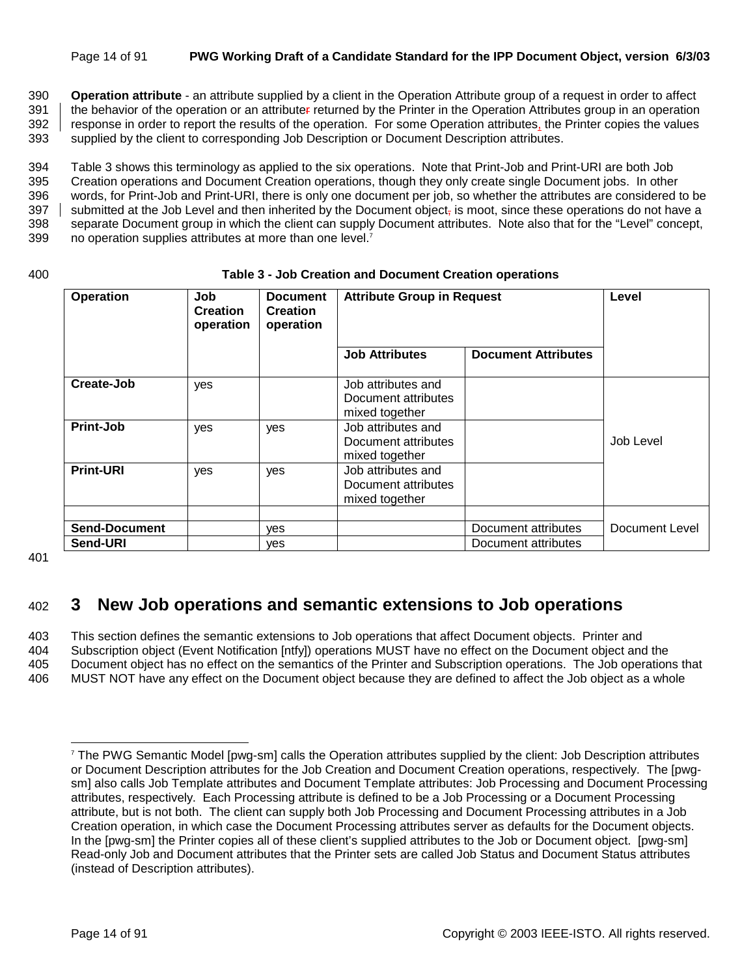#### Page 14 of 91 **PWG Working Draft of a Candidate Standard for the IPP Document Object, version 6/3/03**

390 **Operation attribute** - an attribute supplied by a client in the Operation Attribute group of a request in order to affect 391 the behavior of the operation or an attributer returned by the Printer in the Operation Attributes group in an operation<br>392 Fesponse in order to report the results of the operation. For some Operation attributes, the response in order to report the results of the operation. For some Operation attributes, the Printer copies the values 393 supplied by the client to corresponding Job Description or Document Description attributes.

394 Table 3 shows this terminology as applied to the six operations. Note that Print-Job and Print-URI are both Job 395 Creation operations and Document Creation operations, though they only create single Document jobs. In other 396 words, for Print-Job and Print-URI, there is only one document per job, so whether the attributes are considered to be 397 | submitted at the Job Level and then inherited by the Document object, is moot, since these operations do not have a 398 separate Document group in which the client can supply Document attributes. Note also that for the "Level" concept, 399  $\,\mathrm{n}$  no operation supplies attributes at more than one level.<sup>7</sup>

#### 400 **Table 3 - Job Creation and Document Creation operations**

| <b>Operation</b>                 | Job<br><b>Creation</b><br>operation | <b>Document</b><br><b>Creation</b><br>operation | <b>Attribute Group in Request</b>                           |                                            | Level                 |
|----------------------------------|-------------------------------------|-------------------------------------------------|-------------------------------------------------------------|--------------------------------------------|-----------------------|
|                                  |                                     |                                                 | <b>Job Attributes</b>                                       | <b>Document Attributes</b>                 |                       |
| Create-Job                       | yes                                 |                                                 | Job attributes and<br>Document attributes<br>mixed together |                                            |                       |
| Print-Job                        | yes                                 | yes                                             | Job attributes and<br>Document attributes<br>mixed together |                                            | Job Level             |
| <b>Print-URI</b>                 | yes                                 | yes                                             | Job attributes and<br>Document attributes<br>mixed together |                                            |                       |
| <b>Send-Document</b><br>Send-URI |                                     | ves<br>ves                                      |                                                             | Document attributes<br>Document attributes | <b>Document Level</b> |

401

l

## 402 **3 New Job operations and semantic extensions to Job operations**

403 This section defines the semantic extensions to Job operations that affect Document objects. Printer and 404 Subscription object (Event Notification [ntfy]) operations MUST have no effect on the Document object and the 405 Document object has no effect on the semantics of the Printer and Subscription operations. The Job operations that 406 MUST NOT have any effect on the Document object because they are defined to affect the Job object as a whole

<sup>7</sup> The PWG Semantic Model [pwg-sm] calls the Operation attributes supplied by the client: Job Description attributes or Document Description attributes for the Job Creation and Document Creation operations, respectively. The [pwgsm] also calls Job Template attributes and Document Template attributes: Job Processing and Document Processing attributes, respectively. Each Processing attribute is defined to be a Job Processing or a Document Processing attribute, but is not both. The client can supply both Job Processing and Document Processing attributes in a Job Creation operation, in which case the Document Processing attributes server as defaults for the Document objects. In the [pwg-sm] the Printer copies all of these client's supplied attributes to the Job or Document object. [pwg-sm] Read-only Job and Document attributes that the Printer sets are called Job Status and Document Status attributes (instead of Description attributes).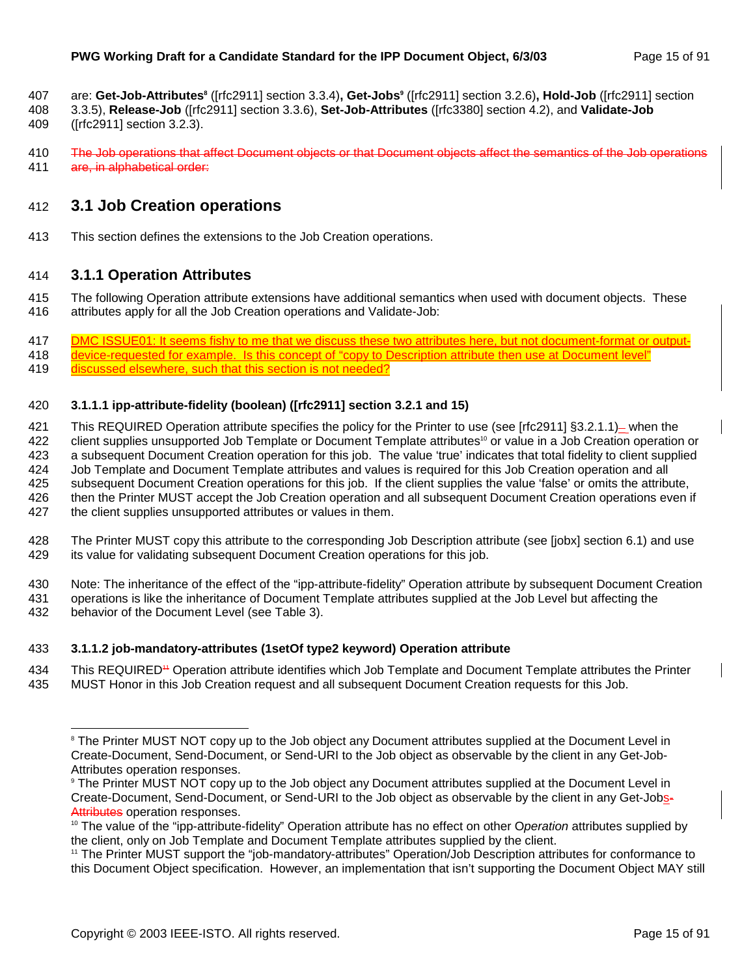- are: **Get-Job-Attributes8** ([rfc2911] section 3.3.4)**, Get-Jobs9** 407 ([rfc2911] section 3.2.6)**, Hold-Job** ([rfc2911] section
- 408 3.3.5), **Release-Job** ([rfc2911] section 3.3.6), **Set-Job-Attributes** ([rfc3380] section 4.2), and **Validate-Job**
- 409 ([rfc2911] section 3.2.3).
- 410 The Job operations that affect Document objects or that Document objects affect the semantics of the Job operations 411 are, in alphabetical order:

## 412 **3.1 Job Creation operations**

413 This section defines the extensions to the Job Creation operations.

### 414 **3.1.1 Operation Attributes**

- 415 The following Operation attribute extensions have additional semantics when used with document objects. These 416 attributes apply for all the Job Creation operations and Validate-Job:
- 417 DMC ISSUE01: It seems fishy to me that we discuss these two attributes here, but not document-format or output-
- 418 device-requested for example. Is this concept of "copy to Description attribute then use at Document level" 419 discussed elsewhere, such that this section is not needed?

#### 420 **3.1.1.1 ipp-attribute-fidelity (boolean) ([rfc2911] section 3.2.1 and 15)**

- 421 This REQUIRED Operation attribute specifies the policy for the Printer to use (see [rfc2911] §3.2.1.1) \_ when the 422 client supplies unsupported Job Template or Document Template attributes<sup>10</sup> or value in a Job Creation operation or 423 a subsequent Document Creation operation for this job. The value 'true' indicates that total fidelity to client supplied 424 Job Template and Document Template attributes and values is required for this Job Creation operation and all 425 subsequent Document Creation operations for this job. If the client supplies the value 'false' or omits the attribute, 426 then the Printer MUST accept the Job Creation operation and all subsequent Document Creation operations even if 427 the client supplies unsupported attributes or values in them.
- 428 The Printer MUST copy this attribute to the corresponding Job Description attribute (see [jobx] section 6.1) and use 429 its value for validating subsequent Document Creation operations for this job.
- 430 Note: The inheritance of the effect of the "ipp-attribute-fidelity" Operation attribute by subsequent Document Creation 431 operations is like the inheritance of Document Template attributes supplied at the Job Level but affecting the
- 432 behavior of the Document Level (see Table 3).

l

#### 433 **3.1.1.2 job-mandatory-attributes (1setOf type2 keyword) Operation attribute**

- 434 This REQUIRED<sup>44</sup> Operation attribute identifies which Job Template and Document Template attributes the Printer
- 435 MUST Honor in this Job Creation request and all subsequent Document Creation requests for this Job.

<sup>&</sup>lt;sup>8</sup> The Printer MUST NOT copy up to the Job object any Document attributes supplied at the Document Level in Create-Document, Send-Document, or Send-URI to the Job object as observable by the client in any Get-Job-Attributes operation responses.

<sup>9</sup> The Printer MUST NOT copy up to the Job object any Document attributes supplied at the Document Level in Create-Document, Send-Document, or Send-URI to the Job object as observable by the client in any Get-Jobs-Attributes operation responses.<br><sup>10</sup> The value of the "ipp-attribute-fidelity" Operation attribute has no effect on other O*peration* attributes supplied by

the client, only on Job Template and Document Template attributes supplied by the client.

<sup>11</sup> The Printer MUST support the "job-mandatory-attributes" Operation/Job Description attributes for conformance to this Document Object specification. However, an implementation that isn't supporting the Document Object MAY still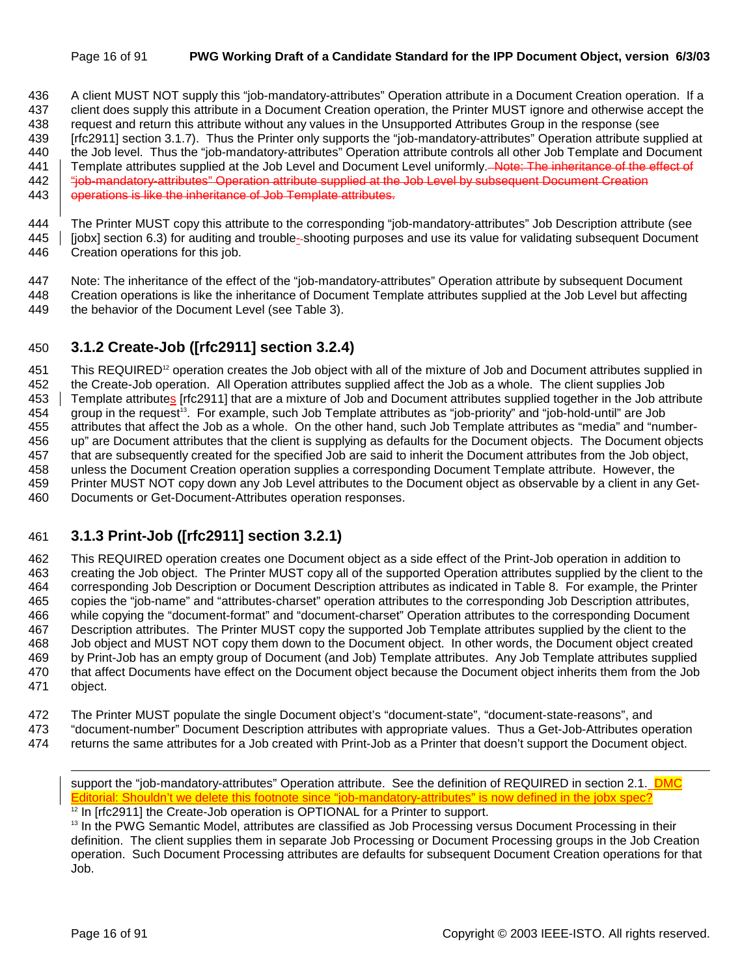#### Page 16 of 91 **PWG Working Draft of a Candidate Standard for the IPP Document Object, version 6/3/03**

436 A client MUST NOT supply this "job-mandatory-attributes" Operation attribute in a Document Creation operation. If a 437 client does supply this attribute in a Document Creation operation, the Printer MUST ignore and otherwise accept the 438 request and return this attribute without any values in the Unsupported Attributes Group in the response (see 439 [rfc2911] section 3.1.7). Thus the Printer only supports the "job-mandatory-attributes" Operation attribute supplied at 440 the Job level. Thus the "job-mandatory-attributes" Operation attribute controls all other Job Template and Document 441 Template attributes supplied at the Job Level and Document Level uniformly. Note: The inheritance of the effect of 442  $\parallel$  "job-mandatory-attributes" Operation attribute supplied at the Job Level by subsequent Document Creation

443 | operations is like the inheritance of Job Template attributes.

444 The Printer MUST copy this attribute to the corresponding "job-mandatory-attributes" Job Description attribute (see 445 | [jobx] section 6.3) for auditing and trouble-shooting purposes and use its value for validating subsequent Document 446 Creation operations for this job.

447 Note: The inheritance of the effect of the "job-mandatory-attributes" Operation attribute by subsequent Document 448 Creation operations is like the inheritance of Document Template attributes supplied at the Job Level but affecting 449 the behavior of the Document Level (see Table 3).

### 450 **3.1.2 Create-Job ([rfc2911] section 3.2.4)**

451 This REQUIRED<sup>12</sup> operation creates the Job object with all of the mixture of Job and Document attributes supplied in 452 the Create-Job operation. All Operation attributes supplied affect the Job as a whole. The client supplies Job 453 Template attributes [rfc2911] that are a mixture of Job and Document attributes supplied together in the Job attribute 454 group in the request<sup>13</sup>. For example, such Job Template attributes as "job-priority" and "job-hold-until" are Job 455 attributes that affect the Job as a whole. On the other hand, such Job Template attributes as "media" and "number-456 up" are Document attributes that the client is supplying as defaults for the Document objects. The Document objects 457 that are subsequently created for the specified Job are said to inherit the Document attributes from the Job object, 458 unless the Document Creation operation supplies a corresponding Document Template attribute. However, the 459 Printer MUST NOT copy down any Job Level attributes to the Document object as observable by a client in any Get-460 Documents or Get-Document-Attributes operation responses.

## 461 **3.1.3 Print-Job ([rfc2911] section 3.2.1)**

462 This REQUIRED operation creates one Document object as a side effect of the Print-Job operation in addition to 463 creating the Job object. The Printer MUST copy all of the supported Operation attributes supplied by the client to the 464 corresponding Job Description or Document Description attributes as indicated in Table 8. For example, the Printer 465 copies the "job-name" and "attributes-charset" operation attributes to the corresponding Job Description attributes, 466 while copying the "document-format" and "document-charset" Operation attributes to the corresponding Document 467 Description attributes. The Printer MUST copy the supported Job Template attributes supplied by the client to the 468 Job object and MUST NOT copy them down to the Document object. In other words, the Document object created 469 by Print-Job has an empty group of Document (and Job) Template attributes. Any Job Template attributes supplied 470 that affect Documents have effect on the Document object because the Document object inherits them from the Job 471 object.

- 472 The Printer MUST populate the single Document object's "document-state", "document-state-reasons", and
- 473 "document-number" Document Description attributes with appropriate values. Thus a Get-Job-Attributes operation
- 474 returns the same attributes for a Job created with Print-Job as a Printer that doesn't support the Document object.

<sup>13</sup> In the PWG Semantic Model, attributes are classified as Job Processing versus Document Processing in their definition. The client supplies them in separate Job Processing or Document Processing groups in the Job Creation operation. Such Document Processing attributes are defaults for subsequent Document Creation operations for that Job.

l

support the "job-mandatory-attributes" Operation attribute. See the definition of REQUIRED in section 2.1. DMC Editorial: Shouldn't we delete this footnote since "job-mandatory-attributes" is now defined in the jobx spec?

 $12$  In [rfc2911] the Create-Job operation is OPTIONAL for a Printer to support.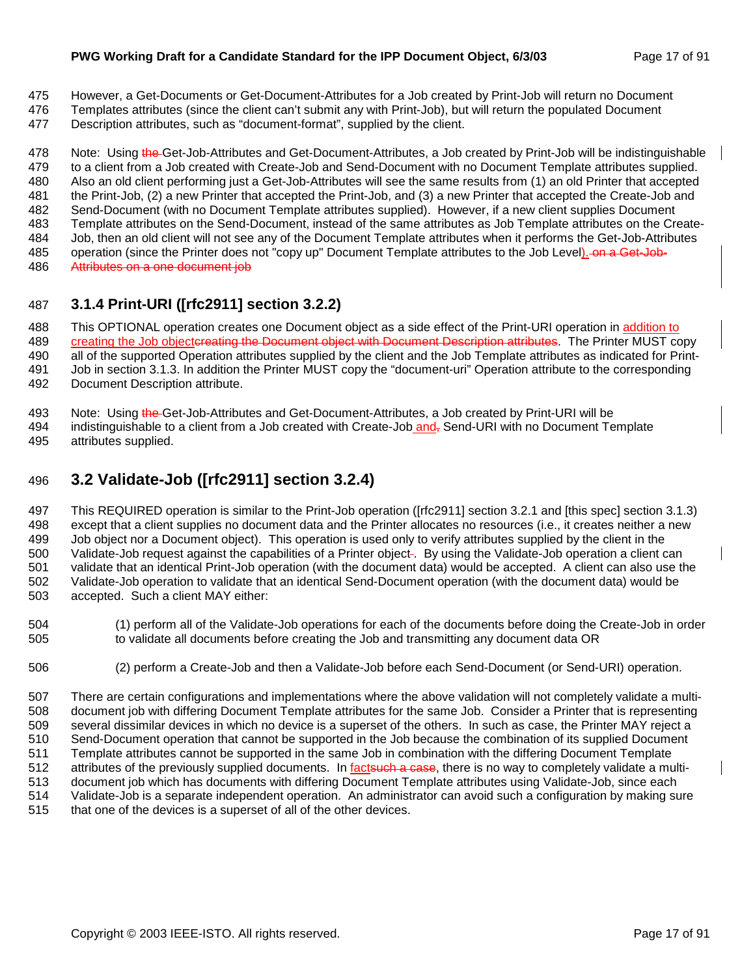#### **PWG Working Draft for a Candidate Standard for the IPP Document Object, 6/3/03** Page 17 of 91

- 475 However, a Get-Documents or Get-Document-Attributes for a Job created by Print-Job will return no Document
- 476 Templates attributes (since the client can't submit any with Print-Job), but will return the populated Document
- 477 Description attributes, such as "document-format", supplied by the client.

478 Note: Using the Get-Job-Attributes and Get-Document-Attributes, a Job created by Print-Job will be indistinguishable 479 to a client from a Job created with Create-Job and Send-Document with no Document Template attributes supplied. 480 Also an old client performing just a Get-Job-Attributes will see the same results from (1) an old Printer that accepted 481 the Print-Job, (2) a new Printer that accepted the Print-Job, and (3) a new Printer that accepted the Create-Job and 482 Send-Document (with no Document Template attributes supplied). However, if a new client supplies Document 483 Template attributes on the Send-Document, instead of the same attributes as Job Template attributes on the Create-484 Job, then an old client will not see any of the Document Template attributes when it performs the Get-Job-Attributes 485 operation (since the Printer does not "copy up" Document Template attributes to the Job Level). On a Get-Job-486 Attributes on a one document job

## 487 **3.1.4 Print-URI ([rfc2911] section 3.2.2)**

488 This OPTIONAL operation creates one Document object as a side effect of the Print-URI operation in addition to 489 creating the Job objectereating the Document object with Document Description attributes. The Printer MUST copy 490 all of the supported Operation attributes supplied by the client and the Job Template attributes as indicated for Print-491 Job in section 3.1.3. In addition the Printer MUST copy the "document-uri" Operation attribute to the corresponding 492 Document Description attribute.

493 Note: Using the Get-Job-Attributes and Get-Document-Attributes, a Job created by Print-URI will be 494 indistinguishable to a client from a Job created with Create-Job and, Send-URI with no Document Template 495 attributes supplied.

496 **3.2 Validate-Job ([rfc2911] section 3.2.4)** 

497 This REQUIRED operation is similar to the Print-Job operation ([rfc2911] section 3.2.1 and [this spec] section 3.1.3) 498 except that a client supplies no document data and the Printer allocates no resources (i.e., it creates neither a new 499 Job object nor a Document object). This operation is used only to verify attributes supplied by the client in the 500 Validate-Job request against the capabilities of a Printer object . By using the Validate-Job operation a client can 501 validate that an identical Print-Job operation (with the document data) would be accepted. A client can also use the 502 Validate-Job operation to validate that an identical Send-Document operation (with the document data) would be 503 accepted. Such a client MAY either:

- 504 (1) perform all of the Validate-Job operations for each of the documents before doing the Create-Job in order 505 to validate all documents before creating the Job and transmitting any document data OR
- 506 (2) perform a Create-Job and then a Validate-Job before each Send-Document (or Send-URI) operation.

507 There are certain configurations and implementations where the above validation will not completely validate a multi-508 document job with differing Document Template attributes for the same Job. Consider a Printer that is representing 509 several dissimilar devices in which no device is a superset of the others. In such as case, the Printer MAY reject a 510 Send-Document operation that cannot be supported in the Job because the combination of its supplied Document 511 Template attributes cannot be supported in the same Job in combination with the differing Document Template 512 attributes of the previously supplied documents. In factsuch a case, there is no way to completely validate a multi-513 document job which has documents with differing Document Template attributes using Validate-Job, since each 514 Validate-Job is a separate independent operation. An administrator can avoid such a configuration by making sure 515 that one of the devices is a superset of all of the other devices.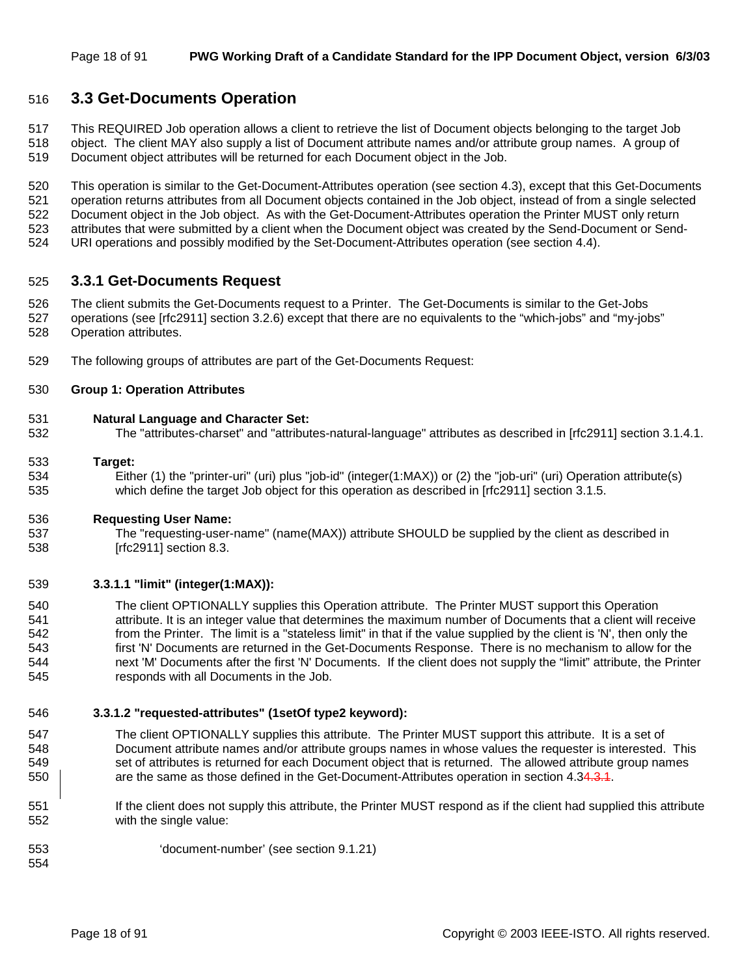### 516 **3.3 Get-Documents Operation**

517 This REQUIRED Job operation allows a client to retrieve the list of Document objects belonging to the target Job

- 518 object. The client MAY also supply a list of Document attribute names and/or attribute group names. A group of
- 519 Document object attributes will be returned for each Document object in the Job.

520 This operation is similar to the Get-Document-Attributes operation (see section 4.3), except that this Get-Documents 521 operation returns attributes from all Document objects contained in the Job object, instead of from a single selected 522 Document object in the Job object. As with the Get-Document-Attributes operation the Printer MUST only return 523 attributes that were submitted by a client when the Document object was created by the Send-Document or Send-524 URI operations and possibly modified by the Set-Document-Attributes operation (see section 4.4).

#### 525 **3.3.1 Get-Documents Request**

526 The client submits the Get-Documents request to a Printer. The Get-Documents is similar to the Get-Jobs 527 operations (see [rfc2911] section 3.2.6) except that there are no equivalents to the "which-jobs" and "my-jobs" 528 Operation attributes.

529 The following groups of attributes are part of the Get-Documents Request:

#### 530 **Group 1: Operation Attributes**

#### 531 **Natural Language and Character Set:**

532 The "attributes-charset" and "attributes-natural-language" attributes as described in [rfc2911] section 3.1.4.1.

#### 533 **Target:**

534 Either (1) the "printer-uri" (uri) plus "job-id" (integer(1:MAX)) or (2) the "job-uri" (uri) Operation attribute(s) 535 which define the target Job object for this operation as described in [rfc2911] section 3.1.5.

#### 536 **Requesting User Name:**

537 The "requesting-user-name" (name(MAX)) attribute SHOULD be supplied by the client as described in 538 [rfc2911] section 8.3.

#### 539 **3.3.1.1 "limit" (integer(1:MAX)):**

540 The client OPTIONALLY supplies this Operation attribute. The Printer MUST support this Operation 541 attribute. It is an integer value that determines the maximum number of Documents that a client will receive 542 from the Printer. The limit is a "stateless limit" in that if the value supplied by the client is 'N', then only the 543 first 'N' Documents are returned in the Get-Documents Response. There is no mechanism to allow for the 544 next 'M' Documents after the first 'N' Documents. If the client does not supply the "limit" attribute, the Printer 545 responds with all Documents in the Job.

#### 546 **3.3.1.2 "requested-attributes" (1setOf type2 keyword):**

- 547 The client OPTIONALLY supplies this attribute. The Printer MUST support this attribute. It is a set of 548 Document attribute names and/or attribute groups names in whose values the requester is interested. This 549 set of attributes is returned for each Document object that is returned. The allowed attribute group names 550 **Fig. 20.50** are the same as those defined in the Get-Document-Attributes operation in section 4.34.3.4.
- 551 If the client does not supply this attribute, the Printer MUST respond as if the client had supplied this attribute 552 with the single value:

553 'document-number' (see section 9.1.21)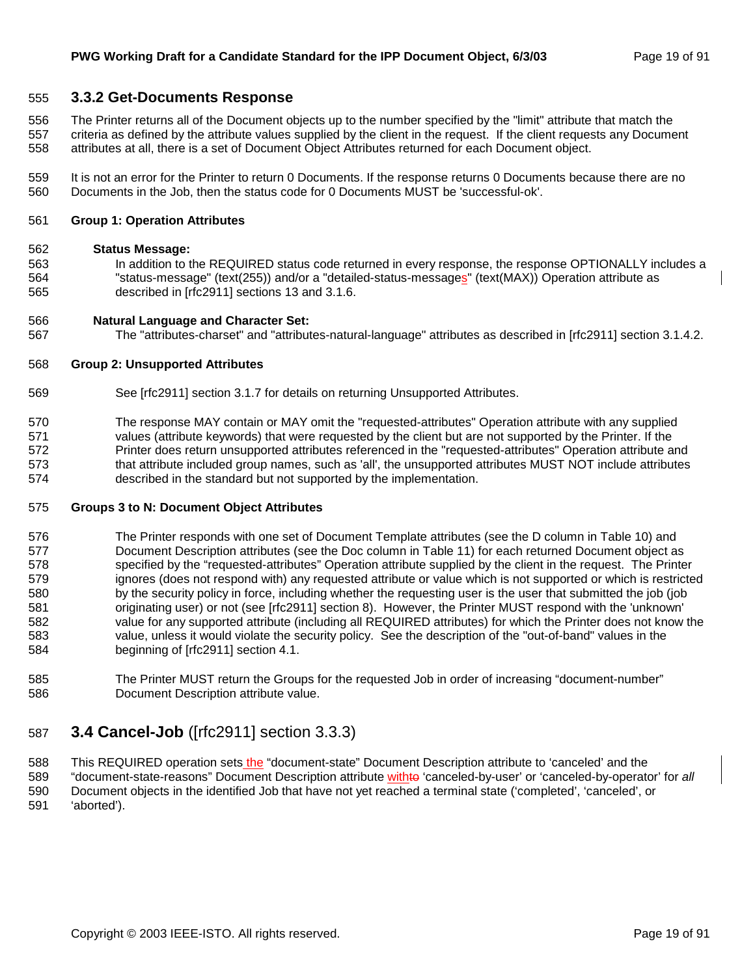#### 555 **3.3.2 Get-Documents Response**

556 The Printer returns all of the Document objects up to the number specified by the "limit" attribute that match the 557 criteria as defined by the attribute values supplied by the client in the request. If the client requests any Document 558 attributes at all, there is a set of Document Object Attributes returned for each Document object.

559 It is not an error for the Printer to return 0 Documents. If the response returns 0 Documents because there are no 560 Documents in the Job, then the status code for 0 Documents MUST be 'successful-ok'.

#### 561 **Group 1: Operation Attributes**

#### 562 **Status Message:**

563 In addition to the REQUIRED status code returned in every response, the response OPTIONALLY includes a 564 "status-message" (text(255)) and/or a "detailed-status-messages" (text(MAX)) Operation attribute as 565 described in [rfc2911] sections 13 and 3.1.6.

#### 566 **Natural Language and Character Set:**

567 The "attributes-charset" and "attributes-natural-language" attributes as described in [rfc2911] section 3.1.4.2.

#### 568 **Group 2: Unsupported Attributes**

- 569 See [rfc2911] section 3.1.7 for details on returning Unsupported Attributes.
- 570 The response MAY contain or MAY omit the "requested-attributes" Operation attribute with any supplied 571 values (attribute keywords) that were requested by the client but are not supported by the Printer. If the 572 Printer does return unsupported attributes referenced in the "requested-attributes" Operation attribute and 573 that attribute included group names, such as 'all', the unsupported attributes MUST NOT include attributes 574 described in the standard but not supported by the implementation.

#### 575 **Groups 3 to N: Document Object Attributes**

- 576 The Printer responds with one set of Document Template attributes (see the D column in Table 10) and 577 Document Description attributes (see the Doc column in Table 11) for each returned Document object as 578 specified by the "requested-attributes" Operation attribute supplied by the client in the request. The Printer 579 ignores (does not respond with) any requested attribute or value which is not supported or which is restricted 580 by the security policy in force, including whether the requesting user is the user that submitted the job (job 581 originating user) or not (see [rfc2911] section 8). However, the Printer MUST respond with the 'unknown' 582 value for any supported attribute (including all REQUIRED attributes) for which the Printer does not know the 583 value, unless it would violate the security policy. See the description of the "out-of-band" values in the 584 beginning of [rfc2911] section 4.1.
- 585 The Printer MUST return the Groups for the requested Job in order of increasing "document-number" 586 Document Description attribute value.

## 587 **3.4 Cancel-Job** ([rfc2911] section 3.3.3)

588 This REQUIRED operation sets the "document-state" Document Description attribute to 'canceled' and the 589 "document-state-reasons" Document Description attribute withto 'canceled-by-user' or 'canceled-by-operator' for *all* 590 Document objects in the identified Job that have not yet reached a terminal state ('completed', 'canceled', or

591 'aborted').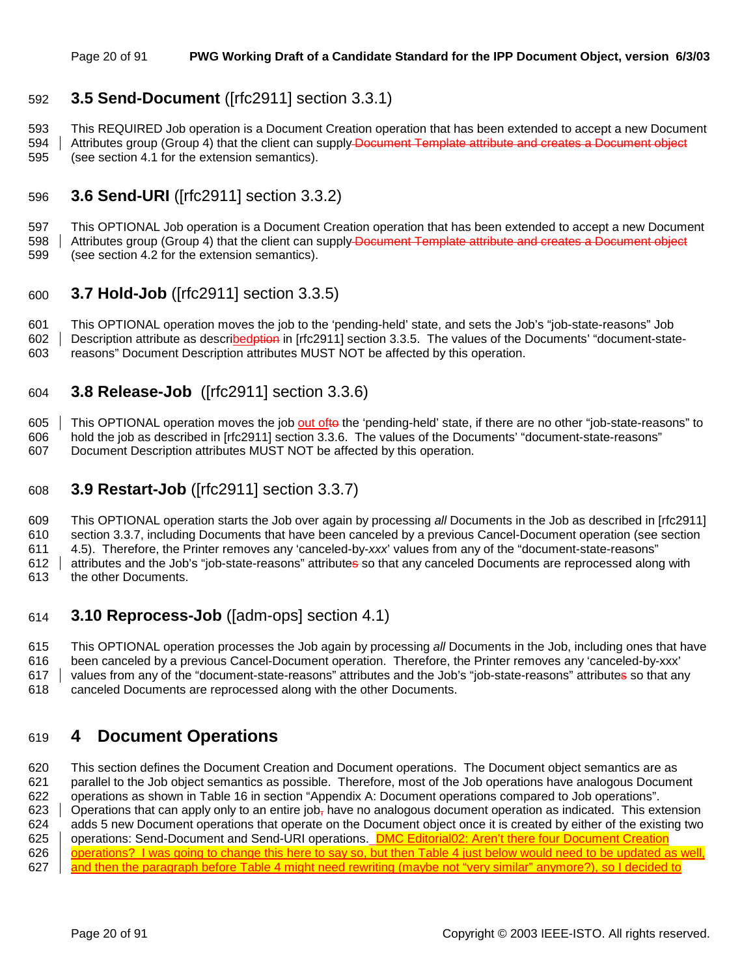## 592 **3.5 Send-Document** ([rfc2911] section 3.3.1)

593 This REQUIRED Job operation is a Document Creation operation that has been extended to accept a new Document

594 Attributes group (Group 4) that the client can supply Document Template attribute and creates a Document object 595 (see section 4.1 for the extension semantics).

## 596 **3.6 Send-URI** ([rfc2911] section 3.3.2)

597 This OPTIONAL Job operation is a Document Creation operation that has been extended to accept a new Document 598 Attributes group (Group 4) that the client can supply Document Template attribute and creates a Document object

599 (see section 4.2 for the extension semantics).

## 600 **3.7 Hold-Job** ([rfc2911] section 3.3.5)

601 This OPTIONAL operation moves the job to the 'pending-held' state, and sets the Job's "job-state-reasons" Job 602 | Description attribute as described ption in [rfc2911] section 3.3.5. The values of the Documents' "document-state-603 reasons" Document Description attributes MUST NOT be affected by this operation.

## 604 **3.8 Release-Job** ([rfc2911] section 3.3.6)

605 This OPTIONAL operation moves the job out ofto the 'pending-held' state, if there are no other "job-state-reasons" to 606 hold the job as described in [rfc2911] section 3.3.6. The values of the Documents' "document-state-reasons"

607 Document Description attributes MUST NOT be affected by this operation.

## 608 **3.9 Restart-Job** ([rfc2911] section 3.3.7)

609 This OPTIONAL operation starts the Job over again by processing *all* Documents in the Job as described in [rfc2911] 610 section 3.3.7, including Documents that have been canceled by a previous Cancel-Document operation (see section

611 4.5). Therefore, the Printer removes any 'canceled-by-*xxx*' values from any of the "document-state-reasons"

612 attributes and the Job's "job-state-reasons" attributes so that any canceled Documents are reprocessed along with

613 the other Documents.

## 614 **3.10 Reprocess-Job** ([adm-ops] section 4.1)

615 This OPTIONAL operation processes the Job again by processing *all* Documents in the Job, including ones that have 616 been canceled by a previous Cancel-Document operation. Therefore, the Printer removes any 'canceled-by-xxx' 617 values from any of the "document-state-reasons" attributes and the Job's "job-state-reasons" attributes so that any

618 canceled Documents are reprocessed along with the other Documents.

## 619 **4 Document Operations**

620 This section defines the Document Creation and Document operations. The Document object semantics are as 621 parallel to the Job object semantics as possible. Therefore, most of the Job operations have analogous Document 622 operations as shown in Table 16 in section "Appendix A: Document operations compared to Job operations". 623  $\Box$  Operations that can apply only to an entire job<sub>r</sub> have no analogous document operation as indicated. This extension 624 adds 5 new Document operations that operate on the Document object once it is created by either of the existing two 625 | operations: Send-Document and Send-URI operations. **DMC Editorial02: Aren't there four Document Creation** 626 | operations? I was going to change this here to say so, but then Table 4 just below would need to be updated as well, 627 and then the paragraph before Table 4 might need rewriting (maybe not "very similar" anymore?), so I decided to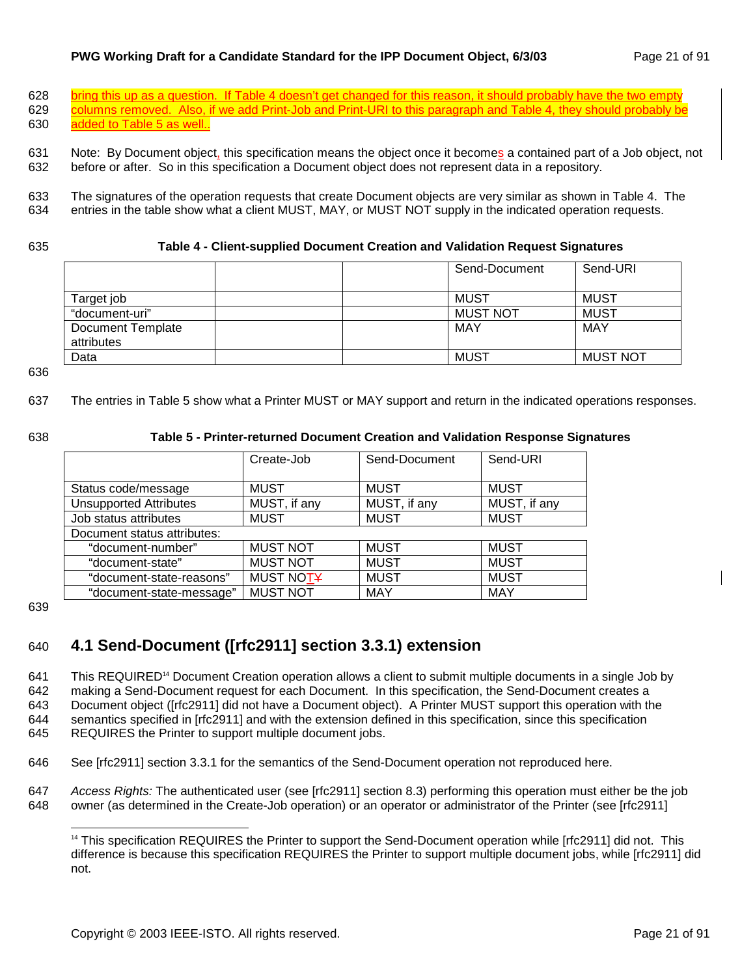#### **PWG Working Draft for a Candidate Standard for the IPP Document Object, 6/3/03** Page 21 of 91

628 bring this up as a question. If Table 4 doesn't get changed for this reason, it should probably have the two empty 629 columns removed. Also, if we add Print-Job and Print-URI to this paragraph and Table 4, they should probably be 630 added to Table 5 as well..

631 Note: By Document object, this specification means the object once it becomes a contained part of a Job object, not 632 before or after. So in this specification a Document object does not represent data in a repository.

633 The signatures of the operation requests that create Document objects are very similar as shown in Table 4. The 634 entries in the table show what a client MUST, MAY, or MUST NOT supply in the indicated operation requests.

#### 635 **Table 4 - Client-supplied Document Creation and Validation Request Signatures**

|                                        | Send-Document   | Send-URI        |
|----------------------------------------|-----------------|-----------------|
| Target job                             | MUST            | <b>MUST</b>     |
| "document-uri"                         | <b>MUST NOT</b> | <b>MUST</b>     |
| <b>Document Template</b><br>attributes | MAY             | MAY             |
| Data                                   | <b>MUST</b>     | <b>MUST NOT</b> |

636

637 The entries in Table 5 show what a Printer MUST or MAY support and return in the indicated operations responses.

#### 638 **Table 5 - Printer-returned Document Creation and Validation Response Signatures**

|                               | Create-Job      | Send-Document | Send-URI     |
|-------------------------------|-----------------|---------------|--------------|
|                               |                 |               |              |
| Status code/message           | <b>MUST</b>     | <b>MUST</b>   | <b>MUST</b>  |
| <b>Unsupported Attributes</b> | MUST, if any    | MUST, if any  | MUST, if any |
| Job status attributes         | <b>MUST</b>     | <b>MUST</b>   | <b>MUST</b>  |
| Document status attributes:   |                 |               |              |
| "document-number"             | <b>MUST NOT</b> | <b>MUST</b>   | <b>MUST</b>  |
| "document-state"              | <b>MUST NOT</b> | <b>MUST</b>   | <b>MUST</b>  |
| "document-state-reasons"      | MUST NOTY       | <b>MUST</b>   | <b>MUST</b>  |
| "document-state-message"      | <b>MUST NOT</b> | <b>MAY</b>    | <b>MAY</b>   |

639

l

## 640 **4.1 Send-Document ([rfc2911] section 3.3.1) extension**

641 This REQUIRED<sup>14</sup> Document Creation operation allows a client to submit multiple documents in a single Job by 642 making a Send-Document request for each Document. In this specification, the Send-Document creates a 643 Document object ([rfc2911] did not have a Document object). A Printer MUST support this operation with the 644 semantics specified in [rfc2911] and with the extension defined in this specification, since this specification 645 REQUIRES the Printer to support multiple document jobs.

646 See [rfc2911] section 3.3.1 for the semantics of the Send-Document operation not reproduced here.

647 *Access Rights:* The authenticated user (see [rfc2911] section 8.3) performing this operation must either be the job 648 owner (as determined in the Create-Job operation) or an operator or administrator of the Printer (see [rfc2911]

<sup>&</sup>lt;sup>14</sup> This specification REQUIRES the Printer to support the Send-Document operation while [rfc2911] did not. This difference is because this specification REQUIRES the Printer to support multiple document jobs, while [rfc2911] did not.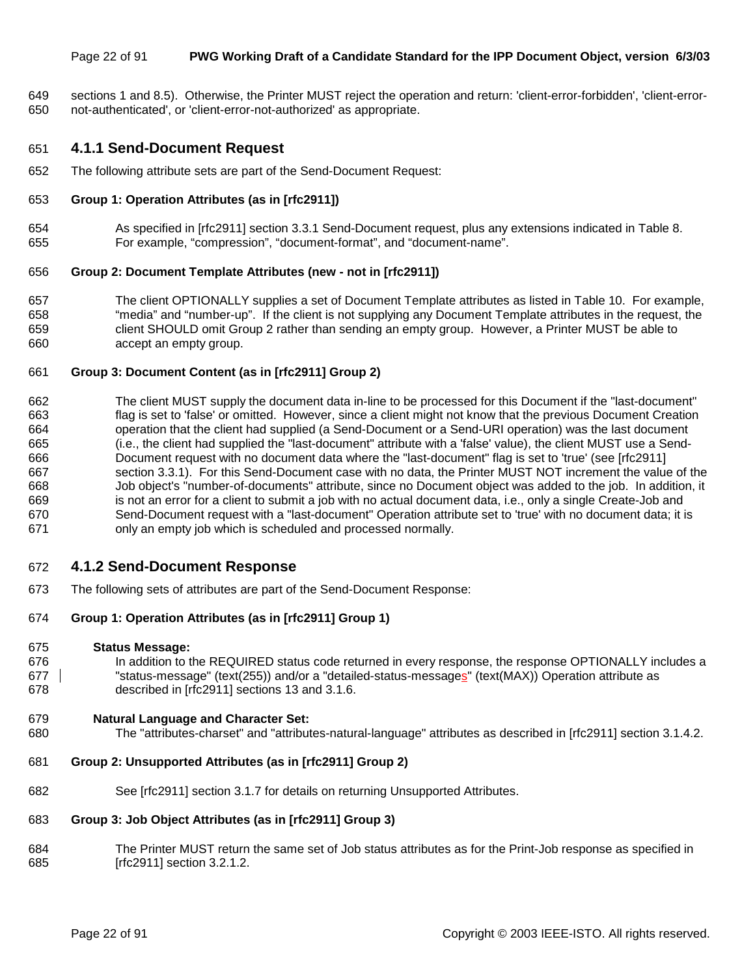#### Page 22 of 91 **PWG Working Draft of a Candidate Standard for the IPP Document Object, version 6/3/03**

649 sections 1 and 8.5). Otherwise, the Printer MUST reject the operation and return: 'client-error-forbidden', 'client-error-650 not-authenticated', or 'client-error-not-authorized' as appropriate.

#### 651 **4.1.1 Send-Document Request**

652 The following attribute sets are part of the Send-Document Request:

#### 653 **Group 1: Operation Attributes (as in [rfc2911])**

654 As specified in [rfc2911] section 3.3.1 Send-Document request, plus any extensions indicated in Table 8. 655 For example, "compression", "document-format", and "document-name".

#### 656 **Group 2: Document Template Attributes (new - not in [rfc2911])**

657 The client OPTIONALLY supplies a set of Document Template attributes as listed in Table 10. For example, 658 "media" and "number-up". If the client is not supplying any Document Template attributes in the request, the 659 client SHOULD omit Group 2 rather than sending an empty group. However, a Printer MUST be able to 660 accept an empty group.

#### 661 **Group 3: Document Content (as in [rfc2911] Group 2)**

662 The client MUST supply the document data in-line to be processed for this Document if the "last-document" 663 flag is set to 'false' or omitted. However, since a client might not know that the previous Document Creation 664 operation that the client had supplied (a Send-Document or a Send-URI operation) was the last document 665 (i.e., the client had supplied the "last-document" attribute with a 'false' value), the client MUST use a Send-666 Document request with no document data where the "last-document" flag is set to 'true' (see [rfc2911] 667 section 3.3.1). For this Send-Document case with no data, the Printer MUST NOT increment the value of the 668 Job object's "number-of-documents" attribute, since no Document object was added to the job. In addition, it 669 is not an error for a client to submit a job with no actual document data, i.e., only a single Create-Job and 670 Send-Document request with a "last-document" Operation attribute set to 'true' with no document data; it is 671 only an empty job which is scheduled and processed normally.

#### 672 **4.1.2 Send-Document Response**

673 The following sets of attributes are part of the Send-Document Response:

#### 674 **Group 1: Operation Attributes (as in [rfc2911] Group 1)**

#### 675 **Status Message:**

676 In addition to the REQUIRED status code returned in every response, the response OPTIONALLY includes a 677 | status-message" (text(255)) and/or a "detailed-status-messages" (text(MAX)) Operation attribute as 678 described in [rfc2911] sections 13 and 3.1.6.

#### 679 **Natural Language and Character Set:**

680 The "attributes-charset" and "attributes-natural-language" attributes as described in [rfc2911] section 3.1.4.2.

#### 681 **Group 2: Unsupported Attributes (as in [rfc2911] Group 2)**

682 See [rfc2911] section 3.1.7 for details on returning Unsupported Attributes.

#### 683 **Group 3: Job Object Attributes (as in [rfc2911] Group 3)**

684 The Printer MUST return the same set of Job status attributes as for the Print-Job response as specified in 685 [rfc2911] section 3.2.1.2.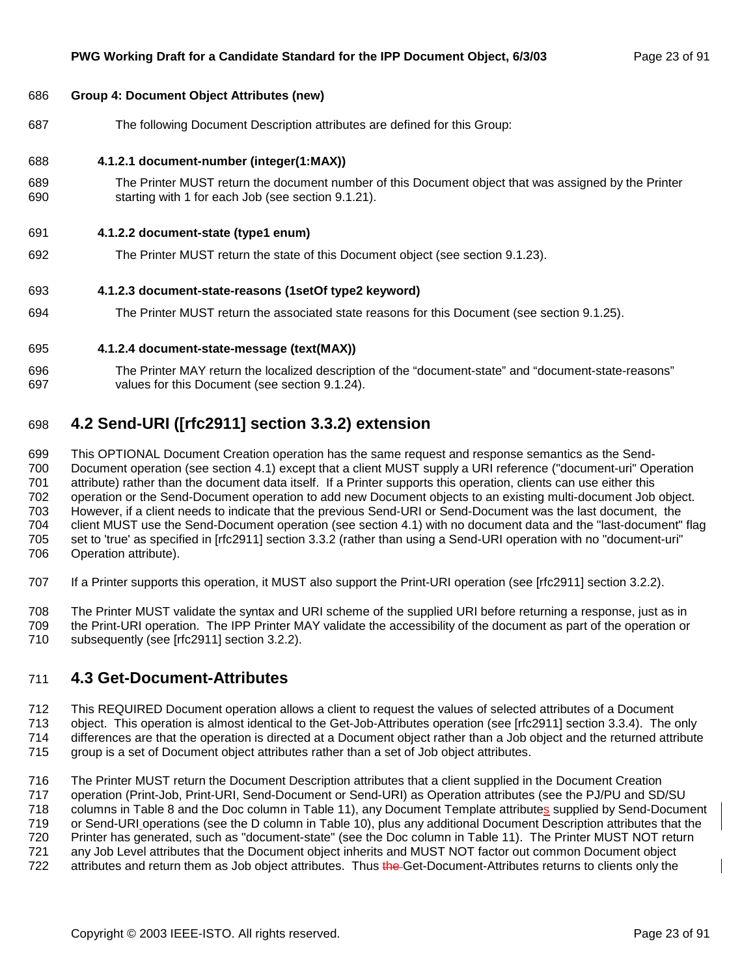#### 686 **Group 4: Document Object Attributes (new)**

687 The following Document Description attributes are defined for this Group:

#### 688 **4.1.2.1 document-number (integer(1:MAX))**

689 The Printer MUST return the document number of this Document object that was assigned by the Printer 690 starting with 1 for each Job (see section 9.1.21).

#### 691 **4.1.2.2 document-state (type1 enum)**

692 The Printer MUST return the state of this Document object (see section 9.1.23).

#### 693 **4.1.2.3 document-state-reasons (1setOf type2 keyword)**

694 The Printer MUST return the associated state reasons for this Document (see section 9.1.25).

#### 695 **4.1.2.4 document-state-message (text(MAX))**

696 The Printer MAY return the localized description of the "document-state" and "document-state-reasons" 697 values for this Document (see section 9.1.24).

## 698 **4.2 Send-URI ([rfc2911] section 3.3.2) extension**

699 This OPTIONAL Document Creation operation has the same request and response semantics as the Send-700 Document operation (see section 4.1) except that a client MUST supply a URI reference ("document-uri" Operation 701 attribute) rather than the document data itself. If a Printer supports this operation, clients can use either this 702 operation or the Send-Document operation to add new Document objects to an existing multi-document Job object. 703 However, if a client needs to indicate that the previous Send-URI or Send-Document was the last document, the 704 client MUST use the Send-Document operation (see section 4.1) with no document data and the "last-document" flag 705 set to 'true' as specified in [rfc2911] section 3.3.2 (rather than using a Send-URI operation with no "document-uri" 706 Operation attribute).

- 707 If a Printer supports this operation, it MUST also support the Print-URI operation (see [rfc2911] section 3.2.2).
- 708 The Printer MUST validate the syntax and URI scheme of the supplied URI before returning a response, just as in
- 709 the Print-URI operation. The IPP Printer MAY validate the accessibility of the document as part of the operation or
- 710 subsequently (see [rfc2911] section 3.2.2).

## 711 **4.3 Get-Document-Attributes**

712 This REQUIRED Document operation allows a client to request the values of selected attributes of a Document

- 713 object. This operation is almost identical to the Get-Job-Attributes operation (see [rfc2911] section 3.3.4). The only 714 differences are that the operation is directed at a Document object rather than a Job object and the returned attribute
- 715 group is a set of Document object attributes rather than a set of Job object attributes.

716 The Printer MUST return the Document Description attributes that a client supplied in the Document Creation 717 operation (Print-Job, Print-URI, Send-Document or Send-URI) as Operation attributes (see the PJ/PU and SD/SU

718 columns in Table 8 and the Doc column in Table 11), any Document Template attributes supplied by Send-Document

719 or Send-URI operations (see the D column in Table 10), plus any additional Document Description attributes that the

720 Printer has generated, such as "document-state" (see the Doc column in Table 11). The Printer MUST NOT return

721 any Job Level attributes that the Document object inherits and MUST NOT factor out common Document object

722 attributes and return them as Job object attributes. Thus the Get-Document-Attributes returns to clients only the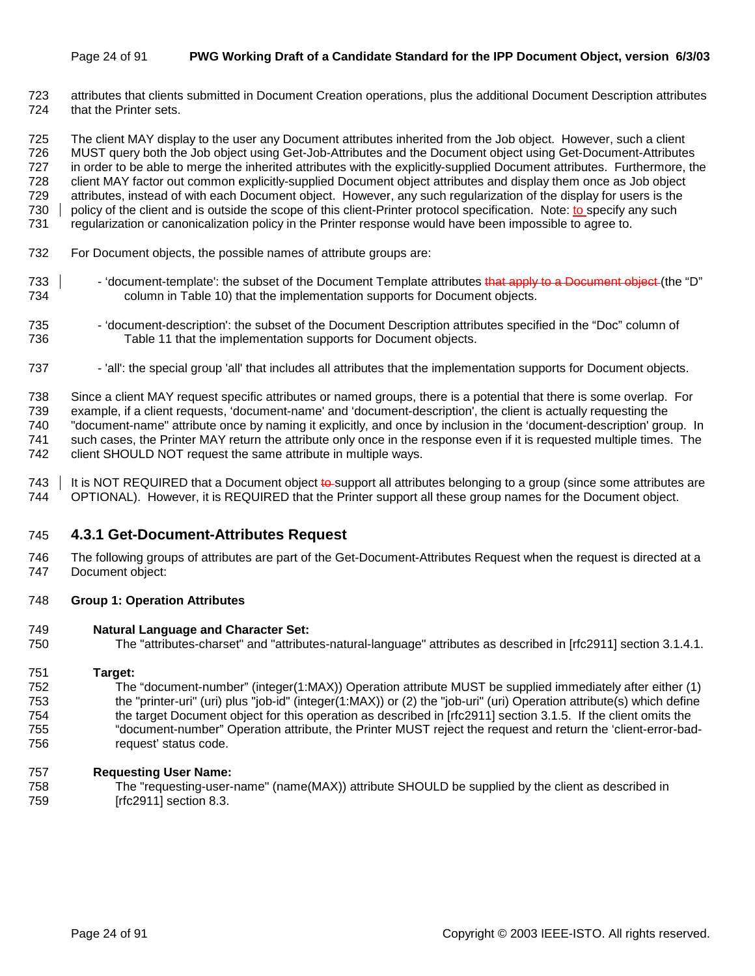#### Page 24 of 91 **PWG Working Draft of a Candidate Standard for the IPP Document Object, version 6/3/03**

723 attributes that clients submitted in Document Creation operations, plus the additional Document Description attributes 724 that the Printer sets.

725 The client MAY display to the user any Document attributes inherited from the Job object. However, such a client 726 MUST query both the Job object using Get-Job-Attributes and the Document object using Get-Document-Attributes 727 in order to be able to merge the inherited attributes with the explicitly-supplied Document attributes. Furthermore, the 728 client MAY factor out common explicitly-supplied Document object attributes and display them once as Job object 729 attributes, instead of with each Document object. However, any such regularization of the display for users is the 730 policy of the client and is outside the scope of this client-Printer protocol specification. Note: to specify any such 731 regularization or canonicalization policy in the Printer response would have been impossible to agree to.

- 732 For Document objects, the possible names of attribute groups are:
- 733 | School 'document-template': the subset of the Document Template attributes that apply to a Document object (the "D" 734 column in Table 10) that the implementation supports for Document objects.
- 735 'document-description': the subset of the Document Description attributes specified in the "Doc" column of 736 Table 11 that the implementation supports for Document objects.
- 737 'all': the special group 'all' that includes all attributes that the implementation supports for Document objects.

738 Since a client MAY request specific attributes or named groups, there is a potential that there is some overlap. For 739 example, if a client requests, 'document-name' and 'document-description', the client is actually requesting the 740 "document-name" attribute once by naming it explicitly, and once by inclusion in the 'document-description' group. In 741 such cases, the Printer MAY return the attribute only once in the response even if it is requested multiple times. The 742 client SHOULD NOT request the same attribute in multiple ways.

743 | It is NOT REQUIRED that a Document object  $\frac{1}{2}$  to support all attributes belonging to a group (since some attributes are 744 OPTIONAL). However, it is REQUIRED that the Printer support all these group names for the Document object.

#### 745 **4.3.1 Get-Document-Attributes Request**

746 The following groups of attributes are part of the Get-Document-Attributes Request when the request is directed at a 747 Document object:

#### 748 **Group 1: Operation Attributes**

#### 749 **Natural Language and Character Set:**

750 The "attributes-charset" and "attributes-natural-language" attributes as described in [rfc2911] section 3.1.4.1.

#### 751 **Target:**

752 The "document-number" (integer(1:MAX)) Operation attribute MUST be supplied immediately after either (1) 753 the "printer-uri" (uri) plus "job-id" (integer(1:MAX)) or (2) the "job-uri" (uri) Operation attribute(s) which define 754 the target Document object for this operation as described in [rfc2911] section 3.1.5. If the client omits the 755 "document-number" Operation attribute, the Printer MUST reject the request and return the 'client-error-bad-756 request' status code.

#### 757 **Requesting User Name:**

758 The "requesting-user-name" (name(MAX)) attribute SHOULD be supplied by the client as described in 759 [rfc2911] section 8.3.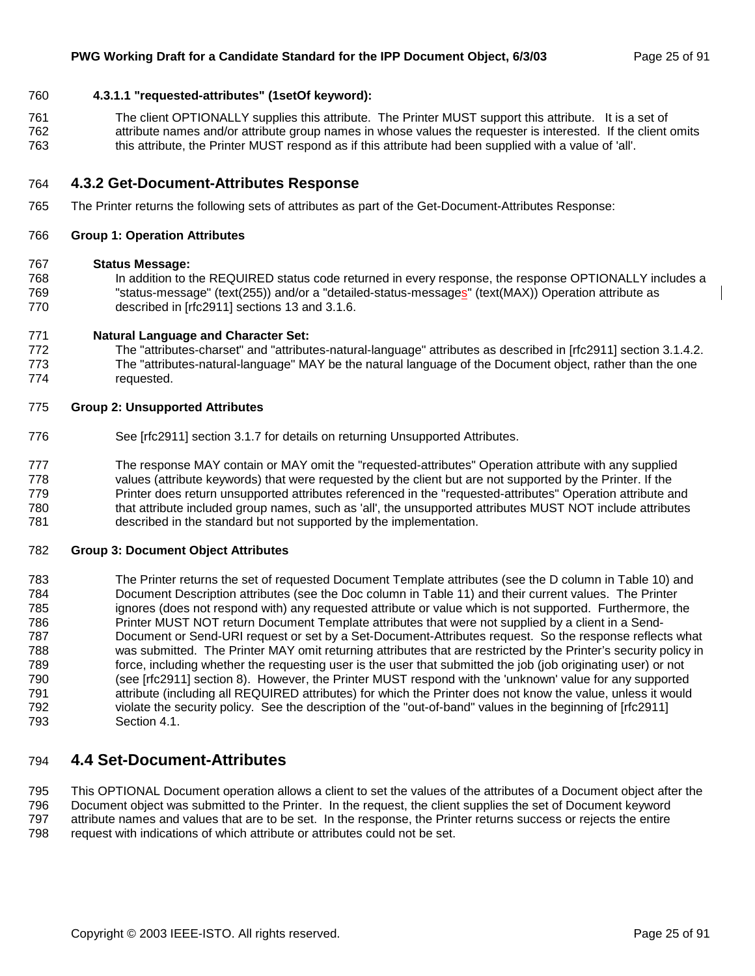#### 760 **4.3.1.1 "requested-attributes" (1setOf keyword):**

761 The client OPTIONALLY supplies this attribute. The Printer MUST support this attribute. It is a set of 762 attribute names and/or attribute group names in whose values the requester is interested. If the client omits 763 this attribute, the Printer MUST respond as if this attribute had been supplied with a value of 'all'.

#### 764 **4.3.2 Get-Document-Attributes Response**

765 The Printer returns the following sets of attributes as part of the Get-Document-Attributes Response:

#### 766 **Group 1: Operation Attributes**

#### 767 **Status Message:**

768 In addition to the REQUIRED status code returned in every response, the response OPTIONALLY includes a 769 "status-message" (text(255)) and/or a "detailed-status-messages" (text(MAX)) Operation attribute as 770 described in [rfc2911] sections 13 and 3.1.6.

#### 771 **Natural Language and Character Set:**

772 The "attributes-charset" and "attributes-natural-language" attributes as described in [rfc2911] section 3.1.4.2. 773 The "attributes-natural-language" MAY be the natural language of the Document object, rather than the one 774 requested.

#### 775 **Group 2: Unsupported Attributes**

- 776 See [rfc2911] section 3.1.7 for details on returning Unsupported Attributes.
- 777 The response MAY contain or MAY omit the "requested-attributes" Operation attribute with any supplied 778 values (attribute keywords) that were requested by the client but are not supported by the Printer. If the 779 Printer does return unsupported attributes referenced in the "requested-attributes" Operation attribute and 780 that attribute included group names, such as 'all', the unsupported attributes MUST NOT include attributes 781 described in the standard but not supported by the implementation.

#### 782 **Group 3: Document Object Attributes**

783 The Printer returns the set of requested Document Template attributes (see the D column in Table 10) and 784 Document Description attributes (see the Doc column in Table 11) and their current values. The Printer 785 ignores (does not respond with) any requested attribute or value which is not supported. Furthermore, the 786 Printer MUST NOT return Document Template attributes that were not supplied by a client in a Send-787 Document or Send-URI request or set by a Set-Document-Attributes request. So the response reflects what 788 was submitted. The Printer MAY omit returning attributes that are restricted by the Printer's security policy in 789 force, including whether the requesting user is the user that submitted the job (job originating user) or not 790 (see [rfc2911] section 8). However, the Printer MUST respond with the 'unknown' value for any supported 791 attribute (including all REQUIRED attributes) for which the Printer does not know the value, unless it would 792 violate the security policy. See the description of the "out-of-band" values in the beginning of [rfc2911] 793 Section 4.1.

### 794 **4.4 Set-Document-Attributes**

795 This OPTIONAL Document operation allows a client to set the values of the attributes of a Document object after the 796 Document object was submitted to the Printer. In the request, the client supplies the set of Document keyword 797 attribute names and values that are to be set. In the response, the Printer returns success or rejects the entire 798 request with indications of which attribute or attributes could not be set.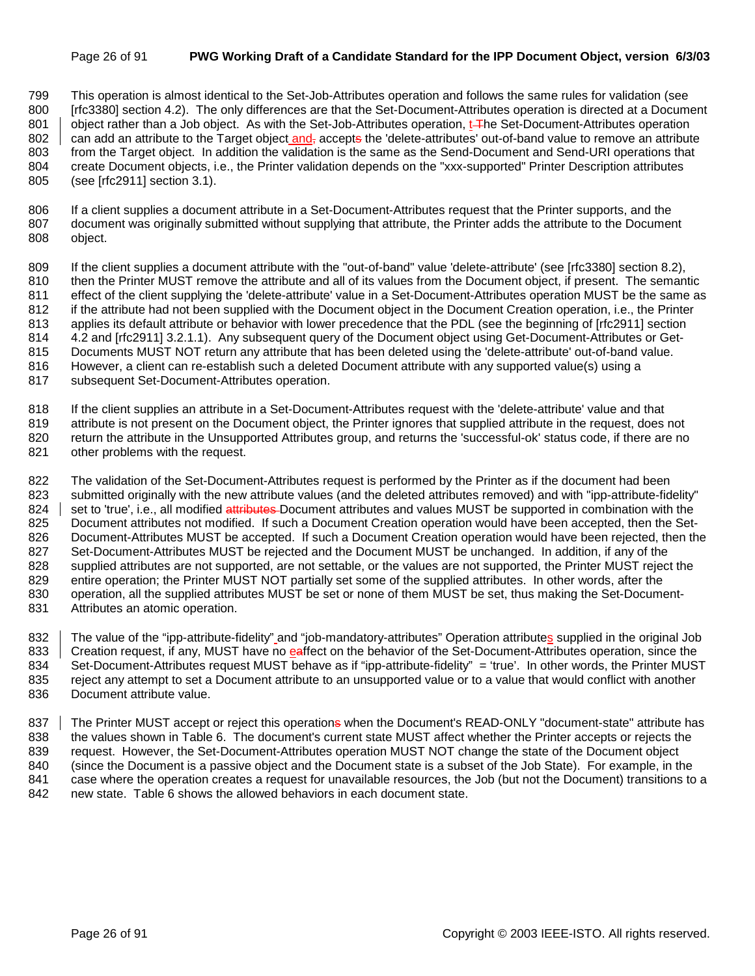#### Page 26 of 91 **PWG Working Draft of a Candidate Standard for the IPP Document Object, version 6/3/03**

799 This operation is almost identical to the Set-Job-Attributes operation and follows the same rules for validation (see 800 [rfc3380] section 4.2). The only differences are that the Set-Document-Attributes operation is directed at a Document 801 object rather than a Job object. As with the Set-Job-Attributes operation, t<del>.T</del>he Set-Document-Attributes operation 802  $\parallel$  can add an attribute to the Target object and, accepts the 'delete-attributes' out-of-band value to remove an attribute 803 from the Target object. In addition the validation is the same as the Send-Document and Send-URI operations that 804 create Document objects, i.e., the Printer validation depends on the "xxx-supported" Printer Description attributes 805 (see [rfc2911] section 3.1).

806 If a client supplies a document attribute in a Set-Document-Attributes request that the Printer supports, and the 807 document was originally submitted without supplying that attribute, the Printer adds the attribute to the Document 808 object.

809 If the client supplies a document attribute with the "out-of-band" value 'delete-attribute' (see [rfc3380] section 8.2), 810 then the Printer MUST remove the attribute and all of its values from the Document object, if present. The semantic 811 effect of the client supplying the 'delete-attribute' value in a Set-Document-Attributes operation MUST be the same as 812 if the attribute had not been supplied with the Document object in the Document Creation operation, i.e., the Printer 813 applies its default attribute or behavior with lower precedence that the PDL (see the beginning of [rfc2911] section 814 4.2 and [rfc2911] 3.2.1.1). Any subsequent query of the Document object using Get-Document-Attributes or Get-815 Documents MUST NOT return any attribute that has been deleted using the 'delete-attribute' out-of-band value. 816 However, a client can re-establish such a deleted Document attribute with any supported value(s) using a

817 subsequent Set-Document-Attributes operation.

818 If the client supplies an attribute in a Set-Document-Attributes request with the 'delete-attribute' value and that

819 attribute is not present on the Document object, the Printer ignores that supplied attribute in the request, does not 820 return the attribute in the Unsupported Attributes group, and returns the 'successful-ok' status code, if there are no 821 other problems with the request.

822 The validation of the Set-Document-Attributes request is performed by the Printer as if the document had been 823 submitted originally with the new attribute values (and the deleted attributes removed) and with "ipp-attribute-fidelity" 824 set to 'true', i.e., all modified attributes Document attributes and values MUST be supported in combination with the 825 Document attributes not modified. If such a Document Creation operation would have been accepted, then the Set-826 Document-Attributes MUST be accepted. If such a Document Creation operation would have been rejected, then the 827 Set-Document-Attributes MUST be rejected and the Document MUST be unchanged. In addition, if any of the 828 supplied attributes are not supported, are not settable, or the values are not supported, the Printer MUST reject the 829 entire operation; the Printer MUST NOT partially set some of the supplied attributes. In other words, after the 830 operation, all the supplied attributes MUST be set or none of them MUST be set, thus making the Set-Document-831 Attributes an atomic operation.

832 The value of the "ipp-attribute-fidelity" and "job-mandatory-attributes" Operation attributes supplied in the original Job 833 Creation request, if any, MUST have no eaffect on the behavior of the Set-Document-Attributes operation, since the 834 Set-Document-Attributes request MUST behave as if "ipp-attribute-fidelity" = 'true'. In other words, the Printer MUST 835 reject any attempt to set a Document attribute to an unsupported value or to a value that would conflict with another 836 Document attribute value.

837 The Printer MUST accept or reject this operations when the Document's READ-ONLY "document-state" attribute has 838 the values shown in Table 6. The document's current state MUST affect whether the Printer accepts or rejects the 839 request. However, the Set-Document-Attributes operation MUST NOT change the state of the Document object 840 (since the Document is a passive object and the Document state is a subset of the Job State). For example, in the 841 case where the operation creates a request for unavailable resources, the Job (but not the Document) transitions to a 842 new state. Table 6 shows the allowed behaviors in each document state.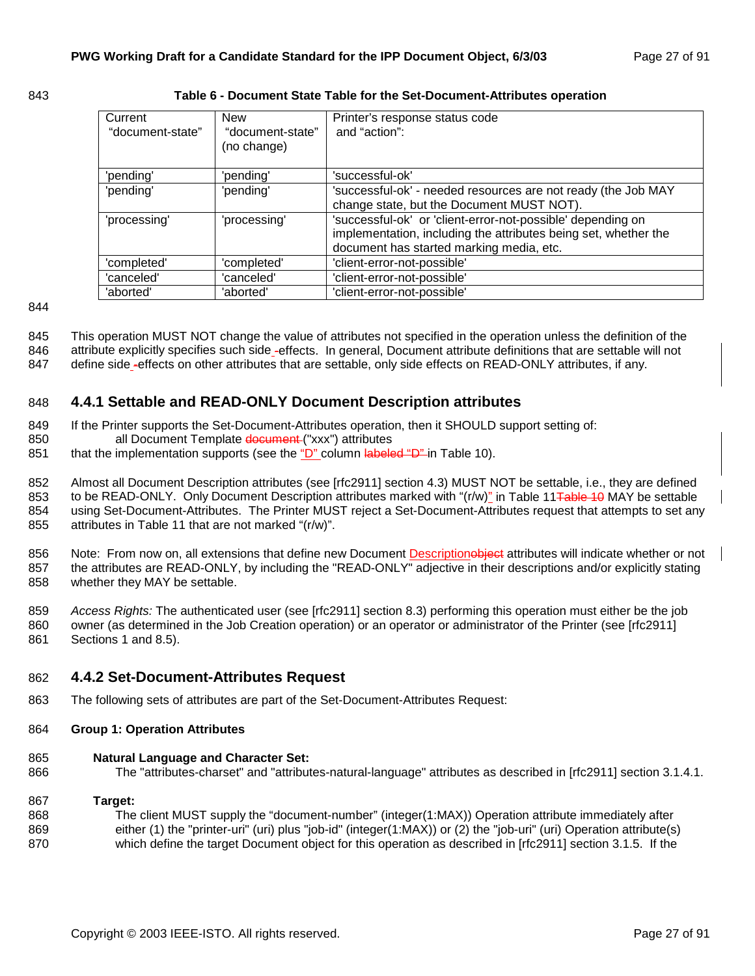#### 843 **Table 6 - Document State Table for the Set-Document-Attributes operation**

| Current<br>"document-state" | <b>New</b><br>"document-state"<br>(no change) | Printer's response status code<br>and "action":                                                                                                                            |
|-----------------------------|-----------------------------------------------|----------------------------------------------------------------------------------------------------------------------------------------------------------------------------|
| 'pending'                   | 'pending'                                     | 'successful-ok'                                                                                                                                                            |
| 'pending'                   | 'pending'                                     | 'successful-ok' - needed resources are not ready (the Job MAY<br>change state, but the Document MUST NOT).                                                                 |
| 'processing'                | 'processing'                                  | 'successful-ok' or 'client-error-not-possible' depending on<br>implementation, including the attributes being set, whether the<br>document has started marking media, etc. |
| 'completed'                 | 'completed'                                   | 'client-error-not-possible'                                                                                                                                                |
| 'canceled'                  | 'canceled'                                    | 'client-error-not-possible'                                                                                                                                                |
| 'aborted'                   | 'aborted'                                     | 'client-error-not-possible'                                                                                                                                                |

844

845 This operation MUST NOT change the value of attributes not specified in the operation unless the definition of the

846 attribute explicitly specifies such side -effects. In general, Document attribute definitions that are settable will not

847 define side -effects on other attributes that are settable, only side effects on READ-ONLY attributes, if any.

### 848 **4.4.1 Settable and READ-ONLY Document Description attributes**

- 849 If the Printer supports the Set-Document-Attributes operation, then it SHOULD support setting of:
- 850 all Document Template document ("xxx") attributes
- 851 that the implementation supports (see the "D" column labeled "D" in Table 10).

852 Almost all Document Description attributes (see [rfc2911] section 4.3) MUST NOT be settable, i.e., they are defined 853 to be READ-ONLY. Only Document Description attributes marked with "(r/w)" in Table 11 Table 10 MAY be settable 854 using Set-Document-Attributes. The Printer MUST reject a Set-Document-Attributes request that attempts to set any 855 attributes in Table 11 that are not marked "(r/w)".

856 Note: From now on, all extensions that define new Document Descriptionobject attributes will indicate whether or not 857 the attributes are READ-ONLY, by including the "READ-ONLY" adjective in their descriptions and/or explicitly stating 858 whether they MAY be settable.

859 *Access Rights:* The authenticated user (see [rfc2911] section 8.3) performing this operation must either be the job 860 owner (as determined in the Job Creation operation) or an operator or administrator of the Printer (see [rfc2911] 861 Sections 1 and 8.5).

- 862 **4.4.2 Set-Document-Attributes Request**
- 863 The following sets of attributes are part of the Set-Document-Attributes Request:
- 864 **Group 1: Operation Attributes**

#### 865 **Natural Language and Character Set:**

866 The "attributes-charset" and "attributes-natural-language" attributes as described in [rfc2911] section 3.1.4.1.

#### 867 **Target:**

868 The client MUST supply the "document-number" (integer(1:MAX)) Operation attribute immediately after 869 either (1) the "printer-uri" (uri) plus "job-id" (integer(1:MAX)) or (2) the "job-uri" (uri) Operation attribute(s) 870 which define the target Document object for this operation as described in [rfc2911] section 3.1.5. If the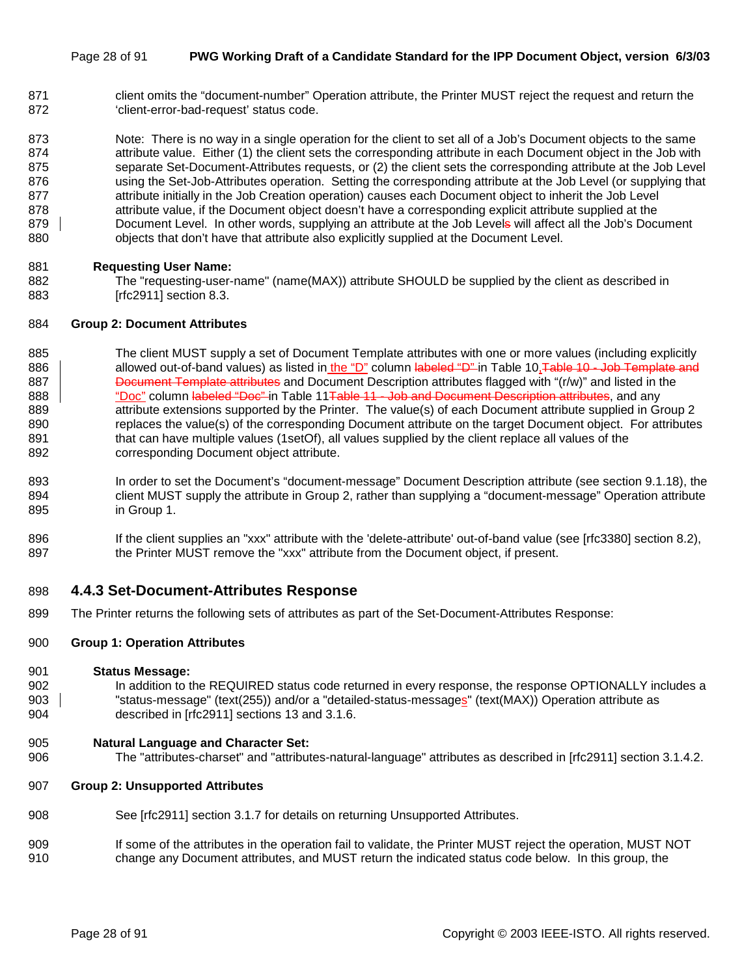#### Page 28 of 91 **PWG Working Draft of a Candidate Standard for the IPP Document Object, version 6/3/03**

871 client omits the "document-number" Operation attribute, the Printer MUST reject the request and return the 872 'client-error-bad-request' status code.

873 Note: There is no way in a single operation for the client to set all of a Job's Document objects to the same 874 attribute value. Either (1) the client sets the corresponding attribute in each Document object in the Job with 875 separate Set-Document-Attributes requests, or (2) the client sets the corresponding attribute at the Job Level 876 using the Set-Job-Attributes operation. Setting the corresponding attribute at the Job Level (or supplying that 877 attribute initially in the Job Creation operation) causes each Document object to inherit the Job Level 878 attribute value, if the Document object doesn't have a corresponding explicit attribute supplied at the 879 Document Level. In other words, supplying an attribute at the Job Levels will affect all the Job's Document 880 objects that don't have that attribute also explicitly supplied at the Document Level.

#### 881 **Requesting User Name:**

882 The "requesting-user-name" (name(MAX)) attribute SHOULD be supplied by the client as described in 883 [rfc2911] section 8.3.

#### 884 **Group 2: Document Attributes**

885 The client MUST supply a set of Document Template attributes with one or more values (including explicitly 886 allowed out-of-band values) as listed in the "D" column labeled "D" in Table 10, Table 10 - Job Template and 887 **Document Template attributes** and Document Description attributes flagged with "(r/w)" and listed in the 888 **We also "Doc**" column labeled "Doc" in Table 11<del>Table 11 - Job and Document Description attributes</del>, and any 889 attribute extensions supported by the Printer. The value(s) of each Document attribute supplied in Group 2 890 replaces the value(s) of the corresponding Document attribute on the target Document object. For attributes 891 that can have multiple values (1setOf), all values supplied by the client replace all values of the 892 corresponding Document object attribute.

- 893 In order to set the Document's "document-message" Document Description attribute (see section 9.1.18), the 894 client MUST supply the attribute in Group 2, rather than supplying a "document-message" Operation attribute 895 in Group 1.
- 896 If the client supplies an "xxx" attribute with the 'delete-attribute' out-of-band value (see [rfc3380] section 8.2), 897 the Printer MUST remove the "xxx" attribute from the Document object, if present.

#### 898 **4.4.3 Set-Document-Attributes Response**

899 The Printer returns the following sets of attributes as part of the Set-Document-Attributes Response:

#### 900 **Group 1: Operation Attributes**

#### 901 **Status Message:**

- 902 In addition to the REQUIRED status code returned in every response, the response OPTIONALLY includes a 903 | status-message" (text(255)) and/or a "detailed-status-messages" (text(MAX)) Operation attribute as 904 described in [rfc2911] sections 13 and 3.1.6.
- 905 **Natural Language and Character Set:**
- 906 The "attributes-charset" and "attributes-natural-language" attributes as described in [rfc2911] section 3.1.4.2.

#### 907 **Group 2: Unsupported Attributes**

- 908 See [rfc2911] section 3.1.7 for details on returning Unsupported Attributes.
- 909 If some of the attributes in the operation fail to validate, the Printer MUST reject the operation, MUST NOT 910 change any Document attributes, and MUST return the indicated status code below. In this group, the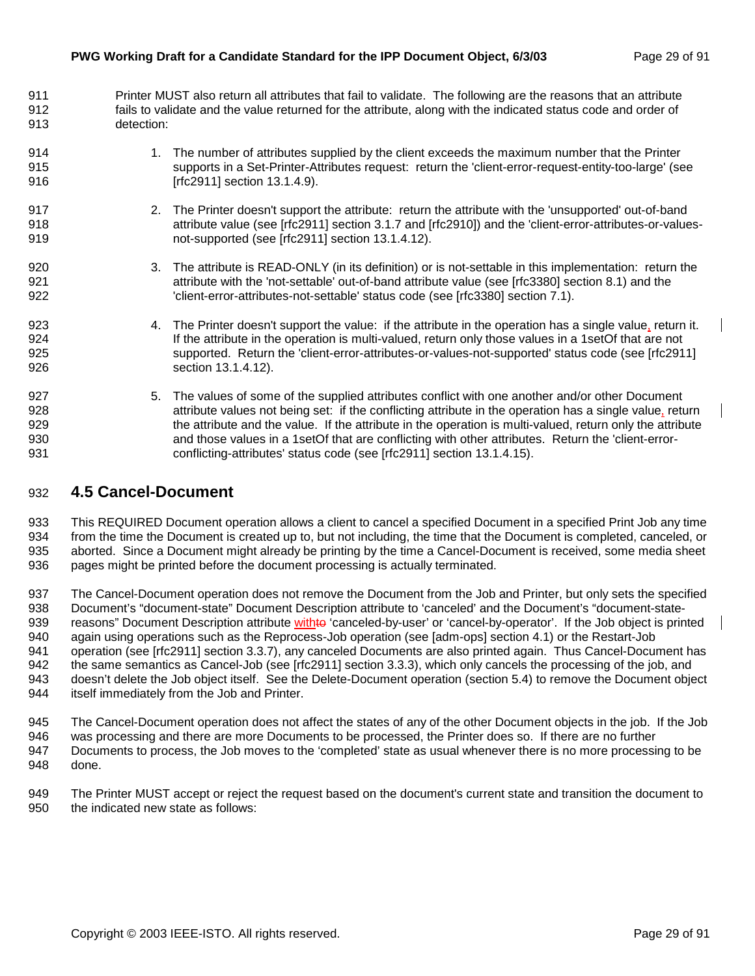- 911 Printer MUST also return all attributes that fail to validate. The following are the reasons that an attribute 912 fails to validate and the value returned for the attribute, along with the indicated status code and order of 913 detection:
- 914 1. The number of attributes supplied by the client exceeds the maximum number that the Printer 915 supports in a Set-Printer-Attributes request: return the 'client-error-request-entity-too-large' (see 916 [rfc2911] section 13.1.4.9].
- 917 2. The Printer doesn't support the attribute: return the attribute with the 'unsupported' out-of-band 918 attribute value (see [rfc2911] section 3.1.7 and [rfc2910]) and the 'client-error-attributes-or-values-919 not-supported (see [rfc2911] section 13.1.4.12).
- 920 3. The attribute is READ-ONLY (in its definition) or is not-settable in this implementation: return the 921 **attribute with the 'not-settable' out-of-band attribute value (see [rfc3380] section 8.1) and the** 922 'client-error-attributes-not-settable' status code (see [rfc3380] section 7.1).
- 923 4. The Printer doesn't support the value: if the attribute in the operation has a single value, return it. 924 **If the attribute in the operation is multi-valued, return only those values in a 1setOf that are not** 925 supported. Return the 'client-error-attributes-or-values-not-supported' status code (see [rfc2911] 926 section 13.1.4.12).
- 927 5. The values of some of the supplied attributes conflict with one another and/or other Document 928 attribute values not being set: if the conflicting attribute in the operation has a single value, return 929 the attribute and the value. If the attribute in the operation is multi-valued, return only the attribute 930 and those values in a 1setOf that are conflicting with other attributes. Return the 'client-error-931 **conflicting-attributes' status code (see [rfc2911] section 13.1.4.15).**

## 932 **4.5 Cancel-Document**

933 This REQUIRED Document operation allows a client to cancel a specified Document in a specified Print Job any time 934 from the time the Document is created up to, but not including, the time that the Document is completed, canceled, or 935 aborted. Since a Document might already be printing by the time a Cancel-Document is received, some media sheet 936 pages might be printed before the document processing is actually terminated.

937 The Cancel-Document operation does not remove the Document from the Job and Printer, but only sets the specified 938 Document's "document-state" Document Description attribute to 'canceled' and the Document's "document-state-939 reasons" Document Description attribute withto 'canceled-by-user' or 'cancel-by-operator'. If the Job object is printed 940 again using operations such as the Reprocess-Job operation (see [adm-ops] section 4.1) or the Restart-Job 941 operation (see [rfc2911] section 3.3.7), any canceled Documents are also printed again. Thus Cancel-Document has 942 the same semantics as Cancel-Job (see [rfc2911] section 3.3.3), which only cancels the processing of the job, and 943 doesn't delete the Job object itself. See the Delete-Document operation (section 5.4) to remove the Document object 944 itself immediately from the Job and Printer.

945 The Cancel-Document operation does not affect the states of any of the other Document objects in the job. If the Job

946 was processing and there are more Documents to be processed, the Printer does so. If there are no further 947 Documents to process, the Job moves to the 'completed' state as usual whenever there is no more processing to be 948 done.

949 The Printer MUST accept or reject the request based on the document's current state and transition the document to 950 the indicated new state as follows: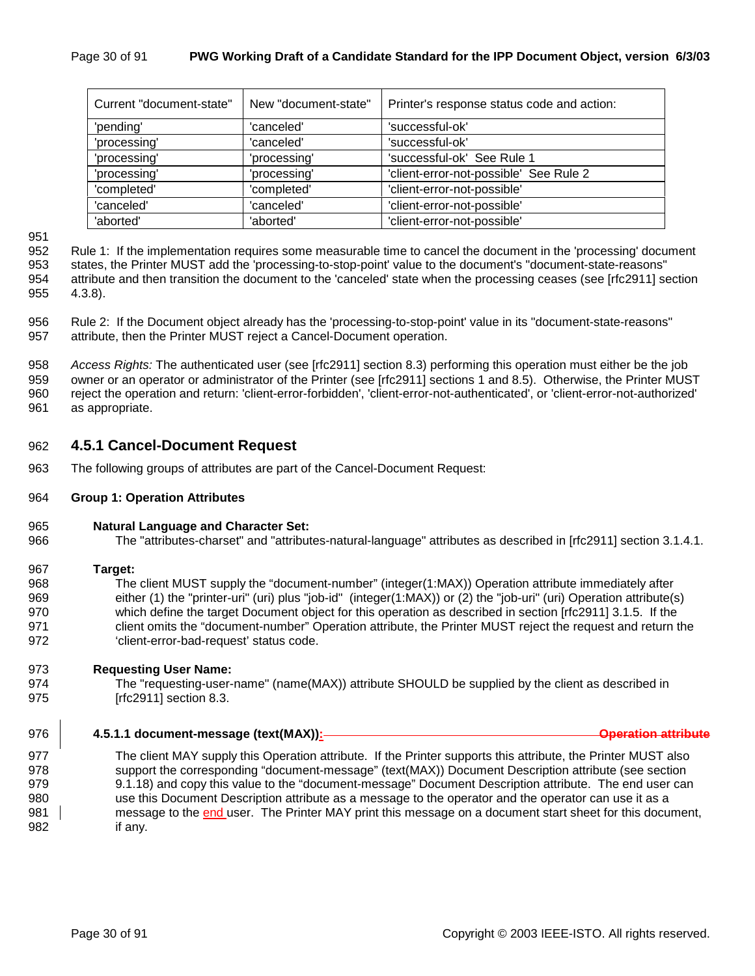| Current "document-state" | New "document-state" | Printer's response status code and action: |  |  |  |
|--------------------------|----------------------|--------------------------------------------|--|--|--|
| 'pending'                | 'canceled'           | 'successful-ok'                            |  |  |  |
| 'processing'             | 'canceled'           | 'successful-ok'                            |  |  |  |
| 'processing'             | 'processing'         | 'successful-ok' See Rule 1                 |  |  |  |
| 'processing'             | 'processing'         | 'client-error-not-possible' See Rule 2     |  |  |  |
| 'completed'              | 'completed'          | 'client-error-not-possible'                |  |  |  |
| 'canceled'               | 'canceled'           | 'client-error-not-possible'                |  |  |  |
| 'aborted'                | 'aborted'            | 'client-error-not-possible'                |  |  |  |

951

952 Rule 1: If the implementation requires some measurable time to cancel the document in the 'processing' document 953 states, the Printer MUST add the 'processing-to-stop-point' value to the document's "document-state-reasons" 954 attribute and then transition the document to the 'canceled' state when the processing ceases (see [rfc2911] section 955 4.3.8).

956 Rule 2: If the Document object already has the 'processing-to-stop-point' value in its "document-state-reasons" 957 attribute, then the Printer MUST reject a Cancel-Document operation.

958 *Access Rights:* The authenticated user (see [rfc2911] section 8.3) performing this operation must either be the job 959 owner or an operator or administrator of the Printer (see [rfc2911] sections 1 and 8.5). Otherwise, the Printer MUST 960 reject the operation and return: 'client-error-forbidden', 'client-error-not-authenticated', or 'client-error-not-authorized' 961 as appropriate.

#### 962 **4.5.1 Cancel-Document Request**

- 963 The following groups of attributes are part of the Cancel-Document Request:
- 964 **Group 1: Operation Attributes**
- 965 **Natural Language and Character Set:**
- 966 The "attributes-charset" and "attributes-natural-language" attributes as described in [rfc2911] section 3.1.4.1.
- 967 **Target:**  968 The client MUST supply the "document-number" (integer(1:MAX)) Operation attribute immediately after 969 either (1) the "printer-uri" (uri) plus "job-id" (integer(1:MAX)) or (2) the "job-uri" (uri) Operation attribute(s) 970 which define the target Document object for this operation as described in section [rfc2911] 3.1.5. If the 971 client omits the "document-number" Operation attribute, the Printer MUST reject the request and return the 972 'client-error-bad-request' status code.

#### 973 **Requesting User Name:**

- 974 The "requesting-user-name" (name(MAX)) attribute SHOULD be supplied by the client as described in 975 [rfc2911] section 8.3.
- 976 **4.5.1.1 document-message (text(MAX)): Operation attribute**

977 The client MAY supply this Operation attribute. If the Printer supports this attribute, the Printer MUST also 978 support the corresponding "document-message" (text(MAX)) Document Description attribute (see section 979 9.1.18) and copy this value to the "document-message" Document Description attribute. The end user can 980 use this Document Description attribute as a message to the operator and the operator can use it as a 981 message to the end user. The Printer MAY print this message on a document start sheet for this document, 982 if any.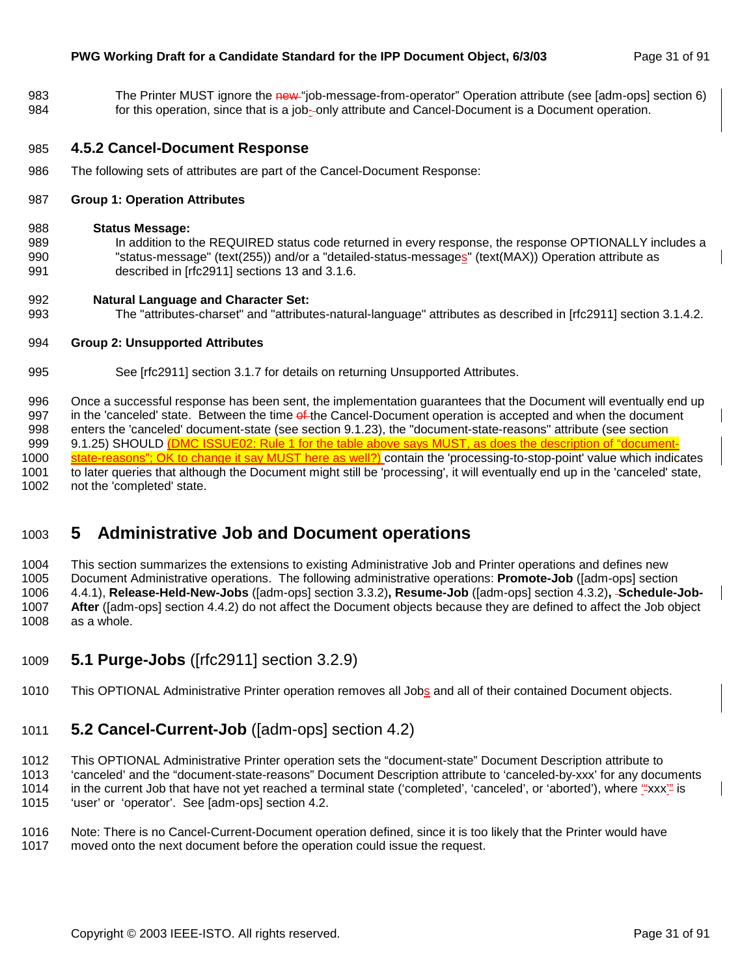983 The Printer MUST ignore the new "job-message-from-operator" Operation attribute (see [adm-ops] section 6) 984 for this operation, since that is a job- only attribute and Cancel-Document is a Document operation.

#### 985 **4.5.2 Cancel-Document Response**

986 The following sets of attributes are part of the Cancel-Document Response:

#### 987 **Group 1: Operation Attributes**

#### 988 **Status Message:**

989 In addition to the REQUIRED status code returned in every response, the response OPTIONALLY includes a 990 "status-message" (text(255)) and/or a "detailed-status-messages" (text(MAX)) Operation attribute as 991 described in [rfc2911] sections 13 and 3.1.6.

#### 992 **Natural Language and Character Set:**

993 The "attributes-charset" and "attributes-natural-language" attributes as described in [rfc2911] section 3.1.4.2.

#### 994 **Group 2: Unsupported Attributes**

995 See [rfc2911] section 3.1.7 for details on returning Unsupported Attributes.

996 Once a successful response has been sent, the implementation guarantees that the Document will eventually end up 997 in the 'canceled' state. Between the time of the Cancel-Document operation is accepted and when the document 998 enters the 'canceled' document-state (see section 9.1.23), the "document-state-reasons" attribute (see section 999 9.1.25) SHOULD (DMC ISSUE02: Rule 1 for the table above says MUST, as does the description of "document-1000 state-reasons"; OK to change it say MUST here as well?) contain the 'processing-to-stop-point' value which indicates 1001 to later queries that although the Document might still be 'processing', it will eventually end up in the 'canceled' state, 1002 not the 'completed' state.

## 1003 **5 Administrative Job and Document operations**

1004 This section summarizes the extensions to existing Administrative Job and Printer operations and defines new 1005 Document Administrative operations. The following administrative operations: **Promote-Job** ([adm-ops] section 1006 4.4.1), **Release-Held-New-Jobs** ([adm-ops] section 3.3.2)**, Resume-Job** ([adm-ops] section 4.3.2)**, Schedule-Job-**1007 **After** ([adm-ops] section 4.4.2) do not affect the Document objects because they are defined to affect the Job object 1008 as a whole.

- 1009 **5.1 Purge-Jobs** ([rfc2911] section 3.2.9)
- 1010 This OPTIONAL Administrative Printer operation removes all Jobs and all of their contained Document objects.

## 1011 **5.2 Cancel-Current-Job** ([adm-ops] section 4.2)

1012 This OPTIONAL Administrative Printer operation sets the "document-state" Document Description attribute to

1013 'canceled' and the "document-state-reasons" Document Description attribute to 'canceled-by-xxx' for any documents

1014 in the current Job that have not yet reached a terminal state ('completed', 'canceled', or 'aborted'), where '"xxx'" is 1015 'user' or 'operator'. See [adm-ops] section 4.2.

- 1016 Note: There is no Cancel-Current-Document operation defined, since it is too likely that the Printer would have
- 1017 moved onto the next document before the operation could issue the request.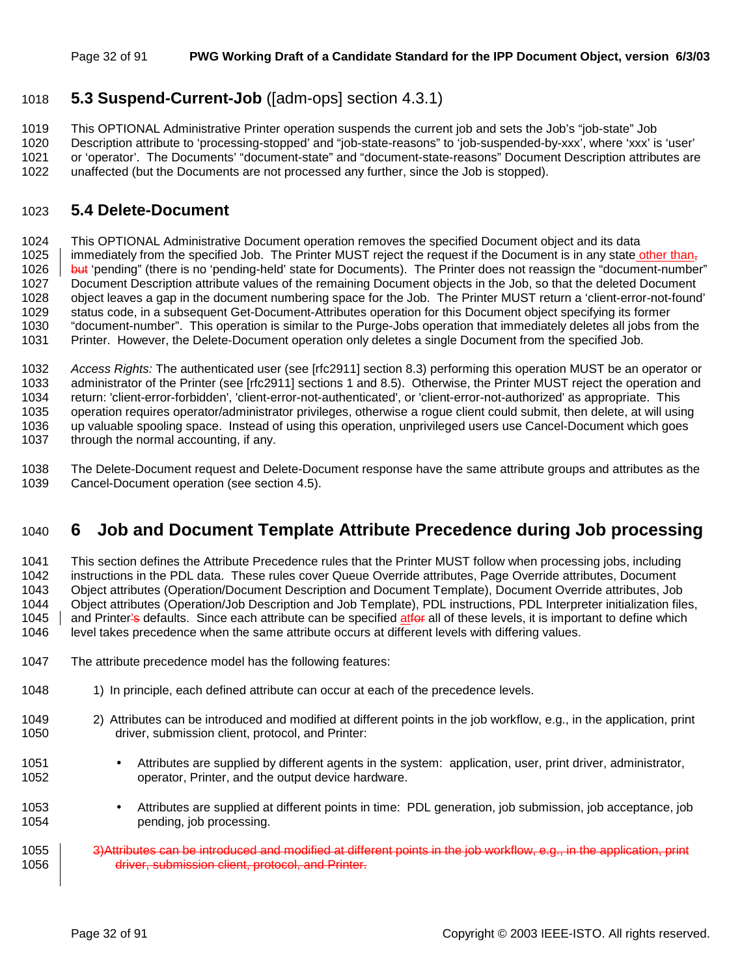## 1018 **5.3 Suspend-Current-Job** ([adm-ops] section 4.3.1)

1019 This OPTIONAL Administrative Printer operation suspends the current job and sets the Job's "job-state" Job 1020 Description attribute to 'processing-stopped' and "job-state-reasons" to 'job-suspended-by-xxx', where 'xxx' is 'user' 1021 or 'operator'. The Documents' "document-state" and "document-state-reasons" Document Description attributes are 1022 unaffected (but the Documents are not processed any further, since the Job is stopped).

### 1023 **5.4 Delete-Document**

1024 This OPTIONAL Administrative Document operation removes the specified Document object and its data 1025 immediately from the specified Job. The Printer MUST reject the request if the Document is in any state other than, 1026 but 'pending" (there is no 'pending-held' state for Documents). The Printer does not reassign the "document-number" 1027 Document Description attribute values of the remaining Document objects in the Job, so that the deleted Document 1028 object leaves a gap in the document numbering space for the Job. The Printer MUST return a 'client-error-not-found' 1029 status code, in a subsequent Get-Document-Attributes operation for this Document object specifying its former 1030 "document-number". This operation is similar to the Purge-Jobs operation that immediately deletes all jobs from the

1031 Printer. However, the Delete-Document operation only deletes a single Document from the specified Job.

1032 *Access Rights:* The authenticated user (see [rfc2911] section 8.3) performing this operation MUST be an operator or 1033 administrator of the Printer (see [rfc2911] sections 1 and 8.5). Otherwise, the Printer MUST reject the operation and 1034 return: 'client-error-forbidden', 'client-error-not-authenticated', or 'client-error-not-authorized' as appropriate. This 1035 operation requires operator/administrator privileges, otherwise a rogue client could submit, then delete, at will using 1036 up valuable spooling space. Instead of using this operation, unprivileged users use Cancel-Document which goes 1037 through the normal accounting, if any.

1038 The Delete-Document request and Delete-Document response have the same attribute groups and attributes as the 1039 Cancel-Document operation (see section 4.5).

## 1040 **6 Job and Document Template Attribute Precedence during Job processing**

1041 This section defines the Attribute Precedence rules that the Printer MUST follow when processing jobs, including 1042 instructions in the PDL data. These rules cover Queue Override attributes, Page Override attributes, Document 1043 Object attributes (Operation/Document Description and Document Template), Document Override attributes, Job 1044 Object attributes (Operation/Job Description and Job Template), PDL instructions, PDL Interpreter initialization files, 1045 and Printer's defaults. Since each attribute can be specified atfor all of these levels, it is important to define which 1046 level takes precedence when the same attribute occurs at different levels with differing values.

- 1047 The attribute precedence model has the following features:
- 1048 1048 1) In principle, each defined attribute can occur at each of the precedence levels.
- 1049 2) Attributes can be introduced and modified at different points in the job workflow, e.g., in the application, print 1050 driver, submission client, protocol, and Printer:
- 1051 Attributes are supplied by different agents in the system: application, user, print driver, administrator, 1052 operator, Printer, and the output device hardware.
- 1053 Attributes are supplied at different points in time: PDL generation, job submission, job acceptance, job pending, job processing.
- 1055 3)Attributes can be introduced and modified at different points in the job workflow, e.g., in the application, print 1056 **driver, submission client, protocol, and Printer.**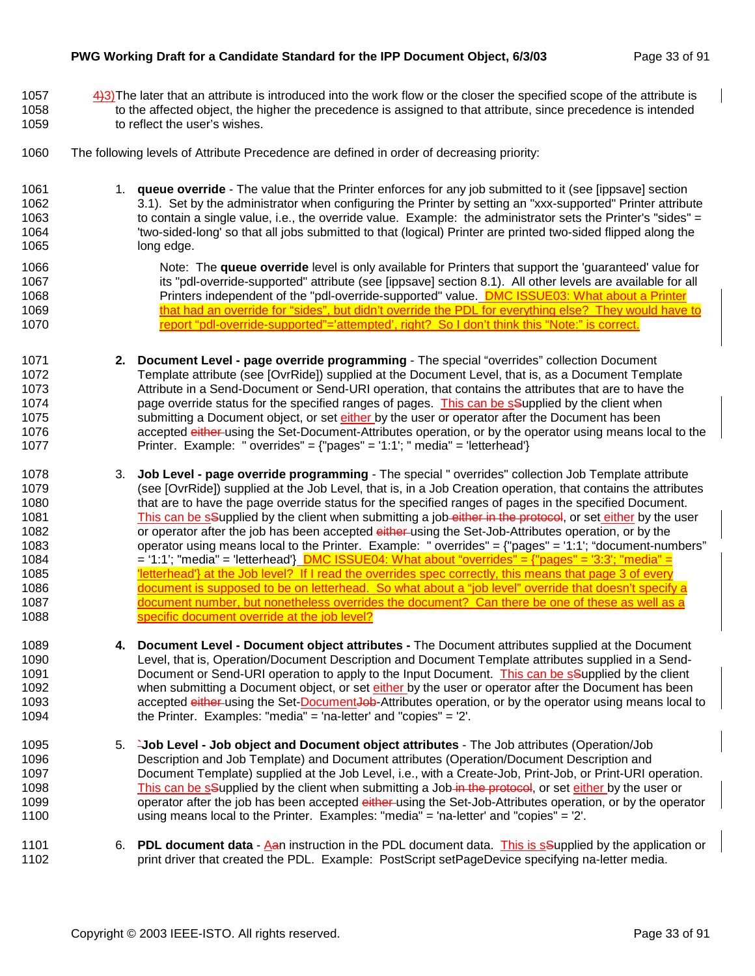- 1057  $\frac{4}{3}$ The later that an attribute is introduced into the work flow or the closer the specified scope of the attribute is 1058 to the affected object, the higher the precedence is assigned to that attribute, since precedence is intended 1059 to reflect the user's wishes.
- 1060 The following levels of Attribute Precedence are defined in order of decreasing priority:
- 1061 1. **queue override** The value that the Printer enforces for any job submitted to it (see [ippsave] section 1062 3.1). Set by the administrator when configuring the Printer by setting an "xxx-supported" Printer attribute 1063 to contain a single value, i.e., the override value. Example: the administrator sets the Printer's "sides" = 1064 'two-sided-long' so that all jobs submitted to that (logical) Printer are printed two-sided flipped along the 1065 long edge.
- 1066 **Note: The queue override** level is only available for Printers that support the 'quaranteed' value for 1067 its "pdl-override-supported" attribute (see [ippsave] section 8.1). All other levels are available for all 1068 **Printers independent of the "pdl-override-supported" value.** DMC ISSUE03: What about a Printer 1069 that had an override for "sides", but didn't override the PDL for everything else? They would have to
	- 1071 **2. Document Level page override programming** The special "overrides" collection Document 1072 Template attribute (see [OvrRide]) supplied at the Document Level, that is, as a Document Template 1073 Attribute in a Send-Document or Send-URI operation, that contains the attributes that are to have the 1074 page override status for the specified ranges of pages. This can be seupplied by the client when 1075 submitting a Document object, or set either by the user or operator after the Document has been 1076 **accepted <del>either</del> using the Set-Document-Attributes operation**, or by the operator using means local to the 1077 Printer. Example: " overrides" = {"pages" = '1:1'; " media" = 'letterhead'}

1070 **report "pdl-override-supported"='attempted', right?** So I don't think this "Note:" is correct.

- 1078 3. **Job Level page override programming** The special " overrides" collection Job Template attribute 1079 (see [OvrRide]) supplied at the Job Level, that is, in a Job Creation operation, that contains the attributes 1080 that are to have the page override status for the specified ranges of pages in the specified Document. 1081 This can be setapplied by the client when submitting a job-either in the protocol, or set either by the user 1082 or operator after the job has been accepted either using the Set-Job-Attributes operation, or by the 1083 operator using means local to the Printer. Example: " overrides" = {"pages" = '1:1'; "document-numbers" 1084  $= '1:1'; 'median' = 'letterhead' - [DMC ISSUE04: What about 'overrides' = {'pages" = '3:3'; 'median' = '3:3'.](https://www.1084/30.1084)$ 1085 <sup>'</sup> letterhead'} at the Job level? If I read the overrides spec correctly, this means that page 3 of every 1086 document is supposed to be on letterhead. So what about a "job level" override that doesn't specify a 1087 document number, but nonetheless overrides the document? Can there be one of these as well as a 1088 **Specific document override at the job level?**
- 1089 **4. Document Level Document object attributes** The Document attributes supplied at the Document 1090 Level, that is, Operation/Document Description and Document Template attributes supplied in a Send-1091 **Document or Send-URI operation to apply to the Input Document.** This can be ssupplied by the client 1092 when submitting a Document object, or set either by the user or operator after the Document has been 1093 accepted either using the Set-Document<del>Job</del>-Attributes operation, or by the operator using means local to 1094 the Printer. Examples: "media" = 'na-letter' and "copies" = '2'.
- 1095 5. **`Job Level Job object and Document object attributes**  The Job attributes (Operation/Job 1096 Description and Job Template) and Document attributes (Operation/Document Description and 1097 Document Template) supplied at the Job Level, i.e., with a Create-Job, Print-Job, or Print-URI operation. 1098 This can be saupplied by the client when submitting a Job in the protocol, or set either by the user or 1099 operator after the job has been accepted either using the Set-Job-Attributes operation, or by the operator 1100 using means local to the Printer. Examples: "media" = 'na-letter' and "copies" = '2'.
- 1101 6. **PDL document data**  Aan instruction in the PDL document data. This is sSupplied by the application or 1102 **print driver that created the PDL.** Example: PostScript setPageDevice specifying na-letter media.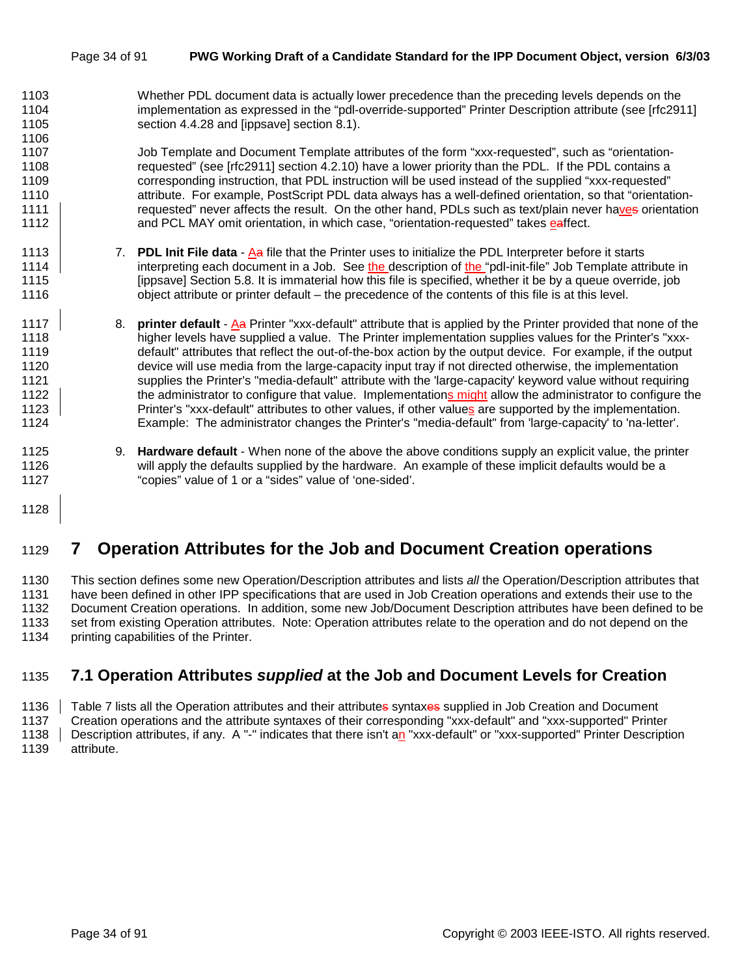#### Page 34 of 91 **PWG Working Draft of a Candidate Standard for the IPP Document Object, version 6/3/03**

1103 Whether PDL document data is actually lower precedence than the preceding levels depends on the 1104 implementation as expressed in the "pdl-override-supported" Printer Description attribute (see [rfc2911] 1105 section 4.4.28 and [ippsave] section 8.1).

1107 Job Template and Document Template attributes of the form "xxx-requested", such as "orientation-1108 requested" (see [rfc2911] section 4.2.10) have a lower priority than the PDL. If the PDL contains a 1109 corresponding instruction, that PDL instruction will be used instead of the supplied "xxx-requested" 1110 attribute. For example, PostScript PDL data always has a well-defined orientation, so that "orientation-1111 **requested**" never affects the result. On the other hand, PDLs such as text/plain never haves orientation 1112 **Alter and PCL MAY omit orientation, in which case, "orientation-requested" takes eaffect.** 

- 1113 7. **PDL Init File data**  Aa file that the Printer uses to initialize the PDL Interpreter before it starts 1114 interpreting each document in a Job. See the description of the "pdl-init-file" Job Template attribute in 1115 [ippsave] Section 5.8. It is immaterial how this file is specified, whether it be by a queue override, job 1116 object attribute or printer default – the precedence of the contents of this file is at this level.
- 1117 8. **printer default**  Aa Printer "xxx-default" attribute that is applied by the Printer provided that none of the 1118 higher levels have supplied a value. The Printer implementation supplies values for the Printer's "xxx-1119 default" attributes that reflect the out-of-the-box action by the output device. For example, if the output 1120 device will use media from the large-capacity input tray if not directed otherwise, the implementation 1121 supplies the Printer's "media-default" attribute with the 'large-capacity' keyword value without requiring 1122 the administrator to configure that value. Implementations might allow the administrator to configure the 1123 **Printer's "xxx-default" attributes to other values**, if other values are supported by the implementation. 1124 Example: The administrator changes the Printer's "media-default" from 'large-capacity' to 'na-letter'.
- 1125 9. **Hardware default**  When none of the above the above conditions supply an explicit value, the printer 1126 will apply the defaults supplied by the hardware. An example of these implicit defaults would be a 1127 "copies" value of 1 or a "sides" value of 'one-sided'.
- 1128

1106

## 1129 **7 Operation Attributes for the Job and Document Creation operations**

1130 This section defines some new Operation/Description attributes and lists *all* the Operation/Description attributes that 1131 have been defined in other IPP specifications that are used in Job Creation operations and extends their use to the 1132 Document Creation operations. In addition, some new Job/Document Description attributes have been defined to be 1133 set from existing Operation attributes. Note: Operation attributes relate to the operation and do not depend on the 1134 printing capabilities of the Printer.

## 1135 **7.1 Operation Attributes** *supplied* **at the Job and Document Levels for Creation**

1136 Table 7 lists all the Operation attributes and their attributes syntaxes supplied in Job Creation and Document 1137 Creation operations and the attribute syntaxes of their corresponding "xxx-default" and "xxx-supported" Printer 1138 Description attributes, if any. A "-" indicates that there isn't an "xxx-default" or "xxx-supported" Printer Description 1139 attribute.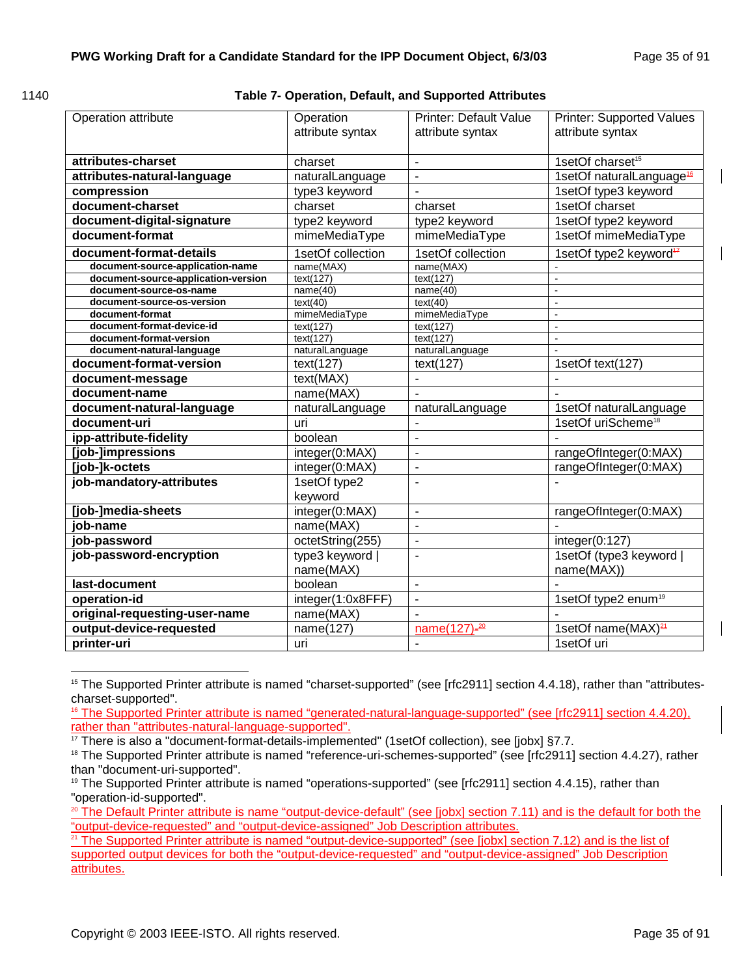l

**Table 7- Operation, Default, and Supported Attributes** 

| Operation attribute                          | Operation<br>attribute syntax | <b>Printer: Default Value</b><br>attribute syntax | <b>Printer: Supported Values</b><br>attribute syntax |  |
|----------------------------------------------|-------------------------------|---------------------------------------------------|------------------------------------------------------|--|
| attributes-charset                           | charset                       | $\blacksquare$                                    | 1setOf charset <sup>15</sup>                         |  |
| attributes-natural-language                  | naturalLanguage               | L.                                                | 1setOf naturalLanguage <sup>16</sup>                 |  |
| compression                                  | type3 keyword                 | $\overline{a}$                                    | 1setOf type3 keyword                                 |  |
| document-charset                             |                               |                                                   | 1setOf charset                                       |  |
|                                              | charset                       | charset                                           |                                                      |  |
| document-digital-signature                   | type2 keyword                 | type2 keyword                                     | 1setOf type2 keyword                                 |  |
| document-format                              | mimeMediaType                 | mimeMediaType                                     | 1setOf mimeMediaType                                 |  |
| document-format-details                      | 1setOf collection             | 1setOf collection                                 | 1setOf type2 keyword <sup>42</sup>                   |  |
| document-source-application-name             | name(MAX)                     | name(MAX)                                         |                                                      |  |
| document-source-application-version          | text(127)                     | text(127)                                         | L.                                                   |  |
| document-source-os-name                      | name(40)                      | name(40)                                          | ä,                                                   |  |
| document-source-os-version                   | text(40)                      | text(40)                                          | $\overline{a}$                                       |  |
| document-format<br>document-format-device-id | mimeMediaType                 | mimeMediaType                                     | $\blacksquare$<br>$\overline{a}$                     |  |
| document-format-version                      | text(127)<br>text(127)        | text(127)<br>text(127)                            |                                                      |  |
| document-natural-language                    | naturalLanguage               | naturalLanguage                                   |                                                      |  |
| document-format-version                      |                               |                                                   |                                                      |  |
|                                              | text(127)<br>text(127)        |                                                   | 1setOf text(127)                                     |  |
| document-message                             | text(MAX)                     | $\blacksquare$                                    |                                                      |  |
| document-name                                | name(MAX)                     |                                                   |                                                      |  |
| document-natural-language                    | naturalLanguage               | naturalLanguage                                   | 1setOf naturalLanguage                               |  |
| document-uri                                 | uri                           | $\blacksquare$                                    | 1setOf uriScheme <sup>18</sup>                       |  |
| ipp-attribute-fidelity                       | boolean                       | $\blacksquare$                                    |                                                      |  |
| [job-]impressions                            | integer(0:MAX)                | ÷,                                                | rangeOfInteger(0:MAX)                                |  |
| [job-]k-octets                               | integer(0:MAX)                | $\overline{a}$                                    | rangeOfInteger(0:MAX)                                |  |
| job-mandatory-attributes                     | 1setOf type2                  | L,                                                |                                                      |  |
|                                              | keyword                       |                                                   |                                                      |  |
| [job-]media-sheets                           | integer(0:MAX)                | $\blacksquare$                                    | rangeOfInteger(0:MAX)                                |  |
| iob-name                                     | name(MAX)                     | ÷,                                                |                                                      |  |
| job-password                                 | octetString(255)              | $\overline{a}$                                    | integer(0:127)                                       |  |
| job-password-encryption                      | type3 keyword                 | L,                                                | 1setOf (type3 keyword                                |  |
|                                              | name(MAX)                     |                                                   | name(MAX))                                           |  |
| last-document                                | boolean                       | $\blacksquare$                                    |                                                      |  |
| operation-id                                 | integer(1:0x8FFF)             | $\overline{a}$                                    | 1setOf type2 enum <sup>19</sup>                      |  |
| original-requesting-user-name                | name(MAX)                     |                                                   |                                                      |  |
| output-device-requested                      | name(127)                     | $name(127) - 20$                                  | 1setOf name(MAX) <sup>21</sup>                       |  |
| printer-uri                                  | uri                           |                                                   | 1setOf uri                                           |  |
|                                              |                               |                                                   |                                                      |  |

<sup>&</sup>lt;sup>15</sup> The Supported Printer attribute is named "charset-supported" (see [rfc2911] section 4.4.18), rather than "attributescharset-supported".

16 The Supported Printer attribute is named "generated-natural-language-supported" (see [rfc2911] section 4.4.20), rather than "attributes-natural-language-supported".

 $17$  There is also a "document-format-details-implemented" (1setOf collection), see [jobx] §7.7.

<sup>&</sup>lt;sup>18</sup> The Supported Printer attribute is named "reference-uri-schemes-supported" (see [rfc2911] section 4.4.27), rather than "document-uri-supported".

<sup>&</sup>lt;sup>19</sup> The Supported Printer attribute is named "operations-supported" (see [rfc2911] section 4.4.15), rather than "operation-id-supported".

<sup>&</sup>lt;sup>20</sup> The Default Printer attribute is name "output-device-default" (see [jobx] section 7.11) and is the default for both the "output-device-requested" and "output-device-assigned" Job Description attributes.

<sup>&</sup>lt;sup>21</sup> The Supported Printer attribute is named "output-device-supported" (see [jobx] section 7.12) and is the list of supported output devices for both the "output-device-requested" and "output-device-assigned" Job Description attributes.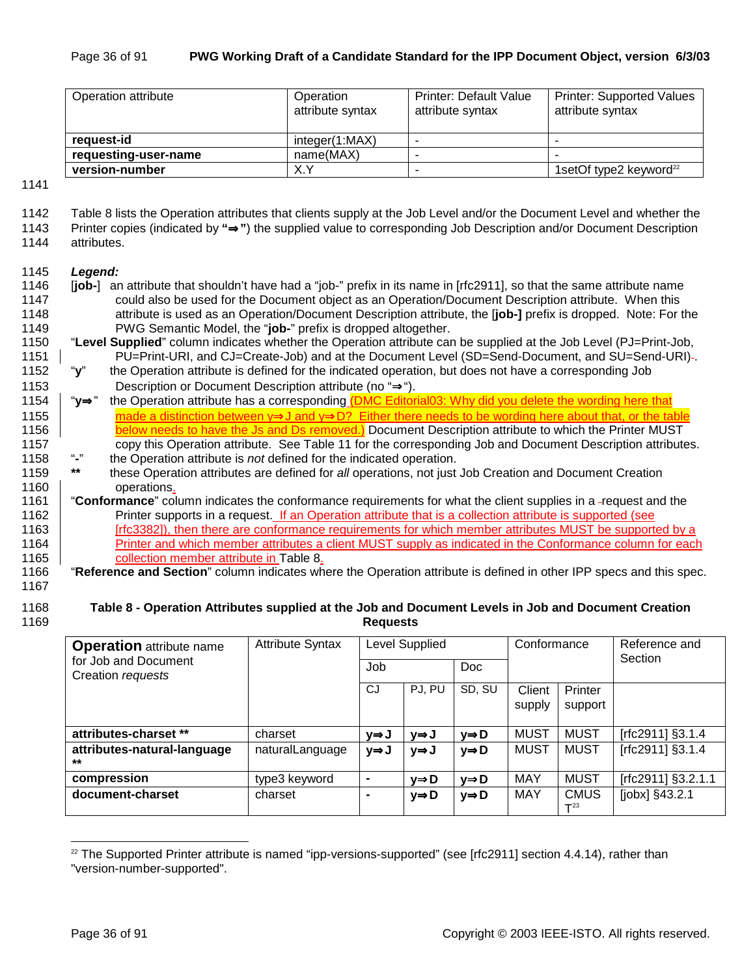| Operation attribute  | Operation<br>attribute syntax | <b>Printer: Default Value</b><br>attribute syntax | <b>Printer: Supported Values</b><br>attribute syntax |  |
|----------------------|-------------------------------|---------------------------------------------------|------------------------------------------------------|--|
| request-id           | integer(1:MAX)                |                                                   |                                                      |  |
| requesting-user-name | name(MAX)                     |                                                   |                                                      |  |
| version-number       | X.Y                           | -                                                 | 1setOf type2 keyword $^{22}$                         |  |

1141

| 1142 | Table 8 lists the Operation attributes that clients supply at the Job Level and/or the Document Level and whether the |
|------|-----------------------------------------------------------------------------------------------------------------------|
| 1143 | Printer copies (indicated by "⇒") the supplied value to corresponding Job Description and/or Document Description     |
| .    |                                                                                                                       |

1144 attributes.

#### 1145 *Legend:*

- 1146 [**job-**] an attribute that shouldn't have had a "job-" prefix in its name in [rfc2911], so that the same attribute name 1147 could also be used for the Document object as an Operation/Document Description attribute. When this 1148 attribute is used as an Operation/Document Description attribute, the [**job-]** prefix is dropped. Note: For the 1149 PWG Semantic Model, the "**job-**" prefix is dropped altogether.
- 1150 "**Level Supplied**" column indicates whether the Operation attribute can be supplied at the Job Level (PJ=Print-Job, 1151 PU=Print-URI, and CJ=Create-Job) and at the Document Level (SD=Send-Document, and SU=Send-URI) .
- 1152 "**y**" the Operation attribute is defined for the indicated operation, but does not have a corresponding Job 1153 Description or Document Description attribute (no "⇒").
- 1154 "**y**⇒" the Operation attribute has a corresponding (DMC Editorial03: Why did you delete the wording here that 1155 made a distinction between y⇒J and y⇒D? Either there needs to be wording here about that, or the table 1156 **below needs to have the Js and Ds removed.)** Document Description attribute to which the Printer MUST 1157 copy this Operation attribute. See Table 11 for the corresponding Job and Document Description attributes.<br>1158 "-" the Operation attribute is not defined for the indicated operation.
- 1158 "**-**" the Operation attribute is *not* defined for the indicated operation.
- 1159 **\*\*** these Operation attributes are defined for *all* operations, not just Job Creation and Document Creation 1160 **operations**.
- 1161 "**Conformance**" column indicates the conformance requirements for what the client supplies in a request and the 1162 **Printer supports in a request.** If an Operation attribute that is a collection attribute is supported (see 1163 **Frank 1** [rfc3382]), then there are conformance requirements for which member attributes MUST be supported by a 1164 **Printer and which member attributes a client MUST supply as indicated in the Conformance column for each** 1165 **collection member attribute in Table 8.**
- 1166 "**Reference and Section**" column indicates where the Operation attribute is defined in other IPP specs and this spec. 1167

#### 1168 **Table 8 - Operation Attributes supplied at the Job and Document Levels in Job and Document Creation**  1169 **Requests**

| <b>Operation</b> attribute name<br>for Job and Document | <b>Attribute Syntax</b> | Level Supplied |        |                   | Conformance |                         | Reference and<br>Section |
|---------------------------------------------------------|-------------------------|----------------|--------|-------------------|-------------|-------------------------|--------------------------|
| Creation requests                                       |                         | Job            |        | Doc               |             |                         |                          |
|                                                         |                         | CJ             | PJ. PU | SD, SU            | Client      | Printer                 |                          |
|                                                         |                         |                |        |                   | supply      | support                 |                          |
| attributes-charset **                                   | charset                 | ∨⇒J            | y⇒J    | y⇒D               | <b>MUST</b> | <b>MUST</b>             | [rfc2911] §3.1.4         |
| attributes-natural-language<br>$***$                    | naturalLanguage         | y⇒J            | y⇒J    | y⇒D               | <b>MUST</b> | <b>MUST</b>             | [rfc2911] §3.1.4         |
| compression                                             | type3 keyword           | ٠              | y⇒D    | y⇒D               | <b>MAY</b>  | <b>MUST</b>             | [rfc2911] §3.2.1.1       |
| document-charset                                        | charset                 | $\blacksquare$ | y⇒D    | $y \Rightarrow D$ | MAY         | <b>CMUS</b><br>$T^{23}$ | [jobx] §43.2.1           |

l  $22$  The Supported Printer attribute is named "ipp-versions-supported" (see [rfc2911] section 4.4.14), rather than "version-number-supported".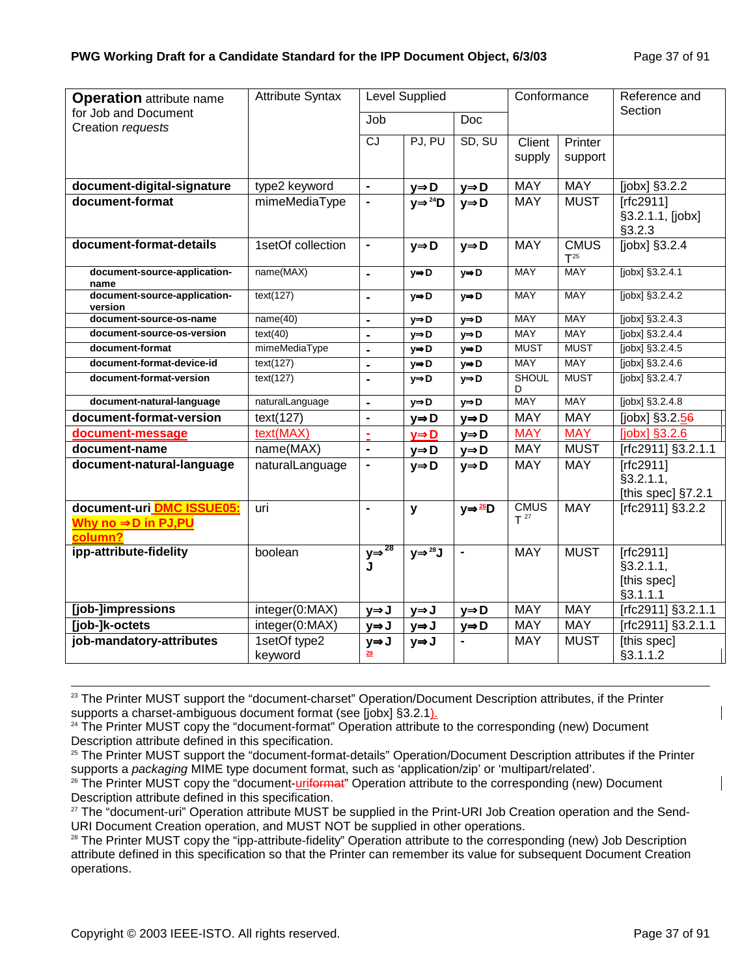| <b>Operation</b> attribute name                            | <b>Attribute Syntax</b> |                         | <b>Level Supplied</b>  |                    | Conformance             |                         | Reference and                                     |
|------------------------------------------------------------|-------------------------|-------------------------|------------------------|--------------------|-------------------------|-------------------------|---------------------------------------------------|
| for Job and Document<br>Creation requests                  |                         | Job                     |                        | Doc                |                         |                         | Section                                           |
|                                                            |                         | $\overline{c}$          | PJ, PU                 | SD, SU             | Client<br>supply        | Printer<br>support      |                                                   |
| document-digital-signature                                 | type2 keyword           | $\blacksquare$          | $y \Rightarrow D$      | $y \Rightarrow D$  | <b>MAY</b>              | <b>MAY</b>              | [ $jobs$ ] $§3.2.2$                               |
| document-format                                            | mimeMediaType           | $\blacksquare$          | $V \Rightarrow^{24} D$ | $y \Rightarrow D$  | <b>MAY</b>              | <b>MUST</b>             | [rfc2911]<br>§3.2.1.1, [jobx]<br>§3.2.3           |
| document-format-details                                    | 1setOf collection       | $\blacksquare$          | $y \Rightarrow D$      | $y \Rightarrow D$  | <b>MAY</b>              | <b>CMUS</b><br>$T^{25}$ | $[jobx]$ §3.2.4                                   |
| document-source-application-<br>name                       | name(MAX)               | $\blacksquare$          | $y \Rightarrow D$      | $y \Rightarrow D$  | <b>MAY</b>              | <b>MAY</b>              | [jobx] §3.2.4.1                                   |
| document-source-application-<br>version                    | text(127)               | $\blacksquare$          | y⇒D                    | y⇒D                | <b>MAY</b>              | <b>MAY</b>              | [jobx] §3.2.4.2                                   |
| document-source-os-name                                    | name(40)                | $\blacksquare$          | $y \Rightarrow D$      | y⇒D                | <b>MAY</b>              | <b>MAY</b>              | [jobx] §3.2.4.3                                   |
| document-source-os-version                                 | text(40)                | $\blacksquare$          | $y \Rightarrow D$      | $y \Rightarrow D$  | <b>MAY</b>              | <b>MAY</b>              | [jobx] §3.2.4.4                                   |
| document-format                                            | mimeMediaType           | $\overline{a}$          | $y \Rightarrow D$      | y⇒D                | <b>MUST</b>             | <b>MUST</b>             | [jobx] §3.2.4.5                                   |
| document-format-device-id                                  | text(127)               | $\blacksquare$          | y⇒D                    | y⇒D                | MAY                     | <b>MAY</b>              | [jobx] §3.2.4.6                                   |
| document-format-version                                    | text(127)               | $\blacksquare$          | $y \Rightarrow D$      | $y \Rightarrow D$  | <b>SHOUL</b><br>D       | <b>MUST</b>             | [jobx] §3.2.4.7                                   |
| document-natural-language                                  | naturalLanguage         | $\blacksquare$          | $y \Rightarrow D$      | $y \Rightarrow D$  | <b>MAY</b>              | <b>MAY</b>              | $[jobx]$ §3.2.4.8                                 |
| document-format-version                                    | text(127)               | $\blacksquare$          | $y \Rightarrow D$      | $y \Rightarrow D$  | <b>MAY</b>              | <b>MAY</b>              | [jobx] §3.2.56                                    |
| document-message                                           | text(MAX)               | ä,                      | $y \Rightarrow D$      | $y \Rightarrow D$  | <b>MAY</b>              | <b>MAY</b>              | [ <i>j</i> obx] <sub>3.2.6</sub>                  |
| document-name                                              | name(MAX)               | $\blacksquare$          | $y \Rightarrow D$      | $y \Rightarrow D$  | <b>MAY</b>              | <b>MUST</b>             | [rfc2911] §3.2.1.1                                |
| document-natural-language                                  | naturalLanguage         | $\blacksquare$          | $y \Rightarrow D$      | $y \Rightarrow D$  | <b>MAY</b>              | <b>MAY</b>              | [rfc2911]<br>\$3.2.1.1,<br>[this spec] §7.2.1     |
| document-uri DMC ISSUE05:<br>Why no ⇒D in PJ,PU<br>column? | uri                     | $\blacksquare$          | У                      | y⇒ <sup>26</sup> D | <b>CMUS</b><br>$T^{27}$ | <b>MAY</b>              | [rfc2911] §3.2.2                                  |
| ipp-attribute-fidelity                                     | boolean                 | $y \Rightarrow 28$<br>J | $y \Rightarrow^{28} J$ |                    | <b>MAY</b>              | <b>MUST</b>             | [rfc2911]<br>§3.2.1.1,<br>[this spec]<br>§3.1.1.1 |
| [job-]impressions                                          | integer(0:MAX)          | y⇒J                     | y⇒J                    | $y \Rightarrow D$  | <b>MAY</b>              | <b>MAY</b>              | [rfc2911] §3.2.1.1                                |
| [job-]k-octets                                             | integer(0:MAX)          | y⇒J                     | y⇒J                    | $y \Rightarrow D$  | <b>MAY</b>              | <b>MAY</b>              | [rfc2911] §3.2.1.1                                |
| job-mandatory-attributes                                   | 1setOf type2<br>keyword | y⇒J<br>29               | y⇒J                    | $\blacksquare$     | <b>MAY</b>              | <b>MUST</b>             | [this spec]<br>§3.1.1.2                           |

<sup>23</sup> The Printer MUST support the "document-charset" Operation/Document Description attributes, if the Printer supports a charset-ambiguous document format (see [jobx] §3.2.1).

<sup>24</sup> The Printer MUST copy the "document-format" Operation attribute to the corresponding (new) Document Description attribute defined in this specification.

<sup>25</sup> The Printer MUST support the "document-format-details" Operation/Document Description attributes if the Printer supports a *packaging* MIME type document format, such as 'application/zip' or 'multipart/related'.<br><sup>26</sup> The Printer MUST copy the "document-<u>uriformat</u>" Operation attribute to the corresponding (new) Document

Description attribute defined in this specification.

 $27$  The "document-uri" Operation attribute MUST be supplied in the Print-URI Job Creation operation and the Send-URI Document Creation operation, and MUST NOT be supplied in other operations.

<sup>28</sup> The Printer MUST copy the "ipp-attribute-fidelity" Operation attribute to the corresponding (new) Job Description attribute defined in this specification so that the Printer can remember its value for subsequent Document Creation operations.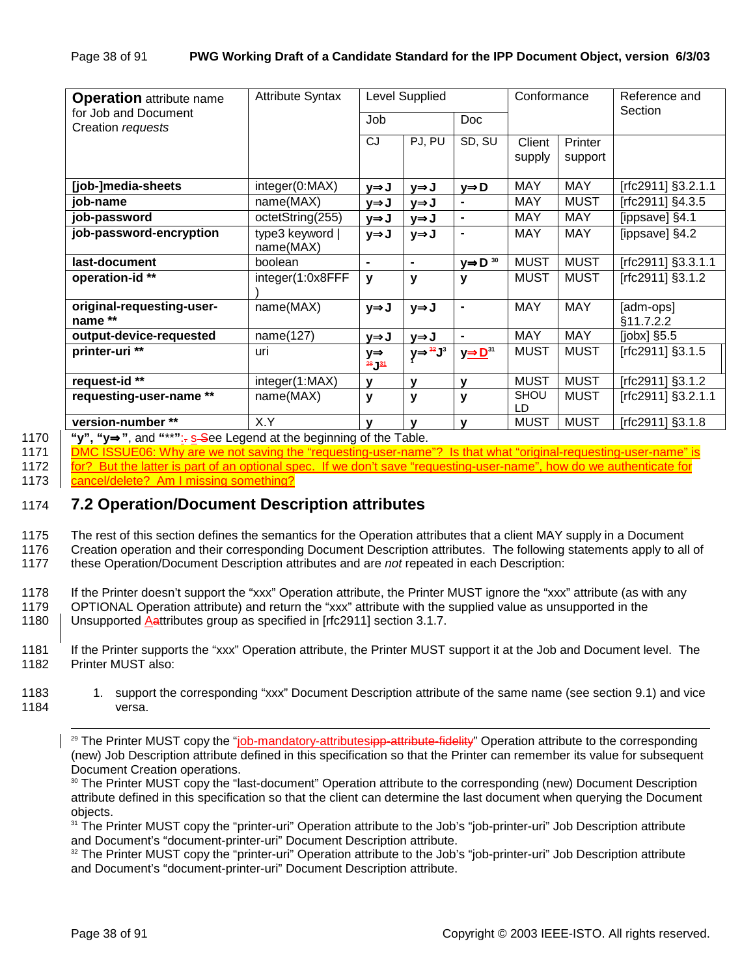| <b>Operation</b> attribute name           | <b>Attribute Syntax</b>    | Level Supplied                       |                          |                                    | Conformance |             | Reference and          |
|-------------------------------------------|----------------------------|--------------------------------------|--------------------------|------------------------------------|-------------|-------------|------------------------|
| for Job and Document<br>Creation requests |                            | Job<br><b>Doc</b>                    |                          |                                    |             | Section     |                        |
|                                           |                            | CJ                                   | PJ, PU                   | SD, SU                             | Client      | Printer     |                        |
|                                           |                            |                                      |                          |                                    | supply      | support     |                        |
| [job-]media-sheets                        | integer(0:MAX)             | y⇒J                                  | y⇒J                      | y⇒D                                | <b>MAY</b>  | <b>MAY</b>  | [rfc2911] §3.2.1.1     |
| job-name                                  | name(MAX)                  | y⇒J                                  | y⇒J                      |                                    | <b>MAY</b>  | <b>MUST</b> | $Trc2911$ ] §4.3.5     |
| job-password                              | octetString(255)           | y⇒J                                  | y⇒J                      | $\blacksquare$                     | <b>MAY</b>  | <b>MAY</b>  | [ippsave] §4.1         |
| job-password-encryption                   | type3 keyword<br>name(MAX) | y⇒J                                  | y⇒J                      |                                    | <b>MAY</b>  | <b>MAY</b>  | [ippsave] §4.2         |
| last-document                             | boolean                    | $\blacksquare$                       | $\blacksquare$           | $\underline{y} \Rightarrow D^{30}$ | <b>MUST</b> | <b>MUST</b> | [rfc2911] §3.3.1.1     |
| operation-id **                           | integer(1:0x8FFF           | y                                    | $\mathbf{v}$             | y                                  | <b>MUST</b> | <b>MUST</b> | [rfc2911] §3.1.2       |
| original-requesting-user-<br>name **      | name(MAX)                  | y⇒J                                  | y⇒J                      | $\blacksquare$                     | <b>MAY</b>  | <b>MAY</b>  | [adm-ops]<br>§11.7.2.2 |
| output-device-requested                   | name(127)                  | y⇒J                                  | y⇒J                      | $\blacksquare$                     | <b>MAY</b>  | MAY         | $[jobx]$ §5.5          |
| printer-uri **                            | uri                        | $y \Rightarrow$<br>$28 \frac{31}{2}$ | $y \rightarrow^{32} J^3$ | $y \rightarrow D^{31}$             | <b>MUST</b> | <b>MUST</b> | [ $rfc2911$ ] §3.1.5   |
| request-id <sup>**</sup>                  | integer(1:MAX)             | $\mathbf v$                          | V                        | v                                  | <b>MUST</b> | <b>MUST</b> | $[rfc2911]$ §3.1.2     |
| requesting-user-name **                   | name(MAX)                  | y                                    | y                        | y                                  | SHOU<br>LD  | <b>MUST</b> | [rfc2911] §3.2.1.1     |
| version-number **                         | X.Y                        | v                                    | V                        | v                                  | <b>MUST</b> | <b>MUST</b> | [rfc2911] §3.1.8       |

1170 **"y", "y**⇒**"**, and **"**\*\***"**:. s See Legend at the beginning of the Table.

1171 DMC ISSUE06: Why are we not saving the "requesting-user-name"? Is that what "original-requesting-user-name" is 1172 for? But the latter is part of an optional spec. If we don't save "requesting-user-name", how do we authenticate 1173 cancel/delete? Am I missing something?

## 1174 **7.2 Operation/Document Description attributes**

1175 The rest of this section defines the semantics for the Operation attributes that a client MAY supply in a Document

1176 Creation operation and their corresponding Document Description attributes. The following statements apply to all of

1177 these Operation/Document Description attributes and are *not* repeated in each Description:

1178 If the Printer doesn't support the "xxx" Operation attribute, the Printer MUST ignore the "xxx" attribute (as with any

1179 OPTIONAL Operation attribute) and return the "xxx" attribute with the supplied value as unsupported in the

1180 | Unsupported Aattributes group as specified in [rfc2911] section 3.1.7.

1181 If the Printer supports the "xxx" Operation attribute, the Printer MUST support it at the Job and Document level. The 1182 Printer MUST also:

1183 1. support the corresponding "xxx" Document Description attribute of the same name (see section 9.1) and vice 1184 versa.

<sup>29</sup> The Printer MUST copy the "job-mandatory-attributesipp-attribute-fidelity" Operation attribute to the corresponding (new) Job Description attribute defined in this specification so that the Printer can remember its value for subsequent Document Creation operations.

30 The Printer MUST copy the "last-document" Operation attribute to the corresponding (new) Document Description attribute defined in this specification so that the client can determine the last document when querying the Document objects.

<sup>31</sup> The Printer MUST copy the "printer-uri" Operation attribute to the Job's "job-printer-uri" Job Description attribute and Document's "document-printer-uri" Document Description attribute.

<sup>32</sup> The Printer MUST copy the "printer-uri" Operation attribute to the Job's "job-printer-uri" Job Description attribute and Document's "document-printer-uri" Document Description attribute.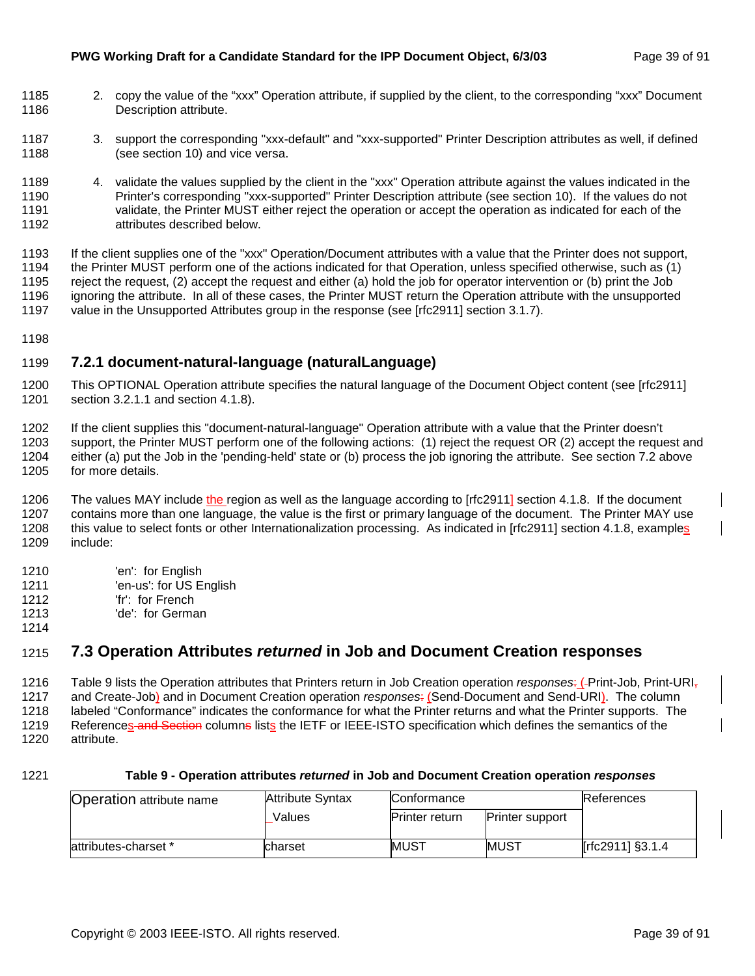- 1185 2. copy the value of the "xxx" Operation attribute, if supplied by the client, to the corresponding "xxx" Document 1186 Description attribute.
- 1187 3. support the corresponding "xxx-default" and "xxx-supported" Printer Description attributes as well, if defined 1188 (see section 10) and vice versa.
- 1189 4. validate the values supplied by the client in the "xxx" Operation attribute against the values indicated in the 1190 Printer's corresponding "xxx-supported" Printer Description attribute (see section 10). If the values do not 1191 validate, the Printer MUST either reject the operation or accept the operation as indicated for each of the 1192 attributes described below.

1193 If the client supplies one of the "xxx" Operation/Document attributes with a value that the Printer does not support, 1194 the Printer MUST perform one of the actions indicated for that Operation, unless specified otherwise, such as (1) 1195 reject the request, (2) accept the request and either (a) hold the job for operator intervention or (b) print the Job 1196 ignoring the attribute. In all of these cases, the Printer MUST return the Operation attribute with the unsupported 1197 value in the Unsupported Attributes group in the response (see [rfc2911] section 3.1.7).

1198

### 1199 **7.2.1 document-natural-language (naturalLanguage)**

1200 This OPTIONAL Operation attribute specifies the natural language of the Document Object content (see [rfc2911] 1201 section 3.2.1.1 and section 4.1.8).

1202 If the client supplies this "document-natural-language" Operation attribute with a value that the Printer doesn't 1203 support, the Printer MUST perform one of the following actions: (1) reject the request OR (2) accept the request and 1204 either (a) put the Job in the 'pending-held' state or (b) process the job ignoring the attribute. See section 7.2 above 1205 for more details.

1206 The values MAY include the region as well as the language according to [rfc2911] section 4.1.8. If the document 1207 contains more than one language, the value is the first or primary language of the document. The Printer MAY use 1208 this value to select fonts or other Internationalization processing. As indicated in [rfc2911] section 4.1.8, examples 1209 include:

- 1210 'en': for English
- 1211 'en-us': for US English
- 1212 'fr': for French
- 1213 'de': for German

## 1215 **7.3 Operation Attributes** *returned* **in Job and Document Creation responses**

1216 Table 9 lists the Operation attributes that Printers return in Job Creation operation *responses*: ( Print-Job, Print-URI, 1217 and Create-Job) and in Document Creation operation *responses*: (Send-Document and Send-URI). The column 1218 labeled "Conformance" indicates the conformance for what the Printer returns and what the Printer supports. The 1219 References and Section columne lists the IETF or IEEE-ISTO specification which defines the semantics of the 1220 attribute.

1214

#### 1221 **Table 9 - Operation attributes** *returned* **in Job and Document Creation operation** *responses*

| <b>Operation attribute name</b> | <b>Attribute Syntax</b> | Conformance                                     |             | References       |
|---------------------------------|-------------------------|-------------------------------------------------|-------------|------------------|
|                                 | Values                  | <b>Printer return</b><br><b>Printer support</b> |             |                  |
| attributes-charset *            | lcharset                | <b>MUST</b>                                     | <b>MUST</b> | [rfc2911] §3.1.4 |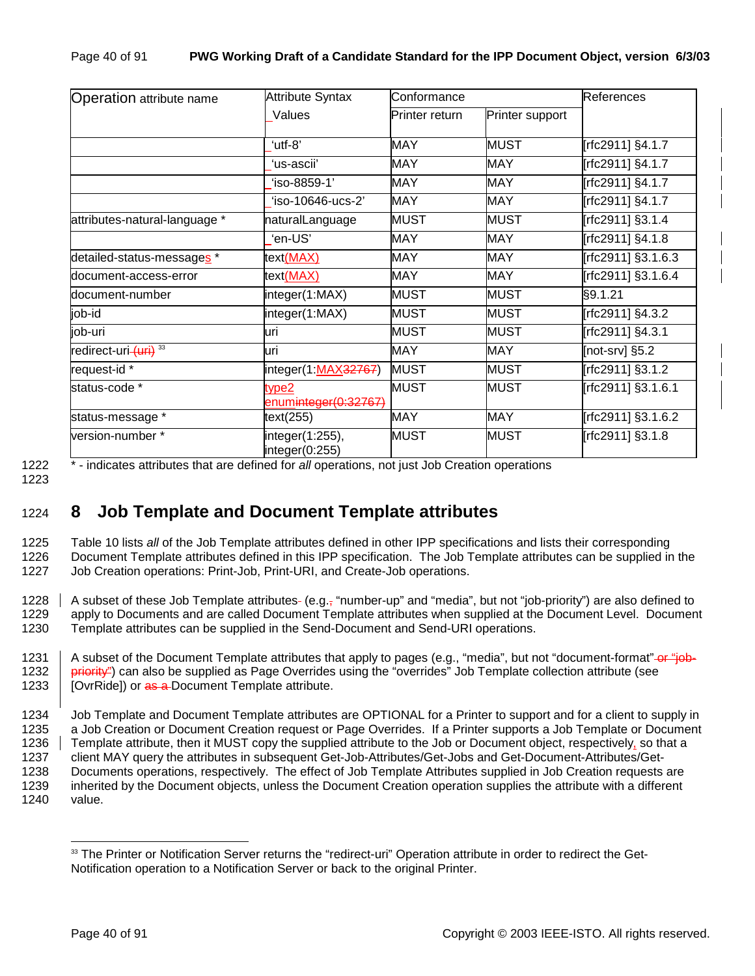| <b>Operation attribute name</b>   | <b>Attribute Syntax</b>           | Conformance    |                 | <b>References</b>  |  |
|-----------------------------------|-----------------------------------|----------------|-----------------|--------------------|--|
|                                   | Values                            | Printer return | Printer support |                    |  |
|                                   | 'utf-8"                           | <b>MAY</b>     | <b>MUST</b>     | [rfc2911] §4.1.7   |  |
|                                   | ʻus-ascii'                        | <b>MAY</b>     | MAY             | [rfc2911] §4.1.7   |  |
|                                   | 'iso-8859-1'                      | <b>MAY</b>     | MAY             | [rfc2911] §4.1.7   |  |
|                                   | 'iso-10646-ucs-2'                 | MAY            | MAY             | [rfc2911] §4.1.7   |  |
| attributes-natural-language *     | naturalLanguage                   | <b>MUST</b>    | MUST            | [rfc2911] §3.1.4   |  |
|                                   | 'en-US'                           | MAY            | MAY             | [rfc2911] §4.1.8   |  |
| detailed-status-messages *        | text(MAX)                         | <b>MAY</b>     | <b>MAY</b>      | [rfc2911] §3.1.6.3 |  |
| document-access-error             | text(MAX)                         | <b>MAY</b>     | <b>MAY</b>      | [rfc2911] §3.1.6.4 |  |
| document-number                   | integer(1:MAX)                    | <b>MUST</b>    | <b>MUST</b>     | §9.1.21            |  |
| job-id                            | integer(1:MAX)                    | MUST           | MUST            | [rfc2911] §4.3.2   |  |
| job-uri                           | luri                              | <b>MUST</b>    | <b>MUST</b>     | [rfc2911] §4.3.1   |  |
| redirect-uri- (uri) <sup>33</sup> | uri                               | <b>MAY</b>     | <b>MAY</b>      | [not-srv] $§5.2$   |  |
| request-id *                      | integer(1:MAX32767)               | <b>MUST</b>    | <b>MUST</b>     | [rfc2911] §3.1.2   |  |
| status-code *                     | type2<br>enuminteger(0:32767)     | <b>MUST</b>    | <b>MUST</b>     | [rfc2911] §3.1.6.1 |  |
| status-message *                  | text(255)                         | MAY            | MAY             | [rfc2911] §3.1.6.2 |  |
| version-number*                   | integer(1:255),<br>integer(0:255) | <b>MUST</b>    | MUST            | [rfc2911] §3.1.8   |  |

1223

1222 \* - indicates attributes that are defined for *all* operations, not just Job Creation operations

1224 **8 Job Template and Document Template attributes** 

1225 Table 10 lists *all* of the Job Template attributes defined in other IPP specifications and lists their corresponding 1226 Document Template attributes defined in this IPP specification. The Job Template attributes can be supplied in the 1227 Job Creation operations: Print-Job, Print-URI, and Create-Job operations.

1228  $\parallel$  A subset of these Job Template attributes- (e.g., "number-up" and "media", but not "job-priority") are also defined to 1229 apply to Documents and are called Document Template attributes when supplied at the Document Level. Document 1230 Template attributes can be supplied in the Send-Document and Send-URI operations.

1231 A subset of the Document Template attributes that apply to pages (e.g., "media", but not "document-format"-or "job-1232 priority") can also be supplied as Page Overrides using the "overrides" Job Template collection attribute (see 1233 | [OvrRide]) or as a Document Template attribute.

1234 Job Template and Document Template attributes are OPTIONAL for a Printer to support and for a client to supply in 1235 a Job Creation or Document Creation request or Page Overrides. If a Printer supports a Job Template or Document 1236 Template attribute, then it MUST copy the supplied attribute to the Job or Document object, respectively, so that a 1237 client MAY query the attributes in subsequent Get-Job-Attributes/Get-Jobs and Get-Document-Attributes/Get-1238 Documents operations, respectively. The effect of Job Template Attributes supplied in Job Creation requests are 1239 inherited by the Document objects, unless the Document Creation operation supplies the attribute with a different 1240 value.

l <sup>33</sup> The Printer or Notification Server returns the "redirect-uri" Operation attribute in order to redirect the Get-Notification operation to a Notification Server or back to the original Printer.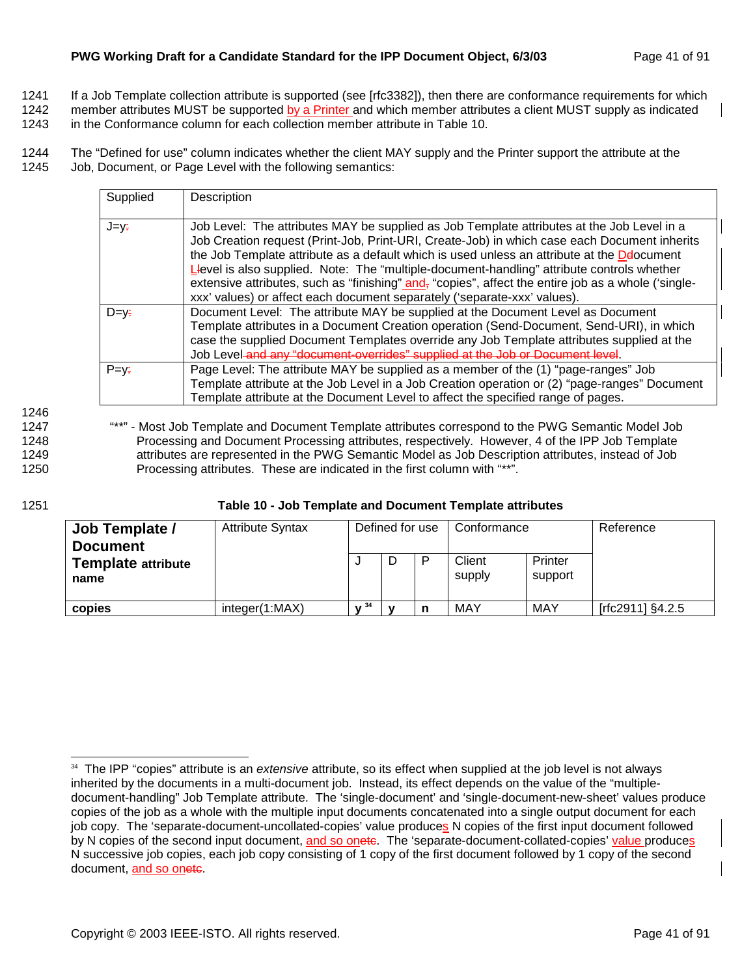- 1241 If a Job Template collection attribute is supported (see [rfc3382]), then there are conformance requirements for which
- 1242 member attributes MUST be supported by a Printer and which member attributes a client MUST supply as indicated
- 1243 in the Conformance column for each collection member attribute in Table 10.

1244 The "Defined for use" column indicates whether the client MAY supply and the Printer support the attribute at the 1245 Job, Document, or Page Level with the following semantics:

| Supplied       | Description                                                                                                                                                                                                                                                                                                                                                                                                                                                                                                                                                                             |
|----------------|-----------------------------------------------------------------------------------------------------------------------------------------------------------------------------------------------------------------------------------------------------------------------------------------------------------------------------------------------------------------------------------------------------------------------------------------------------------------------------------------------------------------------------------------------------------------------------------------|
| J=y÷           | Job Level: The attributes MAY be supplied as Job Template attributes at the Job Level in a<br>Job Creation request (Print-Job, Print-URI, Create-Job) in which case each Document inherits<br>the Job Template attribute as a default which is used unless an attribute at the Delocument<br>Level is also supplied. Note: The "multiple-document-handling" attribute controls whether<br>extensive attributes, such as "finishing" $and$ <sub>r</sub> "copies", affect the entire job as a whole ('single-<br>xxx' values) or affect each document separately ('separate-xxx' values). |
| $D = V_{\tau}$ | Document Level: The attribute MAY be supplied at the Document Level as Document<br>Template attributes in a Document Creation operation (Send-Document, Send-URI), in which<br>case the supplied Document Templates override any Job Template attributes supplied at the<br>Job Level and any "document-overrides" supplied at the Job or Document level.                                                                                                                                                                                                                               |
| $P=y+$         | Page Level: The attribute MAY be supplied as a member of the (1) "page-ranges" Job<br>Template attribute at the Job Level in a Job Creation operation or (2) "page-ranges" Document<br>Template attribute at the Document Level to affect the specified range of pages.                                                                                                                                                                                                                                                                                                                 |

1247 "\*\*" - Most Job Template and Document Template attributes correspond to the PWG Semantic Model Job 1248 Processing and Document Processing attributes, respectively. However, 4 of the IPP Job Template 1249 attributes are represented in the PWG Semantic Model as Job Description attributes, instead of Job 1250 Processing attributes. These are indicated in the first column with "\*\*".

l

1246

| 1251 |  | Table 10 - Job Template and Document Template attributes |  |
|------|--|----------------------------------------------------------|--|
|------|--|----------------------------------------------------------|--|

| Job Template /<br><b>Document</b> | <b>Attribute Syntax</b> |      | Defined for use | Conformance                            |     | Reference        |
|-----------------------------------|-------------------------|------|-----------------|----------------------------------------|-----|------------------|
| <b>Template attribute</b><br>name |                         |      |                 | Client<br>Printer<br>supply<br>support |     |                  |
| copies                            | integer(1:MAX)          | 1734 |                 | MAY                                    | MAY | [rfc2911] §4.2.5 |

<sup>34</sup> The IPP "copies" attribute is an *extensive* attribute, so its effect when supplied at the job level is not always inherited by the documents in a multi-document job. Instead, its effect depends on the value of the "multipledocument-handling" Job Template attribute. The 'single-document' and 'single-document-new-sheet' values produce copies of the job as a whole with the multiple input documents concatenated into a single output document for each job copy. The 'separate-document-uncollated-copies' value produces N copies of the first input document followed by N copies of the second input document, and so onete. The 'separate-document-collated-copies' value produces N successive job copies, each job copy consisting of 1 copy of the first document followed by 1 copy of the second document, and so onete.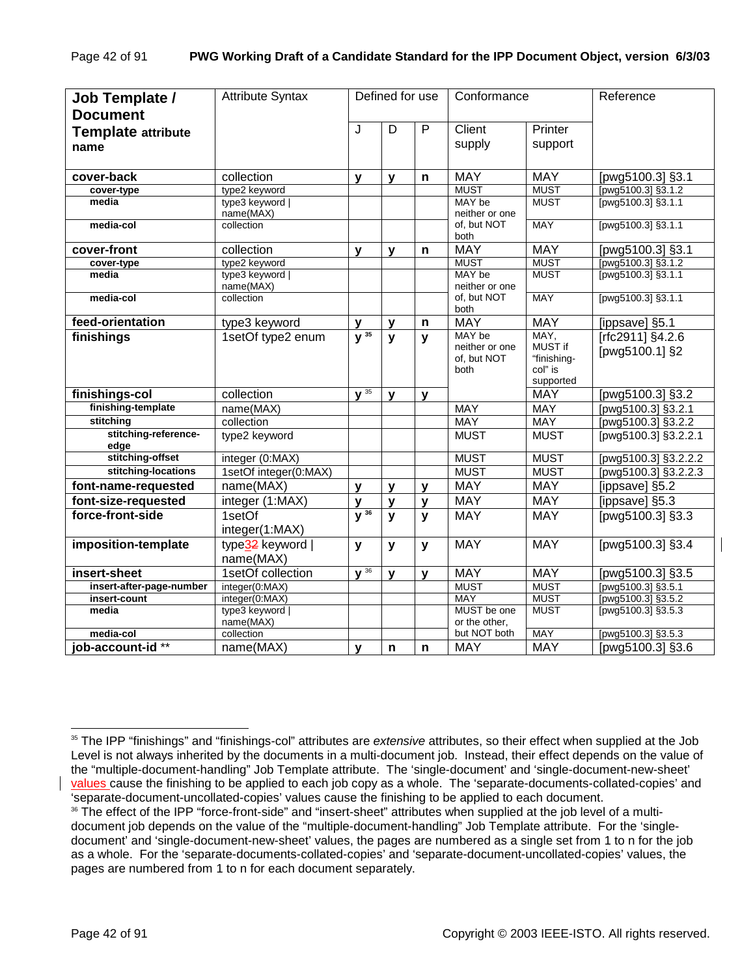| Job Template /            | <b>Attribute Syntax</b>      |                     | Defined for use |              | Conformance                   |                        | Reference            |
|---------------------------|------------------------------|---------------------|-----------------|--------------|-------------------------------|------------------------|----------------------|
| <b>Document</b>           |                              |                     |                 |              |                               |                        |                      |
| <b>Template attribute</b> |                              | J                   | D               | P            | Client                        | Printer                |                      |
| name                      |                              |                     |                 |              | supply                        | support                |                      |
|                           |                              |                     |                 |              |                               |                        |                      |
| cover-back                | collection                   | v                   | y               | n            | <b>MAY</b>                    | <b>MAY</b>             | [pwg5100.3] §3.1     |
| cover-type                | type2 keyword                |                     |                 |              | <b>MUST</b>                   | <b>MUST</b>            | [pwg5100.3] §3.1.2   |
| media                     | type3 keyword  <br>name(MAX) |                     |                 |              | MAY be<br>neither or one      | <b>MUST</b>            | [pwg5100.3] §3.1.1   |
| media-col                 | collection                   |                     |                 |              | of, but NOT<br>both           | <b>MAY</b>             | [pwg5100.3] §3.1.1   |
| cover-front               | collection                   | $\mathbf{y}$        | $\mathbf{y}$    | $\mathsf{n}$ | <b>MAY</b>                    | <b>MAY</b>             | [pwg5100.3] §3.1     |
| cover-type                | type2 keyword                |                     |                 |              | <b>MUST</b>                   | <b>MUST</b>            | [pwg5100.3] §3.1.2   |
| media                     | type3 keyword                |                     |                 |              | MAY be                        | <b>MUST</b>            | [pwg5100.3] §3.1.1   |
| media-col                 | name(MAX)<br>collection      |                     |                 |              | neither or one<br>of, but NOT | <b>MAY</b>             | [pwg5100.3] §3.1.1   |
|                           |                              |                     |                 |              | both                          |                        |                      |
| feed-orientation          | type3 keyword                | v                   | $\mathbf{y}$    | n            | <b>MAY</b>                    | <b>MAY</b>             | [ippsave] §5.1       |
| finishings                | 1setOf type2 enum            | $\overline{y^{35}}$ | $\mathbf{y}$    | y            | MAY be                        | MAY,                   | Trfc2911] §4.2.6     |
|                           |                              |                     |                 |              | neither or one                | MUST if                | [pwg5100.1] §2       |
|                           |                              |                     |                 |              | of, but NOT<br>both           | "finishing-<br>col" is |                      |
|                           |                              |                     |                 |              |                               | supported              |                      |
| finishings-col            | collection                   | $\sqrt{35}$         | $\mathbf{V}$    | $\mathbf{v}$ |                               | <b>MAY</b>             | [pwg5100.3] §3.2     |
| finishing-template        | name(MAX)                    |                     |                 |              | <b>MAY</b>                    | <b>MAY</b>             | [pwg5100.3] §3.2.1   |
| stitching                 | collection                   |                     |                 |              | <b>MAY</b>                    | <b>MAY</b>             | [pwg5100.3] §3.2.2   |
| stitching-reference-      | type2 keyword                |                     |                 |              | <b>MUST</b>                   | <b>MUST</b>            | [pwg5100.3] §3.2.2.1 |
| edge                      |                              |                     |                 |              |                               |                        |                      |
| stitching-offset          | integer (0:MAX)              |                     |                 |              | <b>MUST</b>                   | <b>MUST</b>            | [pwg5100.3] §3.2.2.2 |
| stitching-locations       | 1setOf integer(0:MAX)        |                     |                 |              | <b>MUST</b>                   | <b>MUST</b>            | [pwg5100.3] §3.2.2.3 |
| font-name-requested       | name(MAX)                    | y                   | y               | y            | <b>MAY</b>                    | <b>MAY</b>             | [ippsave] §5.2       |
| font-size-requested       | integer (1:MAX)              | $\mathbf{V}$        | $\mathbf{y}$    | y            | <b>MAY</b>                    | <b>MAY</b>             | [ippsave] §5.3       |
| force-front-side          | 1setOf                       | $\overline{y^{36}}$ | $\mathbf{v}$    | $\mathbf{y}$ | <b>MAY</b>                    | <b>MAY</b>             | [pwg5100.3] §3.3     |
|                           | integer(1:MAX)               |                     |                 |              |                               |                        |                      |
| imposition-template       | type32 keyword               | y                   | $\mathbf{y}$    | y            | <b>MAY</b>                    | <b>MAY</b>             | [pwg5100.3] §3.4     |
|                           | name(MAX)                    |                     |                 |              |                               |                        |                      |
| insert-sheet              | 1setOf collection            | $\sqrt{36}$         | $\mathbf{y}$    | $\mathbf v$  | <b>MAY</b>                    | <b>MAY</b>             | [pwg5100.3] §3.5     |
| insert-after-page-number  | integer(0:MAX)               |                     |                 |              | <b>MUST</b>                   | <b>MUST</b>            | [pwg5100.3] §3.5.1   |
| insert-count              | integer(0:MAX)               |                     |                 |              | <b>MAY</b>                    | <b>MUST</b>            | [pwg5100.3] §3.5.2   |
| media                     | type3 keyword                |                     |                 |              | MUST be one                   | <b>MUST</b>            | [pwg5100.3] §3.5.3   |
| media-col                 | name(MAX)<br>collection      |                     |                 |              | or the other,<br>but NOT both | MAY                    | [pwg5100.3] §3.5.3   |
| job-account-id **         | name(MAX)                    | $\mathbf v$         |                 | n            | <b>MAY</b>                    | <b>MAY</b>             | [pwg5100.3] §3.6     |
|                           |                              |                     | n               |              |                               |                        |                      |

l 35 The IPP "finishings" and "finishings-col" attributes are *extensive* attributes, so their effect when supplied at the Job Level is not always inherited by the documents in a multi-document job. Instead, their effect depends on the value of the "multiple-document-handling" Job Template attribute. The 'single-document' and 'single-document-new-sheet' values cause the finishing to be applied to each job copy as a whole. The 'separate-documents-collated-copies' and 'separate-document-uncollated-copies' values cause the finishing to be applied to each document.

<sup>&</sup>lt;sup>36</sup> The effect of the IPP "force-front-side" and "insert-sheet" attributes when supplied at the job level of a multidocument job depends on the value of the "multiple-document-handling" Job Template attribute. For the 'singledocument' and 'single-document-new-sheet' values, the pages are numbered as a single set from 1 to n for the job as a whole. For the 'separate-documents-collated-copies' and 'separate-document-uncollated-copies' values, the pages are numbered from 1 to n for each document separately.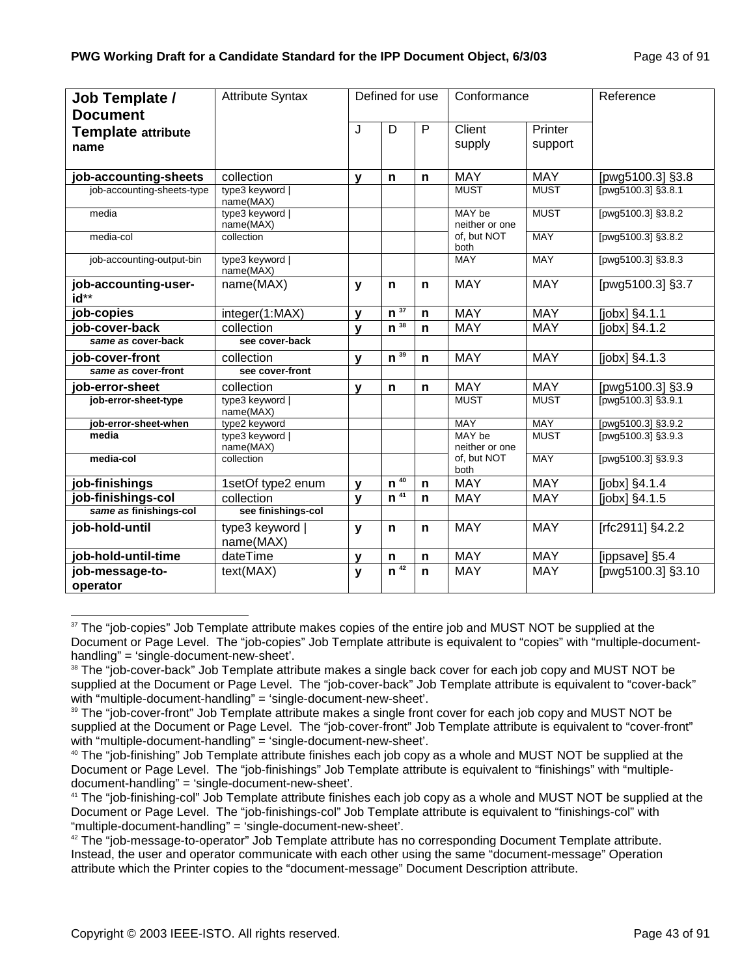| Job Template /               | <b>Attribute Syntax</b>      |              | Defined for use    |              | Conformance              |             | Reference           |
|------------------------------|------------------------------|--------------|--------------------|--------------|--------------------------|-------------|---------------------|
| <b>Document</b>              |                              |              |                    |              |                          |             |                     |
| <b>Template attribute</b>    |                              | J            | D                  | P            | Client                   | Printer     |                     |
| name                         |                              |              |                    |              | supply                   | support     |                     |
|                              |                              |              |                    |              |                          |             |                     |
| job-accounting-sheets        | collection                   | $\mathbf{v}$ | $\mathbf n$        | $\mathbf n$  | <b>MAY</b>               | <b>MAY</b>  | [pwg5100.3] §3.8    |
| job-accounting-sheets-type   | type3 keyword  <br>name(MAX) |              |                    |              | <b>MUST</b>              | <b>MUST</b> | [pwg5100.3] §3.8.1  |
| media                        | type3 keyword  <br>name(MAX) |              |                    |              | MAY be<br>neither or one | <b>MUST</b> | [pwg5100.3] §3.8.2  |
| media-col                    | collection                   |              |                    |              | of, but NOT<br>both      | <b>MAY</b>  | [pwg5100.3] §3.8.2  |
| job-accounting-output-bin    | type3 keyword  <br>name(MAX) |              |                    |              | <b>MAY</b>               | <b>MAY</b>  | [pwg5100.3] §3.8.3  |
| job-accounting-user-<br>id** | name(MAX)                    | y            | $\mathsf{n}$       | n            | <b>MAY</b>               | <b>MAY</b>  | [pwg5100.3] §3.7    |
| job-copies                   | integer(1:MAX)               | V            | 37<br>$\mathbf n$  | $\mathsf{n}$ | <b>MAY</b>               | <b>MAY</b>  | [jobx] §4.1.1       |
| job-cover-back               | collection                   | $\mathbf{v}$ | $n^{38}$           | $\mathsf{n}$ | <b>MAY</b>               | <b>MAY</b>  | $[jobx]$ §4.1.2     |
| same as cover-back           | see cover-back               |              |                    |              |                          |             |                     |
| job-cover-front              | collection                   | $\mathbf{V}$ | $n^{39}$           | n            | <b>MAY</b>               | <b>MAY</b>  | $[jobx]$ $§4.1.3$   |
| same as cover-front          | see cover-front              |              |                    |              |                          |             |                     |
| job-error-sheet              | collection                   | $\mathbf{V}$ | $\mathsf{n}$       | n            | <b>MAY</b>               | <b>MAY</b>  | [pwg5100.3] §3.9    |
| job-error-sheet-type         | type3 keyword  <br>name(MAX) |              |                    |              | <b>MUST</b>              | <b>MUST</b> | [pwg5100.3] §3.9.1  |
| job-error-sheet-when         | type2 keyword                |              |                    |              | <b>MAY</b>               | <b>MAY</b>  | [pwg5100.3] §3.9.2  |
| media                        | type3 keyword  <br>name(MAX) |              |                    |              | MAY be<br>neither or one | <b>MUST</b> | [pwg5100.3] §3.9.3  |
| media-col                    | collection                   |              |                    |              | of, but NOT<br>both      | <b>MAY</b>  | [pwg5100.3] §3.9.3  |
| job-finishings               | 1setOf type2 enum            | $\mathbf{v}$ | 40<br>$\mathbf n$  | n            | <b>MAY</b>               | <b>MAY</b>  | [ $jobs$ ] $§4.1.4$ |
| job-finishings-col           | collection                   | v            | $n^{\frac{1}{41}}$ | $\mathsf{n}$ | <b>MAY</b>               | <b>MAY</b>  | [jobx] §4.1.5       |
| same as finishings-col       | see finishings-col           |              |                    |              |                          |             |                     |
| job-hold-until               | type3 keyword  <br>name(MAX) | y            | $\mathbf n$        | $\mathsf{n}$ | <b>MAY</b>               | <b>MAY</b>  | [rfc2911] §4.2.2    |
| job-hold-until-time          | dateTime                     | v            | $\mathbf n$        | $\mathbf n$  | <b>MAY</b>               | <b>MAY</b>  | [ippsave] §5.4      |
| job-message-to-              | text(MAX)                    | y            | $n^{\frac{42}{}}$  | $\mathsf{n}$ | <b>MAY</b>               | <b>MAY</b>  | [pwg5100.3] §3.10   |
| operator                     |                              |              |                    |              |                          |             |                     |

<sup>&</sup>lt;sup>37</sup> The "job-copies" Job Template attribute makes copies of the entire job and MUST NOT be supplied at the Document or Page Level. The "job-copies" Job Template attribute is equivalent to "copies" with "multiple-documenthandling" = 'single-document-new-sheet'.

<sup>&</sup>lt;sup>38</sup> The "job-cover-back" Job Template attribute makes a single back cover for each job copy and MUST NOT be supplied at the Document or Page Level. The "job-cover-back" Job Template attribute is equivalent to "cover-back" with "multiple-document-handling" = 'single-document-new-sheet'.

<sup>&</sup>lt;sup>39</sup> The "job-cover-front" Job Template attribute makes a single front cover for each job copy and MUST NOT be supplied at the Document or Page Level. The "job-cover-front" Job Template attribute is equivalent to "cover-front" with "multiple-document-handling" = 'single-document-new-sheet'.

<sup>&</sup>lt;sup>40</sup> The "job-finishing" Job Template attribute finishes each job copy as a whole and MUST NOT be supplied at the Document or Page Level. The "job-finishings" Job Template attribute is equivalent to "finishings" with "multipledocument-handling" = 'single-document-new-sheet'.

<sup>41</sup> The "job-finishing-col" Job Template attribute finishes each job copy as a whole and MUST NOT be supplied at the Document or Page Level. The "job-finishings-col" Job Template attribute is equivalent to "finishings-col" with "multiple-document-handling" = 'single-document-new-sheet'.

 $42$  The "job-message-to-operator" Job Template attribute has no corresponding Document Template attribute. Instead, the user and operator communicate with each other using the same "document-message" Operation attribute which the Printer copies to the "document-message" Document Description attribute.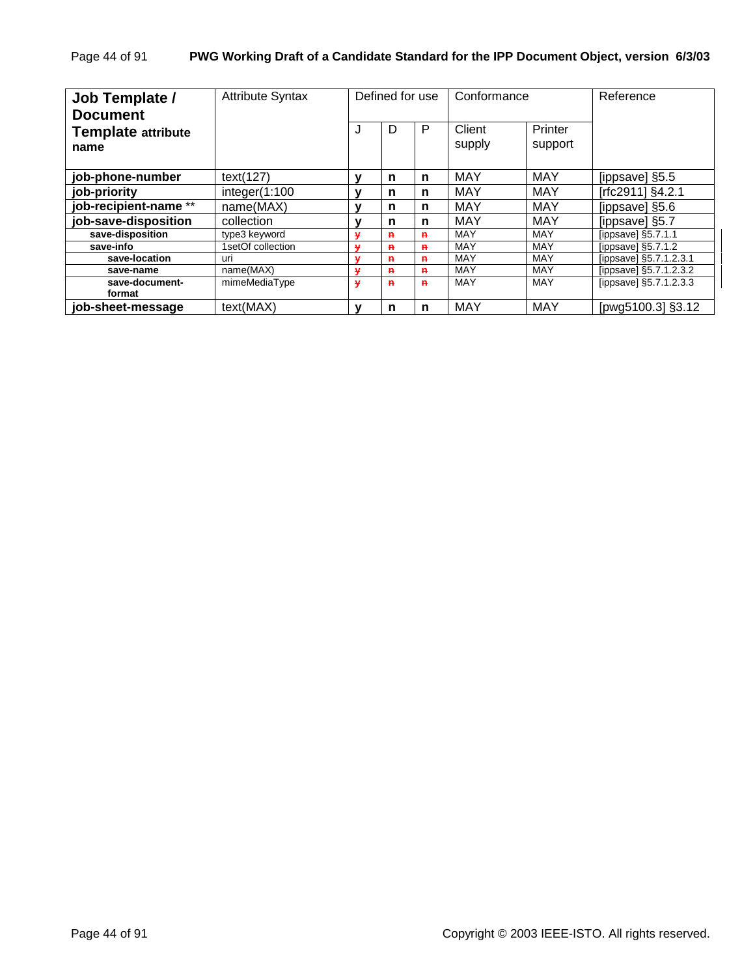| Job Template /<br><b>Document</b> | <b>Attribute Syntax</b> | Defined for use<br>Conformance |              | Reference    |                  |                    |                        |
|-----------------------------------|-------------------------|--------------------------------|--------------|--------------|------------------|--------------------|------------------------|
| <b>Template attribute</b><br>name |                         | J                              | D            | P            | Client<br>supply | Printer<br>support |                        |
| job-phone-number                  | text(127)               | v                              | n            | n            | <b>MAY</b>       | <b>MAY</b>         | [ippsave] §5.5         |
| job-priority                      | integer(1:100           |                                | n            | n            | MAY              | MAY                | [rfc2911] §4.2.1       |
| job-recipient-name **             | name(MAX)               |                                | n            | n            | <b>MAY</b>       | MAY                | [ippsave] §5.6         |
| job-save-disposition              | collection              |                                | n            | n            | <b>MAY</b>       | MAY                | [ippsave] §5.7         |
| save-disposition                  | type3 keyword           |                                | $\mathbf{H}$ | $\mathbf{R}$ | MAY              | <b>MAY</b>         | [ippsave] $§5.7.1.1$   |
| save-info                         | 1setOf collection       |                                | $\mathbf{H}$ | $\mathbf{H}$ | MAY              | MAY                | [ippsave] $§5.7.1.2$   |
| save-location                     | uri                     |                                | $\mathbf{H}$ | $\mathbf{H}$ | MAY              | MAY                | [ippsave] §5.7.1.2.3.1 |
| save-name                         | name(MAX)               | M                              | $\mathbf{a}$ | $\mathbf{a}$ | MAY              | MAY                | [ippsave] §5.7.1.2.3.2 |
| save-document-<br>format          | mimeMediaType           | ۷                              | $\mathbf{a}$ | $\mathbf{a}$ | <b>MAY</b>       | <b>MAY</b>         | [ippsave] §5.7.1.2.3.3 |
| iob-sheet-message                 | text(MAX)               | ν                              | n            | n            | <b>MAY</b>       | <b>MAY</b>         | [pwg5100.3] §3.12      |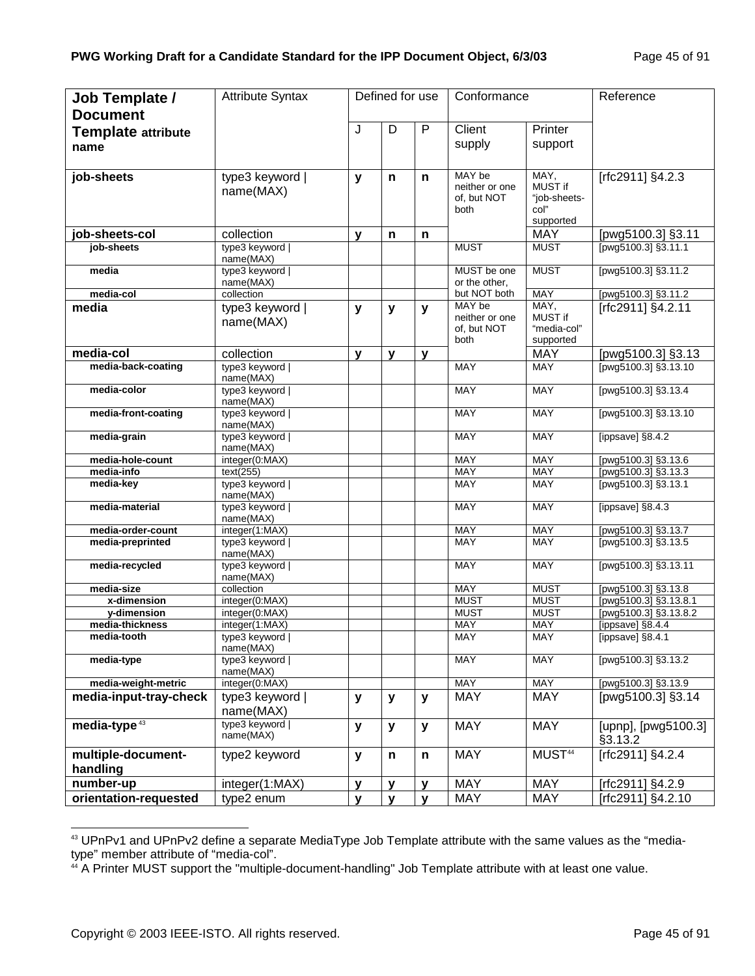| <b>Job Template /</b>          | <b>Attribute Syntax</b>         |              | Defined for use |              | Conformance                   |                          | Reference                            |
|--------------------------------|---------------------------------|--------------|-----------------|--------------|-------------------------------|--------------------------|--------------------------------------|
| <b>Document</b>                |                                 |              | D               | P            | Client                        | Printer                  |                                      |
| <b>Template attribute</b>      |                                 | J            |                 |              |                               |                          |                                      |
| name                           |                                 |              |                 |              | supply                        | support                  |                                      |
|                                |                                 |              |                 |              |                               |                          |                                      |
| job-sheets                     | type3 keyword                   | $\mathbf{y}$ | n               | n            | MAY be                        | MAY,<br>MUST if          | [rfc2911] §4.2.3                     |
|                                | name(MAX)                       |              |                 |              | neither or one<br>of, but NOT | "job-sheets-             |                                      |
|                                |                                 |              |                 |              | both                          | col"                     |                                      |
|                                |                                 |              |                 |              |                               | supported                |                                      |
| job-sheets-col                 | collection                      | $\mathbf{y}$ | n               | n            |                               | <b>MAY</b>               | [pwg5100.3] §3.11                    |
| job-sheets                     | type3 keyword                   |              |                 |              | <b>MUST</b>                   | <b>MUST</b>              | [pwg5100.3] §3.11.1                  |
| media                          | name(MAX)                       |              |                 |              |                               | <b>MUST</b>              | [pwg5100.3] §3.11.2                  |
|                                | type3 keyword  <br>name(MAX)    |              |                 |              | MUST be one<br>or the other,  |                          |                                      |
| media-col                      | collection                      |              |                 |              | but NOT both                  | <b>MAY</b>               | [pwg5100.3] §3.11.2                  |
| media                          | type3 keyword                   | y            | y               | $\mathbf{y}$ | MAY be                        | MAY,                     | [rfc2911] §4.2.11                    |
|                                | name(MAX)                       |              |                 |              | neither or one                | MUST if                  |                                      |
|                                |                                 |              |                 |              | of, but NOT<br>both           | "media-col"<br>supported |                                      |
| media-col                      | collection                      | $\mathbf{v}$ | v               | $\mathbf v$  |                               | <b>MAY</b>               | [pwg5100.3] §3.13                    |
| media-back-coating             | type3 keyword                   |              |                 |              | <b>MAY</b>                    | <b>MAY</b>               | [pwg5100.3] §3.13.10                 |
|                                | name(MAX)                       |              |                 |              |                               |                          |                                      |
| media-color                    | type3 keyword                   |              |                 |              | <b>MAY</b>                    | <b>MAY</b>               | [pwg5100.3] §3.13.4                  |
|                                | name(MAX)                       |              |                 |              |                               |                          |                                      |
| media-front-coating            | type3 keyword  <br>name(MAX)    |              |                 |              | <b>MAY</b>                    | <b>MAY</b>               | [pwg5100.3] §3.13.10                 |
| media-grain                    | type3 keyword                   |              |                 |              | <b>MAY</b>                    | <b>MAY</b>               | [ippsave] §8.4.2                     |
|                                | name(MAX)                       |              |                 |              |                               |                          |                                      |
| media-hole-count               | integer(0:MAX)                  |              |                 |              | <b>MAY</b>                    | <b>MAY</b>               | [pwg5100.3] §3.13.6                  |
| media-info                     | text(255)                       |              |                 |              | MAY                           | MAY                      | [pwg5100.3] §3.13.3                  |
| media-key                      | type3 keyword  <br>name(MAX)    |              |                 |              | <b>MAY</b>                    | <b>MAY</b>               | [pwg5100.3] §3.13.1                  |
| media-material                 | type3 keyword                   |              |                 |              | <b>MAY</b>                    | <b>MAY</b>               | [ippsave] §8.4.3                     |
|                                | name(MAX)                       |              |                 |              |                               |                          |                                      |
| media-order-count              | integer(1:MAX)                  |              |                 |              | MAY                           | MAY                      | [pwg5100.3] §3.13.7                  |
| media-preprinted               | type3 keyword                   |              |                 |              | <b>MAY</b>                    | <b>MAY</b>               | [pwg5100.3] §3.13.5                  |
| media-recycled                 | name(MAX)<br>type3 keyword      |              |                 |              | <b>MAY</b>                    | <b>MAY</b>               | [pwg5100.3] §3.13.11                 |
|                                | name(MAX)                       |              |                 |              |                               |                          |                                      |
| media-size                     | collection                      |              |                 |              | <b>MAY</b>                    | <b>MUST</b>              | [pwg5100.3] §3.13.8                  |
| x-dimension                    | integer(0:MAX)                  |              |                 |              | <b>MUST</b>                   | <b>MUST</b>              | [pwg5100.3] §3.13.8.1                |
| y-dimension                    | integer(0:MAX)                  |              |                 |              | <b>MUST</b>                   | <b>MUST</b>              | [pwg5100.3] §3.13.8.2                |
| media-thickness<br>media-tooth | integer(1:MAX)<br>type3 keyword |              |                 |              | <b>MAY</b><br>MAY             | MAY<br>MAY               | [ippsave] §8.4.4<br>[ippsave] §8.4.1 |
|                                | name(MAX)                       |              |                 |              |                               |                          |                                      |
| media-type                     | type3 keyword                   |              |                 |              | <b>MAY</b>                    | <b>MAY</b>               | [pwg5100.3] §3.13.2                  |
|                                | name(MAX)                       |              |                 |              |                               |                          |                                      |
| media-weight-metric            | integer(0:MAX)                  |              |                 |              | <b>MAY</b>                    | <b>MAY</b>               | [pwg5100.3] §3.13.9                  |
| media-input-tray-check         | type3 keyword                   | $\mathbf{y}$ | y               | $\mathbf{y}$ | <b>MAY</b>                    | <b>MAY</b>               | [pwg5100.3] §3.14                    |
|                                | name(MAX)                       |              |                 |              |                               |                          |                                      |
| media-type <sup>43</sup>       | type3 keyword  <br>name(MAX)    | $\mathbf{y}$ | y               | $\mathbf{y}$ | <b>MAY</b>                    | <b>MAY</b>               | [upnp], [pwg5100.3]<br>§3.13.2       |
| multiple-document-             | type2 keyword                   | $\mathbf{y}$ | n               | n            | <b>MAY</b>                    | MUST <sup>44</sup>       | [rfc2911] §4.2.4                     |
| handling                       |                                 |              |                 |              |                               |                          |                                      |
| number-up                      | integer(1:MAX)                  | y            | v               | $\mathbf{v}$ | <b>MAY</b>                    | <b>MAY</b>               | [rfc2911] §4.2.9                     |
| orientation-requested          | type2 enum                      | $\mathbf{y}$ | v               | $\mathbf{v}$ | <b>MAY</b>                    | <b>MAY</b>               | [rfc2911] §4.2.10                    |

<sup>43</sup> UPnPv1 and UPnPv2 define a separate MediaType Job Template attribute with the same values as the "mediatype" member attribute of "media-col".

<sup>&</sup>lt;sup>44</sup> A Printer MUST support the "multiple-document-handling" Job Template attribute with at least one value.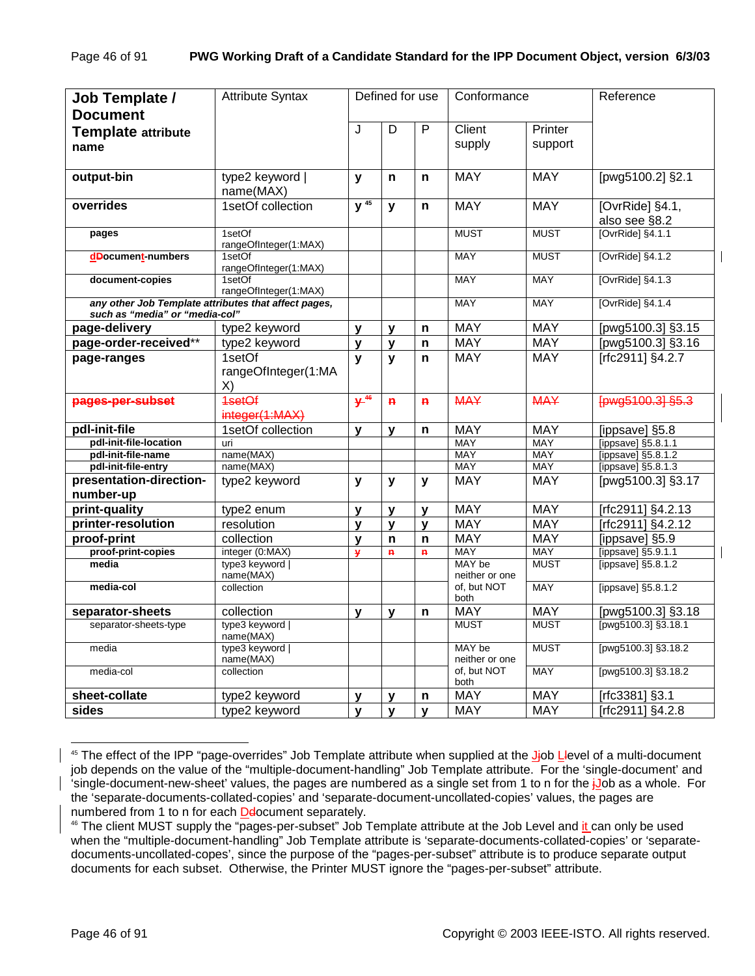| Job Template /                                                                         | <b>Attribute Syntax</b>         |                     | Defined for use |              | Conformance              |                          | Reference              |
|----------------------------------------------------------------------------------------|---------------------------------|---------------------|-----------------|--------------|--------------------------|--------------------------|------------------------|
| <b>Document</b>                                                                        |                                 |                     |                 |              | Client                   |                          |                        |
| <b>Template attribute</b>                                                              |                                 | J                   | D               | P            | supply                   | Printer<br>support       |                        |
| name                                                                                   |                                 |                     |                 |              |                          |                          |                        |
| output-bin                                                                             | type2 keyword                   | $\mathbf{y}$        | n               | n            | <b>MAY</b>               | <b>MAY</b>               | [pwg5100.2] §2.1       |
|                                                                                        | name(MAX)                       |                     |                 |              |                          |                          |                        |
| overrides                                                                              | 1setOf collection               | $\overline{y^{45}}$ | y               | n            | <b>MAY</b>               | <b>MAY</b>               | [OvrRide] §4.1,        |
|                                                                                        |                                 |                     |                 |              |                          |                          | also see §8.2          |
| pages                                                                                  | 1setOf<br>rangeOfInteger(1:MAX) |                     |                 |              | <b>MUST</b>              | <b>MUST</b>              | [OvrRide] §4.1.1       |
| dDocument-numbers                                                                      | 1setOf<br>rangeOfInteger(1:MAX) |                     |                 |              | <b>MAY</b>               | <b>MUST</b>              | [OvrRide] §4.1.2       |
| document-copies                                                                        | 1setOf<br>rangeOfInteger(1:MAX) |                     |                 |              | <b>MAY</b>               | <b>MAY</b>               | [OvrRide] §4.1.3       |
| any other Job Template attributes that affect pages,<br>such as "media" or "media-col" |                                 |                     |                 |              | <b>MAY</b>               | MAY                      | [OvrRide] §4.1.4       |
| page-delivery                                                                          | type2 keyword                   | y                   | y               | n            | <b>MAY</b>               | <b>MAY</b>               | [pwg5100.3] §3.15      |
| page-order-received**                                                                  | type2 keyword                   | y                   | $\mathbf{y}$    | n            | <b>MAY</b>               | <b>MAY</b>               | [pwg5100.3] §3.16      |
| page-ranges                                                                            | 1setOf                          | y                   | y               | n            | <b>MAY</b>               | <b>MAY</b>               | [rfc2911] §4.2.7       |
|                                                                                        | rangeOfInteger(1:MA<br>X)       |                     |                 |              |                          |                          |                        |
| pages-per-subset                                                                       | 1setOf<br>integer(1:MAX)        | $+46$               | $\mathbf{R}$    | $\mathbf{p}$ | <b>MAY</b>               | <b>MAY</b>               | [pwg5100.3] §5.3       |
| pdl-init-file                                                                          | 1setOf collection               | y                   | y               | n            | <b>MAY</b>               | <b>MAY</b>               | [ippsave] §5.8         |
| pdl-init-file-location                                                                 | uri                             |                     |                 |              | <b>MAY</b>               | <b>MAY</b>               | [ippsave] §5.8.1.1     |
| pdl-init-file-name                                                                     | name(MAX)                       |                     |                 |              | <b>MAY</b>               | MAY                      | [ippsave] §5.8.1.2     |
| pdl-init-file-entry                                                                    | name(MAX)                       |                     |                 |              | MAY                      | MAY                      | [ippsave] §5.8.1.3     |
| presentation-direction-                                                                | type2 keyword                   | $\mathbf{y}$        | y               | y            | <b>MAY</b>               | <b>MAY</b>               | [pwg5100.3] §3.17      |
| number-up                                                                              |                                 |                     |                 |              | <b>MAY</b>               |                          |                        |
| print-quality                                                                          | type2 enum                      | y                   | y               | $\mathbf v$  | <b>MAY</b>               | <b>MAY</b><br><b>MAY</b> | [rfc2911] §4.2.13      |
| printer-resolution                                                                     | resolution                      | y                   | y               | y            |                          |                          | [rfc2911] §4.2.12      |
| proof-print                                                                            | collection                      | y                   | n               | n            | <b>MAY</b>               | <b>MAY</b>               | [ippsave] §5.9         |
| proof-print-copies                                                                     | integer (0:MAX)                 | ¥                   | $\mathbf{R}$    | $\mathbf{R}$ | <b>MAY</b>               | MAY                      | [ippsave] §5.9.1.1     |
| media                                                                                  | type3 keyword  <br>name(MAX)    |                     |                 |              | MAY be<br>neither or one | <b>MUST</b>              | [ippsave] §5.8.1.2     |
| media-col                                                                              | collection                      |                     |                 |              | of, but NOT<br>both      | <b>MAY</b>               | [ippsave] §5.8.1.2     |
| separator-sheets                                                                       | collection                      | $\mathbf{y}$        | y               | n            | <b>MAY</b>               | <b>MAY</b>               | [pwg5100.3] §3.18      |
| separator-sheets-type                                                                  | type3 keyword  <br>name(MAX)    |                     |                 |              | <b>MUST</b>              | <b>MUST</b>              | [pwg5100.3] $\S3.18.1$ |
| media                                                                                  | type3 keyword  <br>name(MAX)    |                     |                 |              | MAY be<br>neither or one | <b>MUST</b>              | [pwg5100.3] §3.18.2    |
| media-col                                                                              | collection                      |                     |                 |              | of, but NOT<br>both      | MAY                      | [pwg5100.3] §3.18.2    |
| sheet-collate                                                                          | type2 keyword                   | y                   | y               | n            | <b>MAY</b>               | <b>MAY</b>               | [rfc3381] §3.1         |
| sides                                                                                  | type2 keyword                   | y                   | $\mathbf{y}$    | $\mathbf{v}$ | <b>MAY</b>               | <b>MAY</b>               | [rfc2911] §4.2.8       |

l  $45$  The effect of the IPP "page-overrides" Job Template attribute when supplied at the Jjob Llevel of a multi-document job depends on the value of the "multiple-document-handling" Job Template attribute. For the 'single-document' and 'single-document-new-sheet' values, the pages are numbered as a single set from 1 to n for the jJob as a whole. For the 'separate-documents-collated-copies' and 'separate-document-uncollated-copies' values, the pages are numbered from 1 to n for each *De*locument separately.<br><sup>46</sup> The client MUST supply the "pages-per-subset" Job Template attribute at the Job Level and it can only be used

when the "multiple-document-handling" Job Template attribute is 'separate-documents-collated-copies' or 'separatedocuments-uncollated-copes', since the purpose of the "pages-per-subset" attribute is to produce separate output documents for each subset. Otherwise, the Printer MUST ignore the "pages-per-subset" attribute.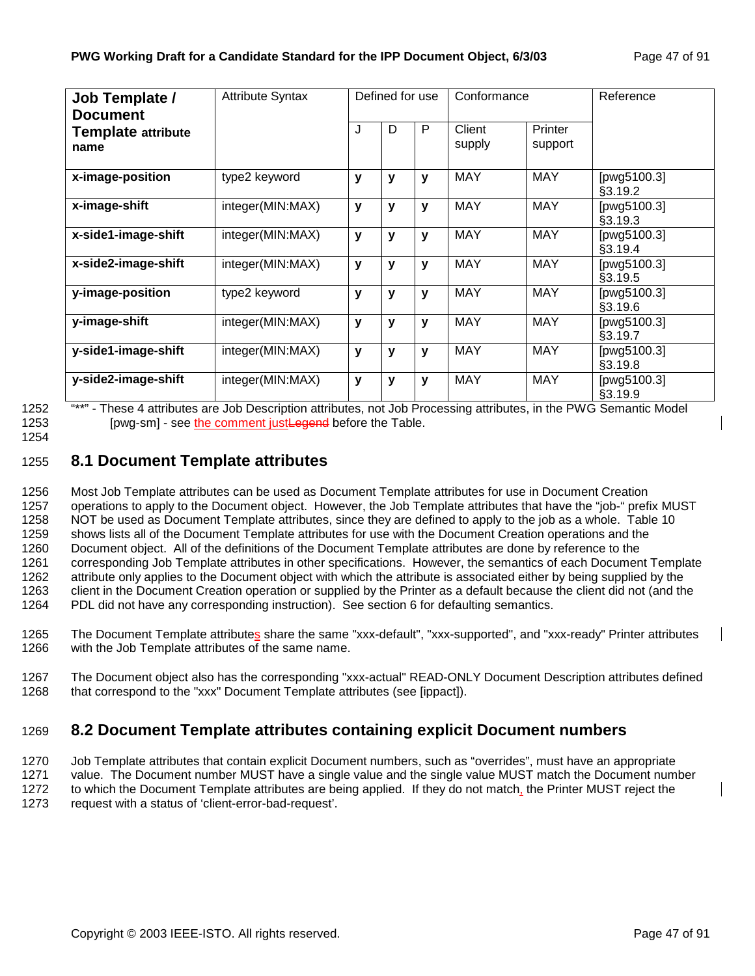| <b>Job Template /</b><br><b>Document</b> | <b>Attribute Syntax</b> | Defined for use |   |              | Conformance      |                    | Reference              |
|------------------------------------------|-------------------------|-----------------|---|--------------|------------------|--------------------|------------------------|
| <b>Template attribute</b><br>name        |                         | J               | D | P            | Client<br>supply | Printer<br>support |                        |
| x-image-position                         | type2 keyword           | v               | y | v            | <b>MAY</b>       | <b>MAY</b>         | [pwg5100.3]<br>§3.19.2 |
| x-image-shift                            | integer(MIN:MAX)        | y               | y | v            | <b>MAY</b>       | <b>MAY</b>         | [pwg5100.3]<br>§3.19.3 |
| x-side1-image-shift                      | integer(MIN:MAX)        | y               | y | $\mathbf{v}$ | <b>MAY</b>       | <b>MAY</b>         | [pwg5100.3]<br>§3.19.4 |
| x-side2-image-shift                      | integer(MIN:MAX)        | $\mathbf{V}$    | y | $\mathbf{V}$ | <b>MAY</b>       | <b>MAY</b>         | [pwg5100.3]<br>§3.19.5 |
| y-image-position                         | type2 keyword           | v               | y | $\mathbf{v}$ | <b>MAY</b>       | <b>MAY</b>         | [pwg5100.3]<br>§3.19.6 |
| y-image-shift                            | integer(MIN:MAX)        | $\mathbf{v}$    | y | $\mathbf{v}$ | <b>MAY</b>       | <b>MAY</b>         | [pwg5100.3]<br>§3.19.7 |
| y-side1-image-shift                      | integer(MIN:MAX)        | $\mathbf{v}$    | y | v            | <b>MAY</b>       | <b>MAY</b>         | [pwg5100.3]<br>§3.19.8 |
| y-side2-image-shift                      | integer(MIN:MAX)        | y               | у | $\mathbf{v}$ | <b>MAY</b>       | <b>MAY</b>         | [pwg5100.3]<br>§3.19.9 |

1252 "\*\*" - These 4 attributes are Job Description attributes, not Job Processing attributes, in the PWG Semantic Model 1253 [pwg-sm] - see the comment justLegend before the Table.

1254

# 1255 **8.1 Document Template attributes**

1256 Most Job Template attributes can be used as Document Template attributes for use in Document Creation 1257 operations to apply to the Document object. However, the Job Template attributes that have the "job-" prefix MUST 1258 NOT be used as Document Template attributes, since they are defined to apply to the job as a whole. Table 10 1259 shows lists all of the Document Template attributes for use with the Document Creation operations and the 1260 Document object. All of the definitions of the Document Template attributes are done by reference to the 1261 corresponding Job Template attributes in other specifications. However, the semantics of each Document Template 1262 attribute only applies to the Document object with which the attribute is associated either by being supplied by the<br>1263 client in the Document Creation operation or supplied by the Printer as a default because the c client in the Document Creation operation or supplied by the Printer as a default because the client did not (and the 1264 PDL did not have any corresponding instruction). See section 6 for defaulting semantics.

1265 The Document Template attributes share the same "xxx-default", "xxx-supported", and "xxx-ready" Printer attributes 1266 with the Job Template attributes of the same name.

1267 The Document object also has the corresponding "xxx-actual" READ-ONLY Document Description attributes defined 1268 that correspond to the "xxx" Document Template attributes (see [ippact]).

# 1269 **8.2 Document Template attributes containing explicit Document numbers**

1270 Job Template attributes that contain explicit Document numbers, such as "overrides", must have an appropriate 1271 value. The Document number MUST have a single value and the single value MUST match the Document number 1272 to which the Document Template attributes are being applied. If they do not match, the Printer MUST reject the 1273 request with a status of 'client-error-bad-request'.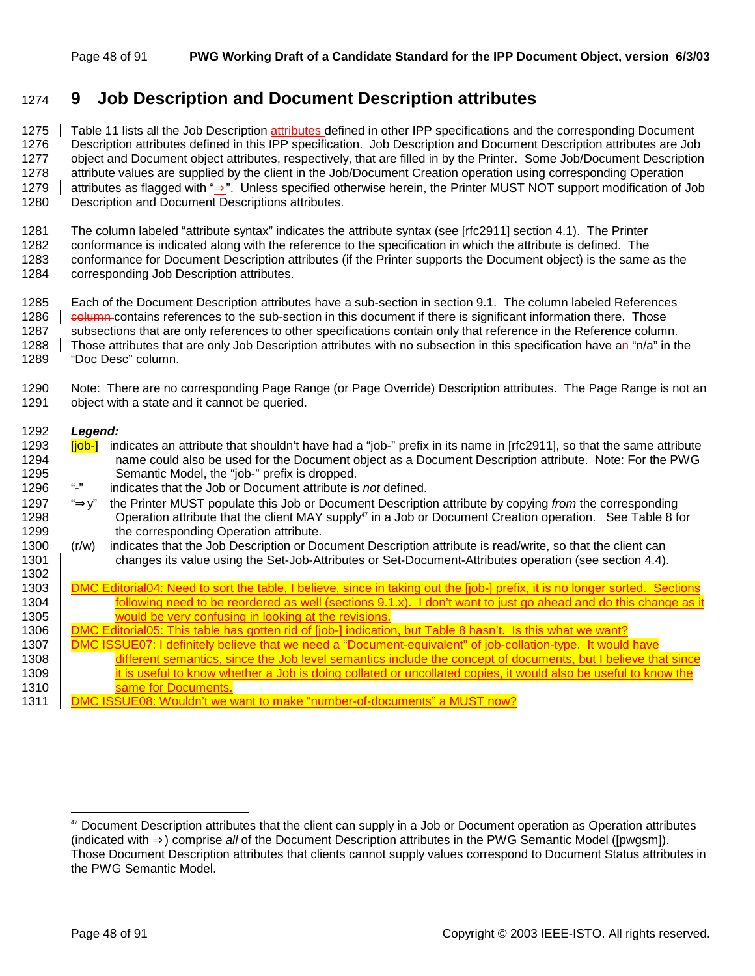# 1274 **9 Job Description and Document Description attributes**

1275 Table 11 lists all the Job Description attributes defined in other IPP specifications and the corresponding Document 1276 Description attributes defined in this IPP specification. Job Description and Document Description attributes are Job 1277 object and Document object attributes, respectively, that are filled in by the Printer. Some Job/Document Description 1278 attribute values are supplied by the client in the Job/Document Creation operation using corresponding Operation 1279 attributes as flagged with "⇒". Unless specified otherwise herein, the Printer MUST NOT support modification of Job 1280 Description and Document Descriptions attributes.

1281 The column labeled "attribute syntax" indicates the attribute syntax (see [rfc2911] section 4.1). The Printer 1282 conformance is indicated along with the reference to the specification in which the attribute is defined. The 1283 conformance for Document Description attributes (if the Printer supports the Document object) is the same as the 1284 corresponding Job Description attributes.

1285 Each of the Document Description attributes have a sub-section in section 9.1. The column labeled References 1286 column contains references to the sub-section in this document if there is significant information there. Those 1287 subsections that are only references to other specifications contain only that reference in the Reference column. 1288 Those attributes that are only Job Description attributes with no subsection in this specification have an "n/a" in the

1289 "Doc Desc" column.

1290 Note: There are no corresponding Page Range (or Page Override) Description attributes. The Page Range is not an 1291 object with a state and it cannot be queried.

#### 1292 *Legend:*

- 1293 **[job-]** indicates an attribute that shouldn't have had a "job-" prefix in its name in [rfc2911], so that the same attribute 1294 name could also be used for the Document object as a Document Description attribute. Note: For the PWG 1295 Semantic Model, the "job-" prefix is dropped.
- 1296 "-" indicates that the Job or Document attribute is *not* defined.

1297 "⇒y" the Printer MUST populate this Job or Document Description attribute by copying *from* the corresponding 1298 **Operation attribute that the client MAY supply**<sup>47</sup> in a Job or Document Creation operation. See Table 8 for 1299 the corresponding Operation attribute.

1300 (r/w) indicates that the Job Description or Document Description attribute is read/write, so that the client can 1301 changes its value using the Set-Job-Attributes or Set-Document-Attributes operation (see section 4.4).

| 1302 |                                                                                                                             |
|------|-----------------------------------------------------------------------------------------------------------------------------|
| 1303 | DMC Editorial04: Need to sort the table. I believe, since in taking out the liob-I prefix, it is no longer sorted. Sections |
| 1304 | following need to be reordered as well (sections 9.1.x). I don't want to just go ahead and do this change as it             |
| 1305 | would be very confusing in looking at the revisions.                                                                        |
| 1306 | 0MC Editorial05: This table has gotten rid of [iob-] indication, but Table 8 hasn't. Is this what we want?                  |
| 1307 | 0MC ISSUE07: I definitely believe that we need a "Document-equivalent" of iob-collation-type. It would have                 |

- 1308 different semantics, since the Job level semantics include the concept of documents, but I believe that since 1309 **it is useful to know whether a Job is doing collated or uncollated copies, it would also be useful to know the** 1310 same for Documents.
- 1311 DMC ISSUE08: Wouldn't we want to make "number-of-documents" a MUST now?

<sup>&</sup>lt;sup>47</sup> Document Description attributes that the client can supply in a Job or Document operation as Operation attributes (indicated with ⇒) comprise *all* of the Document Description attributes in the PWG Semantic Model ([pwgsm]). Those Document Description attributes that clients cannot supply values correspond to Document Status attributes in the PWG Semantic Model.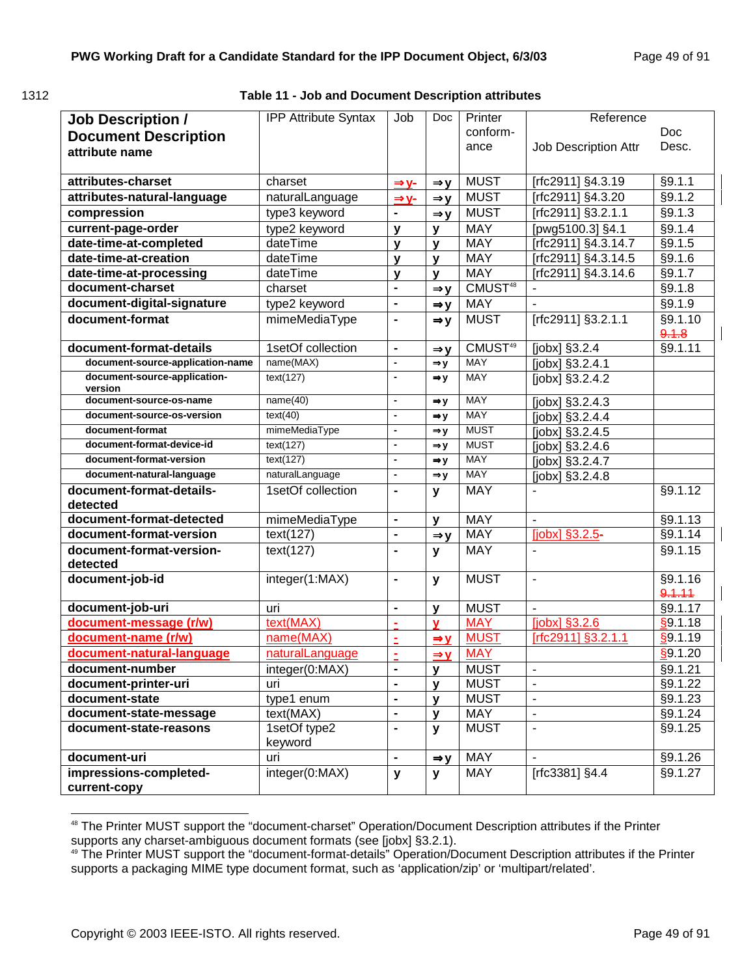1312 **Table 11 - Job and Document Description attributes** 

| <b>Job Description /</b>                | <b>IPP Attribute Syntax</b> | Job                          | Doc             | Printer             | Reference                    |                   |
|-----------------------------------------|-----------------------------|------------------------------|-----------------|---------------------|------------------------------|-------------------|
| <b>Document Description</b>             |                             |                              |                 | conform-            |                              | Doc               |
| attribute name                          |                             |                              |                 | ance                | Job Description Attr         | Desc.             |
|                                         |                             |                              |                 |                     |                              |                   |
| attributes-charset                      | charset                     | $\Rightarrow$ y-             | $\Rightarrow$ y | <b>MUST</b>         | [rfc2911] §4.3.19            | §9.1.1            |
| attributes-natural-language             | naturalLanguage             | $\Rightarrow$ y-             | $\Rightarrow$ y | <b>MUST</b>         | [rfc2911] §4.3.20            | §9.1.2            |
| compression                             | type3 keyword               | $\blacksquare$               | $\Rightarrow$ y | <b>MUST</b>         | [rfc2911] §3.2.1.1           | §9.1.3            |
| current-page-order                      | type2 keyword               | $\mathbf{y}$                 | V               | <b>MAY</b>          | [pwg5100.3] §4.1             | §9.1.4            |
| date-time-at-completed                  | dateTime                    | $\mathbf{y}$                 | $\mathbf{v}$    | <b>MAY</b>          | Trfc2911] §4.3.14.7          | §9.1.5            |
| date-time-at-creation                   | dateTime                    | $\mathbf{y}$                 | $\mathbf{V}$    | <b>MAY</b>          | [rfc2911] §4.3.14.5          | §9.1.6            |
| date-time-at-processing                 | dateTime                    | $\mathbf{y}$                 | $\mathbf{v}$    | <b>MAY</b>          | [rfc2911] §4.3.14.6          | §9.1.7            |
| document-charset                        | charset                     | $\blacksquare$               | $\Rightarrow$ y | CMUST <sup>48</sup> |                              | §9.1.8            |
| document-digital-signature              | type2 keyword               | $\blacksquare$               | $\Rightarrow$ y | <b>MAY</b>          |                              | §9.1.9            |
| document-format                         | mimeMediaType               | $\blacksquare$               | $\Rightarrow$ y | <b>MUST</b>         | [rfc2911] §3.2.1.1           | §9.1.10<br>9.1.8  |
| document-format-details                 | 1setOf collection           | $\blacksquare$               | $\Rightarrow y$ | CMUST <sup>49</sup> | $[jobx]$ §3.2.4              | $\sqrt{$9.1.11}$  |
| document-source-application-name        | name(MAX)                   | $\blacksquare$               | $\Rightarrow$ y | <b>MAY</b>          | $\overline{[jobx]}$ §3.2.4.1 |                   |
| document-source-application-<br>version | text(127)                   | $\overline{\phantom{a}}$     | $\Rightarrow$ y | <b>MAY</b>          | $[jobx]$ §3.2.4.2            |                   |
| document-source-os-name                 | name(40)                    | $\blacksquare$               | $\Rightarrow$ y | <b>MAY</b>          | [jobx] §3.2.4.3              |                   |
| document-source-os-version              | text(40)                    | $\blacksquare$               | $\Rightarrow y$ | <b>MAY</b>          | [jobx] §3.2.4.4              |                   |
| document-format                         | mimeMediaType               | $\blacksquare$               | $\Rightarrow$ y | <b>MUST</b>         | [jobx] §3.2.4.5              |                   |
| document-format-device-id               | text(127)                   | $\blacksquare$               | $\Rightarrow$ y | <b>MUST</b>         | [jobx] §3.2.4.6              |                   |
| document-format-version                 | text(127)                   | $\blacksquare$               | $\Rightarrow y$ | <b>MAY</b>          | [jobx] §3.2.4.7              |                   |
| document-natural-language               | naturalLanguage             | $\overline{\phantom{a}}$     | $\Rightarrow$ y | <b>MAY</b>          | [jobx] §3.2.4.8              |                   |
| document-format-details-<br>detected    | 1setOf collection           | $\blacksquare$               | y               | <b>MAY</b>          |                              | §9.1.12           |
| document-format-detected                | mimeMediaType               | $\blacksquare$               | $\mathbf{v}$    | <b>MAY</b>          |                              | §9.1.13           |
| document-format-version                 | text(127)                   | $\blacksquare$               | $\Rightarrow y$ | <b>MAY</b>          | $[jobx]$ §3.2.5-             | §9.1.14           |
| document-format-version-<br>detected    | text(127)                   | $\blacksquare$               | y               | <b>MAY</b>          |                              | §9.1.15           |
| document-job-id                         | integer(1:MAX)              | $\qquad \qquad \blacksquare$ | y               | <b>MUST</b>         | $\blacksquare$               | §9.1.16<br>9.1.11 |
| document-job-uri                        | uri                         | $\blacksquare$               | v               | <b>MUST</b>         |                              | §9.1.17           |
| document-message (r/w)                  | text(MAX)                   | $\tilde{\phantom{a}}$        | $\mathbf{v}$    | <b>MAY</b>          | $[jobx]$ §3.2.6              | §9.1.18           |
| document-name (r/w)                     | name(MAX)                   | Ė                            | $\Rightarrow$ y | <b>MUST</b>         | $[rfc2911]$ §3.2.1.1         | \$9.1.19          |
| document-natural-language               | naturalLanguage             | $\blacksquare$               | $\Rightarrow$ y | <b>MAY</b>          |                              | §9.1.20           |
| document-number                         | integer(0:MAX)              | $\blacksquare$               | $\mathbf{v}$    | <b>MUST</b>         | $\overline{\phantom{a}}$     | §9.1.21           |
| document-printer-uri                    | uri                         | $\blacksquare$               | v               | <b>MUST</b>         |                              | §9.1.22           |
| document-state                          | type1 enum                  | $\blacksquare$               | v               | <b>MUST</b>         | $\overline{\phantom{a}}$     | §9.1.23           |
| document-state-message                  | text(MAX)                   | $\blacksquare$               | v               | <b>MAY</b>          | $\blacksquare$               | §9.1.24           |
| document-state-reasons                  | 1setOf type2<br>keyword     | $\blacksquare$               | У               | <b>MUST</b>         |                              | §9.1.25           |
| document-uri                            | uri                         | $\blacksquare$               | $\Rightarrow$ y | <b>MAY</b>          |                              | §9.1.26           |
| impressions-completed-<br>current-copy  | integer(0:MAX)              | y                            | У               | MAY                 | [rfc3381] §4.4               | §9.1.27           |

<sup>48</sup> The Printer MUST support the "document-charset" Operation/Document Description attributes if the Printer supports any charset-ambiguous document formats (see [jobx] §3.2.1).

<sup>49</sup> The Printer MUST support the "document-format-details" Operation/Document Description attributes if the Printer supports a packaging MIME type document format, such as 'application/zip' or 'multipart/related'.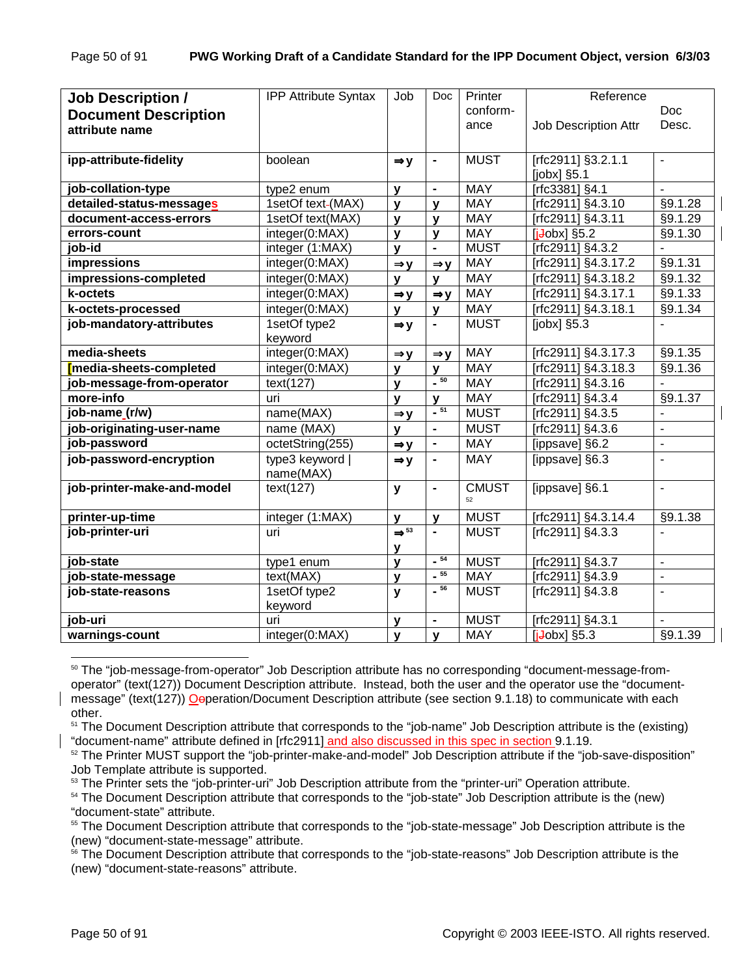| <b>Job Description /</b>    | <b>IPP Attribute Syntax</b>  | Job                              | <b>Doc</b>                   | Printer      | Reference            |                          |
|-----------------------------|------------------------------|----------------------------------|------------------------------|--------------|----------------------|--------------------------|
| <b>Document Description</b> |                              |                                  |                              | conform-     |                      | <b>Doc</b>               |
| attribute name              |                              |                                  |                              | ance         | Job Description Attr | Desc.                    |
|                             |                              |                                  |                              |              |                      |                          |
| ipp-attribute-fidelity      | boolean                      | $\Rightarrow$ y                  |                              | <b>MUST</b>  | [rfc2911] §3.2.1.1   | $\blacksquare$           |
|                             |                              |                                  |                              |              | [jobx] §5.1          |                          |
| job-collation-type          | type2 enum                   | $\mathbf{y}$                     | $\blacksquare$               | <b>MAY</b>   | [rfc3381] §4.1       |                          |
| detailed-status-messages    | 1setOf text-(MAX)            | $\mathbf{y}$                     | v                            | <b>MAY</b>   | [rfc2911] §4.3.10    | §9.1.28                  |
| document-access-errors      | 1setOf text(MAX)             | $\mathbf{y}$                     | V                            | <b>MAY</b>   | [rfc2911] §4.3.11    | §9.1.29                  |
| errors-count                | integer(0:MAX)               | $\mathbf{y}$                     | V                            | <b>MAY</b>   | $[i$ Jobx] §5.2      | §9.1.30                  |
| job-id                      | integer (1:MAX)              | $\mathbf{v}$                     |                              | <b>MUST</b>  | [rfc2911] §4.3.2     |                          |
| impressions                 | integer(0:MAX)               | $\Rightarrow$ y                  | $\Rightarrow$ y              | <b>MAY</b>   | [rfc2911] §4.3.17.2  | §9.1.31                  |
| impressions-completed       | integer(0:MAX)               | $\mathbf{v}$                     | $\mathbf v$                  | <b>MAY</b>   | [rfc2911] §4.3.18.2  | §9.1.32                  |
| k-octets                    | integer(0:MAX)               | $\Rightarrow$ y                  | $\Rightarrow$ y              | <b>MAY</b>   | [rfc2911] §4.3.17.1  | §9.1.33                  |
| k-octets-processed          | integer(0:MAX)               | $\mathbf{y}$                     | v                            | <b>MAY</b>   | [rfc2911] §4.3.18.1  | §9.1.34                  |
| job-mandatory-attributes    | 1setOf type2                 | $\Rightarrow$ y                  | $\blacksquare$               | <b>MUST</b>  | $[jobx]$ §5.3        | $\overline{\phantom{0}}$ |
|                             | keyword                      |                                  |                              |              |                      |                          |
| media-sheets                | integer(0:MAX)               | $\Rightarrow y$                  | $\Rightarrow$ y              | <b>MAY</b>   | [rfc2911] §4.3.17.3  | §9.1.35                  |
| media-sheets-completed      | integer(0:MAX)               | y                                | v                            | <b>MAY</b>   | Trfc2911] §4.3.18.3  | §9.1.36                  |
| job-message-from-operator   | text(127)                    | $\mathbf{v}$                     | $-50$                        | <b>MAY</b>   | [rfc2911] §4.3.16    |                          |
| more-info                   | uri                          | $\mathbf{v}$                     | V                            | <b>MAY</b>   | [rfc2911] §4.3.4     | §9.1.37                  |
| job-name_(r/w)              | name(MAX)                    | $\Rightarrow$ y                  | $-51$                        | <b>MUST</b>  | [rfc2911] §4.3.5     | ÷,                       |
| job-originating-user-name   | name (MAX)                   | y                                | $\qquad \qquad \blacksquare$ | <b>MUST</b>  | [rfc2911] §4.3.6     | $\qquad \qquad -$        |
| job-password                | octetString(255)             | $\Rightarrow$ y                  | $\blacksquare$               | <b>MAY</b>   | [ippsave] §6.2       | $\blacksquare$           |
| job-password-encryption     | type3 keyword  <br>name(MAX) | $\Rightarrow$ y                  | $\blacksquare$               | <b>MAY</b>   | [ippsave] §6.3       | ÷,                       |
| job-printer-make-and-model  | text(127)                    | y                                | $\blacksquare$               | <b>CMUST</b> | [ippsave] §6.1       | $\blacksquare$           |
|                             |                              |                                  |                              | 52           |                      |                          |
| printer-up-time             | integer (1:MAX)              | $\mathbf{y}$                     | $\mathbf v$                  | <b>MUST</b>  | Trfc2911] §4.3.14.4  | §9.1.38                  |
| job-printer-uri             | uri                          | $\Rightarrow$ <sup>53</sup><br>У |                              | <b>MUST</b>  | [rfc2911] §4.3.3     | ÷,                       |
| job-state                   | type1 enum                   | $\mathbf{y}$                     | $-54$                        | <b>MUST</b>  | [rfc2911] §4.3.7     | $\Box$                   |
| job-state-message           | text(MAX)                    | y                                | $-55$                        | <b>MAY</b>   | [rfc2911] §4.3.9     | $\blacksquare$           |
| job-state-reasons           | 1setOf type2                 | y                                | $-56$                        | <b>MUST</b>  | [rfc2911] §4.3.8     | $\overline{\phantom{0}}$ |
|                             | keyword                      |                                  |                              |              |                      |                          |
| job-uri                     | uri                          | y                                |                              | <b>MUST</b>  | [rfc2911] §4.3.1     |                          |
| warnings-count              | integer(0:MAX)               | y                                | $\mathbf{y}$                 | <b>MAY</b>   | $[i+obs]$ §5.3       | §9.1.39                  |

<sup>&</sup>lt;sup>50</sup> The "job-message-from-operator" Job Description attribute has no corresponding "document-message-fromoperator" (text(127)) Document Description attribute. Instead, both the user and the operator use the "documentmessage" (text(127)) Oeperation/Document Description attribute (see section 9.1.18) to communicate with each other.

- <sup>53</sup> The Printer sets the "job-printer-uri" Job Description attribute from the "printer-uri" Operation attribute.
- <sup>54</sup> The Document Description attribute that corresponds to the "job-state" Job Description attribute is the (new) "document-state" attribute.

<sup>&</sup>lt;sup>51</sup> The Document Description attribute that corresponds to the "job-name" Job Description attribute is the (existing) "document-name" attribute defined in [rfc2911] and also discussed in this spec in section 9.1.19.<br><sup>52</sup> The Printer MUST support the "job-printer-make-and-model" Job Description attribute if the "job-save-disposition"

Job Template attribute is supported.

<sup>&</sup>lt;sup>55</sup> The Document Description attribute that corresponds to the "job-state-message" Job Description attribute is the (new) "document-state-message" attribute.

<sup>&</sup>lt;sup>56</sup> The Document Description attribute that corresponds to the "job-state-reasons" Job Description attribute is the (new) "document-state-reasons" attribute.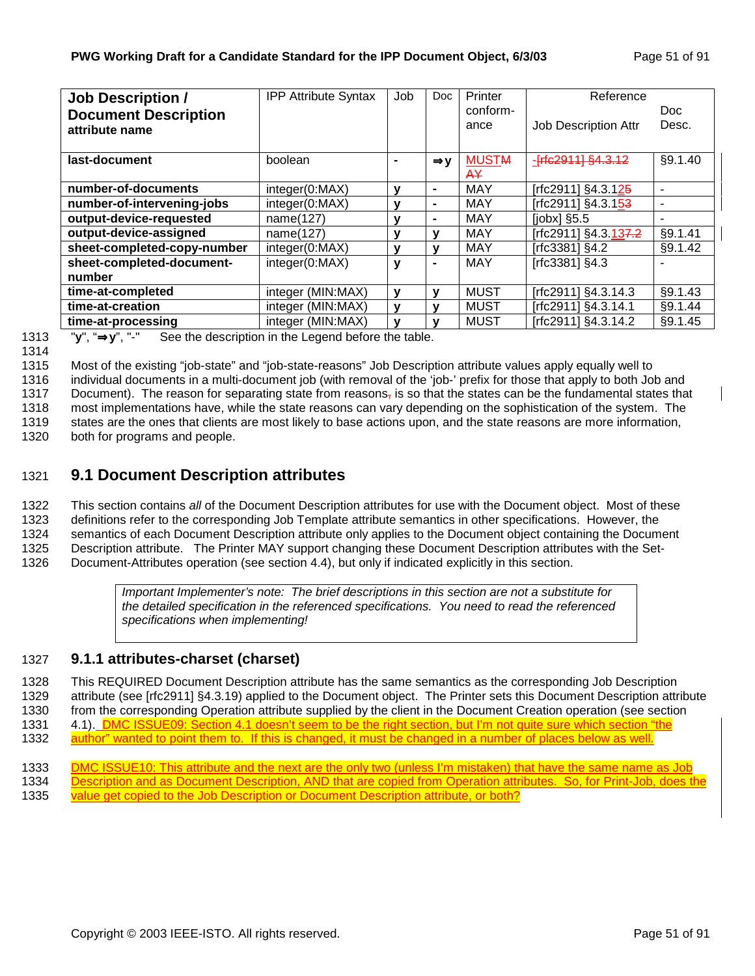| <b>Job Description /</b>    | <b>IPP Attribute Syntax</b> | Job            | Doc             | Printer      | Reference                      |                |
|-----------------------------|-----------------------------|----------------|-----------------|--------------|--------------------------------|----------------|
| <b>Document Description</b> |                             |                |                 | conform-     |                                | Doc.           |
| attribute name              |                             |                |                 | ance         | Job Description Attr           | Desc.          |
|                             |                             |                |                 |              |                                |                |
| last-document               | boolean                     | $\blacksquare$ | $\Rightarrow$ y | <b>MUSTM</b> |                                | §9.1.40        |
|                             |                             |                |                 | A¥           |                                |                |
| number-of-documents         | integer(0:MAX)              | ν              | $\blacksquare$  | <b>MAY</b>   | [rfc2911] §4.3.12 <del>5</del> | ۰              |
| number-of-intervening-jobs  | integer(0:MAX)              | ٧              | $\blacksquare$  | MAY          | [rfc2911] §4.3.153             | $\blacksquare$ |
| output-device-requested     | name(127)                   | ٧              | $\blacksquare$  | <b>MAY</b>   | $[jobx]$ §5.5                  | ۰              |
| output-device-assigned      | name(127)                   | ٧              | v               | <b>MAY</b>   | [rfc2911] §4.3.137.2           | §9.1.41        |
| sheet-completed-copy-number | integer(0:MAX)              | y              | v               | <b>MAY</b>   | [rfc3381] §4.2                 | §9.1.42        |
| sheet-completed-document-   | integer(0:MAX)              | y              | $\blacksquare$  | <b>MAY</b>   | [rfc3381] §4.3                 | ۰              |
| number                      |                             |                |                 |              |                                |                |
| time-at-completed           | integer (MIN:MAX)           | y              | v               | <b>MUST</b>  | [rfc2911] §4.3.14.3            | §9.1.43        |
| time-at-creation            | integer (MIN:MAX)           | y              | v               | <b>MUST</b>  | [rfc2911] §4.3.14.1            | §9.1.44        |
| time-at-processing          | integer (MIN:MAX)           | v              |                 | <b>MUST</b>  | [rfc2911] §4.3.14.2            | §9.1.45        |

1313 "**y**", "⇒**y**", "-" See the description in the Legend before the table.

1315 Most of the existing "job-state" and "job-state-reasons" Job Description attribute values apply equally well to

1316 individual documents in a multi-document job (with removal of the 'job-' prefix for those that apply to both Job and

1317 Document). The reason for separating state from reasons<sub>7</sub> is so that the states can be the fundamental states that 1318 most implementations have, while the state reasons can vary depending on the sophistication of the system. The

1319 states are the ones that clients are most likely to base actions upon, and the state reasons are more information,

1320 both for programs and people.

# 1321 **9.1 Document Description attributes**

1322 This section contains *all* of the Document Description attributes for use with the Document object. Most of these 1323 definitions refer to the corresponding Job Template attribute semantics in other specifications. However, the 1324 semantics of each Document Description attribute only applies to the Document object containing the Document 1325 Description attribute. The Printer MAY support changing these Document Description attributes with the Set-1326 Document-Attributes operation (see section 4.4), but only if indicated explicitly in this section.

> *Important Implementer's note: The brief descriptions in this section are not a substitute for the detailed specification in the referenced specifications. You need to read the referenced specifications when implementing!*

### 1327 **9.1.1 attributes-charset (charset)**

1328 This REQUIRED Document Description attribute has the same semantics as the corresponding Job Description 1329 attribute (see [rfc2911] §4.3.19) applied to the Document object. The Printer sets this Document Description attribute 1330 from the corresponding Operation attribute supplied by the client in the Document Creation operation (see section 1331 4.1). DMC ISSUE09: Section 4.1 doesn't seem to be the right section, but I'm not quite sure which section "the 1332 author" wanted to point them to. If this is changed, it must be changed in a number of places below as well.

- 1333 DMC ISSUE10: This attribute and the next are the only two (unless I'm mistaken) that have the same name as Job
- 1334 Description and as Document Description, AND that are copied from Operation attributes. So, for Print-Job, does the
- 1335 value get copied to the Job Description or Document Description attribute, or both?

<sup>1314</sup>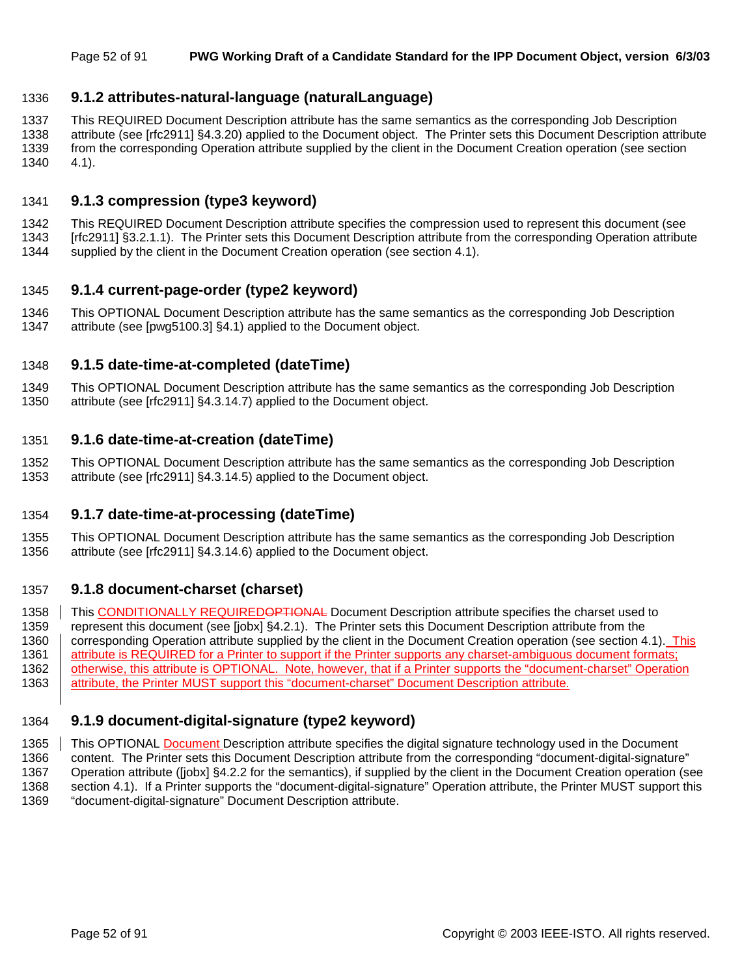### 1336 **9.1.2 attributes-natural-language (naturalLanguage)**

1337 This REQUIRED Document Description attribute has the same semantics as the corresponding Job Description 1338 attribute (see [rfc2911] §4.3.20) applied to the Document object. The Printer sets this Document Description attribute 1339 from the corresponding Operation attribute supplied by the client in the Document Creation operation (see section 1340 4.1).

### 1341 **9.1.3 compression (type3 keyword)**

1342 This REQUIRED Document Description attribute specifies the compression used to represent this document (see 1343 [rfc2911] §3.2.1.1). The Printer sets this Document Description attribute from the corresponding Operation attribute

1344 supplied by the client in the Document Creation operation (see section 4.1).

### 1345 **9.1.4 current-page-order (type2 keyword)**

1346 This OPTIONAL Document Description attribute has the same semantics as the corresponding Job Description 1347 attribute (see [pwg5100.3] §4.1) applied to the Document object.

### 1348 **9.1.5 date-time-at-completed (dateTime)**

1349 This OPTIONAL Document Description attribute has the same semantics as the corresponding Job Description 1350 attribute (see [rfc2911] §4.3.14.7) applied to the Document object.

#### 1351 **9.1.6 date-time-at-creation (dateTime)**

1352 This OPTIONAL Document Description attribute has the same semantics as the corresponding Job Description 1353 attribute (see [rfc2911] §4.3.14.5) applied to the Document object.

### 1354 **9.1.7 date-time-at-processing (dateTime)**

1355 This OPTIONAL Document Description attribute has the same semantics as the corresponding Job Description 1356 attribute (see [rfc2911] §4.3.14.6) applied to the Document object.

#### 1357 **9.1.8 document-charset (charset)**

1358 This CONDITIONALLY REQUIREDOPTIONAL Document Description attribute specifies the charset used to 1359 represent this document (see [jobx] §4.2.1). The Printer sets this Document Description attribute from the 1360 corresponding Operation attribute supplied by the client in the Document Creation operation (see section 4.1). This 1361 attribute is REQUIRED for a Printer to support if the Printer supports any charset-ambiguous document formats; 1362 | otherwise, this attribute is OPTIONAL. Note, however, that if a Printer supports the "document-charset" Operation 1363 attribute, the Printer MUST support this "document-charset" Document Description attribute.

### 1364 **9.1.9 document-digital-signature (type2 keyword)**

1365 This OPTIONAL Document Description attribute specifies the digital signature technology used in the Document 1366 content. The Printer sets this Document Description attribute from the corresponding "document-digital-signature" 1367 Operation attribute ([jobx] §4.2.2 for the semantics), if supplied by the client in the Document Creation operation (see 1368 section 4.1). If a Printer supports the "document-digital-signature" Operation attribute, the Printer MUST support this 1369 "document-digital-signature" Document Description attribute.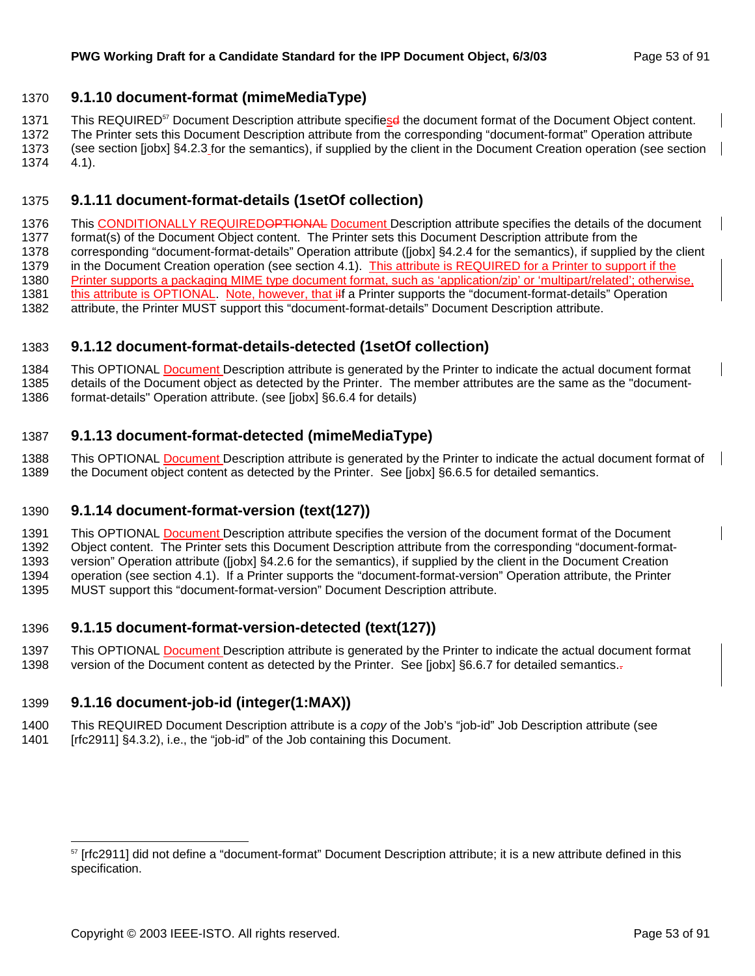### 1370 **9.1.10 document-format (mimeMediaType)**

1371 This REQUIRED<sup>57</sup> Document Description attribute specifiesd the document format of the Document Object content.

1372 The Printer sets this Document Description attribute from the corresponding "document-format" Operation attribute 1373 (see section [jobx] §4.2.3 for the semantics), if supplied by the client in the Document Creation operation (see section 1374 4.1).

### 1375 **9.1.11 document-format-details (1setOf collection)**

1376 This CONDITIONALLY REQUIREDOPTIONAL Document Description attribute specifies the details of the document 1377 format(s) of the Document Object content. The Printer sets this Document Description attribute from the 1378 corresponding "document-format-details" Operation attribute ([jobx] §4.2.4 for the semantics), if supplied by the client 1379 in the Document Creation operation (see section 4.1). This attribute is REQUIRED for a Printer to support if the 1380 Printer supports a packaging MIME type document format, such as 'application/zip' or 'multipart/related'; otherwise, 1381 this attribute is OPTIONAL. Note, however, that ilf a Printer supports the "document-format-details" Operation 1382 attribute, the Printer MUST support this "document-format-details" Document Description attribute.

### 1383 **9.1.12 document-format-details-detected (1setOf collection)**

1384 This OPTIONAL Document Description attribute is generated by the Printer to indicate the actual document format 1385 details of the Document object as detected by the Printer. The member attributes are the same as the "document-

1386 format-details" Operation attribute. (see [jobx] §6.6.4 for details)

### 1387 **9.1.13 document-format-detected (mimeMediaType)**

1388 This OPTIONAL Document Description attribute is generated by the Printer to indicate the actual document format of 1389 the Document object content as detected by the Printer. See [jobx] §6.6.5 for detailed semantics.

### 1390 **9.1.14 document-format-version (text(127))**

1391 This OPTIONAL Document Description attribute specifies the version of the document format of the Document 1392 Object content. The Printer sets this Document Description attribute from the corresponding "document-format-1393 version" Operation attribute ([jobx] §4.2.6 for the semantics), if supplied by the client in the Document Creation

1394 operation (see section 4.1). If a Printer supports the "document-format-version" Operation attribute, the Printer

1395 MUST support this "document-format-version" Document Description attribute.

### 1396 **9.1.15 document-format-version-detected (text(127))**

1397 This OPTIONAL Document Description attribute is generated by the Printer to indicate the actual document format 1398 version of the Document content as detected by the Printer. See [jobx] §6.6.7 for detailed semantics.-

## 1399 **9.1.16 document-job-id (integer(1:MAX))**

l

1400 This REQUIRED Document Description attribute is a *copy* of the Job's "job-id" Job Description attribute (see

1401 [rfc2911] §4.3.2), i.e., the "job-id" of the Job containing this Document.

 $57$  [rfc2911] did not define a "document-format" Document Description attribute; it is a new attribute defined in this specification.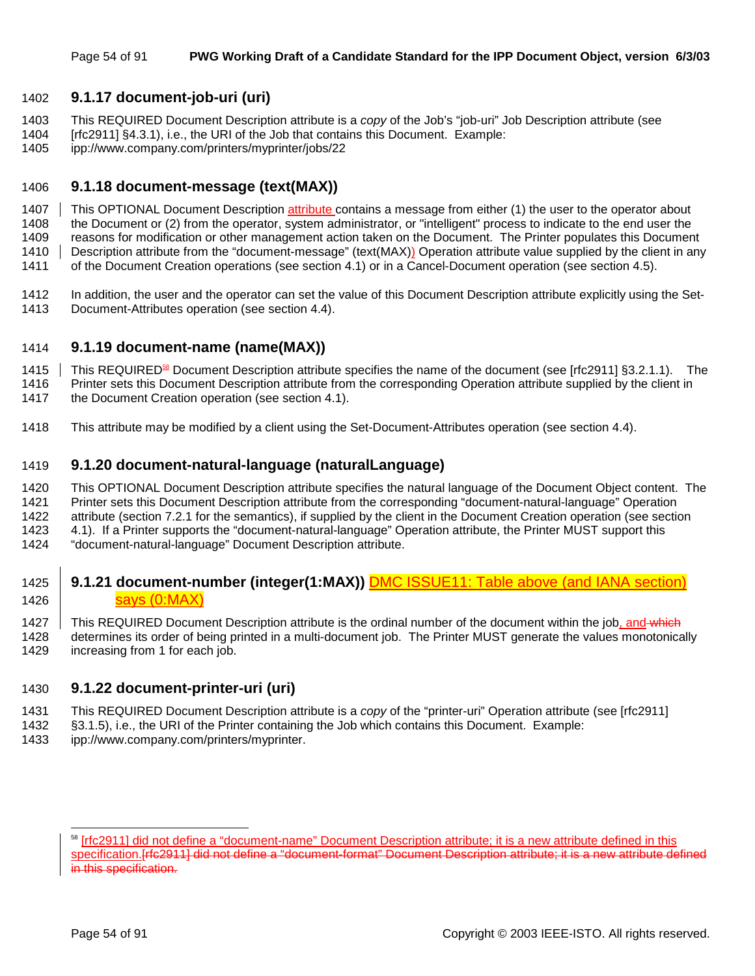### 1402 **9.1.17 document-job-uri (uri)**

- 1403 This REQUIRED Document Description attribute is a *copy* of the Job's "job-uri" Job Description attribute (see
- 1404 [rfc2911] §4.3.1), i.e., the URI of the Job that contains this Document. Example:
- 1405 ipp://www.company.com/printers/myprinter/jobs/22

### 1406 **9.1.18 document-message (text(MAX))**

1407 This OPTIONAL Document Description attribute contains a message from either (1) the user to the operator about 1408 the Document or (2) from the operator, system administrator, or "intelligent" process to indicate to the end user the

1409 reasons for modification or other management action taken on the Document. The Printer populates this Document 1410 Description attribute from the "document-message" (text(MAX)) Operation attribute value supplied by the client in any

1411 of the Document Creation operations (see section 4.1) or in a Cancel-Document operation (see section 4.5).

1412 In addition, the user and the operator can set the value of this Document Description attribute explicitly using the Set-1413 Document-Attributes operation (see section 4.4).

### 1414 **9.1.19 document-name (name(MAX))**

1415 This REQUIRED<sup>88</sup> Document Description attribute specifies the name of the document (see [rfc2911] §3.2.1.1). The

- 1416 Printer sets this Document Description attribute from the corresponding Operation attribute supplied by the client in
- 1417 the Document Creation operation (see section 4.1).
- 1418 This attribute may be modified by a client using the Set-Document-Attributes operation (see section 4.4).

### 1419 **9.1.20 document-natural-language (naturalLanguage)**

1420 This OPTIONAL Document Description attribute specifies the natural language of the Document Object content. The

1421 Printer sets this Document Description attribute from the corresponding "document-natural-language" Operation

- 1422 attribute (section 7.2.1 for the semantics), if supplied by the client in the Document Creation operation (see section
- 1423 4.1). If a Printer supports the "document-natural-language" Operation attribute, the Printer MUST support this
- 1424 "document-natural-language" Document Description attribute.

### 1425 **9.1.21 document-number (integer(1:MAX)) DMC ISSUE11: Table above (and IANA section)** 1426 | **Says (0:MAX)**

1427 This REQUIRED Document Description attribute is the ordinal number of the document within the job, and which 1428 determines its order of being printed in a multi-document job. The Printer MUST generate the values monotonically 1429 increasing from 1 for each job.

### 1430 **9.1.22 document-printer-uri (uri)**

- 1431 This REQUIRED Document Description attribute is a *copy* of the "printer-uri" Operation attribute (see [rfc2911]
- 1432 §3.1.5), i.e., the URI of the Printer containing the Job which contains this Document. Example:
- 1433 ipp://www.company.com/printers/myprinter.

<sup>&</sup>lt;sup>58</sup> [rfc2911] did not define a "document-name" Document Description attribute; it is a new attribute defined in this specification.[rfc2911] did not define a "document-format" Document Description attribute; it is a new attribute defined in this specification.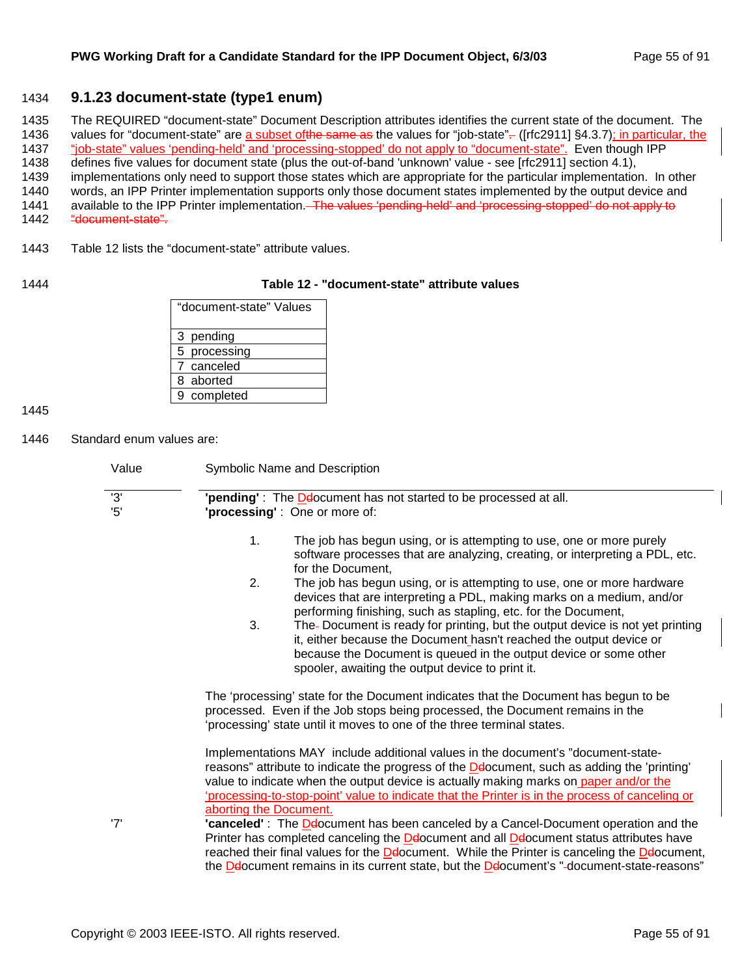### 1434 **9.1.23 document-state (type1 enum)**

1435 The REQUIRED "document-state" Document Description attributes identifies the current state of the document. The 1436 values for "document-state" are a subset of the same as the values for "job-state"-- ([rfc2911] §4.3.7); in particular, the 1437 "job-state" values 'pending-held' and 'processing-stopped' do not apply to "document-state". Even though IPP

1438 defines five values for document state (plus the out-of-band 'unknown' value - see [rfc2911] section 4.1),

1439 implementations only need to support those states which are appropriate for the particular implementation. In other

1440 words, an IPP Printer implementation supports only those document states implemented by the output device and

1441 available to the IPP Printer implementation. The values 'pending-held' and 'processing-stopped' do not apply to

- 1442 "document-state".
- 1443 Table 12 lists the "document-state" attribute values.

### 1444 **Table 12 - "document-state" attribute values**

| "document-state" Values |
|-------------------------|
| 3 pending               |
| 5 processing            |
| 7 canceled              |
| 8 aborted               |
| 9 completed             |

1445

1446 Standard enum values are:

| Value     | Symbolic Name and Description                                                                                                                                                                                                                                                                                                                                                                          |
|-----------|--------------------------------------------------------------------------------------------------------------------------------------------------------------------------------------------------------------------------------------------------------------------------------------------------------------------------------------------------------------------------------------------------------|
| '3'<br>5' | 'pending': The Delocument has not started to be processed at all.<br>'processing': One or more of:                                                                                                                                                                                                                                                                                                     |
|           | 1.<br>The job has begun using, or is attempting to use, one or more purely<br>software processes that are analyzing, creating, or interpreting a PDL, etc.<br>for the Document,                                                                                                                                                                                                                        |
|           | 2.<br>The job has begun using, or is attempting to use, one or more hardware<br>devices that are interpreting a PDL, making marks on a medium, and/or<br>performing finishing, such as stapling, etc. for the Document,                                                                                                                                                                                |
|           | 3.<br>The-Document is ready for printing, but the output device is not yet printing<br>it, either because the Document hasn't reached the output device or<br>because the Document is queued in the output device or some other<br>spooler, awaiting the output device to print it.                                                                                                                    |
|           | The 'processing' state for the Document indicates that the Document has begun to be<br>processed. Even if the Job stops being processed, the Document remains in the<br>'processing' state until it moves to one of the three terminal states.                                                                                                                                                         |
|           | Implementations MAY include additional values in the document's "document-state-<br>reasons" attribute to indicate the progress of the Delocument, such as adding the 'printing'<br>value to indicate when the output device is actually making marks on paper and/or the<br>'processing-to-stop-point' value to indicate that the Printer is in the process of canceling or<br>aborting the Document. |
| '7'       | "canceled": The Delocument has been canceled by a Cancel-Document operation and the<br>Printer has completed canceling the Deocument and all Deocument status attributes have<br>reached their final values for the Delocument. While the Printer is canceling the Delocument,<br>the Delocument remains in its current state, but the Delocument's "-document-state-reasons"                          |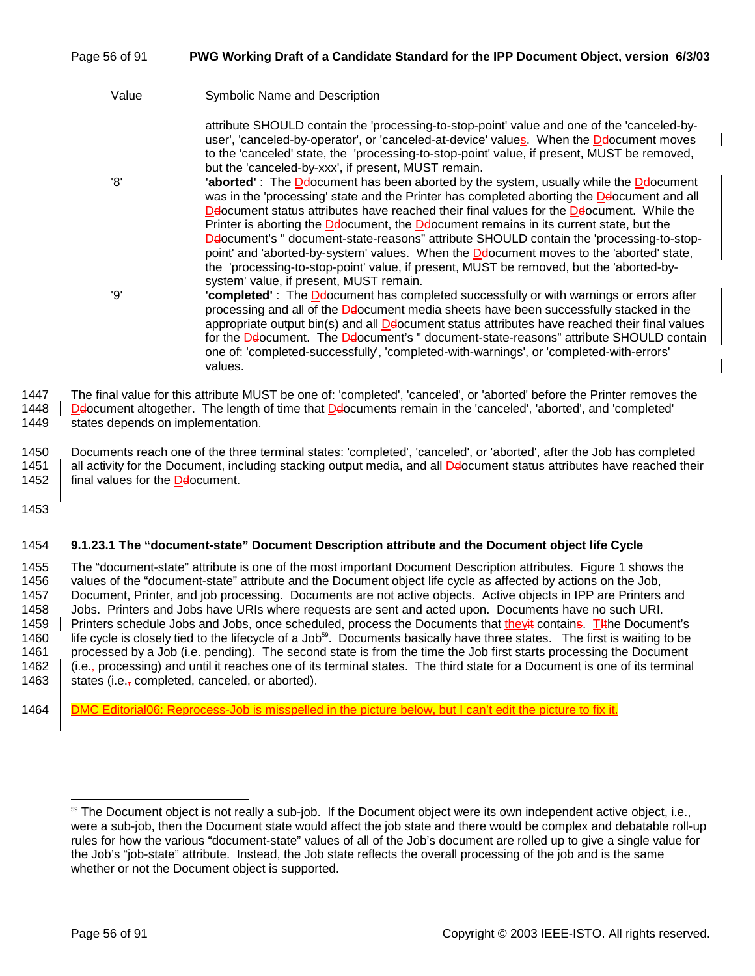### Page 56 of 91 **PWG Working Draft of a Candidate Standard for the IPP Document Object, version 6/3/03**

| Value | Symbolic Name and Description                                                                                                                                                                                                                                                                                                                                                                                                                                                                                                        |
|-------|--------------------------------------------------------------------------------------------------------------------------------------------------------------------------------------------------------------------------------------------------------------------------------------------------------------------------------------------------------------------------------------------------------------------------------------------------------------------------------------------------------------------------------------|
| '8'   | attribute SHOULD contain the 'processing-to-stop-point' value and one of the 'canceled-by-<br>user', 'canceled-by-operator', or 'canceled-at-device' values. When the Delocument moves<br>to the 'canceled' state, the 'processing-to-stop-point' value, if present, MUST be removed,<br>but the 'canceled-by-xxx', if present, MUST remain.<br>'aborted': The Delocument has been aborted by the system, usually while the Delocument<br>was in the 'processing' state and the Printer has completed aborting the Deocument and all |
|       | Deocument status attributes have reached their final values for the Deocument. While the<br>Printer is aborting the Delocument, the Delocument remains in its current state, but the<br>Deocument's " document-state-reasons" attribute SHOULD contain the 'processing-to-stop-<br>point' and 'aborted-by-system' values. When the Delocument moves to the 'aborted' state,<br>the 'processing-to-stop-point' value, if present, MUST be removed, but the 'aborted-by-<br>system' value, if present, MUST remain.                    |
| 'Q'   | "completed": The Delocument has completed successfully or with warnings or errors after<br>processing and all of the Deocument media sheets have been successfully stacked in the<br>appropriate output bin(s) and all Deocument status attributes have reached their final values<br>for the Deocument. The Deocument's " document-state-reasons" attribute SHOULD contain<br>one of: 'completed-successfully', 'completed-with-warnings', or 'completed-with-errors'<br>values.                                                    |

1447 The final value for this attribute MUST be one of: 'completed', 'canceled', or 'aborted' before the Printer removes the

1448 | De ocument altogether. The length of time that De bocuments remain in the 'canceled', 'aborted', and 'completed'

1449 states depends on implementation.

1450 Documents reach one of the three terminal states: 'completed', 'canceled', or 'aborted', after the Job has completed 1451 all activity for the Document, including stacking output media, and all Delocument status attributes have reached their 1452  $\parallel$  final values for the **D**elocument.

1453

#### 1454 **9.1.23.1 The "document-state" Document Description attribute and the Document object life Cycle**

1455 The "document-state" attribute is one of the most important Document Description attributes. Figure 1 shows the 1456 values of the "document-state" attribute and the Document object life cycle as affected by actions on the Job, 1457 Document, Printer, and job processing. Documents are not active objects. Active objects in IPP are Printers and 1458 Jobs. Printers and Jobs have URIs where requests are sent and acted upon. Documents have no such URI. 1459 Printers schedule Jobs and Jobs, once scheduled, process the Documents that theyit contains. The Document's 1460 life cycle is closely tied to the lifecycle of a Job<sup>59</sup>. Documents basically have three states. The first is waiting to be 1461 processed by a Job (i.e. pending). The second state is from the time the Job first starts processing the Document 1462  $\parallel$  (i.e.<sub>7</sub> processing) and until it reaches one of its terminal states. The third state for a Document is one of its terminal 1463 states (i.e., completed, canceled, or aborted).

1464 DMC Editorial06: Reprocess-Job is misspelled in the picture below, but I can't edit the picture to fix it.

<sup>&</sup>lt;sup>59</sup> The Document object is not really a sub-job. If the Document object were its own independent active object, i.e., were a sub-job, then the Document state would affect the job state and there would be complex and debatable roll-up rules for how the various "document-state" values of all of the Job's document are rolled up to give a single value for the Job's "job-state" attribute. Instead, the Job state reflects the overall processing of the job and is the same whether or not the Document object is supported.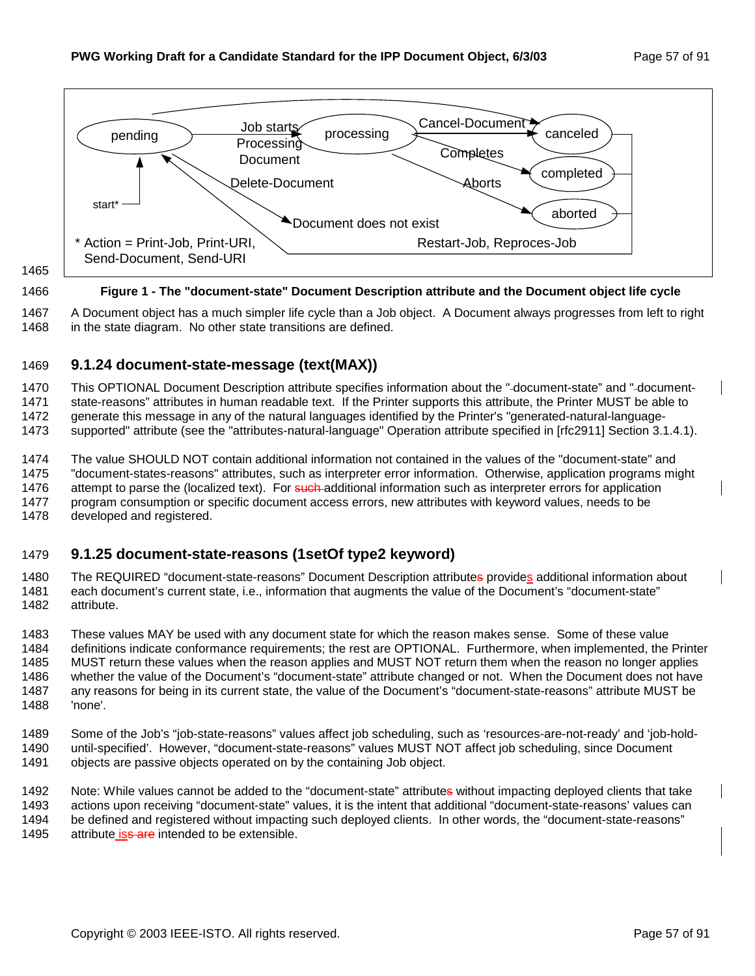

1465

#### 1466 **Figure 1 - The "document-state" Document Description attribute and the Document object life cycle**

1467 A Document object has a much simpler life cycle than a Job object. A Document always progresses from left to right 1468 in the state diagram. No other state transitions are defined.

### 1469 **9.1.24 document-state-message (text(MAX))**

1470 This OPTIONAL Document Description attribute specifies information about the " document-state" and " document-1471 state-reasons" attributes in human readable text. If the Printer supports this attribute, the Printer MUST be able to 1472 generate this message in any of the natural languages identified by the Printer's "generated-natural-language-

1473 supported" attribute (see the "attributes-natural-language" Operation attribute specified in [rfc2911] Section 3.1.4.1).

1474 The value SHOULD NOT contain additional information not contained in the values of the "document-state" and 1475 "document-states-reasons" attributes, such as interpreter error information. Otherwise, application programs might 1476 attempt to parse the (localized text). For such additional information such as interpreter errors for application 1477 program consumption or specific document access errors, new attributes with keyword values, needs to be 1478 developed and registered.

### 1479 **9.1.25 document-state-reasons (1setOf type2 keyword)**

1480 The REQUIRED "document-state-reasons" Document Description attributes provides additional information about 1481 each document's current state, i.e., information that augments the value of the Document's "document-state" 1482 attribute.

1483 These values MAY be used with any document state for which the reason makes sense. Some of these value 1484 definitions indicate conformance requirements; the rest are OPTIONAL. Furthermore, when implemented, the Printer 1485 MUST return these values when the reason applies and MUST NOT return them when the reason no longer applies 1486 whether the value of the Document's "document-state" attribute changed or not. When the Document does not have 1487 any reasons for being in its current state, the value of the Document's "document-state-reasons" attribute MUST be 1488 'none'.

1489 Some of the Job's "job-state-reasons" values affect job scheduling, such as 'resources-are-not-ready' and 'job-hold-1490 until-specified'. However, "document-state-reasons" values MUST NOT affect job scheduling, since Document 1491 objects are passive objects operated on by the containing Job object.

1492 Note: While values cannot be added to the "document-state" attributes without impacting deployed clients that take 1493 actions upon receiving "document-state" values, it is the intent that additional "document-state-reasons' values can 1494 be defined and registered without impacting such deployed clients. In other words, the "document-state-reasons" 1495 attribute iss are intended to be extensible.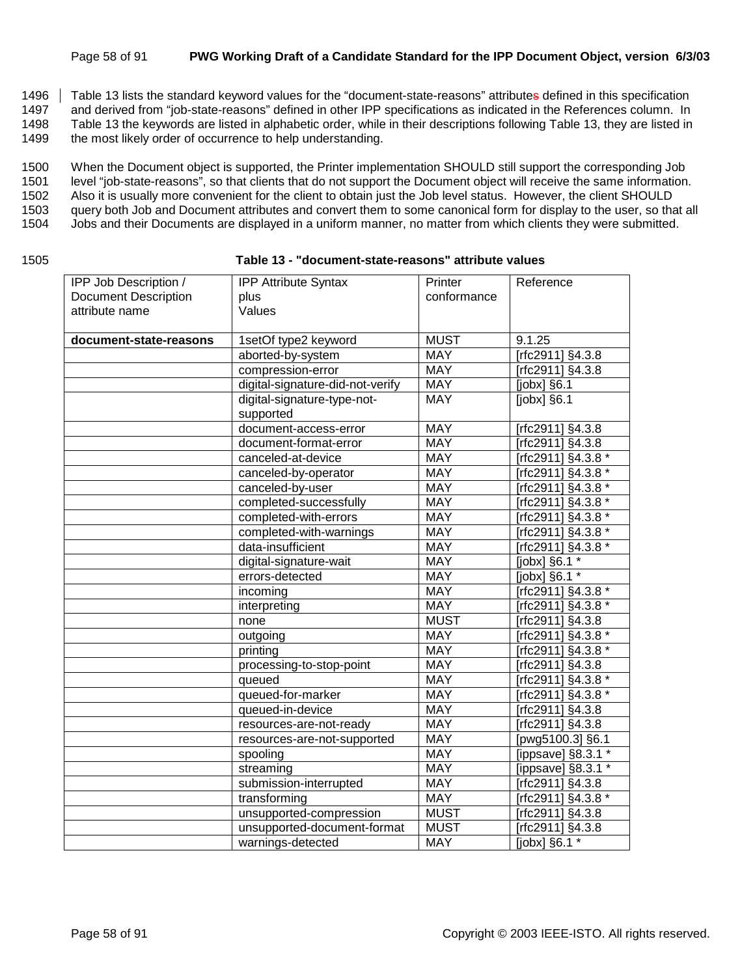#### Page 58 of 91 **PWG Working Draft of a Candidate Standard for the IPP Document Object, version 6/3/03**

1496 Table 13 lists the standard keyword values for the "document-state-reasons" attributes defined in this specification

1497 and derived from "job-state-reasons" defined in other IPP specifications as indicated in the References column. In

1498 Table 13 the keywords are listed in alphabetic order, while in their descriptions following Table 13, they are listed in

1499 the most likely order of occurrence to help understanding.

1500 When the Document object is supported, the Printer implementation SHOULD still support the corresponding Job

1501 level "job-state-reasons", so that clients that do not support the Document object will receive the same information.

1502 Also it is usually more convenient for the client to obtain just the Job level status. However, the client SHOULD

1503 query both Job and Document attributes and convert them to some canonical form for display to the user, so that all

1504 Jobs and their Documents are displayed in a uniform manner, no matter from which clients they were submitted.

| ۰.<br>w<br>۰.<br>۰,<br>× |  |
|--------------------------|--|
|--------------------------|--|

#### 1505 **Table 13 - "document-state-reasons" attribute values**

| IPP Job Description /       | <b>IPP Attribute Syntax</b>              | Printer     | Reference          |
|-----------------------------|------------------------------------------|-------------|--------------------|
| <b>Document Description</b> | plus                                     | conformance |                    |
| attribute name              | Values                                   |             |                    |
|                             |                                          |             | 9.1.25             |
| document-state-reasons      | 1setOf type2 keyword                     | <b>MUST</b> |                    |
|                             | aborted-by-system                        | <b>MAY</b>  | [rfc2911] §4.3.8   |
|                             | compression-error                        | <b>MAY</b>  | [rfc2911] §4.3.8   |
|                             | digital-signature-did-not-verify         | <b>MAY</b>  | [ $jobs$ ] $§6.1$  |
|                             | digital-signature-type-not-<br>supported | <b>MAY</b>  | [ $jobs$ ] $§6.1$  |
|                             | document-access-error                    | <b>MAY</b>  | [rfc2911] §4.3.8   |
|                             | document-format-error                    | <b>MAY</b>  | [rfc2911] §4.3.8   |
|                             | canceled-at-device                       | <b>MAY</b>  | [rfc2911] §4.3.8 * |
|                             | canceled-by-operator                     | <b>MAY</b>  | Trfc2911] §4.3.8 * |
|                             | canceled-by-user                         | <b>MAY</b>  | [rfc2911] §4.3.8 * |
|                             | completed-successfully                   | <b>MAY</b>  | [rfc2911] §4.3.8 * |
|                             | completed-with-errors                    | <b>MAY</b>  | [rfc2911] §4.3.8 * |
|                             | completed-with-warnings                  | <b>MAY</b>  | [rfc2911] §4.3.8 * |
|                             | data-insufficient                        | <b>MAY</b>  | [rfc2911] §4.3.8 * |
|                             | digital-signature-wait                   | <b>MAY</b>  | [jobx] §6.1 *      |
|                             | errors-detected                          | <b>MAY</b>  | [jobx] §6.1 *      |
|                             | incoming                                 | <b>MAY</b>  | [rfc2911] §4.3.8 * |
|                             | interpreting                             | <b>MAY</b>  | [rfc2911] §4.3.8 * |
|                             | none                                     | <b>MUST</b> | [rfc2911] §4.3.8   |
|                             | outgoing                                 | <b>MAY</b>  | [rfc2911] §4.3.8 * |
|                             | printing                                 | <b>MAY</b>  | [rfc2911] §4.3.8 * |
|                             | processing-to-stop-point                 | <b>MAY</b>  | [rfc2911] §4.3.8   |
|                             | queued                                   | <b>MAY</b>  | [rfc2911] §4.3.8 * |
|                             | queued-for-marker                        | <b>MAY</b>  | [rfc2911] §4.3.8 * |
|                             | queued-in-device                         | <b>MAY</b>  | [rfc2911] §4.3.8   |
|                             | resources-are-not-ready                  | <b>MAY</b>  | [rfc2911] §4.3.8   |
|                             | resources-are-not-supported              | <b>MAY</b>  | [pwg5100.3] §6.1   |
|                             | spooling                                 | <b>MAY</b>  | [ippsave] §8.3.1 * |
|                             | streaming                                | <b>MAY</b>  | [ippsave] §8.3.1 * |
|                             | submission-interrupted                   | <b>MAY</b>  | [rfc2911] §4.3.8   |
|                             | transforming                             | <b>MAY</b>  | [rfc2911] §4.3.8 * |
|                             | unsupported-compression                  | <b>MUST</b> | [rfc2911] §4.3.8   |
|                             | unsupported-document-format              | <b>MUST</b> | [rfc2911] §4.3.8   |
|                             | warnings-detected                        | <b>MAY</b>  | [jobx] §6.1 *      |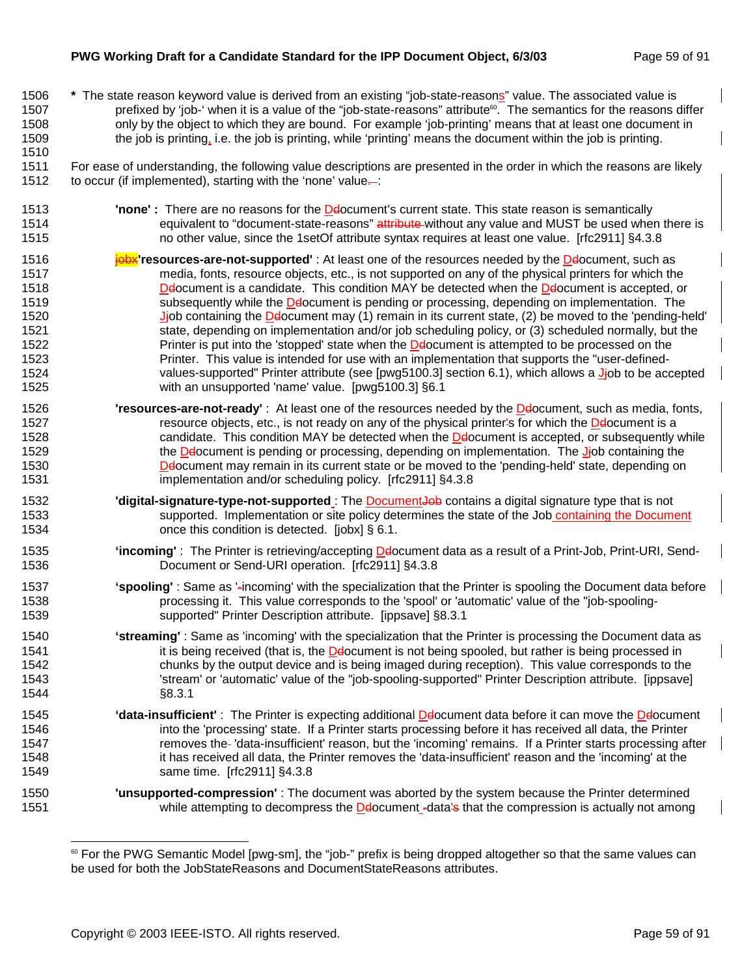#### **PWG Working Draft for a Candidate Standard for the IPP Document Object, 6/3/03** Page 59 of 91

1510

1506 **\*** The state reason keyword value is derived from an existing "job-state-reasons" value. The associated value is 1507 prefixed by 'job-' when it is a value of the "job-state-reasons" attribute<sup>®</sup>. The semantics for the reasons differ 1508 only by the object to which they are bound. For example 'job-printing' means that at least one document in 1509 the job is printing, i.e. the job is printing, while 'printing' means the document within the job is printing.

1511 For ease of understanding, the following value descriptions are presented in the order in which the reasons are likely 1512 to occur (if implemented), starting with the 'none' value...

- 1513 **Inone'** : There are no reasons for the **Delocument's current state. This state reason is semantically** 1514 equivalent to "document-state-reasons" attribute without any value and MUST be used when there is 1515 no other value, since the 1setOf attribute syntax requires at least one value. [rfc2911] §4.3.8
- 1516 **joby** resources-are-not-supported' : At least one of the resources needed by the Delocument, such as 1517 media, fonts, resource objects, etc., is not supported on any of the physical printers for which the 1518 **Default Density Default and Standidate.** This condition MAY be detected when the Defacument is accepted, or 1519 subsequently while the Delocument is pending or processing, depending on implementation. The 1520 Jjob containing the Delocument may (1) remain in its current state, (2) be moved to the 'pending-held' 1521 state, depending on implementation and/or job scheduling policy, or (3) scheduled normally, but the 1522 Printer is put into the 'stopped' state when the **Delocument is attempted to be processed on the**<br>1523 **Printer. This value is intended for use with an implementation that supports the "user-defined-**Printer. This value is intended for use with an implementation that supports the "user-defined-1524 values-supported" Printer attribute (see [pwg5100.3] section 6.1), which allows a J-job to be accepted 1525 with an unsupported 'name' value. [pwg5100.3] §6.1
- 1526 **'resources-are-not-ready'** : At least one of the resources needed by the Ddocument, such as media, fonts, 1527 resource objects, etc., is not ready on any of the physical printer's for which the Delocument is a 1528 candidate. This condition MAY be detected when the Delocument is accepted, or subsequently while 1529 the Delocument is pending or processing, depending on implementation. The J-job containing the 1530 Ddocument may remain in its current state or be moved to the 'pending-held' state, depending on 1531 implementation and/or scheduling policy. [rfc2911] §4.3.8
- 1532 **'digital-signature-type-not-supported** : The **Document-beb** contains a digital signature type that is not 1533 supported. Implementation or site policy determines the state of the Job containing the Document 1534 **condition is detected.** [jobx] § 6.1.
- 1535 **'incoming'** : The Printer is retrieving/accepting Ddocument data as a result of a Print-Job, Print-URI, Send-1536 Document or Send-URI operation. [rfc2911] §4.3.8
- 1537 **'spooling'** : Same as '-incoming' with the specialization that the Printer is spooling the Document data before 1538 processing it. This value corresponds to the 'spool' or 'automatic' value of the "job-spooling-1539 supported" Printer Description attribute. [ippsave] §8.3.1
- 1540 **'streaming'** : Same as 'incoming' with the specialization that the Printer is processing the Document data as 1541 it is being received (that is, the Delocument is not being spooled, but rather is being processed in 1542 chunks by the output device and is being imaged during reception). This value corresponds to the 1543 'stream' or 'automatic' value of the "job-spooling-supported" Printer Description attribute. [ippsave] 1544 §8.3.1
- 1545 **'data-insufficient'** : The Printer is expecting additional Ddocument data before it can move the Ddocument 1546 into the 'processing' state. If a Printer starts processing before it has received all data, the Printer 1547 removes the 'data-insufficient' reason, but the 'incoming' remains. If a Printer starts processing after 1548 it has received all data, the Printer removes the 'data-insufficient' reason and the 'incoming' at the 1549 same time. [rfc2911] §4.3.8
- 1550 **'unsupported-compression'** : The document was aborted by the system because the Printer determined 1551 while attempting to decompress the **Decomment -data's that the compression is actually not among**

l <sup>60</sup> For the PWG Semantic Model [pwg-sm], the "job-" prefix is being dropped altogether so that the same values can be used for both the JobStateReasons and DocumentStateReasons attributes.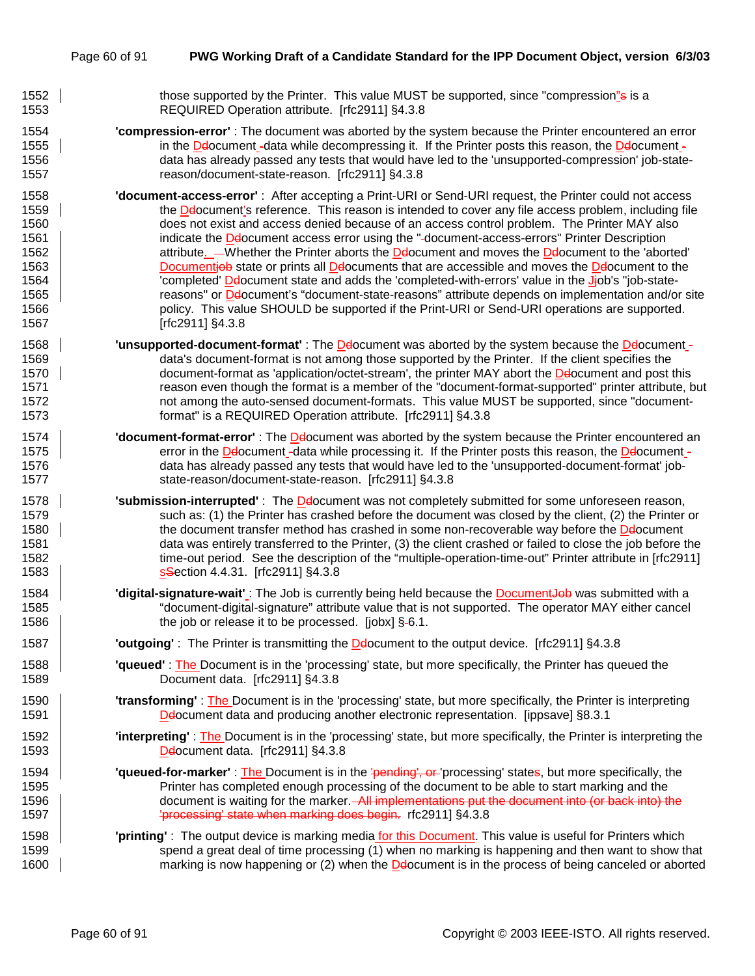- 1552 those supported by the Printer. This value MUST be supported, since "compression<u>"</u>s is a 1553 REQUIRED Operation attribute. [rfc2911] §4.3.8
- 1554 **'compression-error'** : The document was aborted by the system because the Printer encountered an error 1555 in the Delocument -data while decompressing it. If the Printer posts this reason, the Delocument -1556 data has already passed any tests that would have led to the 'unsupported-compression' job-state-1557 reason/document-state-reason. [rfc2911] §4.3.8
- 1558 **'document-access-error'** : After accepting a Print-URI or Send-URI request, the Printer could not access 1559 | the Deocument's reference. This reason is intended to cover any file access problem, including file 1560 does not exist and access denied because of an access control problem. The Printer MAY also 1561 **indicate the Defocument access error using the "-document-access-errors" Printer Description** 1562 | attribute. Whether the Printer aborts the Delocument and moves the Delocument to the 'aborted' 1563 **Documenties state or prints all Delocuments that are accessible and moves the Delocument to the** 1564 | completed' Delocument state and adds the 'completed-with-errors' value in the Jiob's "job-state-1565 | reasons" or Deocument's "document-state-reasons" attribute depends on implementation and/or site 1566 policy. This value SHOULD be supported if the Print-URI or Send-URI operations are supported. 1567 [rfc2911] §4.3.8
- 1568 **| unsupported-document-format'** : The Delocument was aborted by the system because the Delocument -1569 data's document-format is not among those supported by the Printer. If the client specifies the 1570 document-format as 'application/octet-stream', the printer MAY abort the Delocument and post this 1571 reason even though the format is a member of the "document-format-supported" printer attribute, but 1572 hot among the auto-sensed document-formats. This value MUST be supported, since "document-1573 format" is a REQUIRED Operation attribute. [rfc2911] §4.3.8
- 1574 **'document-format-error'** : The Ddocument was aborted by the system because the Printer encountered an 1575 error in the Delocument -data while processing it. If the Printer posts this reason, the Delocument -1576 data has already passed any tests that would have led to the 'unsupported-document-format' job-1577 state-reason/document-state-reason. [rfc2911] §4.3.8
- 1578 **| submission-interrupted'** : The **D**elocument was not completely submitted for some unforeseen reason, 1579 such as: (1) the Printer has crashed before the document was closed by the client, (2) the Printer or 1580 the document transfer method has crashed in some non-recoverable way before the Delocument 1581 data was entirely transferred to the Printer, (3) the client crashed or failed to close the job before the 1582 time-out period. See the description of the "multiple-operation-time-out" Printer attribute in [rfc2911] 1583 **SSection 4.4.31.** [rfc2911] §4.3.8
- 1584 **| digital-signature-wait'** : The Job is currently being held because the **Document-Job** was submitted with a 1585 "document-digital-signature" attribute value that is not supported. The operator MAY either cancel 1586 **the job or release it to be processed.** [jobx] §-6.1.
- 1587 **'outgoing'** : The Printer is transmitting the Ddocument to the output device. [rfc2911] §4.3.8
- 1588 **'queued'** : The Document is in the 'processing' state, but more specifically, the Printer has queued the 1589 Document data. [rfc2911] §4.3.8
- 1590 **'transforming'** : The Document is in the 'processing' state, but more specifically, the Printer is interpreting 1591 Ddocument data and producing another electronic representation. [ippsave] §8.3.1
- 1592 **'interpreting'** : The Document is in the 'processing' state, but more specifically, the Printer is interpreting the 1593 | Delocument data. [rfc2911] §4.3.8
- 1594 **'queued-for-marker'** : The Document is in the 'pending', or 'processing' states, but more specifically, the 1595 Printer has completed enough processing of the document to be able to start marking and the 1596 document is waiting for the marker. All implementations put the document into (or back into) the 1597 | **Processing' state when marking does begin.** rfc2911] §4.3.8
- 1598 **'printing'** : The output device is marking media for this Document. This value is useful for Printers which 1599 spend a great deal of time processing (1) when no marking is happening and then want to show that 1600 **Fig. 20.** marking is now happening or (2) when the Defacument is in the process of being canceled or aborted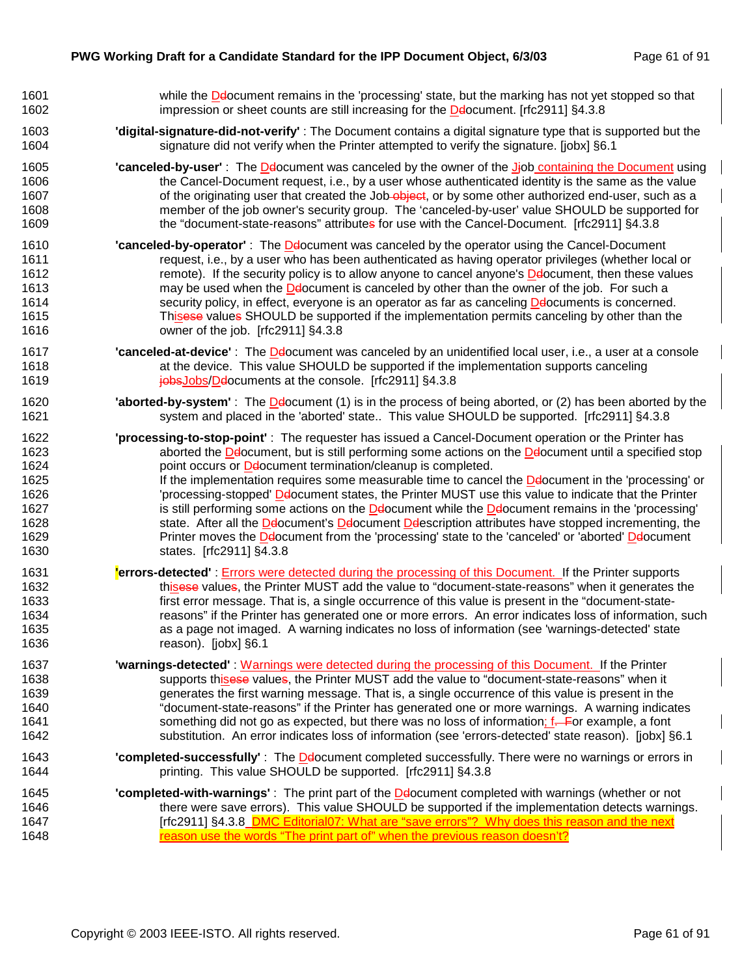| 1601 | while the <b>De</b> locument remains in the 'processing' state, but the marking has not yet stopped so that                |
|------|----------------------------------------------------------------------------------------------------------------------------|
| 1602 | impression or sheet counts are still increasing for the Delocument. [rfc2911] §4.3.8                                       |
| 1603 | "digital-signature-did-not-verify": The Document contains a digital signature type that is supported but the               |
| 1604 | signature did not verify when the Printer attempted to verify the signature. [jobx] §6.1                                   |
| 1605 | "canceled-by-user": The Delocument was canceled by the owner of the Jiob containing the Document using                     |
| 1606 | the Cancel-Document request, i.e., by a user whose authenticated identity is the same as the value                         |
| 1607 | of the originating user that created the Job-object, or by some other authorized end-user, such as a                       |
| 1608 | member of the job owner's security group. The 'canceled-by-user' value SHOULD be supported for                             |
| 1609 | the "document-state-reasons" attributes for use with the Cancel-Document. [rfc2911] §4.3.8                                 |
| 1610 | "canceled-by-operator": The Delocument was canceled by the operator using the Cancel-Document                              |
| 1611 | request, i.e., by a user who has been authenticated as having operator privileges (whether local or                        |
| 1612 | remote). If the security policy is to allow anyone to cancel anyone's <b>Delocument</b> , then these values                |
| 1613 | may be used when the <b>Delocument</b> is canceled by other than the owner of the job. For such a                          |
| 1614 | security policy, in effect, everyone is an operator as far as canceling Delocuments is concerned.                          |
| 1615 | Thisese values SHOULD be supported if the implementation permits canceling by other than the                               |
| 1616 | owner of the job. [rfc2911] §4.3.8                                                                                         |
| 1617 | "canceled-at-device": The Delocument was canceled by an unidentified local user, i.e., a user at a console                 |
| 1618 | at the device. This value SHOULD be supported if the implementation supports canceling                                     |
| 1619 | jobsJobs/Delocuments at the console. [rfc2911] §4.3.8                                                                      |
| 1620 | <b>'aborted-by-system'</b> : The <b>De</b> locument (1) is in the process of being aborted, or (2) has been aborted by the |
| 1621 | system and placed in the 'aborted' state This value SHOULD be supported. [rfc2911] §4.3.8                                  |
| 1622 | 'processing-to-stop-point': The requester has issued a Cancel-Document operation or the Printer has                        |
| 1623 | aborted the Delocument, but is still performing some actions on the Delocument until a specified stop                      |
| 1624 | point occurs or Deocument termination/cleanup is completed.                                                                |
| 1625 | If the implementation requires some measurable time to cancel the Delocument in the 'processing' or                        |
| 1626 | 'processing-stopped' Delocument states, the Printer MUST use this value to indicate that the Printer                       |
| 1627 | is still performing some actions on the <b>De</b> locument while the <b>Delocument remains in the 'processing'</b>         |
| 1628 | state. After all the Delocument's Delocument Delescription attributes have stopped incrementing, the                       |
| 1629 | Printer moves the Delocument from the 'processing' state to the 'canceled' or 'aborted' Delocument                         |
| 1630 | states. [rfc2911] §4.3.8                                                                                                   |
| 1631 | <b>Lerrors-detected'</b> : Errors were detected during the processing of this Document. If the Printer supports            |
| 1632 | thisese values, the Printer MUST add the value to "document-state-reasons" when it generates the                           |
| 1633 | first error message. That is, a single occurrence of this value is present in the "document-state-                         |
| 1634 | reasons" if the Printer has generated one or more errors. An error indicates loss of information, such                     |
| 1635 | as a page not imaged. A warning indicates no loss of information (see 'warnings-detected' state                            |
| 1636 | reason). [jobx] §6.1                                                                                                       |
| 1637 | <b>'warnings-detected'</b> : Warnings were detected during the processing of this Document. If the Printer                 |
| 1638 | supports thisese values, the Printer MUST add the value to "document-state-reasons" when it                                |
| 1639 | generates the first warning message. That is, a single occurrence of this value is present in the                          |
| 1640 | "document-state-reasons" if the Printer has generated one or more warnings. A warning indicates                            |
| 1641 | something did not go as expected, but there was no loss of information; f—For example, a font                              |
| 1642 | substitution. An error indicates loss of information (see 'errors-detected' state reason). [jobx] §6.1                     |
| 1643 | 'completed-successfully': The Delocument completed successfully. There were no warnings or errors in                       |
| 1644 | printing. This value SHOULD be supported. [rfc2911] §4.3.8                                                                 |
| 1645 | "completed-with-warnings": The print part of the Delocument completed with warnings (whether or not                        |
| 1646 | there were save errors). This value SHOULD be supported if the implementation detects warnings.                            |
| 1647 | [rfc2911] §4.3.8_DMC Editorial07: What are "save errors"? Why does this reason and the next                                |
| 1648 | reason use the words "The print part of" when the previous reason doesn't?                                                 |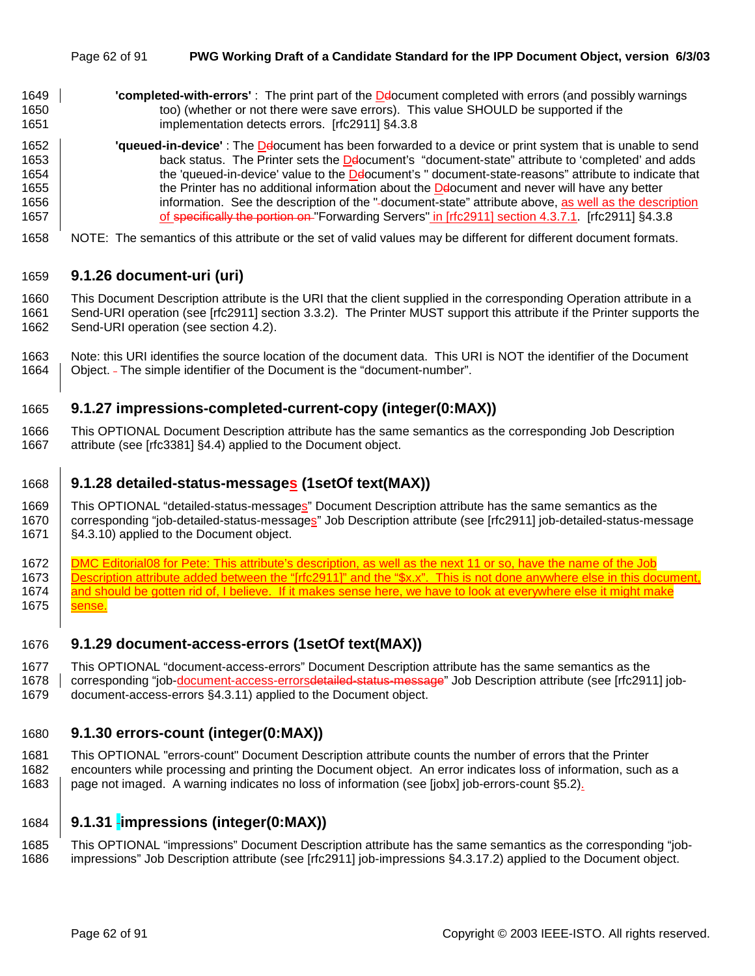- 1649 **'completed-with-errors'** : The print part of the Ddocument completed with errors (and possibly warnings 1650 too) (whether or not there were save errors). This value SHOULD be supported if the 1651 implementation detects errors. [rfc2911] §4.3.8
- 1652 **'queued-in-device'** : The Ddocument has been forwarded to a device or print system that is unable to send 1653 **back status. The Printer sets the De**locument's "document-state" attribute to 'completed' and adds 1654 the 'queued-in-device' value to the Deocument's " document-state-reasons" attribute to indicate that 1655 the Printer has no additional information about the Decoment and never will have any better 1656 | information. See the description of the "-document-state" attribute above, as well as the description 1657 | of specifically the portion on "Forwarding Servers" in [rfc2911] section 4.3.7.1. [rfc2911] §4.3.8
- 1658 NOTE: The semantics of this attribute or the set of valid values may be different for different document formats.

### 1659 **9.1.26 document-uri (uri)**

1660 This Document Description attribute is the URI that the client supplied in the corresponding Operation attribute in a 1661 Send-URI operation (see [rfc2911] section 3.3.2). The Printer MUST support this attribute if the Printer supports the 1662 Send-URI operation (see section 4.2).

1663 Note: this URI identifies the source location of the document data. This URI is NOT the identifier of the Document 1664 | Object. - The simple identifier of the Document is the "document-number".

### 1665 **9.1.27 impressions-completed-current-copy (integer(0:MAX))**

1666 This OPTIONAL Document Description attribute has the same semantics as the corresponding Job Description 1667 attribute (see [rfc3381] §4.4) applied to the Document object.

### 1668 **9.1.28 detailed-status-messages (1setOf text(MAX))**

1669 This OPTIONAL "detailed-status-messages" Document Description attribute has the same semantics as the 1670 corresponding "job-detailed-status-messages" Job Description attribute (see [rfc2911] job-detailed-status-message 1671 | §4.3.10) applied to the Document object.

1672 DMC Editorial08 for Pete: This attribute's description, as well as the next 11 or so, have the name of the Job 1673 Description attribute added between the "[rfc2911]" and the "\$x.x". This is not done anywhere else in this document, 1674 and should be gotten rid of, I believe. If it makes sense here, we have to look at everywhere else it might make 1675 **sense**.

### 1676 **9.1.29 document-access-errors (1setOf text(MAX))**

- 1677 This OPTIONAL "document-access-errors" Document Description attribute has the same semantics as the
- 1678 corresponding "job-document-access-errorsdetailed-status-message" Job Description attribute (see [rfc2911] job-1679 document-access-errors §4.3.11) applied to the Document object.

### 1680 **9.1.30 errors-count (integer(0:MAX))**

1681 This OPTIONAL "errors-count" Document Description attribute counts the number of errors that the Printer 1682 encounters while processing and printing the Document object. An error indicates loss of information, such as a 1683 page not imaged. A warning indicates no loss of information (see [jobx] job-errors-count §5.2).

### 1684 **9.1.31 impressions (integer(0:MAX))**

1685 This OPTIONAL "impressions" Document Description attribute has the same semantics as the corresponding "job-1686 impressions" Job Description attribute (see [rfc2911] job-impressions §4.3.17.2) applied to the Document object.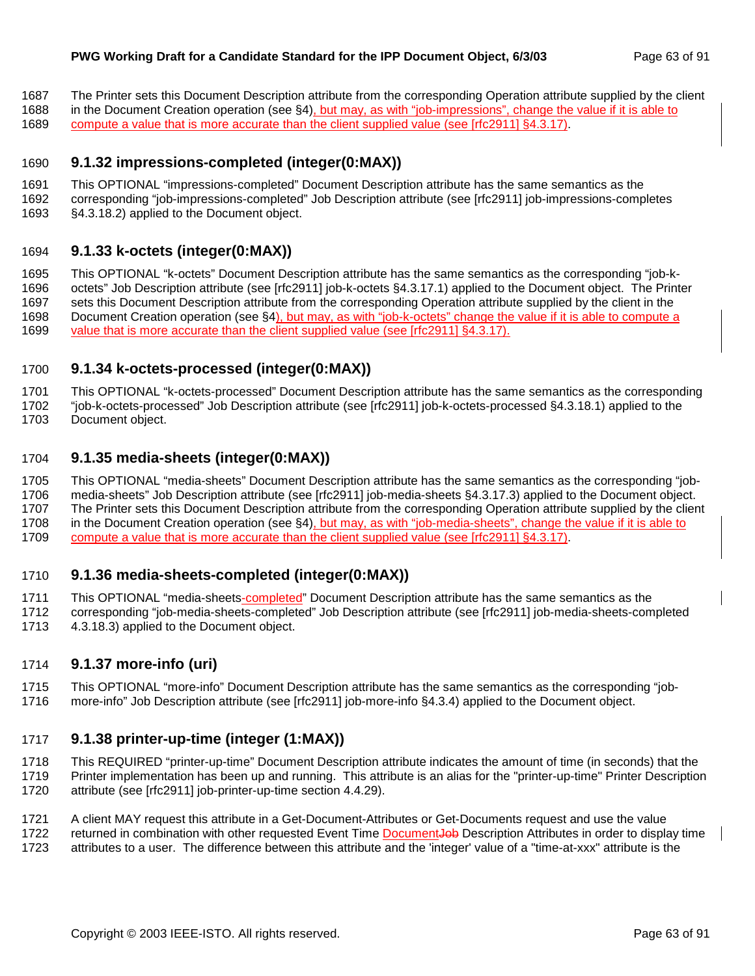- 1687 The Printer sets this Document Description attribute from the corresponding Operation attribute supplied by the client
- 1688 in the Document Creation operation (see §4), but may, as with "job-impressions", change the value if it is able to
- 1689 compute a value that is more accurate than the client supplied value (see [rfc2911] §4.3.17).

### 1690 **9.1.32 impressions-completed (integer(0:MAX))**

- 1691 This OPTIONAL "impressions-completed" Document Description attribute has the same semantics as the
- 1692 corresponding "job-impressions-completed" Job Description attribute (see [rfc2911] job-impressions-completes
- 1693 §4.3.18.2) applied to the Document object.

### 1694 **9.1.33 k-octets (integer(0:MAX))**

1695 This OPTIONAL "k-octets" Document Description attribute has the same semantics as the corresponding "job-k-1696 octets" Job Description attribute (see [rfc2911] job-k-octets §4.3.17.1) applied to the Document object. The Printer 1697 sets this Document Description attribute from the corresponding Operation attribute supplied by the client in the 1698 Document Creation operation (see §4), but may, as with "job-k-octets" change the value if it is able to compute a 1699 value that is more accurate than the client supplied value (see [rfc2911] §4.3.17).

### 1700 **9.1.34 k-octets-processed (integer(0:MAX))**

1701 This OPTIONAL "k-octets-processed" Document Description attribute has the same semantics as the corresponding

1702 "job-k-octets-processed" Job Description attribute (see [rfc2911] job-k-octets-processed §4.3.18.1) applied to the

1703 Document object.

### 1704 **9.1.35 media-sheets (integer(0:MAX))**

1705 This OPTIONAL "media-sheets" Document Description attribute has the same semantics as the corresponding "job-1706 media-sheets" Job Description attribute (see [rfc2911] job-media-sheets §4.3.17.3) applied to the Document object. 1707 The Printer sets this Document Description attribute from the corresponding Operation attribute supplied by the client 1708 in the Document Creation operation (see §4), but may, as with "job-media-sheets", change the value if it is able to 1709 compute a value that is more accurate than the client supplied value (see [rfc2911] §4.3.17).

### 1710 **9.1.36 media-sheets-completed (integer(0:MAX))**

1711 This OPTIONAL "media-sheets-completed" Document Description attribute has the same semantics as the 1712 corresponding "job-media-sheets-completed" Job Description attribute (see [rfc2911] job-media-sheets-completed

1713 4.3.18.3) applied to the Document object.

## 1714 **9.1.37 more-info (uri)**

- 1715 This OPTIONAL "more-info" Document Description attribute has the same semantics as the corresponding "job-
- 1716 more-info" Job Description attribute (see [rfc2911] job-more-info §4.3.4) applied to the Document object.

### 1717 **9.1.38 printer-up-time (integer (1:MAX))**

1718 This REQUIRED "printer-up-time" Document Description attribute indicates the amount of time (in seconds) that the 1719 Printer implementation has been up and running. This attribute is an alias for the "printer-up-time" Printer Description 1720 attribute (see [rfc2911] job-printer-up-time section 4.4.29).

1721 A client MAY request this attribute in a Get-Document-Attributes or Get-Documents request and use the value 1722 returned in combination with other requested Event Time DocumentJob Description Attributes in order to display time

1723 attributes to a user. The difference between this attribute and the 'integer' value of a "time-at-xxx" attribute is the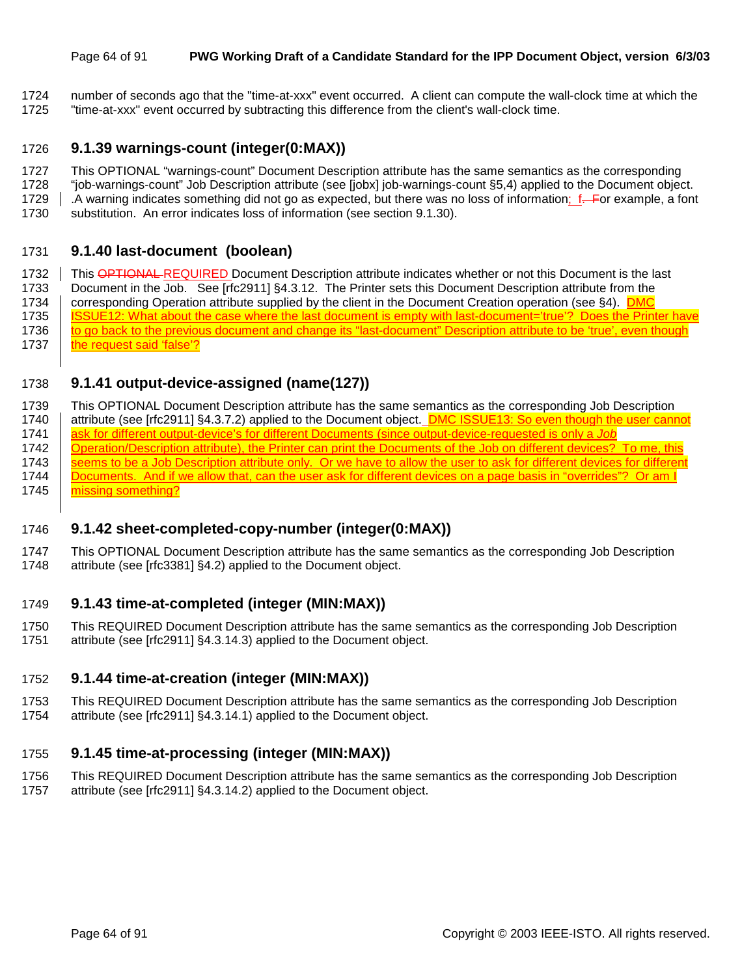#### Page 64 of 91 **PWG Working Draft of a Candidate Standard for the IPP Document Object, version 6/3/03**

- 1724 number of seconds ago that the "time-at-xxx" event occurred. A client can compute the wall-clock time at which the
- 1725 "time-at-xxx" event occurred by subtracting this difference from the client's wall-clock time.

### 1726 **9.1.39 warnings-count (integer(0:MAX))**

- 1727 This OPTIONAL "warnings-count" Document Description attribute has the same semantics as the corresponding
- 1728 "job-warnings-count" Job Description attribute (see [jobx] job-warnings-count §5,4) applied to the Document object.
- 1729 . A warning indicates something did not go as expected, but there was no loss of information; f. For example, a font
- 1730 substitution. An error indicates loss of information (see section 9.1.30).

### 1731 **9.1.40 last-document (boolean)**

1732 This OPTIONAL REQUIRED Document Description attribute indicates whether or not this Document is the last 1733 Document in the Job. See [rfc2911] §4.3.12. The Printer sets this Document Description attribute from the 1734 corresponding Operation attribute supplied by the client in the Document Creation operation (see §4). DMC 1735 | ISSUE12: What about the case where the last document is empty with last-document='true'? Does the Printer have 1736 to go back to the previous document and change its "last-document" Description attribute to be 'true', even though 1737 | the request said 'false'?

## 1738 **9.1.41 output-device-assigned (name(127))**

1739 This OPTIONAL Document Description attribute has the same semantics as the corresponding Job Description 1740 attribute (see [rfc2911] §4.3.7.2) applied to the Document object. **DMC ISSUE13: So even though the user cannot** 1741 ask for different output-device's for different Documents (since output-device-requested is only a *Job* 1742 | Operation/Description attribute), the Printer can print the Documents of the Job on different devices? To me, this 1743 Seems to be a Job Description attribute only. Or we have to allow the user to ask for different devices for different 1744 Documents. And if we allow that, can the user ask for different devices on a page basis in "overrides"? Or am I 1745 missing something?

### 1746 **9.1.42 sheet-completed-copy-number (integer(0:MAX))**

1747 This OPTIONAL Document Description attribute has the same semantics as the corresponding Job Description 1748 attribute (see [rfc3381] §4.2) applied to the Document object.

### 1749 **9.1.43 time-at-completed (integer (MIN:MAX))**

1750 This REQUIRED Document Description attribute has the same semantics as the corresponding Job Description 1751 attribute (see [rfc2911] §4.3.14.3) applied to the Document object.

### 1752 **9.1.44 time-at-creation (integer (MIN:MAX))**

1753 This REQUIRED Document Description attribute has the same semantics as the corresponding Job Description 1754 attribute (see [rfc2911] §4.3.14.1) applied to the Document object.

### 1755 **9.1.45 time-at-processing (integer (MIN:MAX))**

- 1756 This REQUIRED Document Description attribute has the same semantics as the corresponding Job Description
- 1757 attribute (see [rfc2911] §4.3.14.2) applied to the Document object.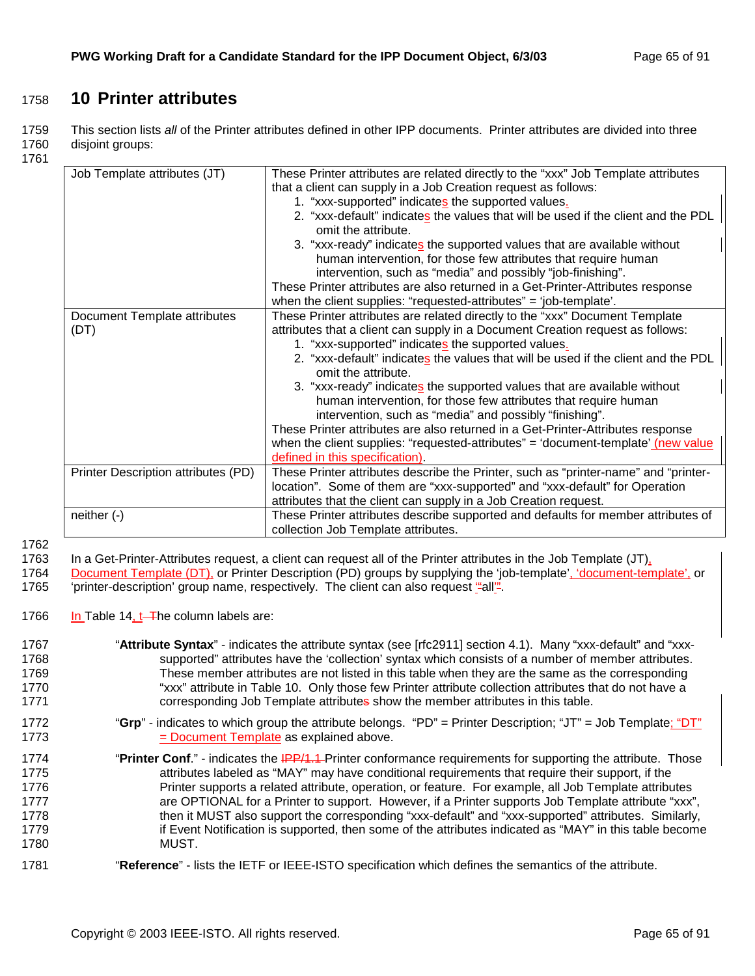# 1758 **10 Printer attributes**

1759 This section lists *all* of the Printer attributes defined in other IPP documents. Printer attributes are divided into three 1760 disjoint groups:

1761

| Job Template attributes (JT)        | These Printer attributes are related directly to the "xxx" Job Template attributes<br>that a client can supply in a Job Creation request as follows: |
|-------------------------------------|------------------------------------------------------------------------------------------------------------------------------------------------------|
|                                     |                                                                                                                                                      |
|                                     | 1. "xxx-supported" indicates the supported values.                                                                                                   |
|                                     | 2. "xxx-default" indicates the values that will be used if the client and the PDL                                                                    |
|                                     | omit the attribute.                                                                                                                                  |
|                                     | 3. "xxx-ready" indicates the supported values that are available without                                                                             |
|                                     | human intervention, for those few attributes that require human                                                                                      |
|                                     | intervention, such as "media" and possibly "job-finishing".                                                                                          |
|                                     | These Printer attributes are also returned in a Get-Printer-Attributes response                                                                      |
|                                     | when the client supplies: "requested-attributes" = 'job-template'.                                                                                   |
| Document Template attributes        | These Printer attributes are related directly to the "xxx" Document Template                                                                         |
| (DT)                                | attributes that a client can supply in a Document Creation request as follows:                                                                       |
|                                     | 1. "xxx-supported" indicates the supported values.                                                                                                   |
|                                     | 2. "xxx-default" indicates the values that will be used if the client and the PDL                                                                    |
|                                     | omit the attribute.                                                                                                                                  |
|                                     | 3. "xxx-ready" indicates the supported values that are available without                                                                             |
|                                     | human intervention, for those few attributes that require human                                                                                      |
|                                     | intervention, such as "media" and possibly "finishing".                                                                                              |
|                                     | These Printer attributes are also returned in a Get-Printer-Attributes response                                                                      |
|                                     | when the client supplies: "requested-attributes" = 'document-template' (new value                                                                    |
|                                     | defined in this specification).                                                                                                                      |
| Printer Description attributes (PD) | These Printer attributes describe the Printer, such as "printer-name" and "printer-                                                                  |
|                                     | location". Some of them are "xxx-supported" and "xxx-default" for Operation                                                                          |
|                                     | attributes that the client can supply in a Job Creation request.                                                                                     |
| neither $(-)$                       | These Printer attributes describe supported and defaults for member attributes of                                                                    |
|                                     | collection Job Template attributes.                                                                                                                  |

1762<br>1763

In a Get-Printer-Attributes request, a client can request all of the Printer attributes in the Job Template (JT),

1764 Document Template (DT), or Printer Description (PD) groups by supplying the 'job-template', 'document-template', or 1765 'printer-description' group name, respectively. The client can also request "all".

1766 In Table 14,  $t$ -The column labels are:

| 1767 | "Attribute Syntax" - indicates the attribute syntax (see [rfc2911] section 4.1). Many "xxx-default" and "xxx- |
|------|---------------------------------------------------------------------------------------------------------------|
| 1768 | supported" attributes have the 'collection' syntax which consists of a number of member attributes.           |
| 1769 | These member attributes are not listed in this table when they are the same as the corresponding              |
| 1770 | "xxx" attribute in Table 10. Only those few Printer attribute collection attributes that do not have a        |
| 1771 | corresponding Job Template attributes show the member attributes in this table.                               |
| 1772 | "Grp" - indicates to which group the attribute belongs. "PD" = Printer Description; "JT" = Job Template; "DT" |
| 1773 | = Document Template as explained above.                                                                       |
| 1774 | "Printer Conf." - indicates the IPP/1.1 Printer conformance requirements for supporting the attribute. Those  |
| 1775 | attributes labeled as "MAY" may have conditional requirements that require their support, if the              |
| 1776 | Printer supports a related attribute, operation, or feature. For example, all Job Template attributes         |
| 1777 | are OPTIONAL for a Printer to support. However, if a Printer supports Job Template attribute "xxx",           |
| 1778 | then it MUST also support the corresponding "xxx-default" and "xxx-supported" attributes. Similarly,          |
| 1779 | if Event Notification is supported, then some of the attributes indicated as "MAY" in this table become       |
| 1780 | MUST.                                                                                                         |
| 1781 | "Reference" - lists the IETF or IEEE-ISTO specification which defines the semantics of the attribute.         |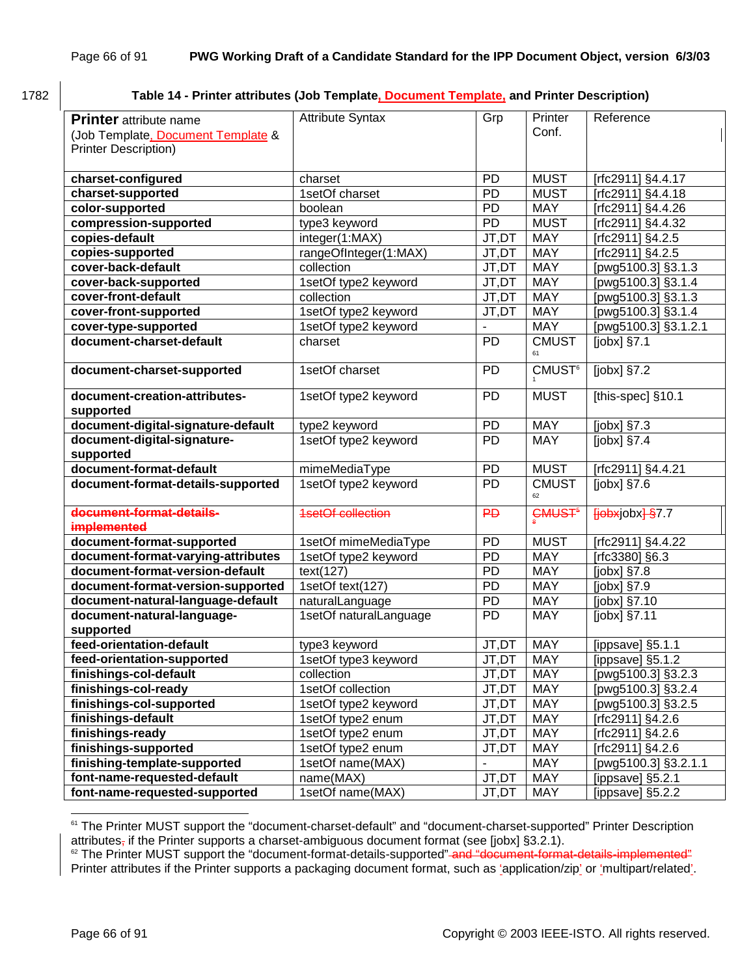# 1782 **Table 14 - Printer attributes (Job Template, Document Template, and Printer Description)**

| <b>Printer</b> attribute name<br>(Job Template, Document Template &<br><b>Printer Description)</b> | <b>Attribute Syntax</b>  | Grp             | Printer<br>Conf.              | Reference                                                                                                                                                                                                                                                                                     |
|----------------------------------------------------------------------------------------------------|--------------------------|-----------------|-------------------------------|-----------------------------------------------------------------------------------------------------------------------------------------------------------------------------------------------------------------------------------------------------------------------------------------------|
| charset-configured                                                                                 | charset                  | PD              | <b>MUST</b>                   | [rfc2911] §4.4.17                                                                                                                                                                                                                                                                             |
| charset-supported                                                                                  | 1setOf charset           | <b>PD</b>       | <b>MUST</b>                   | [rfc2911] §4.4.18                                                                                                                                                                                                                                                                             |
| color-supported                                                                                    | boolean                  | <b>PD</b>       | <b>MAY</b>                    | [rfc2911] §4.4.26                                                                                                                                                                                                                                                                             |
| compression-supported                                                                              | type3 keyword            | PD              | <b>MUST</b>                   | [rfc2911] §4.4.32                                                                                                                                                                                                                                                                             |
| copies-default                                                                                     | integer(1:MAX)           | JT,DT           | <b>MAY</b>                    | [rfc2911] §4.2.5                                                                                                                                                                                                                                                                              |
| copies-supported                                                                                   | rangeOfInteger(1:MAX)    | JT,DT           | <b>MAY</b>                    | Trfc2911] §4.2.5                                                                                                                                                                                                                                                                              |
| cover-back-default                                                                                 | collection               | JT,DT           | <b>MAY</b>                    | [pwg5100.3] §3.1.3                                                                                                                                                                                                                                                                            |
| cover-back-supported                                                                               | 1setOf type2 keyword     | JT,DT           | <b>MAY</b>                    | [pwg5100.3] §3.1.4                                                                                                                                                                                                                                                                            |
| cover-front-default                                                                                | collection               | JT,DT           | <b>MAY</b>                    | [pwg5100.3] §3.1.3                                                                                                                                                                                                                                                                            |
| cover-front-supported                                                                              | 1setOf type2 keyword     | JT,DT           | <b>MAY</b>                    | [pwg5100.3] §3.1.4                                                                                                                                                                                                                                                                            |
| cover-type-supported                                                                               | 1setOf type2 keyword     |                 | <b>MAY</b>                    | [pwg5100.3] §3.1.2.1                                                                                                                                                                                                                                                                          |
| document-charset-default                                                                           | charset                  | <b>PD</b>       | <b>CMUST</b><br>61            | $[jobx]$ §7.1                                                                                                                                                                                                                                                                                 |
| document-charset-supported                                                                         | 1setOf charset           | <b>PD</b>       | <b>CMUST<sup>6</sup></b>      | [ $jobs$ ] $§7.2$                                                                                                                                                                                                                                                                             |
| document-creation-attributes-<br>supported                                                         | 1setOf type2 keyword     | PD              | <b>MUST</b>                   | [this-spec] §10.1                                                                                                                                                                                                                                                                             |
| document-digital-signature-default                                                                 | type2 keyword            | <b>PD</b>       | <b>MAY</b>                    | [jobx] §7.3                                                                                                                                                                                                                                                                                   |
| document-digital-signature-<br>supported                                                           | 1setOf type2 keyword     | PD              | <b>MAY</b>                    | [ $jobs$ ] $§7.4$                                                                                                                                                                                                                                                                             |
| document-format-default                                                                            | mimeMediaType            | <b>PD</b>       | <b>MUST</b>                   | [rfc2911] §4.4.21                                                                                                                                                                                                                                                                             |
| document-format-details-supported                                                                  | 1setOf type2 keyword     | PD              | <b>CMUST</b><br>62            | [ $jobs$ ] §7.6                                                                                                                                                                                                                                                                               |
| document-format-details-<br>implemented                                                            | <b>1setOf collection</b> | $\overline{P}D$ | CMUS <sub>T<sup>5</sup></sub> | $\frac{1}{2}$ and $\frac{1}{2}$ and $\frac{1}{2}$ and $\frac{1}{2}$ and $\frac{1}{2}$ and $\frac{1}{2}$ and $\frac{1}{2}$ and $\frac{1}{2}$ and $\frac{1}{2}$ and $\frac{1}{2}$ and $\frac{1}{2}$ and $\frac{1}{2}$ and $\frac{1}{2}$ and $\frac{1}{2}$ and $\frac{1}{2}$ and $\frac{1}{2}$ a |
| document-format-supported                                                                          | 1setOf mimeMediaType     | <b>PD</b>       | <b>MUST</b>                   | [rfc2911] §4.4.22                                                                                                                                                                                                                                                                             |
| document-format-varying-attributes                                                                 | 1setOf type2 keyword     | <b>PD</b>       | <b>MAY</b>                    | [rfc3380] §6.3                                                                                                                                                                                                                                                                                |
| document-format-version-default                                                                    | text(127)                | PD              | <b>MAY</b>                    | [jobx] §7.8                                                                                                                                                                                                                                                                                   |
| document-format-version-supported                                                                  | 1setOf text(127)         | PD              | <b>MAY</b>                    | [jobx] §7.9                                                                                                                                                                                                                                                                                   |
| document-natural-language-default                                                                  | naturalLanguage          | PD              | <b>MAY</b>                    | [jobx] §7.10                                                                                                                                                                                                                                                                                  |
| document-natural-language-<br>supported                                                            | 1setOf naturalLanguage   | <b>PD</b>       | <b>MAY</b>                    | [jobx] §7.11                                                                                                                                                                                                                                                                                  |
| feed-orientation-default                                                                           | type3 keyword            | JT,DT           | <b>MAY</b>                    | [ippsave] §5.1.1                                                                                                                                                                                                                                                                              |
| feed-orientation-supported                                                                         | 1setOf type3 keyword     | JT, DT          | <b>MAY</b>                    | [ippsave] §5.1.2                                                                                                                                                                                                                                                                              |
| finishings-col-default                                                                             | collection               | JT,DT           | <b>MAY</b>                    | [pwg5100.3] §3.2.3                                                                                                                                                                                                                                                                            |
| finishings-col-ready                                                                               | 1setOf collection        | JT,DT           | <b>MAY</b>                    | [pwg5100.3] §3.2.4                                                                                                                                                                                                                                                                            |
| finishings-col-supported                                                                           | 1setOf type2 keyword     | JT,DT           | MAY                           | [pwg5100.3] §3.2.5                                                                                                                                                                                                                                                                            |
| finishings-default                                                                                 | 1setOf type2 enum        | JT,DT           | <b>MAY</b>                    | [rfc2911] §4.2.6                                                                                                                                                                                                                                                                              |
| finishings-ready                                                                                   | 1setOf type2 enum        | JT,DT           | <b>MAY</b>                    | [rfc2911] §4.2.6                                                                                                                                                                                                                                                                              |
| finishings-supported                                                                               | 1setOf type2 enum        | JT,DT           | MAY                           | rfc2911] §4.2.6                                                                                                                                                                                                                                                                               |
| finishing-template-supported                                                                       | 1setOf name(MAX)         |                 | <b>MAY</b>                    | [pwg5100.3] §3.2.1.1                                                                                                                                                                                                                                                                          |
| font-name-requested-default                                                                        | name(MAX)                | JT,DT           | MAY                           | [ippsave] §5.2.1                                                                                                                                                                                                                                                                              |
| font-name-requested-supported                                                                      | 1setOf name(MAX)         | JT,DT           | MAY                           | [ippsave] $§5.2.2$                                                                                                                                                                                                                                                                            |

 $^{61}$  The Printer MUST support the "document-charset-default" and "document-charset-supported" Printer Description attributes, if the Printer supports a charset-ambiguous document format (see [jobx] §3.2.1).<br><sup>62</sup> The Printer MUST support the "document-format-details-supported" and "document-format-details-implemented"

Printer attributes if the Printer supports a packaging document format, such as 'application/zip' or 'multipart/related'.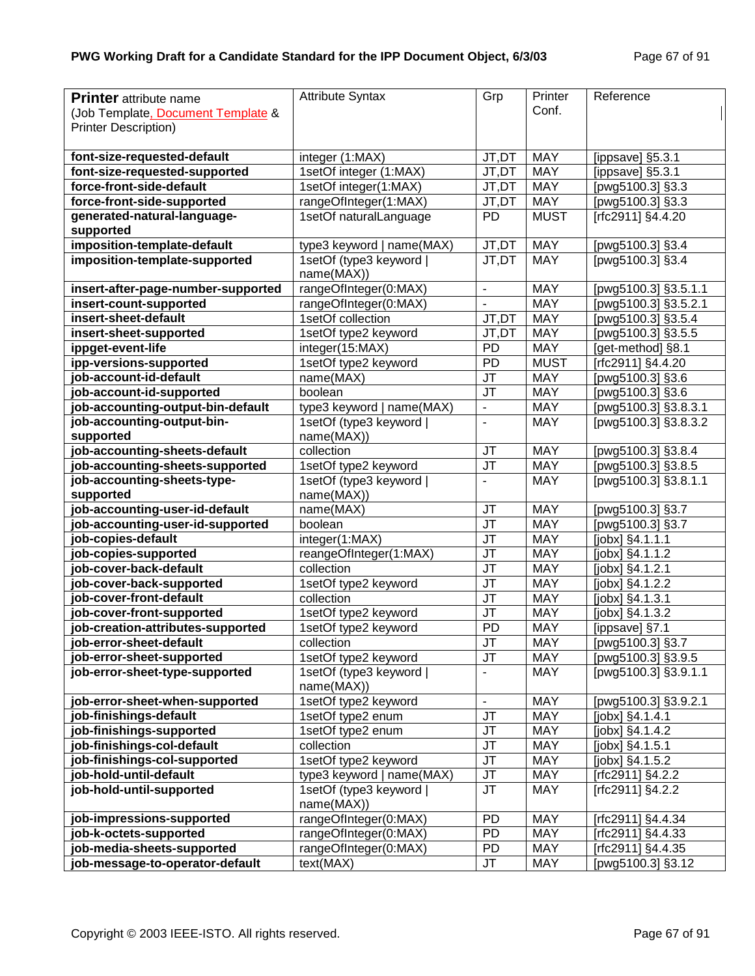| <b>Printer</b> attribute name      | <b>Attribute Syntax</b>               | Grp                               | Printer     | Reference                     |
|------------------------------------|---------------------------------------|-----------------------------------|-------------|-------------------------------|
| (Job Template, Document Template & |                                       |                                   | Conf.       |                               |
| <b>Printer Description)</b>        |                                       |                                   |             |                               |
|                                    |                                       |                                   |             |                               |
| font-size-requested-default        | integer (1:MAX)                       | JT,DT                             | <b>MAY</b>  | [ippsave] $§5.\overline{3.1}$ |
| font-size-requested-supported      | 1setOf integer (1:MAX)                | JT,DT                             | <b>MAY</b>  | [ippsave] §5.3.1              |
| force-front-side-default           | 1setOf integer(1:MAX)                 | JT,DT                             | <b>MAY</b>  | [pwg5100.3] §3.3              |
| force-front-side-supported         | rangeOfInteger(1:MAX)                 | JT,DT                             | <b>MAY</b>  | [pwg5100.3] §3.3              |
| generated-natural-language-        | 1setOf naturalLanguage                | <b>PD</b>                         | <b>MUST</b> | [rfc2911] §4.4.20             |
| supported                          |                                       |                                   |             |                               |
| imposition-template-default        | type3 keyword   name(MAX)             | JT,DT                             | <b>MAY</b>  | [pwg5100.3] §3.4              |
| imposition-template-supported      | 1setOf (type3 keyword                 | JT.DT                             | <b>MAY</b>  | [pwg5100.3] §3.4              |
|                                    | name(MAX))                            |                                   |             |                               |
| insert-after-page-number-supported | rangeOfInteger(0:MAX)                 | $\blacksquare$                    | <b>MAY</b>  | [pwg5100.3] §3.5.1.1          |
| insert-count-supported             | rangeOfInteger(0:MAX)                 |                                   | <b>MAY</b>  | [pwg5100.3] §3.5.2.1          |
| insert-sheet-default               | 1setOf collection                     | JT,DT                             | <b>MAY</b>  | [pwg5100.3] §3.5.4            |
| insert-sheet-supported             | 1setOf type2 keyword                  | JT,DT                             | <b>MAY</b>  | [pwg5100.3] §3.5.5            |
| ippget-event-life                  | integer(15:MAX)                       | PD                                | <b>MAY</b>  | [get-method] §8.1             |
| ipp-versions-supported             | 1setOf type2 keyword                  | PD                                | <b>MUST</b> | [rfc2911] §4.4.20             |
| job-account-id-default             | name(MAX)                             | JT                                | <b>MAY</b>  | [pwg5100.3] §3.6              |
| job-account-id-supported           | boolean                               | JT                                | <b>MAY</b>  | [pwg5100.3] §3.6              |
| job-accounting-output-bin-default  | type3 keyword   name(MAX)             | $\blacksquare$                    | <b>MAY</b>  | [pwg5100.3] §3.8.3.1          |
| job-accounting-output-bin-         | 1setOf (type3 keyword                 | $\overline{a}$                    | <b>MAY</b>  | [pwg5100.3] §3.8.3.2          |
| supported                          | name(MAX))                            |                                   |             |                               |
| job-accounting-sheets-default      | collection                            | JT                                | <b>MAY</b>  | [pwg5100.3] §3.8.4            |
| job-accounting-sheets-supported    | 1setOf type2 keyword                  | JT                                | <b>MAY</b>  | [pwg5100.3] §3.8.5            |
| job-accounting-sheets-type-        | 1setOf (type3 keyword                 | ÷.                                | <b>MAY</b>  | [pwg5100.3] §3.8.1.1          |
| supported                          | name(MAX))                            |                                   |             |                               |
| job-accounting-user-id-default     | name(MAX)                             | JT                                | <b>MAY</b>  | [pwg5100.3] §3.7              |
| job-accounting-user-id-supported   | boolean                               | $\overline{\mathsf{J}\mathsf{T}}$ | <b>MAY</b>  | [pwg5100.3] §3.7              |
| job-copies-default                 | integer(1:MAX)                        | JT                                | <b>MAY</b>  | [jobx] §4.1.1.1               |
| job-copies-supported               | reangeOfInteger(1:MAX)                | JT                                | <b>MAY</b>  | [jobx] §4.1.1.2               |
| job-cover-back-default             | collection                            | JT                                | <b>MAY</b>  | [jobx] §4.1.2.1               |
| job-cover-back-supported           | 1setOf type2 keyword                  | $\overline{\mathsf{J}\mathsf{T}}$ | <b>MAY</b>  | [jobx] §4.1.2.2               |
| job-cover-front-default            | collection                            | JT                                | <b>MAY</b>  | [jobx] §4.1.3.1               |
| job-cover-front-supported          | 1setOf type2 keyword                  | JT                                | <b>MAY</b>  | [jobx] §4.1.3.2               |
| job-creation-attributes-supported  | 1setOf type2 keyword                  | PD                                | <b>MAY</b>  | [ippsave] §7.1                |
| job-error-sheet-default            | collection                            | JT                                | <b>MAY</b>  | [pwg5100.3] §3.7              |
| job-error-sheet-supported          | 1setOf type2 keyword                  | JT                                | <b>MAY</b>  | [pwg5100.3] §3.9.5            |
| job-error-sheet-type-supported     | 1setOf (type3 keyword  <br>name(MAX)) | $\blacksquare$                    | <b>MAY</b>  | [pwg5100.3] §3.9.1.1          |
| job-error-sheet-when-supported     | 1setOf type2 keyword                  | $\blacksquare$                    | <b>MAY</b>  | [pwg5100.3] §3.9.2.1          |
| job-finishings-default             | 1setOf type2 enum                     | JT                                | MAY         | $[jobx]$ §4.1.4.1             |
| job-finishings-supported           | 1setOf type2 enum                     | JT                                | MAY         | [jobx] §4.1.4.2               |
| job-finishings-col-default         | collection                            | JT                                | <b>MAY</b>  | [jobx] §4.1.5.1               |
| job-finishings-col-supported       | 1setOf type2 keyword                  | JT                                | MAY         | $[jobx]$ §4.1.5.2             |
| job-hold-until-default             | type3 keyword   name(MAX)             | JT                                | <b>MAY</b>  | [rfc2911] §4.2.2              |
| job-hold-until-supported           | 1setOf (type3 keyword                 | <b>JT</b>                         | <b>MAY</b>  | [rfc2911] §4.2.2              |
|                                    | name(MAX))                            |                                   |             |                               |
| job-impressions-supported          | rangeOfInteger(0:MAX)                 | PD                                | <b>MAY</b>  | [rfc2911] §4.4.34             |
| job-k-octets-supported             | rangeOfInteger(0:MAX)                 | PD                                | <b>MAY</b>  | [rfc2911] §4.4.33             |
| job-media-sheets-supported         | rangeOfInteger(0:MAX)                 | PD                                | MAY         | $[rfc2911]$ §4.4.35           |
| job-message-to-operator-default    | text(MAX)                             | JT                                | <b>MAY</b>  | [pwg5100.3] §3.12             |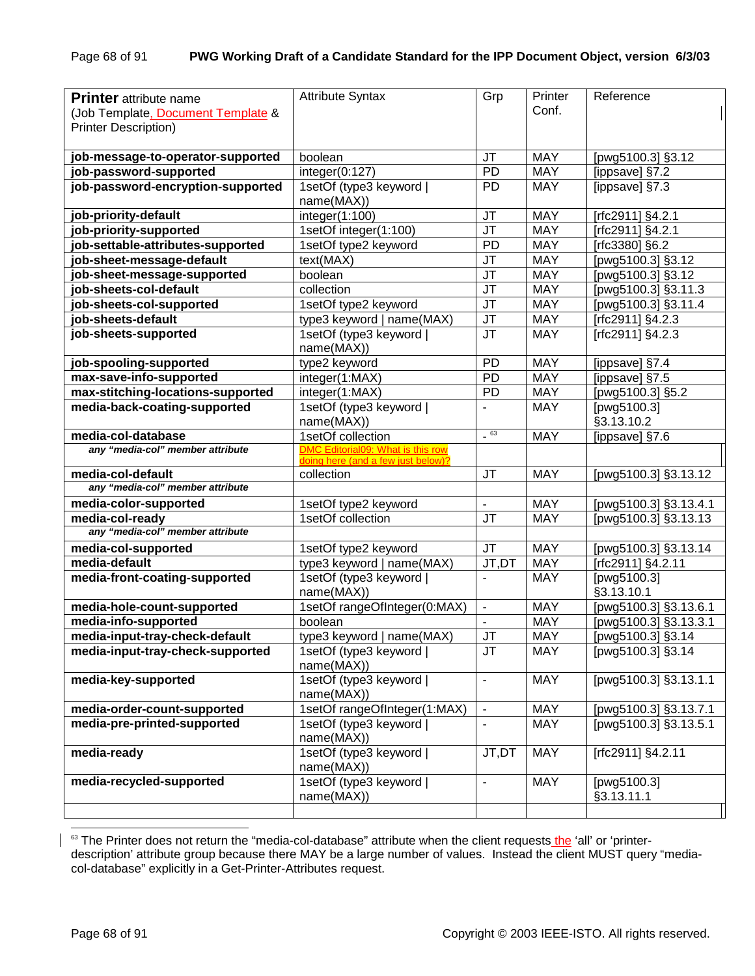| <b>Printer</b> attribute name<br>(Job Template, Document Template &<br><b>Printer Description)</b> | <b>Attribute Syntax</b>                  | Grp                               | Printer<br>Conf. | Reference                 |
|----------------------------------------------------------------------------------------------------|------------------------------------------|-----------------------------------|------------------|---------------------------|
| job-message-to-operator-supported                                                                  | boolean                                  | JT                                | <b>MAY</b>       | [pwg5100.3] §3.12         |
| job-password-supported                                                                             | integer(0:127)                           | PD                                | <b>MAY</b>       | [ippsave] §7.2            |
| job-password-encryption-supported                                                                  | 1setOf (type3 keyword<br>name(MAX))      | <b>PD</b>                         | <b>MAY</b>       | [ippsave] §7.3            |
| job-priority-default                                                                               | integer(1:100)                           | <b>JT</b>                         | <b>MAY</b>       | [rfc2911] §4.2.1          |
| job-priority-supported                                                                             | 1setOf integer(1:100)                    | $\overline{\mathsf{J}\mathsf{T}}$ | <b>MAY</b>       | [rfc2911] §4.2.1          |
| job-settable-attributes-supported                                                                  | 1setOf type2 keyword                     | PD                                | <b>MAY</b>       | [rfc3380] §6.2            |
| job-sheet-message-default                                                                          | text(MAX)                                | <b>JT</b>                         | <b>MAY</b>       | [pwg5100.3] §3.12         |
| job-sheet-message-supported                                                                        | boolean                                  | <b>JT</b>                         | <b>MAY</b>       | [pwg5100.3] §3.12         |
| job-sheets-col-default                                                                             | collection                               | <b>JT</b>                         | <b>MAY</b>       | [pwg5100.3] §3.11.3       |
| job-sheets-col-supported                                                                           | 1setOf type2 keyword                     | <b>JT</b>                         | <b>MAY</b>       | [pwg5100.3] §3.11.4       |
| job-sheets-default                                                                                 | type3 keyword   name(MAX)                | <b>JT</b>                         | <b>MAY</b>       | [rfc2911] §4.2.3          |
| job-sheets-supported                                                                               | 1setOf (type3 keyword)<br>name(MAX))     | <b>JT</b>                         | <b>MAY</b>       | [rfc2911] §4.2.3          |
| job-spooling-supported                                                                             | type2 keyword                            | <b>PD</b>                         | <b>MAY</b>       | [ippsave] §7.4            |
| max-save-info-supported                                                                            | integer(1:MAX)                           | PD                                | <b>MAY</b>       | [ippsave] §7.5            |
| max-stitching-locations-supported                                                                  | integer(1:MAX)                           | PD                                | <b>MAY</b>       | [pwg5100.3] §5.2          |
| media-back-coating-supported                                                                       | 1setOf (type3 keyword)<br>name(MAX))     | $\blacksquare$                    | <b>MAY</b>       | [pwg5100.3]<br>§3.13.10.2 |
| media-col-database                                                                                 | 1setOf collection                        | $-63$                             | <b>MAY</b>       | [ippsave] §7.6            |
| any "media-col" member attribute                                                                   | <b>DMC Editorial09: What is this row</b> |                                   |                  |                           |
| media-col-default                                                                                  | doing here (and a few just below)?       | <b>JT</b>                         | <b>MAY</b>       |                           |
| any "media-col" member attribute                                                                   | collection                               |                                   |                  | [pwg5100.3] §3.13.12      |
| media-color-supported                                                                              | 1setOf type2 keyword                     | $\blacksquare$                    | <b>MAY</b>       | [pwg5100.3] §3.13.4.1     |
| media-col-ready                                                                                    | 1setOf collection                        | <b>JT</b>                         | <b>MAY</b>       | [pwg5100.3] §3.13.13      |
| any "media-col" member attribute                                                                   |                                          |                                   |                  |                           |
| media-col-supported                                                                                | 1setOf type2 keyword                     | <b>JT</b>                         | <b>MAY</b>       | [pwg5100.3] §3.13.14      |
| media-default                                                                                      | type3 keyword   name(MAX)                | $JT, \overline{DT}$               | <b>MAY</b>       | [ $rfc2911$ ] §4.2.11     |
| media-front-coating-supported                                                                      | 1setOf (type3 keyword)                   | $\mathbf{r}$                      | <b>MAY</b>       | [pwg5100.3]               |
|                                                                                                    | name(MAX))                               |                                   |                  | §3.13.10.1                |
| media-hole-count-supported                                                                         | 1setOf rangeOfInteger(0:MAX)             | $\blacksquare$                    | <b>MAY</b>       | [pwg5100.3] §3.13.6.1     |
| media-info-supported                                                                               | boolean                                  | $\overline{a}$                    | <b>MAY</b>       | [pwg5100.3] §3.13.3.1     |
| media-input-tray-check-default                                                                     | type3 keyword   name(MAX)                | JT                                | MAY              | [pwg5100.3] §3.14         |
| media-input-tray-check-supported                                                                   | 1setOf (type3 keyword                    | JT                                | <b>MAY</b>       | [pwg5100.3] §3.14         |
|                                                                                                    | name(MAX))                               |                                   |                  |                           |
| media-key-supported                                                                                | 1setOf (type3 keyword<br>name(MAX))      | $\blacksquare$                    | <b>MAY</b>       | [pwg5100.3] §3.13.1.1     |
| media-order-count-supported                                                                        | 1setOf rangeOfInteger(1:MAX)             | $\blacksquare$                    | <b>MAY</b>       | [pwg5100.3] §3.13.7.1     |
| media-pre-printed-supported                                                                        | 1setOf (type3 keyword  <br>name(MAX))    |                                   | <b>MAY</b>       | [pwg5100.3] §3.13.5.1     |
| media-ready                                                                                        | 1setOf (type3 keyword  <br>name(MAX))    | JT,DT                             | <b>MAY</b>       | [rfc2911] §4.2.11         |
| media-recycled-supported                                                                           | 1setOf (type3 keyword  <br>name(MAX))    | $\blacksquare$                    | MAY              | [pwg5100.3]<br>§3.13.11.1 |
|                                                                                                    |                                          |                                   |                  |                           |

<sup>&</sup>lt;sup>63</sup> The Printer does not return the "media-col-database" attribute when the client requests the 'all' or 'printerdescription' attribute group because there MAY be a large number of values. Instead the client MUST query "mediacol-database" explicitly in a Get-Printer-Attributes request.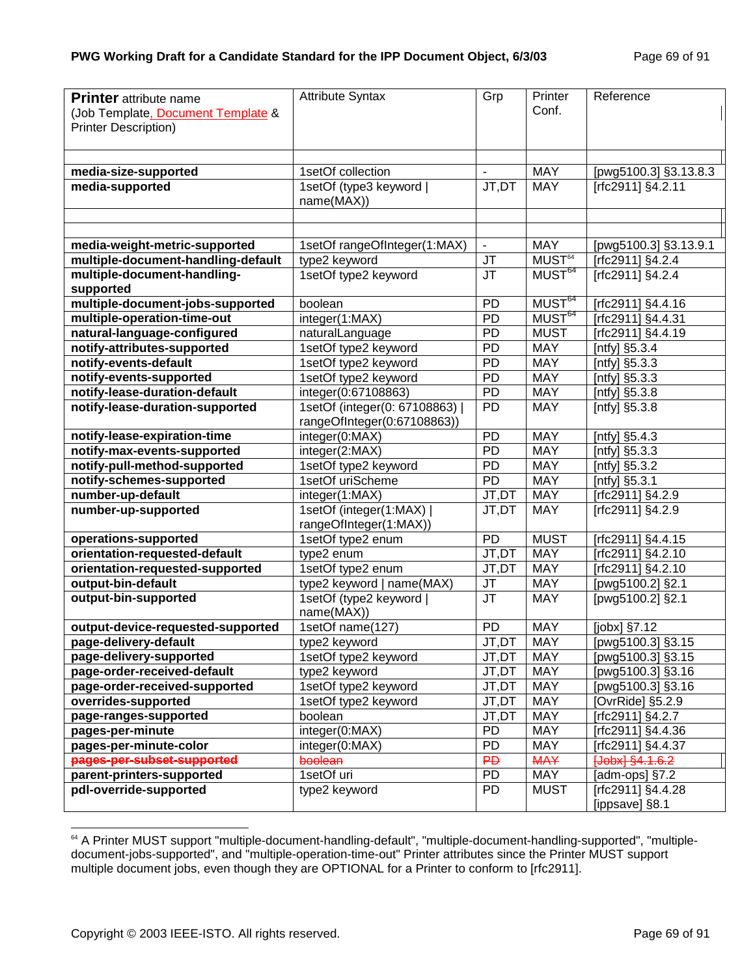| <b>Printer</b> attribute name<br>(Job Template, Document Template &<br>Printer Description) | <b>Attribute Syntax</b>                                       | Grp                               | Printer<br>Conf.   | Reference                           |
|---------------------------------------------------------------------------------------------|---------------------------------------------------------------|-----------------------------------|--------------------|-------------------------------------|
|                                                                                             |                                                               |                                   |                    |                                     |
|                                                                                             |                                                               |                                   |                    |                                     |
| media-size-supported                                                                        | 1setOf collection                                             | $\blacksquare$                    | <b>MAY</b>         | [pwg5100.3] §3.13.8.3               |
| media-supported                                                                             | 1setOf (type3 keyword  <br>name(MAX))                         | JT,DT                             | <b>MAY</b>         | [rfc2911] §4.2.11                   |
|                                                                                             |                                                               |                                   |                    |                                     |
|                                                                                             |                                                               |                                   |                    |                                     |
| media-weight-metric-supported                                                               | 1setOf rangeOfInteger(1:MAX)                                  | $\blacksquare$                    | <b>MAY</b>         | [pwg5100.3] §3.13.9.1               |
| multiple-document-handling-default                                                          | type2 keyword                                                 | JT                                | MUST <sup>64</sup> | [rfc2911] §4.2.4                    |
| multiple-document-handling-                                                                 | 1setOf type2 keyword                                          | JT                                | MUST <sup>64</sup> | [rfc2911] §4.2.4                    |
| supported                                                                                   |                                                               |                                   |                    |                                     |
| multiple-document-jobs-supported                                                            | boolean                                                       | <b>PD</b>                         | MUST <sup>64</sup> | [rfc2911] §4.4.16                   |
| multiple-operation-time-out                                                                 | integer(1:MAX)                                                | PD                                | MUST <sup>64</sup> | [rfc2911] §4.4.31                   |
| natural-language-configured                                                                 | naturalLanguage                                               | PD                                | <b>MUST</b>        | [rfc2911] §4.4.19                   |
| notify-attributes-supported                                                                 | 1setOf type2 keyword                                          | PD                                | <b>MAY</b>         | [ntfy] §5.3.4                       |
| notify-events-default                                                                       | 1setOf type2 keyword                                          | PD                                | <b>MAY</b>         | [ntfy] §5.3.3                       |
| notify-events-supported                                                                     | 1setOf type2 keyword                                          | PD                                | <b>MAY</b>         | [ntfy] §5.3.3                       |
| notify-lease-duration-default                                                               | integer(0:67108863)                                           | PD                                | <b>MAY</b>         | [ntfy] $§5.3.8$                     |
| notify-lease-duration-supported                                                             | 1setOf (integer(0: 67108863)  <br>rangeOfInteger(0:67108863)) | PD                                | <b>MAY</b>         | [ $ntfyl$ §5.3.8                    |
| notify-lease-expiration-time                                                                | integer(0:MAX)                                                | <b>PD</b>                         | <b>MAY</b>         | [ntfy] §5.4.3                       |
| notify-max-events-supported                                                                 | integer(2:MAX)                                                | PD                                | <b>MAY</b>         | [ntfy] §5.3.3                       |
| notify-pull-method-supported                                                                | 1setOf type2 keyword                                          | PD                                | <b>MAY</b>         | [ntfy] §5.3.2                       |
| notify-schemes-supported                                                                    | 1setOf uriScheme                                              | PD                                | MAY                | [ntfy] §5.3.1                       |
| number-up-default                                                                           | integer(1:MAX)                                                | JT,DT                             | <b>MAY</b>         | [rfc2911] §4.2.9                    |
| number-up-supported                                                                         | 1setOf (integer(1:MAX)  <br>rangeOfInteger(1:MAX))            | JT,DT                             | <b>MAY</b>         | [rfc2911] §4.2.9                    |
| operations-supported                                                                        | 1setOf type2 enum                                             | PD                                | <b>MUST</b>        | [rfc2911] §4.4.15                   |
| orientation-requested-default                                                               | type2 enum                                                    | JT,DT                             | MAY                | [rfc2911] §4.2.10                   |
| orientation-requested-supported                                                             | 1setOf type2 enum                                             | JT,DT                             | <b>MAY</b>         | $[rfc2911]$ §4.2.10                 |
| output-bin-default                                                                          | type2 keyword   name(MAX)                                     | JT                                | MAY                | [pwg5100.2] §2.1                    |
| output-bin-supported                                                                        | 1setOf (type2 keyword  <br>name(MAX))                         | $\overline{\mathsf{J}\mathsf{T}}$ | <b>MAY</b>         | [pwg5100.2] §2.1                    |
| output-device-requested-supported                                                           | 1setOf name(127)                                              | PD                                | <b>MAY</b>         | [jobx] §7.12                        |
| page-delivery-default                                                                       | type2 keyword                                                 | JT, DT                            | <b>MAY</b>         | [pwg5100.3] §3.15                   |
| page-delivery-supported                                                                     | 1setOf type2 keyword                                          | JT,DT                             | <b>MAY</b>         | [pwg5100.3] §3.15                   |
| page-order-received-default                                                                 | type2 keyword                                                 | JT,DT                             | MAY                | [pwg5100.3] §3.16                   |
| page-order-received-supported                                                               | 1setOf type2 keyword                                          | JT,DT                             | MAY                | [pwg5100.3] §3.16                   |
| overrides-supported                                                                         | 1setOf type2 keyword                                          | JT,DT                             | MAY                | [OvrRide] §5.2.9                    |
| page-ranges-supported                                                                       | boolean                                                       | JT,DT                             | MAY                | [rfc2911] §4.2.7                    |
| pages-per-minute                                                                            | integer(0:MAX)                                                | PD                                | MAY                | [rfc2911] §4.4.36                   |
| pages-per-minute-color                                                                      | integer(0:MAX)                                                | PD                                | MAY                | [rfc2911] §4.4.37                   |
| pages-per-subset-supported                                                                  | boolean                                                       | $\overline{P}D$                   | <b>MAY</b>         | [Jobx] §4.1.6.2                     |
| parent-printers-supported                                                                   | 1setOf uri                                                    | PD                                | <b>MAY</b>         | [ $adm$ -ops] $§7.2$                |
| pdl-override-supported                                                                      | type2 keyword                                                 | PD                                | <b>MUST</b>        | [rfc2911] §4.4.28<br>[ippsave] §8.1 |

<sup>&</sup>lt;sup>64</sup> A Printer MUST support "multiple-document-handling-default", "multiple-document-handling-supported", "multipledocument-jobs-supported", and "multiple-operation-time-out" Printer attributes since the Printer MUST support multiple document jobs, even though they are OPTIONAL for a Printer to conform to [rfc2911].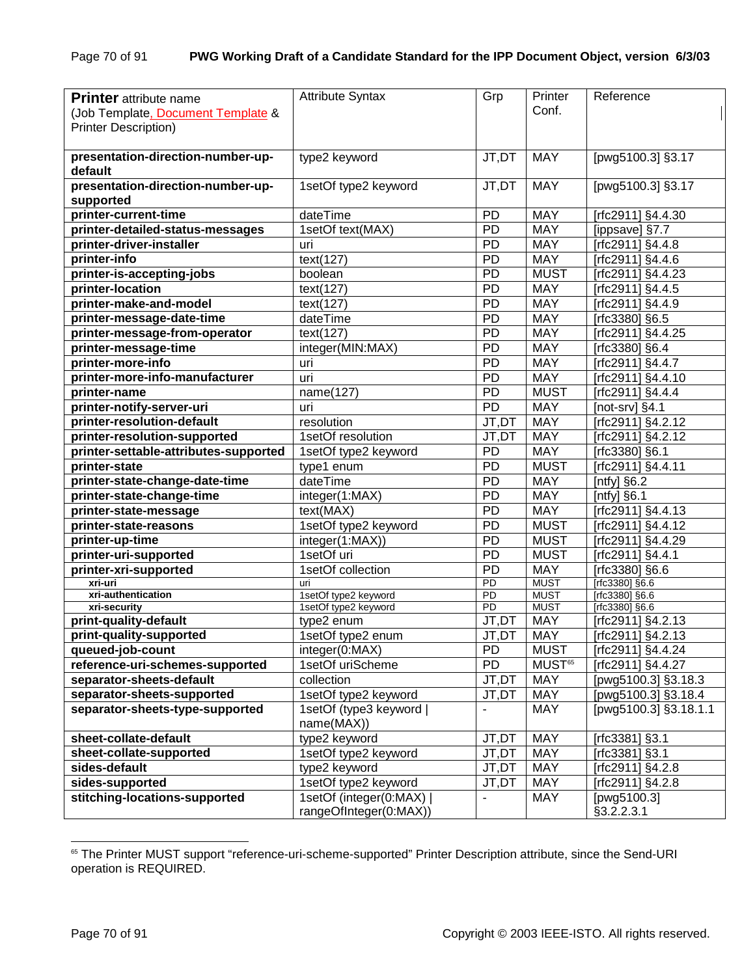| <b>Printer</b> attribute name<br>(Job Template, Document Template & | <b>Attribute Syntax</b>                            | Grp                      | Printer<br>Conf.   | Reference                      |
|---------------------------------------------------------------------|----------------------------------------------------|--------------------------|--------------------|--------------------------------|
| <b>Printer Description)</b>                                         |                                                    |                          |                    |                                |
| presentation-direction-number-up-<br>default                        | type2 keyword                                      | JT,DT                    | <b>MAY</b>         | [pwg5100.3] §3.17              |
| presentation-direction-number-up-<br>supported                      | 1setOf type2 keyword                               | JT,DT                    | <b>MAY</b>         | [pwg5100.3] §3.17              |
| printer-current-time                                                | dateTime                                           | PD                       | <b>MAY</b>         | [rfc2911] §4.4.30              |
| printer-detailed-status-messages                                    | 1setOf text(MAX)                                   | PD                       | <b>MAY</b>         | [ippsave] §7.7                 |
| printer-driver-installer                                            | uri                                                | <b>PD</b>                | <b>MAY</b>         | [rfc2911] §4.4.8               |
| printer-info                                                        | text(127)                                          | <b>PD</b>                | <b>MAY</b>         | [rfc2911] §4.4.6               |
| printer-is-accepting-jobs                                           | boolean                                            | PD                       | <b>MUST</b>        | [rfc2911] §4.4.23              |
| printer-location                                                    | text(127)                                          | <b>PD</b>                | <b>MAY</b>         | [rfc2911] §4.4.5               |
| printer-make-and-model                                              | text(127)                                          | <b>PD</b>                | <b>MAY</b>         | [rfc2911] §4.4.9               |
| printer-message-date-time                                           | dateTime                                           | <b>PD</b>                | <b>MAY</b>         | [rfc3380] §6.5                 |
| printer-message-from-operator                                       | text(127)                                          | PD                       | <b>MAY</b>         | [rfc2911] $§4.4.\overline{25}$ |
| printer-message-time                                                | integer(MIN:MAX)                                   | PD                       | <b>MAY</b>         | [rfc3380] §6.4                 |
| printer-more-info                                                   | uri                                                | <b>PD</b>                | <b>MAY</b>         | [rfc2911] §4.4.7               |
| printer-more-info-manufacturer                                      | uri                                                | <b>PD</b>                | <b>MAY</b>         | [rfc2911] §4.4.10              |
| printer-name                                                        | name(127)                                          | PD                       | <b>MUST</b>        | [rfc2911] §4.4.4               |
| printer-notify-server-uri                                           | uri                                                | PD                       | <b>MAY</b>         | [not-srv] $§4.1$               |
| printer-resolution-default                                          | resolution                                         | JT,DT                    | <b>MAY</b>         | [rfc2911] §4.2.12              |
| printer-resolution-supported                                        | 1setOf resolution                                  | JT,DT                    | <b>MAY</b>         | [rfc2911] §4.2.12              |
| printer-settable-attributes-supported                               | 1setOf type2 keyword                               | PD                       | <b>MAY</b>         | [rfc3380] §6.1                 |
| printer-state                                                       | type1 enum                                         | PD                       | <b>MUST</b>        | [rfc2911] §4.4.11              |
| printer-state-change-date-time                                      | dateTime                                           | <b>PD</b>                | <b>MAY</b>         | [ntfy] $§6.2$                  |
| printer-state-change-time                                           | integer(1:MAX)                                     | PD                       | <b>MAY</b>         | [ $n$ tfy] §6.1                |
| printer-state-message                                               | text(MAX)                                          | PD                       | <b>MAY</b>         | [rfc2911] §4.4.13              |
| printer-state-reasons                                               | 1setOf type2 keyword                               | <b>PD</b>                | <b>MUST</b>        | [rfc2911] §4.4.12              |
| printer-up-time                                                     | integer(1:MAX))                                    | <b>PD</b>                | <b>MUST</b>        | [rfc2911] §4.4.29              |
| printer-uri-supported                                               | 1setOf uri                                         | PD                       | <b>MUST</b>        | [rfc2911] §4.4.1               |
| printer-xri-supported                                               | 1setOf collection                                  | PD                       | <b>MAY</b>         | [rfc3380] §6.6                 |
| xri-uri                                                             | uri                                                | $\overline{PD}$          | <b>MUST</b>        | $[rfc3380]$ §6.6               |
| xri-authentication                                                  | 1setOf type2 keyword                               | $\overline{PD}$          | <b>MUST</b>        | [rfc3380] §6.6                 |
| xri-security                                                        | 1setOf type2 keyword                               | $\overline{PD}$          | <b>MUST</b>        | [rfc3380] §6.6                 |
| print-quality-default                                               | type2 enum                                         | JT,DT                    | <b>MAY</b>         | [rfc2911] §4.2.13              |
| print-quality-supported                                             | 1setOf type2 enum                                  | JT.DT                    | <b>MAY</b>         | [rfc2911] §4.2.13              |
| queued-job-count                                                    | integer(0:MAX)                                     | PD.                      | <b>MUST</b>        | [rfc2911] §4.4.24              |
| reference-uri-schemes-supported                                     | 1setOf uriScheme                                   | <b>PD</b>                | MUST <sup>65</sup> | [rfc2911] §4.4.27              |
| separator-sheets-default                                            | collection                                         | JT,DT                    | <b>MAY</b>         | [pwg5100.3] §3.18.3            |
| separator-sheets-supported                                          | 1setOf type2 keyword                               | JT,DT                    | MAY                | [pwg5100.3] §3.18.4            |
| separator-sheets-type-supported                                     | 1setOf (type3 keyword  <br>name(MAX))              | $\overline{\phantom{0}}$ | <b>MAY</b>         | [pwg5100.3] §3.18.1.1          |
| sheet-collate-default                                               | type2 keyword                                      | JT,DT                    | <b>MAY</b>         | [rfc3381] §3.1                 |
| sheet-collate-supported                                             | 1setOf type2 keyword                               | JT,DT                    | <b>MAY</b>         | [rfc3381] §3.1                 |
| sides-default                                                       | type2 keyword                                      | JT,DT                    | MAY                | [rfc2911] §4.2.8               |
| sides-supported                                                     | 1setOf type2 keyword                               | JT,DT                    | MAY                | [rfc2911] §4.2.8               |
| stitching-locations-supported                                       | 1setOf (integer(0:MAX)  <br>rangeOfInteger(0:MAX)) |                          | MAY                | [pwg5100.3]<br>§3.2.2.3.1      |

l <sup>65</sup> The Printer MUST support "reference-uri-scheme-supported" Printer Description attribute, since the Send-URI operation is REQUIRED.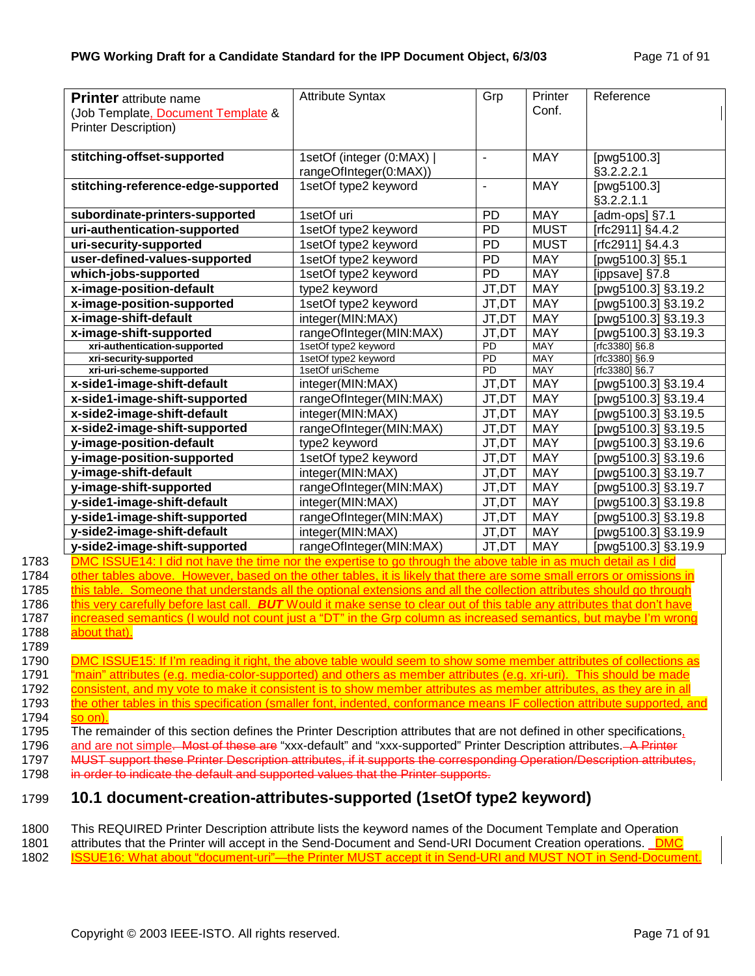| <b>Printer</b> attribute name<br>(Job Template, Document Template &<br><b>Printer Description)</b>                                                    | <b>Attribute Syntax</b>                                                                  | Grp                      | Printer<br>Conf. | Reference                                              |
|-------------------------------------------------------------------------------------------------------------------------------------------------------|------------------------------------------------------------------------------------------|--------------------------|------------------|--------------------------------------------------------|
| stitching-offset-supported                                                                                                                            | 1setOf (integer (0:MAX)                                                                  | $\blacksquare$           | <b>MAY</b>       | [pwg5100.3]                                            |
| stitching-reference-edge-supported                                                                                                                    | rangeOfInteger(0:MAX))<br>1setOf type2 keyword                                           | $\overline{\phantom{a}}$ | <b>MAY</b>       | §3.2.2.2.1<br>[ $pvg5\overline{100.3}$ ]<br>§3.2.2.1.1 |
| subordinate-printers-supported                                                                                                                        | 1setOf uri                                                                               | <b>PD</b>                | <b>MAY</b>       | [adm-ops] §7.1                                         |
| uri-authentication-supported                                                                                                                          | 1setOf type2 keyword                                                                     | <b>PD</b>                | <b>MUST</b>      | [rfc2911] §4.4.2                                       |
| uri-security-supported                                                                                                                                | 1setOf type2 keyword                                                                     | PD                       | <b>MUST</b>      | [rfc2911] §4.4.3                                       |
| user-defined-values-supported                                                                                                                         | 1setOf type2 keyword                                                                     | <b>PD</b>                | <b>MAY</b>       | [pwg5100.3] §5.1                                       |
| which-jobs-supported                                                                                                                                  | 1setOf type2 keyword                                                                     | PD                       | <b>MAY</b>       | [ippsave] §7.8                                         |
| x-image-position-default                                                                                                                              | type2 keyword                                                                            | JT,DT                    | <b>MAY</b>       | [pwg5100.3] §3.19.2                                    |
| x-image-position-supported                                                                                                                            | 1setOf type2 keyword                                                                     | JT,DT                    | <b>MAY</b>       | [pwg5100.3] §3.19.2                                    |
| x-image-shift-default                                                                                                                                 | integer(MIN:MAX)                                                                         | JT,DT                    | <b>MAY</b>       | [pwg5100.3] §3.19.3                                    |
| x-image-shift-supported                                                                                                                               | rangeOfInteger(MIN:MAX)                                                                  | JT,DT                    | <b>MAY</b>       | [pwg5100.3] §3.19.3                                    |
| xri-authentication-supported                                                                                                                          | 1setOf type2 keyword                                                                     | <b>PD</b>                | <b>MAY</b>       | [rfc3380] §6.8                                         |
| xri-security-supported                                                                                                                                | 1setOf type2 keyword                                                                     | $\overline{PD}$          | <b>MAY</b>       | [rfc3380] §6.9                                         |
| xri-uri-scheme-supported                                                                                                                              | 1setOf uriScheme                                                                         | $\overline{PD}$          | <b>MAY</b>       | [rfc3380] §6.7                                         |
| x-side1-image-shift-default                                                                                                                           | integer(MIN:MAX)                                                                         | JT,DT                    | <b>MAY</b>       | [pwg5100.3] §3.19.4                                    |
| x-side1-image-shift-supported                                                                                                                         | rangeOfInteger(MIN:MAX)                                                                  | JT,DT                    | <b>MAY</b>       | [pwg5100.3] §3.19.4                                    |
| x-side2-image-shift-default                                                                                                                           | integer(MIN:MAX)                                                                         | JT,DT                    | <b>MAY</b>       | [pwg5100.3] §3.19.5                                    |
| x-side2-image-shift-supported                                                                                                                         | rangeOfInteger(MIN:MAX)                                                                  | JT,DT                    | <b>MAY</b>       | [pwg5100.3] §3.19.5                                    |
| y-image-position-default                                                                                                                              | type2 keyword                                                                            | JT,DT                    | <b>MAY</b>       | [pwg5100.3] §3.19.6                                    |
| y-image-position-supported                                                                                                                            | 1setOf type2 keyword                                                                     | JT,DT                    | <b>MAY</b>       | [pwg5100.3] §3.19.6                                    |
| y-image-shift-default                                                                                                                                 | integer(MIN:MAX)                                                                         | JT,DT                    | <b>MAY</b>       | [pwg5100.3] §3.19.7                                    |
| y-image-shift-supported                                                                                                                               | rangeOfInteger(MIN:MAX)                                                                  | JT,DT                    | <b>MAY</b>       | [pwg5100.3] §3.19.7                                    |
| y-side1-image-shift-default                                                                                                                           | integer(MIN:MAX)                                                                         | JT,DT                    | <b>MAY</b>       | [pwg5100.3] §3.19.8                                    |
| y-side1-image-shift-supported                                                                                                                         | rangeOfInteger(MIN:MAX)                                                                  | JT,DT                    | <b>MAY</b>       | [pwg5100.3] §3.19.8                                    |
| y-side2-image-shift-default                                                                                                                           | integer(MIN:MAX)                                                                         | JT,DT                    | <b>MAY</b>       | [pwg5100.3] §3.19.9                                    |
| y-side2-image-shift-supported                                                                                                                         | rangeOfInteger(MIN:MAX)                                                                  | JT,DT                    | <b>MAY</b>       | [pwg5100.3] §3.19.9                                    |
| SSUE14: I did not have the time nor the expertise to go through the above table in as much detail as I did                                            |                                                                                          |                          |                  |                                                        |
| 1783<br>1784<br>other tables above. However, based on the other tables, it is likely that there are some small errors or omissions in                 |                                                                                          |                          |                  |                                                        |
| 1785<br>this table. Someone that understands all the optional extensions and all the collection attributes should go through                          |                                                                                          |                          |                  |                                                        |
| 1786<br>this verv carefully before last call.                                                                                                         | <b>BUT</b> Would it make sense to clear out of this table any attributes that don't have |                          |                  |                                                        |
| 1787<br>increased semantics (I would not count just a "DT" in the Grp column as increased semantics, but maybe I'm wrong<br>1788<br>about that).      |                                                                                          |                          |                  |                                                        |
| 1789<br>DMC ISSUE15: If I'm reading it right, the above table would seem to show some member attributes of collections as<br>1790                     |                                                                                          |                          |                  |                                                        |
|                                                                                                                                                       |                                                                                          |                          |                  |                                                        |
| "main" attributes (e.g. media-color-supported) and others as member attributes (e.g. xri-uri). This should be made                                    |                                                                                          |                          |                  |                                                        |
| consistent, and my vote to make it consistent is to show member attributes as member attributes, as they are in all                                   |                                                                                          |                          |                  |                                                        |
| 1793<br>the other tables in this specification (smaller font, indented, conformance means IF collection attribute supported, and<br>1794<br>$so$ on). |                                                                                          |                          |                  |                                                        |
| 1795<br>The remainder of this section defines the Printer Description attributes that are not defined in other specifications,                        |                                                                                          |                          |                  |                                                        |
| 1796<br>and are not simple. Most of these are "xxx-default" and "xxx-supported" Printer Description attributes. A Printer                             |                                                                                          |                          |                  |                                                        |
| MUST support these Printer Description attributes, if it supports the corresponding Operation/Description attributes,<br>1797                         |                                                                                          |                          |                  |                                                        |
| in order to indicate the default and supported values that the Printer supports.<br>1798                                                              |                                                                                          |                          |                  |                                                        |
| 10.1 document-creation-attributes-supported (1 set Of type 2 keyword)<br>1799                                                                         |                                                                                          |                          |                  |                                                        |

1800 This REQUIRED Printer Description attribute lists the keyword names of the Document Template and Operation

1801 attributes that the Printer will accept in the Send-Document and Send-URI Document Creation operations. DMC<br>1802 **ISSUE16: What about "document-uri"—the Printer MUST accept it in Send-URI and MUST NOT in Send-Docume** ISSUE16: What about "document-uri"—the Printer MUST accept it in Send-URI and MUST NOT in Send-Document.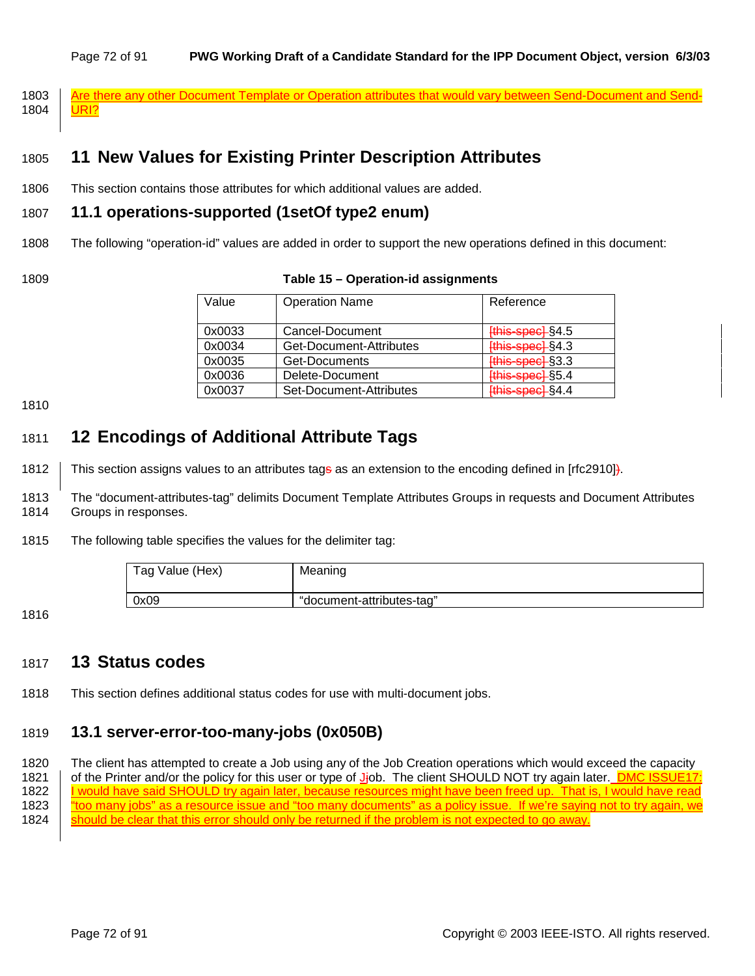#### Page 72 of 91 **PWG Working Draft of a Candidate Standard for the IPP Document Object, version 6/3/03**

1803 Are there any other Document Template or Operation attributes that would vary between Send-Document and Send-1804 | <mark>URI?</mark>

# 1805 **11 New Values for Existing Printer Description Attributes**

1806 This section contains those attributes for which additional values are added.

### 1807 **11.1 operations-supported (1setOf type2 enum)**

- 1808 The following "operation-id" values are added in order to support the new operations defined in this document:
- 

### 1809 **Table 15 – Operation-id assignments**

| Value  | <b>Operation Name</b>   | Reference               |
|--------|-------------------------|-------------------------|
| 0x0033 | Cancel-Document         | [this-spec] §4.5        |
| 0x0034 | Get-Document-Attributes | [this-spec] §4.3        |
| 0x0035 | Get-Documents           | <b>[this-spec] §3.3</b> |
| 0x0036 | Delete-Document         | [this-spec] §5.4        |
| 0x0037 | Set-Document-Attributes | [this-spec] §4.4        |

1810

# 1811 **12 Encodings of Additional Attribute Tags**

1812 This section assigns values to an attributes tage as an extension to the encoding defined in [rfc2910]).

1813 The "document-attributes-tag" delimits Document Template Attributes Groups in requests and Document Attributes 1814 Groups in responses.

1815 The following table specifies the values for the delimiter tag:

| Tag Value (Hex) | Meaning                   |
|-----------------|---------------------------|
| 0x09            | "document-attributes-tag" |

1816

# 1817 **13 Status codes**

1818 This section defines additional status codes for use with multi-document jobs.

# 1819 **13.1 server-error-too-many-jobs (0x050B)**

1820 The client has attempted to create a Job using any of the Job Creation operations which would exceed the capacity 1821 of the Printer and/or the policy for this user or type of J<sub>j</sub>ob. The client SHOULD NOT try again later. **DMC ISSUE17:** 1822 | <u>I would have said SHOULD try again later, because resources might have been freed up. That is, I would have read</u> 1823 | <u>"too many jobs" as a resource issue and "too many documents" as a policy issue. If we're saying not to try again, we</u> 1824 Should be clear that this error should only be returned if the problem is not expected to go away.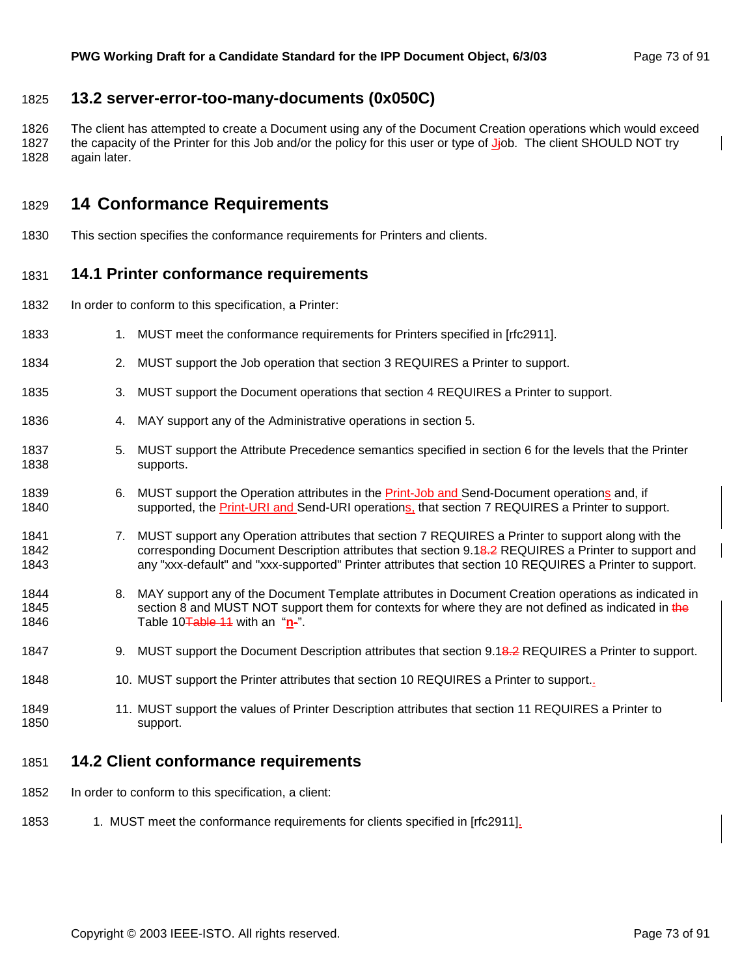## 1825 **13.2 server-error-too-many-documents (0x050C)**

1826 The client has attempted to create a Document using any of the Document Creation operations which would exceed 1827 the capacity of the Printer for this Job and/or the policy for this user or type of Jjob. The client SHOULD NOT try 1828 again later.

## 1829 **14 Conformance Requirements**

1830 This section specifies the conformance requirements for Printers and clients.

## 1831 **14.1 Printer conformance requirements**

- 1832 In order to conform to this specification, a Printer:
- 1833 1833 1. MUST meet the conformance requirements for Printers specified in [rfc2911].
- 1834 2. MUST support the Job operation that section 3 REQUIRES a Printer to support.
- 1835 3. MUST support the Document operations that section 4 REQUIRES a Printer to support.
- 1836 4. MAY support any of the Administrative operations in section 5.
- 1837 5. MUST support the Attribute Precedence semantics specified in section 6 for the levels that the Printer 1838 supports.
- 1839 6. MUST support the Operation attributes in the **Print-Job and Send-Document operations** and, if 1840 supported, the Print-URI and Send-URI operations, that section 7 REQUIRES a Printer to support.
- 1841 7. MUST support any Operation attributes that section 7 REQUIRES a Printer to support along with the 1842 corresponding Document Description attributes that section 9.18-2 REQUIRES a Printer to support and 1843 any "xxx-default" and "xxx-supported" Printer attributes that section 10 REQUIRES a Printer to support.
- 1844 8. MAY support any of the Document Template attributes in Document Creation operations as indicated in 1845 section 8 and MUST NOT support them for contexts for where they are not defined as indicated in the 1846 Table 10Table 11 with an "**n**-".

#### 1847 9. MUST support the Document Description attributes that section 9.18.2 REQUIRES a Printer to support.

- 1848 10. MUST support the Printer attributes that section 10 REQUIRES a Printer to support..
- 1849 11. MUST support the values of Printer Description attributes that section 11 REQUIRES a Printer to 1850 support.

#### 1851 **14.2 Client conformance requirements**

1852 In order to conform to this specification, a client:

#### 1853 1. MUST meet the conformance requirements for clients specified in [rfc2911].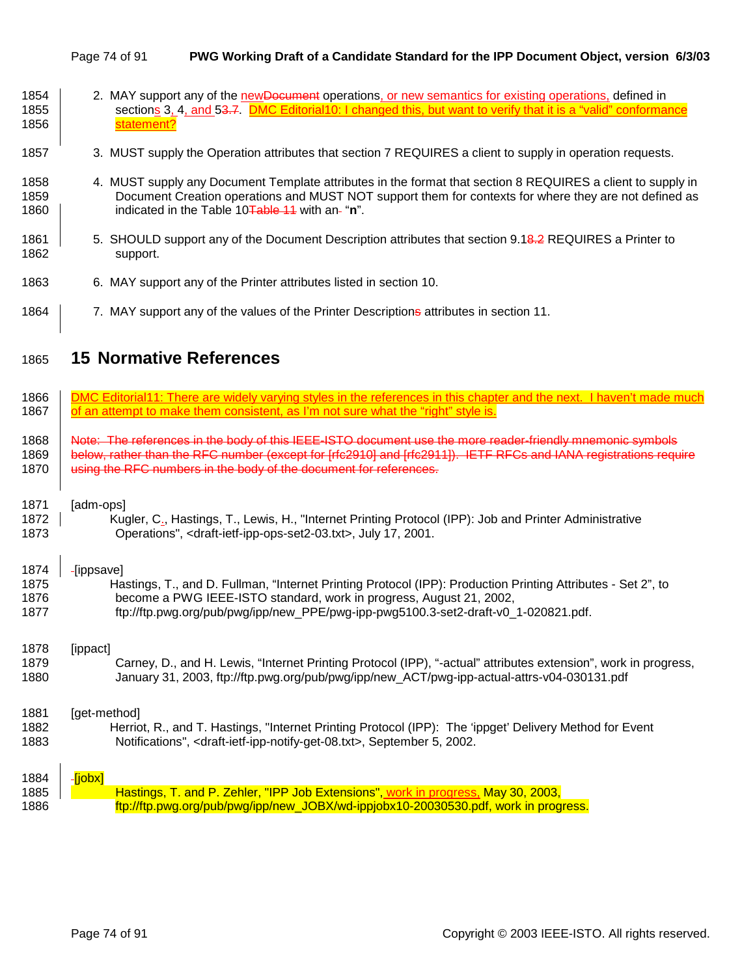#### Page 74 of 91 **PWG Working Draft of a Candidate Standard for the IPP Document Object, version 6/3/03**

| 1854 |            | 2. MAY support any of the new Document operations, or new semantics for existing operations, defined in        |  |
|------|------------|----------------------------------------------------------------------------------------------------------------|--|
| 1855 |            | sections 3, 4, and 53.7. DMC Editorial 10: I changed this, but want to verify that it is a "valid" conformance |  |
| 1856 | statement? |                                                                                                                |  |

- 1857 3. MUST supply the Operation attributes that section 7 REQUIRES a client to supply in operation requests.
- 1858 4. MUST supply any Document Template attributes in the format that section 8 REQUIRES a client to supply in 1859 Document Creation operations and MUST NOT support them for contexts for where they are not defined as 1860 **indicated in the Table 10<del>Table 11</del>** with an-"**n**".
- 1861 | 5. SHOULD support any of the Document Description attributes that section 9.18.2 REQUIRES a Printer to 1862 support.
- 1863 6. MAY support any of the Printer attributes listed in section 10.
- 1864 7. MAY support any of the values of the Printer Descriptions attributes in section 11.

# 1865 **15 Normative References**

| 1866 | DMC Editorial11: There are widely varving styles in the references in this chapter and the next. I haven't made much |
|------|----------------------------------------------------------------------------------------------------------------------|
| 1867 | of an attempt to make them consistent, as I'm not sure what the "right" style is.                                    |
| 1868 | Note: The references in the body of this IEEE-ISTO document use the more reader-friendly mnemonic symbols            |
| 1869 | below, rather than the RFC number (except for [rfc2910] and [rfc2911]). IETF RFCs and IANA registrations require     |
| 1870 | using the RFC numbers in the body of the document for references.                                                    |
| 1871 | [adm-ops]                                                                                                            |
| 1872 | Kugler, C <sub>2</sub> , Hastings, T., Lewis, H., "Internet Printing Protocol (IPP): Job and Printer Administrative  |
| 1873 | Operations", <draft-ietf-ipp-ops-set2-03.txt>, July 17, 2001.</draft-ietf-ipp-ops-set2-03.txt>                       |
| 1874 | -[ippsave]                                                                                                           |
| 1875 | Hastings, T., and D. Fullman, "Internet Printing Protocol (IPP): Production Printing Attributes - Set 2", to         |
| 1876 | become a PWG IEEE-ISTO standard, work in progress, August 21, 2002,                                                  |
| 1877 | ftp://ftp.pwg.org/pub/pwg/ipp/new_PPE/pwg-ipp-pwg5100.3-set2-draft-v0_1-020821.pdf.                                  |
| 1878 | [ippact]                                                                                                             |
| 1879 | Carney, D., and H. Lewis, "Internet Printing Protocol (IPP), "-actual" attributes extension", work in progress,      |
| 1880 | January 31, 2003, ftp://ftp.pwg.org/pub/pwg/ipp/new_ACT/pwg-ipp-actual-attrs-v04-030131.pdf                          |
| 1881 | [get-method]                                                                                                         |
| 1882 | Herriot, R., and T. Hastings, "Internet Printing Protocol (IPP): The 'ippget' Delivery Method for Event              |
| 1883 | Notifications", <draft-ietf-ipp-notify-get-08.txt>, September 5, 2002.</draft-ietf-ipp-notify-get-08.txt>            |
| 1884 | Fiobx]                                                                                                               |
| 1885 | Hastings, T. and P. Zehler, "IPP Job Extensions", work in progress, May 30, 2003,                                    |
| 1886 | ftp://ftp.pwg.org/pub/pwg/ipp/new_JOBX/wd-ippjobx10-20030530.pdf, work in progress.                                  |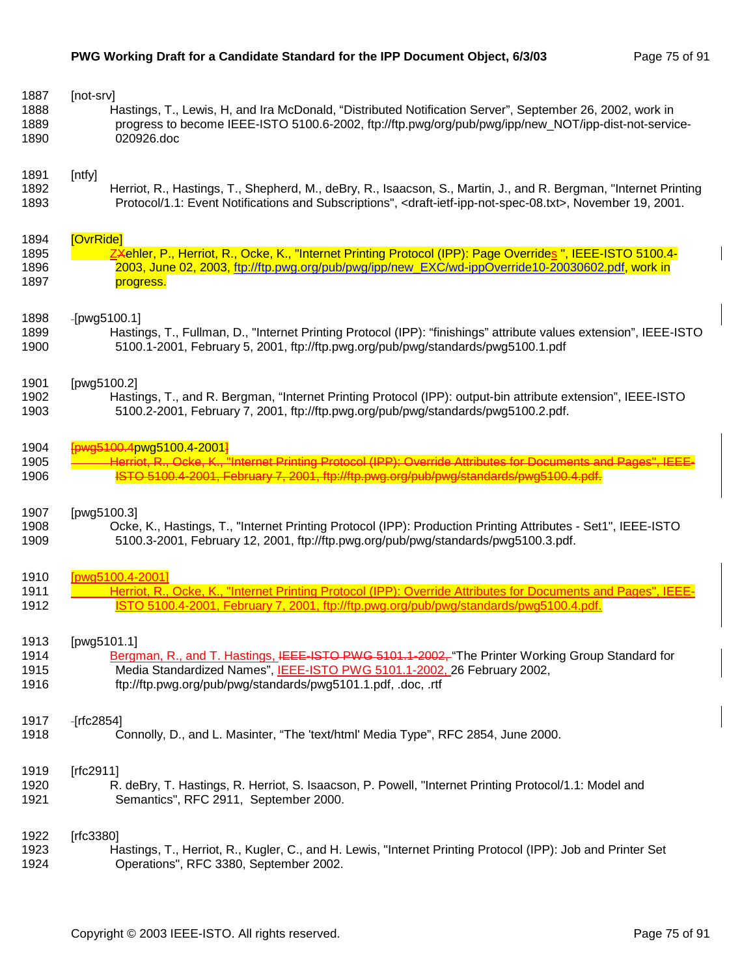| 1887                 | [not-srv]                                                                                                                                   |
|----------------------|---------------------------------------------------------------------------------------------------------------------------------------------|
| 1888                 | Hastings, T., Lewis, H, and Ira McDonald, "Distributed Notification Server", September 26, 2002, work in                                    |
| 1889                 | progress to become IEEE-ISTO 5100.6-2002, ftp://ftp.pwg/org/pub/pwg/ipp/new_NOT/ipp-dist-not-service-                                       |
| 1890                 | 020926.doc                                                                                                                                  |
| 1891                 | [ntfy]                                                                                                                                      |
| 1892                 | Herriot, R., Hastings, T., Shepherd, M., deBry, R., Isaacson, S., Martin, J., and R. Bergman, "Internet Printing                            |
| 1893                 | Protocol/1.1: Event Notifications and Subscriptions", <draft-ietf-ipp-not-spec-08.txt>, November 19, 2001.</draft-ietf-ipp-not-spec-08.txt> |
| 1894                 | [OvrRide]                                                                                                                                   |
| 1895                 | ZXehler, P., Herriot, R., Ocke, K., "Internet Printing Protocol (IPP): Page Overrides ", IEEE-ISTO 5100.4-                                  |
| 1896                 | 2003, June 02, 2003, ftp://ftp.pwg.org/pub/pwg/ipp/new_EXC/wd-ippOverride10-20030602.pdf, work in                                           |
| 1897                 | progress.                                                                                                                                   |
| 1898                 | $-[pwg5100.1]$                                                                                                                              |
| 1899                 | Hastings, T., Fullman, D., "Internet Printing Protocol (IPP): "finishings" attribute values extension", IEEE-ISTO                           |
| 1900                 | 5100.1-2001, February 5, 2001, ftp://ftp.pwg.org/pub/pwg/standards/pwg5100.1.pdf                                                            |
| 1901                 | [pwg5100.2]                                                                                                                                 |
| 1902                 | Hastings, T., and R. Bergman, "Internet Printing Protocol (IPP): output-bin attribute extension", IEEE-ISTO                                 |
| 1903                 | 5100.2-2001, February 7, 2001, ftp://ftp.pwg.org/pub/pwg/standards/pwg5100.2.pdf.                                                           |
| 1904<br>1905<br>1906 | <mark>-00.4pwg5100.4-2001</mark><br>February 7, 2001, ftp://ftp.pwg.org/pub/pwg/standards/pwg5100.4.pdf.                                    |
| 1907                 | [pwg5100.3]                                                                                                                                 |
| 1908                 | Ocke, K., Hastings, T., "Internet Printing Protocol (IPP): Production Printing Attributes - Set1", IEEE-ISTO                                |
| 1909                 | 5100.3-2001, February 12, 2001, ftp://ftp.pwg.org/pub/pwg/standards/pwg5100.3.pdf.                                                          |
| 1910                 | [pwg5100.4-2001]                                                                                                                            |
| 1911                 | Herriot, R., Ocke, K., "Internet Printing Protocol (IPP): Override Attributes for Documents and Pages", IEEE                                |
| 1912                 | ISTO 5100.4-2001. February 7, 2001. ftp://ftp.pwg.org/pub/pwg/standards/pwg5100.4.pdf.                                                      |
| 1913                 | [pwg5101.1]                                                                                                                                 |
| 1914                 | Bergman, R., and T. Hastings, IEEE-ISTO PWG 5101.1-2002, "The Printer Working Group Standard for                                            |
| 1915                 | Media Standardized Names", IEEE-ISTO PWG 5101.1-2002, 26 February 2002,                                                                     |
| 1916                 | ftp://ftp.pwg.org/pub/pwg/standards/pwg5101.1.pdf, .doc, .rtf                                                                               |
| 1917<br>1918         |                                                                                                                                             |
|                      | $-[rfc2854]$<br>Connolly, D., and L. Masinter, "The 'text/html' Media Type", RFC 2854, June 2000.                                           |
| 1919                 | [ $rfc2911$ ]                                                                                                                               |
| 1920                 | R. deBry, T. Hastings, R. Herriot, S. Isaacson, P. Powell, "Internet Printing Protocol/1.1: Model and                                       |
| 1921                 | Semantics", RFC 2911, September 2000.                                                                                                       |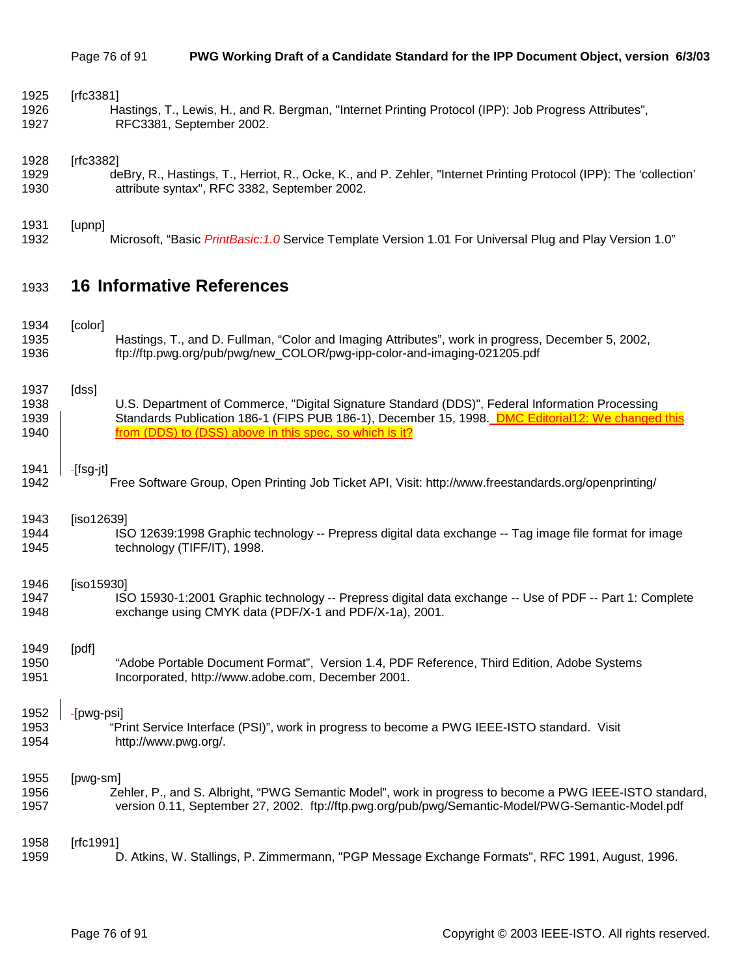| 1925 | [rfc3381]                                                                                                          |
|------|--------------------------------------------------------------------------------------------------------------------|
| 1926 | Hastings, T., Lewis, H., and R. Bergman, "Internet Printing Protocol (IPP): Job Progress Attributes",              |
| 1927 | RFC3381, September 2002.                                                                                           |
| 1928 | [rfc3382]                                                                                                          |
| 1929 | deBry, R., Hastings, T., Herriot, R., Ocke, K., and P. Zehler, "Internet Printing Protocol (IPP): The 'collection' |
| 1930 | attribute syntax", RFC 3382, September 2002.                                                                       |

1931 [upnp] 1932 Microsoft, "Basic *PrintBasic:1.0* Service Template Version 1.01 For Universal Plug and Play Version 1.0"

# 1933 **16 Informative References**

| 1934 | [color]                                                                                                 |
|------|---------------------------------------------------------------------------------------------------------|
| 1935 | Hastings, T., and D. Fullman, "Color and Imaging Attributes", work in progress, December 5, 2002,       |
| 1936 | ftp://ftp.pwg.org/pub/pwg/new_COLOR/pwg-ipp-color-and-imaging-021205.pdf                                |
| 1937 | [dss]                                                                                                   |
| 1938 | U.S. Department of Commerce, "Digital Signature Standard (DDS)", Federal Information Processing         |
| 1939 | Standards Publication 186-1 (FIPS PUB 186-1), December 15, 1998. DMC Editorial12: We changed this       |
| 1940 | from (DDS) to (DSS) above in this spec, so which is it?                                                 |
| 1941 | -[fsg-jt]                                                                                               |
| 1942 | Free Software Group, Open Printing Job Ticket API, Visit: http://www.freestandards.org/openprinting/    |
| 1943 | [iso12639]                                                                                              |
| 1944 | ISO 12639:1998 Graphic technology -- Prepress digital data exchange -- Tag image file format for image  |
| 1945 | technology (TIFF/IT), 1998.                                                                             |
| 1946 | [iso15930]                                                                                              |
| 1947 | ISO 15930-1:2001 Graphic technology -- Prepress digital data exchange -- Use of PDF -- Part 1: Complete |
| 1948 | exchange using CMYK data (PDF/X-1 and PDF/X-1a), 2001.                                                  |
| 1949 | [pdf]                                                                                                   |
| 1950 | "Adobe Portable Document Format", Version 1.4, PDF Reference, Third Edition, Adobe Systems              |
| 1951 | Incorporated, http://www.adobe.com, December 2001.                                                      |
| 1952 | -[pwg-psi]                                                                                              |
| 1953 | "Print Service Interface (PSI)", work in progress to become a PWG IEEE-ISTO standard. Visit             |
| 1954 | http://www.pwg.org/.                                                                                    |
| 1955 | [pwg-sm]                                                                                                |
| 1956 | Zehler, P., and S. Albright, "PWG Semantic Model", work in progress to become a PWG IEEE-ISTO standard, |
| 1957 | version 0.11, September 27, 2002. ftp://ftp.pwg.org/pub/pwg/Semantic-Model/PWG-Semantic-Model.pdf       |
| 1958 | [ $rfc1991$ ]                                                                                           |
| 1959 | D. Atkins, W. Stallings, P. Zimmermann, "PGP Message Exchange Formats", RFC 1991, August, 1996.         |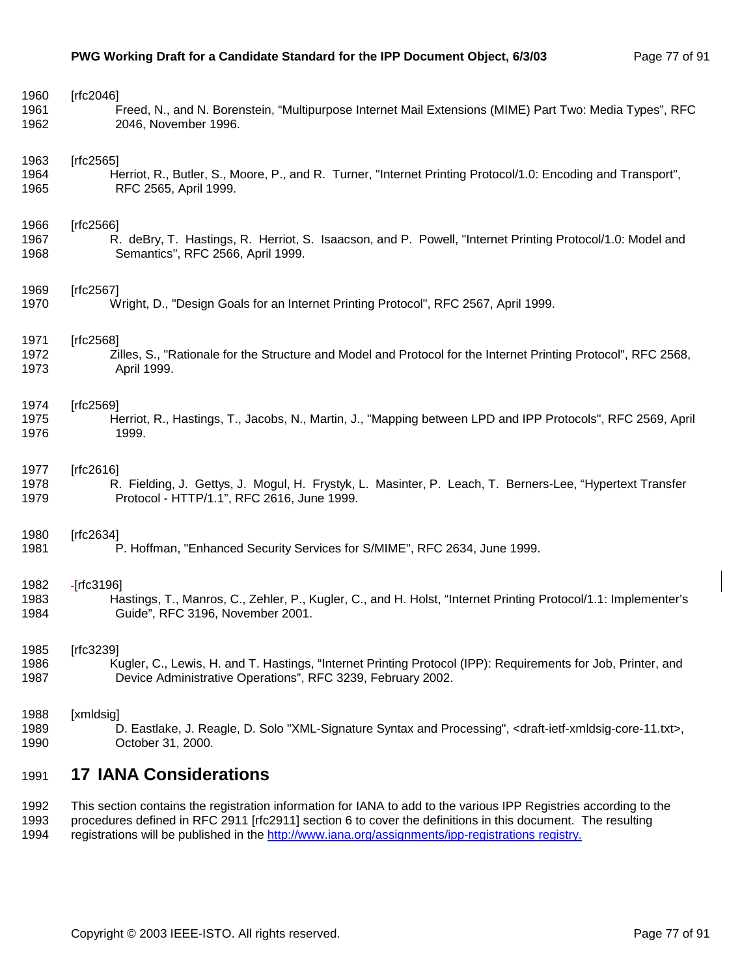| 1960 | [rfc2046]                                                                                                                                 |
|------|-------------------------------------------------------------------------------------------------------------------------------------------|
| 1961 | Freed, N., and N. Borenstein, "Multipurpose Internet Mail Extensions (MIME) Part Two: Media Types", RFC                                   |
| 1962 | 2046, November 1996.                                                                                                                      |
| 1963 | [ $rfc2565$ ]                                                                                                                             |
| 1964 | Herriot, R., Butler, S., Moore, P., and R. Turner, "Internet Printing Protocol/1.0: Encoding and Transport",                              |
| 1965 | RFC 2565, April 1999.                                                                                                                     |
| 1966 | [ $rfc2566$ ]                                                                                                                             |
| 1967 | R. deBry, T. Hastings, R. Herriot, S. Isaacson, and P. Powell, "Internet Printing Protocol/1.0: Model and                                 |
| 1968 | Semantics", RFC 2566, April 1999.                                                                                                         |
| 1969 | [rfc2567]                                                                                                                                 |
| 1970 | Wright, D., "Design Goals for an Internet Printing Protocol", RFC 2567, April 1999.                                                       |
| 1971 | [ $rfc2568$ ]                                                                                                                             |
| 1972 | Zilles, S., "Rationale for the Structure and Model and Protocol for the Internet Printing Protocol", RFC 2568,                            |
| 1973 | April 1999.                                                                                                                               |
| 1974 | [rfc2569]                                                                                                                                 |
| 1975 | Herriot, R., Hastings, T., Jacobs, N., Martin, J., "Mapping between LPD and IPP Protocols", RFC 2569, April                               |
| 1976 | 1999.                                                                                                                                     |
| 1977 | [ $rfc2616$ ]                                                                                                                             |
| 1978 | R. Fielding, J. Gettys, J. Mogul, H. Frystyk, L. Masinter, P. Leach, T. Berners-Lee, "Hypertext Transfer                                  |
| 1979 | Protocol - HTTP/1.1", RFC 2616, June 1999.                                                                                                |
| 1980 | [rfc2634]                                                                                                                                 |
| 1981 | P. Hoffman, "Enhanced Security Services for S/MIME", RFC 2634, June 1999.                                                                 |
| 1982 | $-[rfc3196]$                                                                                                                              |
| 1983 | Hastings, T., Manros, C., Zehler, P., Kugler, C., and H. Holst, "Internet Printing Protocol/1.1: Implementer's                            |
| 1984 | Guide", RFC 3196, November 2001.                                                                                                          |
| 1985 | [ $rfc3239$ ]                                                                                                                             |
| 1986 | Kugler, C., Lewis, H. and T. Hastings, "Internet Printing Protocol (IPP): Requirements for Job, Printer, and                              |
| 1987 | Device Administrative Operations", RFC 3239, February 2002.                                                                               |
| 1988 | [xmldsig]                                                                                                                                 |
| 1989 | D. Eastlake, J. Reagle, D. Solo "XML-Signature Syntax and Processing", <draft-ietf-xmldsig-core-11.txt>,</draft-ietf-xmldsig-core-11.txt> |
| 1990 | October 31, 2000.                                                                                                                         |
| 1991 | <b>17 IANA Considerations</b>                                                                                                             |

1992 This section contains the registration information for IANA to add to the various IPP Registries according to the 1993 procedures defined in RFC 2911 [rfc2911] section 6 to cover the definitions in this document. The resulting 1994 registrations will be published in the http://www.iana.org/assignments/ipp-registrations registry.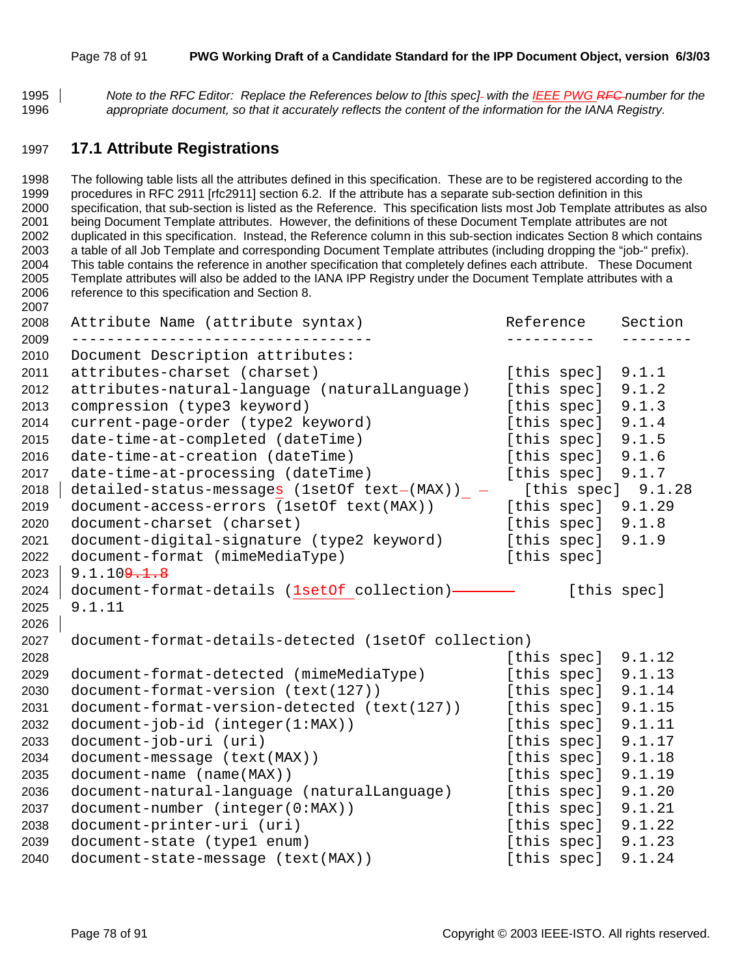#### Page 78 of 91 **PWG Working Draft of a Candidate Standard for the IPP Document Object, version 6/3/03**

*Note to the RFC Editor: Replace the References below to [this spec] with the IEEE PWG RFC number for the appropriate document, so that it accurately reflects the content of the information for the IANA Registry.* 

## **17.1 Attribute Registrations**

1998 The following table lists all the attributes defined in this specification. These are to be registered according to the 1999 procedures in RFC 2911 [rfc2911] section 6.2. If the attribute has a separate sub-section definition in this 2000 specification, that sub-section is listed as the Reference. This specification lists most Job Template attributes as also 2001 being Document Template attributes. However, the definitions of these Document Template attributes are not 2002 duplicated in this specification. Instead, the Reference column in this sub-section indicates Section 8 which contains 2003 a table of all Job Template and corresponding Document Template attributes (including dropping the "job-" prefix). 2004 This table contains the reference in another specification that completely defines each attribute. These Document 2005 Template attributes will also be added to the IANA IPP Registry under the Document Template attributes with a 2006 reference to this specification and Section 8.

| 2008         | Attribute Name (attribute syntax)                                     | Reference |                      | Section |
|--------------|-----------------------------------------------------------------------|-----------|----------------------|---------|
| 2009<br>2010 | Document Description attributes:                                      |           |                      |         |
| 2011         | attributes-charset (charset)                                          |           | [this spec]          | 9.1.1   |
| 2012         | attributes-natural-language (naturalLanguage)                         |           | [this spec]          | 9.1.2   |
| 2013         | compression (type3 keyword)                                           |           | [this spec]          | 9.1.3   |
| 2014         | current-page-order (type2 keyword)                                    |           | [this spec]          | 9.1.4   |
| 2015         | date-time-at-completed (dateTime)                                     |           | [this spec]          | 9.1.5   |
| 2016         | date-time-at-creation (dateTime)                                      |           | [this spec] $9.1.6$  |         |
| 2017         | date-time-at-processing (dateTime)                                    |           | [this spec] $9.1.7$  |         |
| 2018         | detailed-status-messages (1setOf text- $(MAX)$ ) - [this spec] 9.1.28 |           |                      |         |
| 2019         | document-access-errors (1setOf text(MAX))                             |           | [this spec] $9.1.29$ |         |
| 2020         | document-charset (charset)                                            |           | [this spec] $9.1.8$  |         |
| 2021         | document-digital-signature (type2 keyword)                            |           | [this spec]          | 9.1.9   |
| 2022         | document-format (mimeMediaType)                                       |           | [this spec]          |         |
| 2023         | 9.1.109.1.8                                                           |           |                      |         |
| 2024         | document-format-details (1setOf collection)-                          |           | [this spec]          |         |
| 2025         | 9.1.11                                                                |           |                      |         |
| 2026         |                                                                       |           |                      |         |
| 2027         | document-format-details-detected (1setOf collection)                  |           |                      |         |
| 2028         |                                                                       |           | [this spec] $9.1.12$ |         |
| 2029         | document-format-detected (mimeMediaType)                              |           | [this spec]          | 9.1.13  |
| 2030         | document-format-version (text(127))                                   |           | [this spec]          | 9.1.14  |
| 2031         | document-format-version-detected (text(127))                          |           | [this spec]          | 9.1.15  |
| 2032         | $document-job-id (integer(1:MAX))$                                    |           | [this spec]          | 9.1.11  |
| 2033         | document-job-uri (uri)                                                |           | [this spec]          | 9.1.17  |
| 2034         | document-message (text(MAX))                                          |           | [this spec]          | 9.1.18  |
| 2035         | document-name (name(MAX))                                             |           | [this spec]          | 9.1.19  |
| 2036         | document-natural-language (naturalLanguage)                           |           | [this spec]          | 9.1.20  |
| 2037         | document-number (integer(0:MAX))                                      |           | [this spec]          | 9.1.21  |
| 2038         | document-printer-uri (uri)                                            |           | [this spec] $9.1.22$ |         |
| 2039         | document-state (type1 enum)                                           |           | [this spec] $9.1.23$ |         |
| 2040         | document-state-message (text(MAX))                                    |           | [this spec]          | 9.1.24  |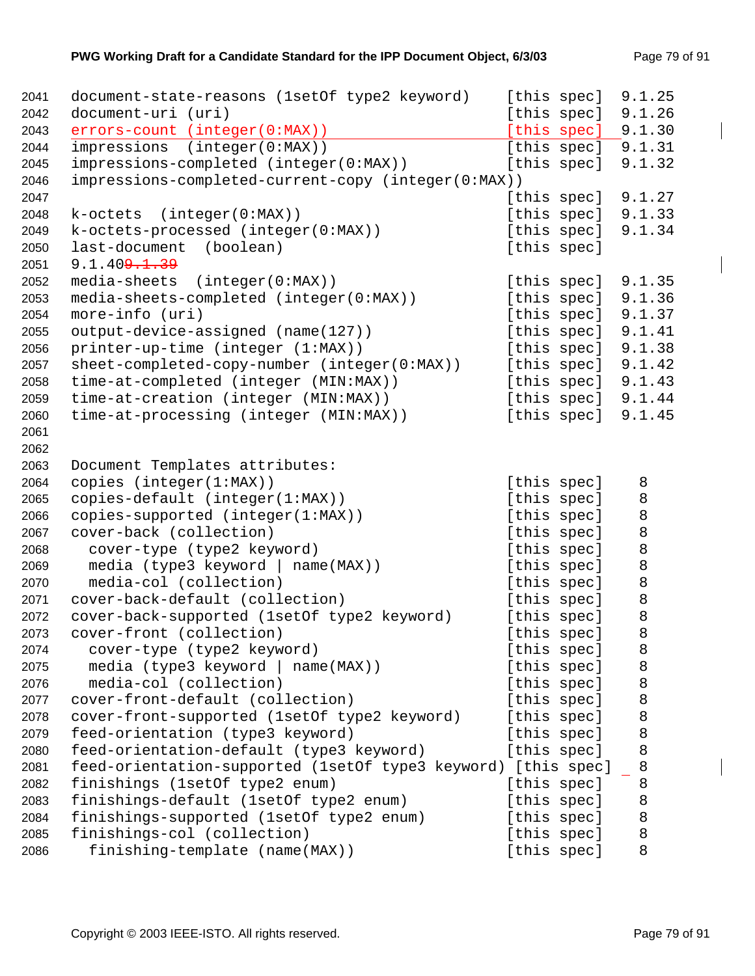| 2041 | document-state-reasons (1setOf type2 keyword)                 |             | [this spec] | 9.1.25  |
|------|---------------------------------------------------------------|-------------|-------------|---------|
| 2042 | document-uri (uri)                                            |             | [this spec] | 9.1.26  |
| 2043 | errors-count (integer(0:MAX))                                 |             | [this spec] | 9.1.30  |
| 2044 | impressions (integer(0:MAX))                                  |             | [this spec] | 9.1.31  |
| 2045 | impressions-completed (integer(0:MAX))                        |             | [this spec] | 9.1.32  |
| 2046 | impressions-completed-current-copy (integer(0:MAX))           |             |             |         |
| 2047 |                                                               |             | [this spec] | 9.1.27  |
| 2048 | (integer(0:MAX))<br>k-octets                                  |             | [this spec] | 9.1.33  |
| 2049 | k-octets-processed (integer(0:MAX))                           |             | [this spec] | 9.1.34  |
| 2050 | last-document<br>(boolean)                                    |             | [this spec] |         |
| 2051 | 9.1.409.1.39                                                  |             |             |         |
| 2052 | media-sheets (integer(0:MAX))                                 |             | [this spec] | 9.1.35  |
| 2053 | media-sheets-completed (integer(0:MAX))                       |             | [this spec] | 9.1.36  |
| 2054 | more-info (uri)                                               |             | [this spec] | 9.1.37  |
| 2055 | output-device-assigned (name(127))                            |             | [this spec] | 9.1.41  |
| 2056 | printer-up-time (integer (1:MAX))                             |             | [this spec] | 9.1.38  |
| 2057 | sheet-completed-copy-number (integer(0:MAX))                  |             | [this spec] | 9.1.42  |
| 2058 | time-at-completed (integer (MIN:MAX))                         |             | [this spec] | 9.1.43  |
| 2059 | time-at-creation (integer (MIN:MAX))                          |             | [this spec] | 9.1.44  |
| 2060 | time-at-processing (integer (MIN:MAX))                        |             | [this spec] | 9.1.45  |
| 2061 |                                                               |             |             |         |
| 2062 |                                                               |             |             |         |
| 2063 | Document Templates attributes:                                |             |             |         |
| 2064 | copies (integer(1:MAX))                                       |             | [this spec] | 8       |
| 2065 | copies-default (integer(1:MAX))                               |             | [this spec] | 8       |
| 2066 | copies-supported (integer(1:MAX))                             |             | [this spec] | $\,8\,$ |
| 2067 | cover-back (collection)                                       |             | [this spec] | $\,8\,$ |
| 2068 | cover-type (type2 keyword)                                    |             | [this spec] | $\,8\,$ |
| 2069 | media (type3 keyword   name(MAX))                             |             | [this spec] | 8       |
| 2070 | media-col (collection)                                        |             | [this spec] | $\,8\,$ |
| 2071 | cover-back-default (collection)                               |             | [this spec] | 8       |
| 2072 | cover-back-supported (1setOf type2 keyword)                   |             | [this spec] | $\,8\,$ |
| 2073 | cover-front (collection)                                      | [this spec] |             | 8       |
| 2074 | cover-type (type2 keyword)                                    | [this spec] |             | 8       |
| 2075 | media (type3 keyword   name(MAX))                             | [this spec] |             | 8       |
| 2076 | media-col (collection)                                        | [this spec] |             | 8       |
| 2077 | cover-front-default (collection)                              | [this spec] |             | 8       |
| 2078 | cover-front-supported (1setOf type2 keyword)                  |             | [this spec] | 8       |
| 2079 | feed-orientation (type3 keyword)                              | [this spec] |             | 8       |
| 2080 | feed-orientation-default (type3 keyword)                      | [this spec] |             | 8       |
| 2081 | feed-orientation-supported (lsetOf type3 keyword) [this spec] |             |             | 8       |
| 2082 | finishings (1setOf type2 enum)                                | [this spec] |             | 8       |
| 2083 | finishings-default (1setOf type2 enum)                        | [this spec] |             | 8       |
| 2084 | finishings-supported (1setOf type2 enum)                      | [this spec] |             | 8       |
| 2085 | finishings-col (collection)                                   | [this spec] |             | 8       |
| 2086 | finishing-template (name(MAX))                                | [this spec] |             | 8       |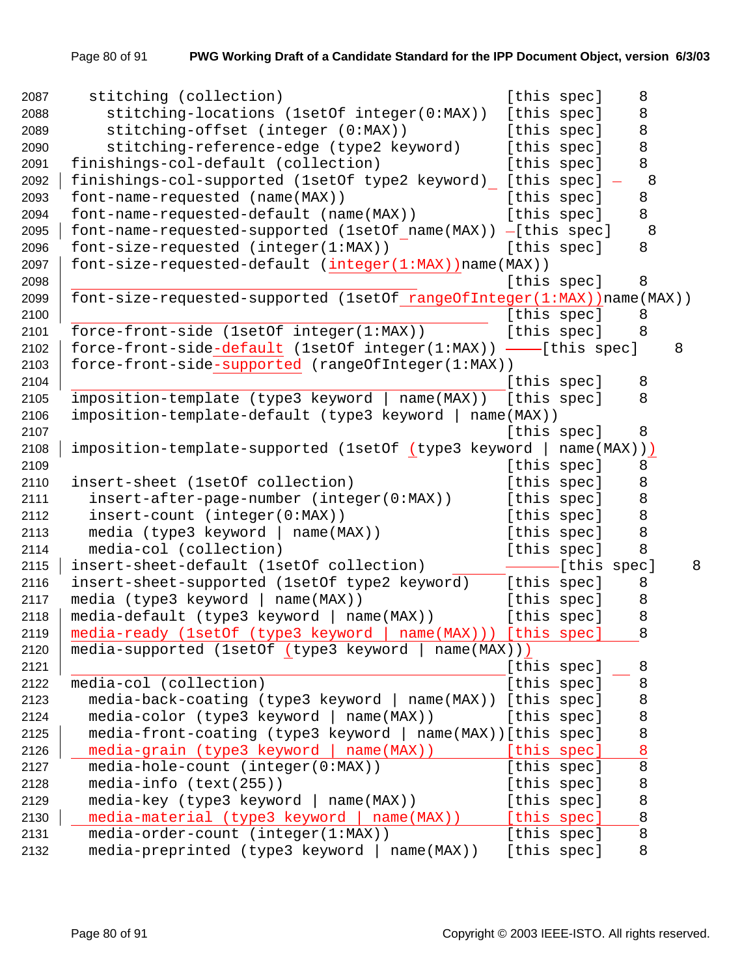| 2087 | stitching (collection)                                                  | [this spec]             | 8       |   |
|------|-------------------------------------------------------------------------|-------------------------|---------|---|
| 2088 | stitching-locations (1setOf integer(0:MAX))                             | [this spec]             | 8       |   |
| 2089 | stitching-offset (integer (0:MAX))                                      | [this spec]             | 8       |   |
| 2090 | stitching-reference-edge (type2 keyword)                                | [this spec]             | 8       |   |
| 2091 | finishings-col-default (collection)                                     | [this spec]             | 8       |   |
| 2092 | finishings-col-supported (1setOf type2 keyword) [this spec] -           |                         | 8       |   |
| 2093 | font-name-requested (name(MAX))                                         | [this spec]             | 8       |   |
| 2094 | font-name-requested-default (name(MAX))                                 | [this spec]             | 8       |   |
| 2095 | font-name-requested-supported (1setOf name(MAX)) -[this spec]           |                         | 8       |   |
| 2096 | font-size-requested (integer(1:MAX))                                    | [this spec]             | 8       |   |
| 2097 | font-size-requested-default (integer(1:MAX)) name(MAX))                 |                         |         |   |
| 2098 |                                                                         | [this spec]             | 8       |   |
| 2099 | font-size-requested-supported (1setOf rangeOfInteger(1:MAX)) name(MAX)) |                         |         |   |
| 2100 |                                                                         | [this spec]             | 8       |   |
| 2101 | force-front-side (1setOf integer(1:MAX))                                | [this spec]             | 8       |   |
| 2102 | force-front-side-default (1setOf integer(1:MAX)) -- [this spec]         |                         |         | 8 |
| 2103 | force-front-side-supported (rangeOfInteger(1:MAX))                      |                         |         |   |
| 2104 |                                                                         | [this spec]             | 8       |   |
| 2105 | imposition-template (type3 keyword   name(MAX))                         | [this spec]             | 8       |   |
| 2106 | imposition-template-default (type3 keyword   name(MAX))                 |                         |         |   |
| 2107 |                                                                         | [this spec]             | 8       |   |
| 2108 | imposition-template-supported (1setOf (type3 keyword )                  | name(MAX)))             |         |   |
| 2109 |                                                                         | [this spec]             | 8       |   |
| 2110 | insert-sheet (1setOf collection)                                        | [this spec]             | 8       |   |
| 2111 | insert-after-page-number (integer(0:MAX))                               | [this spec]             | 8       |   |
| 2112 | insert-count (integer(0:MAX))                                           | [this spec]             | 8       |   |
| 2113 | media (type3 keyword   name(MAX))                                       | [this spec]             | 8       |   |
| 2114 | media-col (collection)                                                  | [this spec]             | 8       |   |
| 2115 | insert-sheet-default (1setOf collection)                                | ------------[this spec] |         | 8 |
| 2116 | insert-sheet-supported (lsetOf type2 keyword)                           | [this spec]             | 8       |   |
| 2117 | media (type3 keyword   name(MAX))                                       | [this spec]             | 8       |   |
| 2118 | $media-default$ (type3 keyword   name(MAX))                             | [this spec]             | $\,8\,$ |   |
| 2119 | media-ready (1setOf (type3 keyword   name(MAX)))                        | [this spec]             | 8       |   |
| 2120 | media-supported (1setOf (type3 keyword  <br>name(MAX))                  |                         |         |   |
| 2121 |                                                                         | [this spec]             | 8       |   |
| 2122 | media-col (collection)                                                  | [this spec]             | 8       |   |
| 2123 | media-back-coating (type3 keyword   name(MAX))                          | [this spec]             | 8       |   |
| 2124 | $median-color (type3 keyword   name(MAX))$                              | [this spec]             | 8       |   |
| 2125 | media-front-coating (type3 keyword   name(MAX)) [this spec]             |                         | 8       |   |
| 2126 | media-grain (type3 keyword   name(MAX))                                 | [this spec]             | 8       |   |
| 2127 | media-hole-count (integer(0:MAX))                                       | [this spec]             | 8       |   |
| 2128 | media-info (text(255))                                                  | [this spec]             | 8       |   |
| 2129 | media-key (type3 keyword   name(MAX))                                   | [this spec]             | 8       |   |
| 2130 | media-material (type3 keyword   name(MAX))                              | [this spec]             | 8       |   |
| 2131 | media-order-count (integer(1:MAX))                                      | [this spec]             | 8       |   |
| 2132 | media-preprinted (type3 keyword   name(MAX))                            | [this spec]             | 8       |   |
|      |                                                                         |                         |         |   |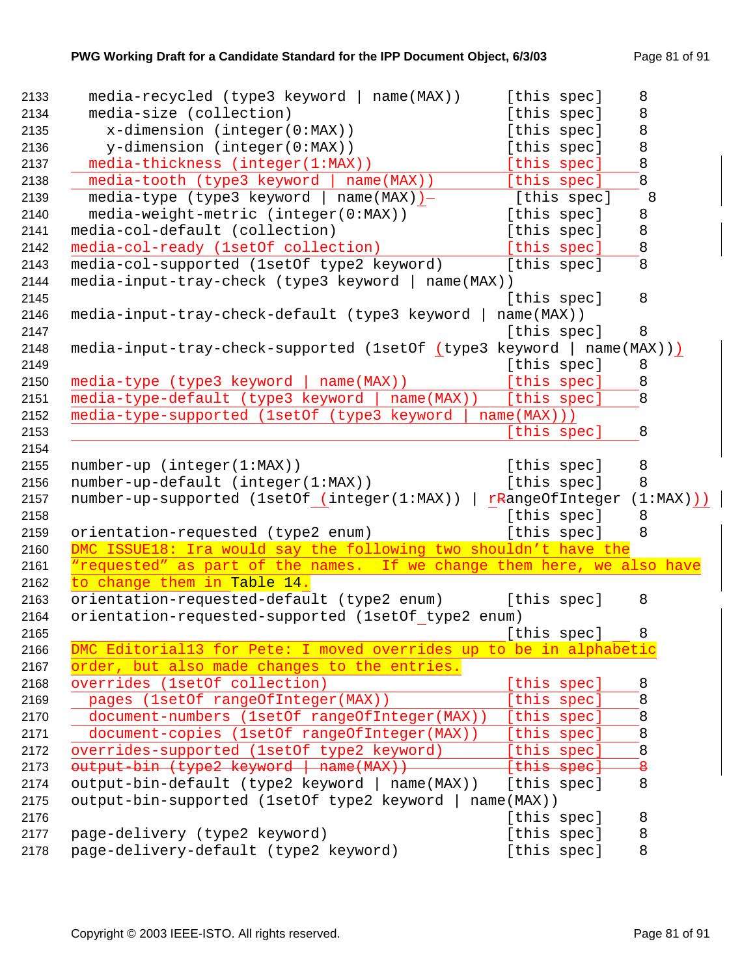| 2133         | $media-recycled$ (type3 keyword   name(MAX))                           |               | [this spec]                | 8            |             |
|--------------|------------------------------------------------------------------------|---------------|----------------------------|--------------|-------------|
| 2134         | media-size (collection)                                                |               | [this spec]                | 8            |             |
| 2135         | $x$ -dimension (integer( $0:MAX$ ))                                    |               | [this spec]                | $\,8\,$      |             |
| 2136         | y-dimension (integer(0:MAX))                                           |               | [this spec]                | $\,8\,$      |             |
| 2137         | media-thickness (integer(1:MAX))                                       |               | [this spec]                | 8            |             |
| 2138         | media-tooth (type3 keyword   name(MAX))                                |               | [this spec]                | 8            |             |
| 2139         | media-type (type3 keyword   name(MAX))-                                |               | [this spec]                | 8            |             |
| 2140         | media-weight-metric (integer(0:MAX))                                   |               | [this spec]                | 8            |             |
| 2141         | media-col-default (collection)                                         |               | [this spec]                | 8            |             |
| 2142         | media-col-ready (1setOf collection)                                    |               | [this spec]                | 8            |             |
| 2143         | media-col-supported (1setOf type2 keyword)                             |               | [this spec]                | 8            |             |
| 2144         | media-input-tray-check (type3 keyword   name(MAX))                     |               |                            |              |             |
| 2145         |                                                                        |               | [this spec]                | 8            |             |
| 2146         | media-input-tray-check-default (type3 keyword                          | $name(MAX)$ ) |                            |              |             |
| 2147         |                                                                        |               | [this spec]                | 8            |             |
| 2148         | media-input-tray-check-supported (1setOf (type3 keyword   name(MAX)))  |               |                            |              |             |
| 2149         |                                                                        |               | [this spec]                | 8            |             |
| 2150         | media-type (type3 keyword   name(MAX))                                 |               | [this spec]                | 8            |             |
| 2151         | media-type-default (type3 keyword  <br>$name(MAX)$ )                   |               | [this spec]                | 8            |             |
| 2152         | media-type-supported (1setOf (type3 keyword                            | name(MAX))    |                            |              |             |
| 2153         |                                                                        |               | [this spec]                | 8            |             |
| 2154         |                                                                        |               |                            |              |             |
| 2155         | number-up (integer(1:MAX))                                             |               | [this spec]                | 8            |             |
| 2156         | number-up-default (integer(1:MAX))                                     |               | [this spec]                | 8            |             |
| 2157         | number-up-supported (1setOf (integer(1:MAX))                           |               | rRangeOfInteger            |              | $(1:MAX)$ ) |
| 2158         |                                                                        |               | [this spec]                | 8            |             |
| 2159         | orientation-requested (type2 enum)                                     |               | [this spec]                | 8            |             |
| 2160         | DMC ISSUE18: Ira would say the following two shouldn't have the        |               |                            |              |             |
| 2161         | "requested" as part of the names. If we change them here, we also have |               |                            |              |             |
| 2162         | to change them in Table 14.                                            |               |                            |              |             |
| 2163         | orientation-requested-default (type2 enum)                             |               | [this spec]                | 8            |             |
| 2164         | orientation-requested-supported (1setOf type2 enum)                    |               |                            |              |             |
| 2165         |                                                                        |               | [this spec]                | 8            |             |
| 2166         | DMC Editoriall3 for Pete: I moved overrides up to be in alphabetic     |               |                            |              |             |
| 2167         | order, but also made changes to the entries.                           |               |                            |              |             |
| 2168         | overrides (1setOf collection)                                          |               | [this spec]                | 8            |             |
| 2169         | pages (1setOf rangeOfInteger(MAX))                                     |               | [this spec]                | 8            |             |
| 2170         | document-numbers (1setOf rangeOfInteger(MAX))                          |               | [this spec]                | 8            |             |
| 2171         | document-copies (1setOf rangeOfInteger(MAX))                           |               | [this spec]                | 8            |             |
| 2172         | overrides-supported (1setOf type2 keyword)                             |               | [this spec]                | 8            |             |
| 2173         | output bin (type2 keyword   name(MAX))                                 |               | {this spec}                | <del>8</del> |             |
| 2174         | output-bin-default (type2 keyword   name(MAX))                         |               | [this spec]                | 8            |             |
|              |                                                                        |               |                            |              |             |
| 2175         | output-bin-supported (1setOf type2 keyword   name(MAX))                |               |                            |              |             |
| 2176         |                                                                        |               | [this spec]                | 8            |             |
| 2177<br>2178 | page-delivery (type2 keyword)<br>page-delivery-default (type2 keyword) |               | [this spec]<br>[this spec] | 8<br>8       |             |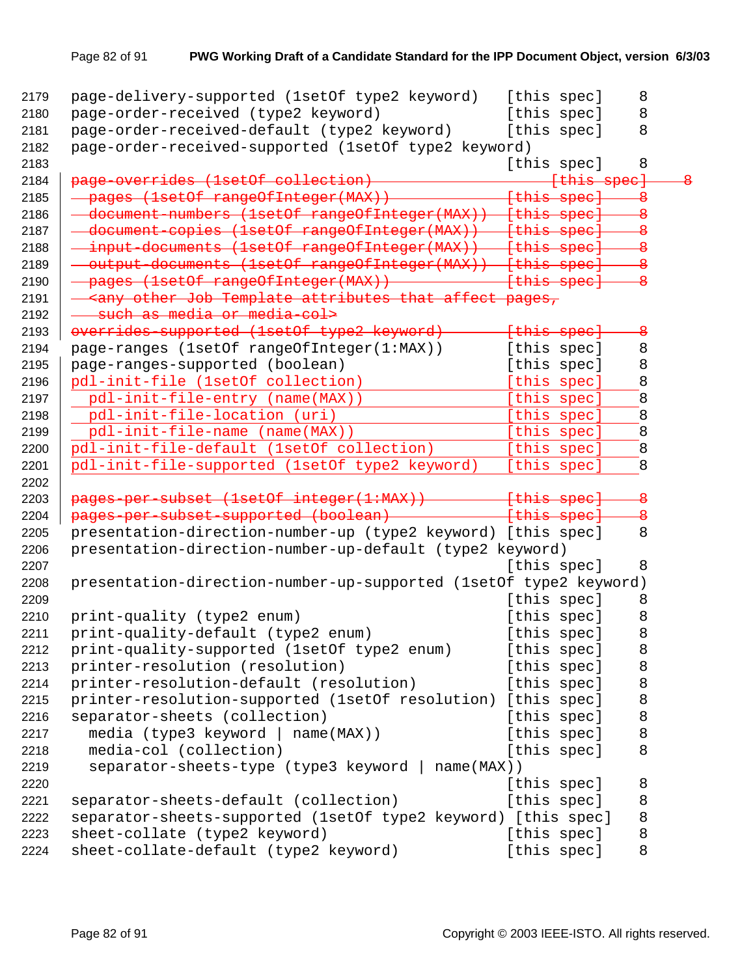| 2179 | page-delivery-supported (lsetOf type2 keyword) [this spec]                                                            |                        | 8                       |                         |
|------|-----------------------------------------------------------------------------------------------------------------------|------------------------|-------------------------|-------------------------|
| 2180 | page-order-received (type2 keyword)                                                                                   | [this spec]            | 8                       |                         |
| 2181 | page-order-received-default (type2 keyword)                                                                           | [this spec]            | 8                       |                         |
| 2182 | page-order-received-supported (1setOf type2 keyword)                                                                  |                        |                         |                         |
| 2183 |                                                                                                                       | [this spec]            | 8                       |                         |
| 2184 | page overrides (1set0f collection)                                                                                    | <del>[this spec]</del> |                         | $\overline{\mathbf{8}}$ |
| 2185 | - pages (1setOf rangeOfInteger(MAX)) - [this spec] 8                                                                  |                        |                         |                         |
| 2186 | document-numbers (1setOf rangeOfInteger(MAX)) [this spec]                                                             |                        |                         |                         |
| 2187 | - document-copies (lsetOf rangeOfInteger(MAX)) [this spec] - 8                                                        |                        |                         |                         |
| 2188 | - input documents (lsetOf rangeOfInteger(MAX)) [this spec]                                                            |                        |                         |                         |
| 2189 | - output-documents (lsetOf rangeOfInteger(MAX)) [this spec]                                                           |                        | —8                      |                         |
| 2190 | - pages (lsetOf rangeOfInteger(MAX)) - - - - [this spec]                                                              |                        | $\overline{\mathbf{e}}$ |                         |
| 2191 | - <any affect="" attributes="" job="" other="" pages,<="" td="" template="" that=""><td></td><td></td><td></td></any> |                        |                         |                         |
| 2192 | - such as media or media col>                                                                                         |                        |                         |                         |
| 2193 | overrides-supported (1setOf type2 keyword)                                                                            | {this spec}            | $\overline{\mathbf{e}}$ |                         |
| 2194 | page-ranges (1setOf rangeOfInteger(1:MAX))                                                                            | [this spec]            | 8                       |                         |
| 2195 | page-ranges-supported (boolean)                                                                                       | [this spec]            | 8                       |                         |
| 2196 | pdl-init-file (1setOf collection)                                                                                     | [this spec]            | 8                       |                         |
| 2197 | pdl-init-file-entry (name(MAX))                                                                                       | [this spec]            | 8                       |                         |
| 2198 | pdl-init-file-location (uri)                                                                                          | [this spec]            | 8                       |                         |
| 2199 | pdl-init-file-name (name(MAX))                                                                                        | [this spec]            | 8                       |                         |
| 2200 | pdl-init-file-default (1setOf collection)                                                                             | [this spec]            | 8                       |                         |
| 2201 | pdl-init-file-supported (1setOf type2 keyword)                                                                        | [this spec]            | 8                       |                         |
| 2202 |                                                                                                                       |                        |                         |                         |
| 2203 | pages per subset (1set0f integer(1:MAX)) [this spec]                                                                  |                        | $\overline{\mathbf{e}}$ |                         |
| 2204 | pages-per-subset-supported (boolean) [this spec]                                                                      |                        | $\overline{\mathbf{8}}$ |                         |
| 2205 | presentation-direction-number-up (type2 keyword) [this spec]                                                          |                        | 8                       |                         |
| 2206 | presentation-direction-number-up-default (type2 keyword)                                                              |                        |                         |                         |
| 2207 |                                                                                                                       | [this spec]            | 8                       |                         |
| 2208 | presentation-direction-number-up-supported (1setOf type2 keyword)                                                     |                        |                         |                         |
| 2209 |                                                                                                                       | [this spec]            | 8                       |                         |
| 2210 | print-quality (type2 enum)                                                                                            | [this spec]            | 8                       |                         |
| 2211 | print-quality-default (type2 enum)                                                                                    | [this spec]            | 8                       |                         |
| 2212 | print-quality-supported (1setOf type2 enum)                                                                           | [this spec]            | 8                       |                         |
| 2213 | printer-resolution (resolution)                                                                                       | [this spec]            | 8                       |                         |
| 2214 | printer-resolution-default (resolution)                                                                               | [this spec]            | 8                       |                         |
| 2215 | printer-resolution-supported (1setOf resolution) [this spec]                                                          |                        | 8                       |                         |
| 2216 |                                                                                                                       | [this spec]            | 8                       |                         |
|      | separator-sheets (collection)                                                                                         |                        |                         |                         |
| 2217 | media (type3 keyword   name(MAX))                                                                                     | [this spec]            | 8                       |                         |
| 2218 | media-col (collection)                                                                                                | [this spec]            | 8                       |                         |
| 2219 | separator-sheets-type (type3 keyword   name(MAX))                                                                     |                        |                         |                         |
| 2220 |                                                                                                                       | [this spec]            | 8                       |                         |
| 2221 | separator-sheets-default (collection)                                                                                 | [this spec]            | 8                       |                         |
| 2222 | separator-sheets-supported (1setOf type2 keyword) [this spec]                                                         |                        | 8                       |                         |
| 2223 | sheet-collate (type2 keyword)                                                                                         | [this spec]            | 8                       |                         |
| 2224 | sheet-collate-default (type2 keyword)                                                                                 | [this spec]            | 8                       |                         |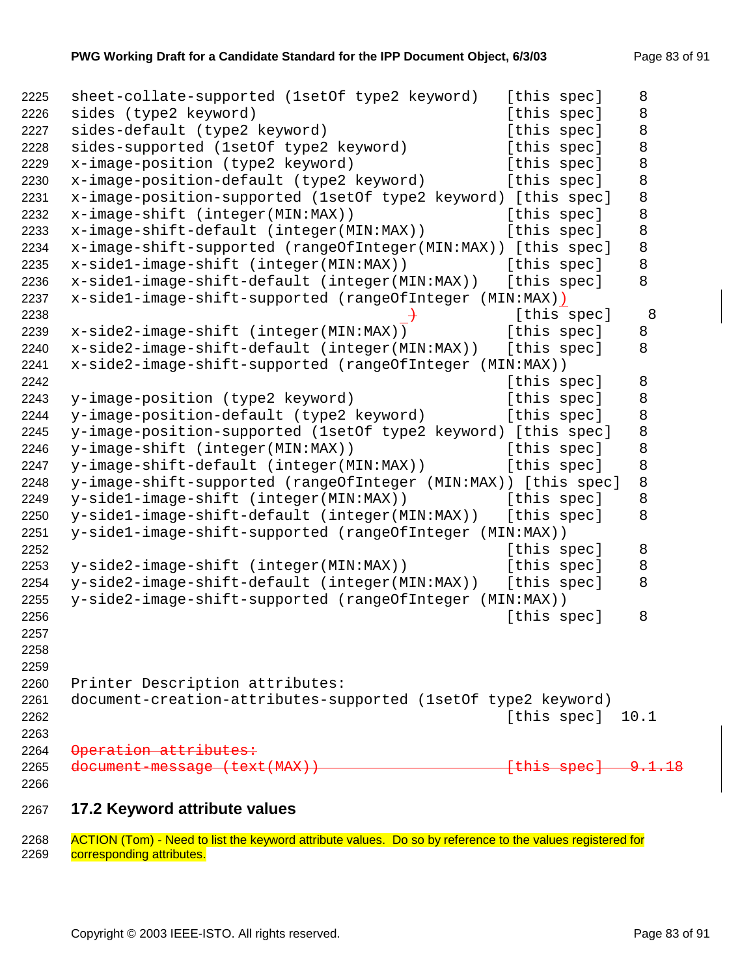| 2225                 | sheet-collate-supported (1setOf type2 keyword)                 | [this spec]              | 8                 |
|----------------------|----------------------------------------------------------------|--------------------------|-------------------|
| 2226                 | sides (type2 keyword)                                          | [this spec]              | 8                 |
| 2227                 | sides-default (type2 keyword)                                  | [this spec]              | 8                 |
| 2228                 | sides-supported (1setOf type2 keyword)                         | [this spec]              | 8                 |
| 2229                 | x-image-position (type2 keyword)                               | [this spec]              | 8                 |
| 2230                 | x-image-position-default (type2 keyword)                       | [this spec]              | 8                 |
| 2231                 | x-image-position-supported (1setOf type2 keyword) [this spec]  |                          | 8                 |
| 2232                 | x-image-shift (integer(MIN:MAX))                               | [this spec]              | 8                 |
| 2233                 | x-image-shift-default (integer(MIN:MAX))                       | [this spec]              | 8                 |
| 2234                 | x-image-shift-supported (rangeOfInteger(MIN:MAX)) [this spec]  |                          | 8                 |
| 2235                 | x-side1-image-shift (integer(MIN:MAX))                         | [this spec]              | 8                 |
| 2236                 | x-side1-image-shift-default (integer(MIN:MAX))                 | [this spec]              | 8                 |
| 2237                 | x-side1-image-shift-supported (rangeOfInteger (MIN:MAX))       |                          |                   |
| 2238                 |                                                                | [this spec]              | 8                 |
| 2239                 | x-side2-image-shift (integer(MIN:MAX))                         | [this spec]              | 8                 |
| 2240                 | x-side2-image-shift-default (integer(MIN:MAX))                 | [this spec]              | 8                 |
| 2241                 | x-side2-image-shift-supported (rangeOfInteger (MIN:MAX))       |                          |                   |
| 2242                 |                                                                | [this spec]              | 8                 |
| 2243                 | y-image-position (type2 keyword)                               | [this spec]              | 8                 |
| 2244                 | y-image-position-default (type2 keyword)                       | [this spec]              | 8                 |
| 2245                 | y-image-position-supported (1setOf type2 keyword) [this spec]  |                          | 8                 |
| 2246                 | y-image-shift (integer(MIN:MAX))                               | [this spec]              | 8                 |
| 2247                 | y-image-shift-default (integer(MIN:MAX))                       | [this spec]              | 8                 |
| 2248                 | y-image-shift-supported (rangeOfInteger (MIN:MAX)) [this spec] |                          | 8                 |
| 2249                 | y-sidel-image-shift (integer(MIN:MAX))                         | [this spec]              | 8                 |
| 2250                 | y-side1-image-shift-default (integer(MIN:MAX))                 | [this spec]              | 8                 |
| 2251                 | y-side1-image-shift-supported (rangeOfInteger (MIN:MAX))       |                          |                   |
| 2252                 |                                                                | [this spec]              | 8                 |
| 2253                 | y-side2-image-shift (integer(MIN:MAX))                         | [this spec]              | 8                 |
| 2254                 | y-side2-image-shift-default (integer(MIN:MAX))                 | [this spec]              | 8                 |
| 2255                 | y-side2-image-shift-supported (rangeOfInteger (MIN:MAX))       |                          |                   |
| 2256                 |                                                                | [this spec]              | 8                 |
| 2257                 |                                                                |                          |                   |
| 2258                 |                                                                |                          |                   |
| 2259                 |                                                                |                          |                   |
| 2260                 | Printer Description attributes:                                |                          |                   |
| 2261                 | document-creation-attributes-supported (1setOf type2 keyword)  |                          |                   |
| 2262                 |                                                                | [this spec]              | 10.1              |
| 2263                 |                                                                |                          |                   |
| 2264                 | Operation attributes:                                          |                          |                   |
| 2265                 | document message (text(MAX))                                   | <del>[this spec] -</del> | <del>9.1.18</del> |
| 2266                 |                                                                |                          |                   |
| $\sim$ $\sim$ $\sim$ | 47.2                                                           |                          |                   |

**17.2 Keyword attribute values** 

2268 ACTION (Tom) - Need to list the keyword attribute values. Do so by reference to the values registered for<br>2269 corresponding attributes. corresponding attributes.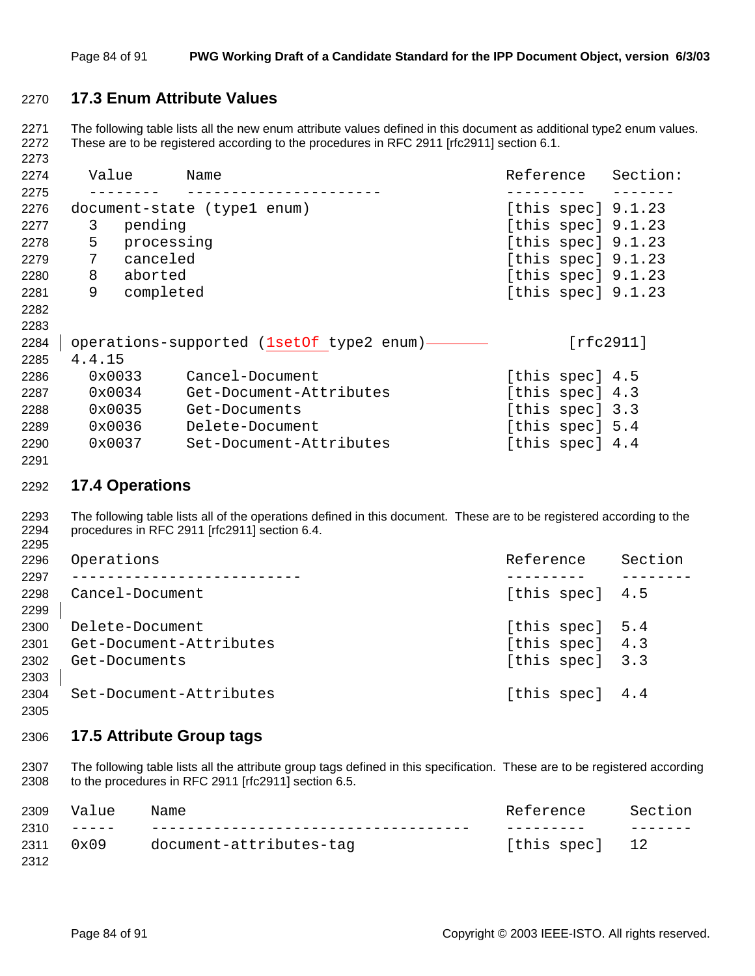## **17.3 Enum Attribute Values**

2271 The following table lists all the new enum attribute values defined in this document as additional type2 enum values. 2272 These are to be registered according to the procedures in RFC 2911 [rfc2911] section 6.1.

| 2274 | Value  |            | Name                                      | Reference            | Section:  |
|------|--------|------------|-------------------------------------------|----------------------|-----------|
| 2275 |        |            |                                           |                      |           |
| 2276 |        |            | document-state (type1 enum)               | [this spec] $9.1.23$ |           |
| 2277 | 3      | pending    |                                           | [this spec] $9.1.23$ |           |
| 2278 | 5      | processing |                                           | [this spec] $9.1.23$ |           |
| 2279 | 7      | canceled   |                                           | [this spec] $9.1.23$ |           |
| 2280 | 8      | aborted    |                                           | [this spec] $9.1.23$ |           |
| 2281 | 9      | completed  |                                           | [this spec] $9.1.23$ |           |
| 2282 |        |            |                                           |                      |           |
| 2283 |        |            |                                           |                      |           |
| 2284 |        |            | operations-supported (1setOf type2 enum)- |                      | [rfc2911] |
| 2285 | 4.4.15 |            |                                           |                      |           |
| 2286 | 0x0033 |            | Cancel-Document                           | [this spec] 4.5      |           |
| 2287 | 0x0034 |            | Get-Document-Attributes                   | [this spec] 4.3      |           |
| 2288 | 0x0035 |            | Get-Documents                             | [this spec] 3.3      |           |
| 2289 | 0x0036 |            | Delete-Document                           | [this spec] 5.4      |           |
| 2290 | 0x0037 |            | Set-Document-Attributes                   | [this spec] 4.4      |           |

#### 

### **17.4 Operations**

2293 The following table lists all of the operations defined in this document. These are to be registered according to the 2294 procedures in RFC 2911 [rfc2911] section 6.4. 

| 2296 | Operations              | Reference       | Section |
|------|-------------------------|-----------------|---------|
| 2297 |                         |                 |         |
| 2298 | Cancel-Document         | [this spec] 4.5 |         |
| 2299 |                         |                 |         |
| 2300 | Delete-Document         | [this spec] 5.4 |         |
| 2301 | Get-Document-Attributes | [this spec] 4.3 |         |
| 2302 | Get-Documents           | [this spec] 3.3 |         |
| 2303 |                         |                 |         |
| 2304 | Set-Document-Attributes | [this spec] 4.4 |         |
| 2305 |                         |                 |         |

## **17.5 Attribute Group tags**

2307 The following table lists all the attribute group tags defined in this specification. These are to be registered according 2308 to the procedures in RFC 2911 [rfc2911] section 6.5.

| 2309 | Value   | Name                    | Reference      | Section |
|------|---------|-------------------------|----------------|---------|
| 2310 | _______ |                         |                |         |
| 2311 | 0x09    | document-attributes-tag | [this spec] 12 |         |
| 2312 |         |                         |                |         |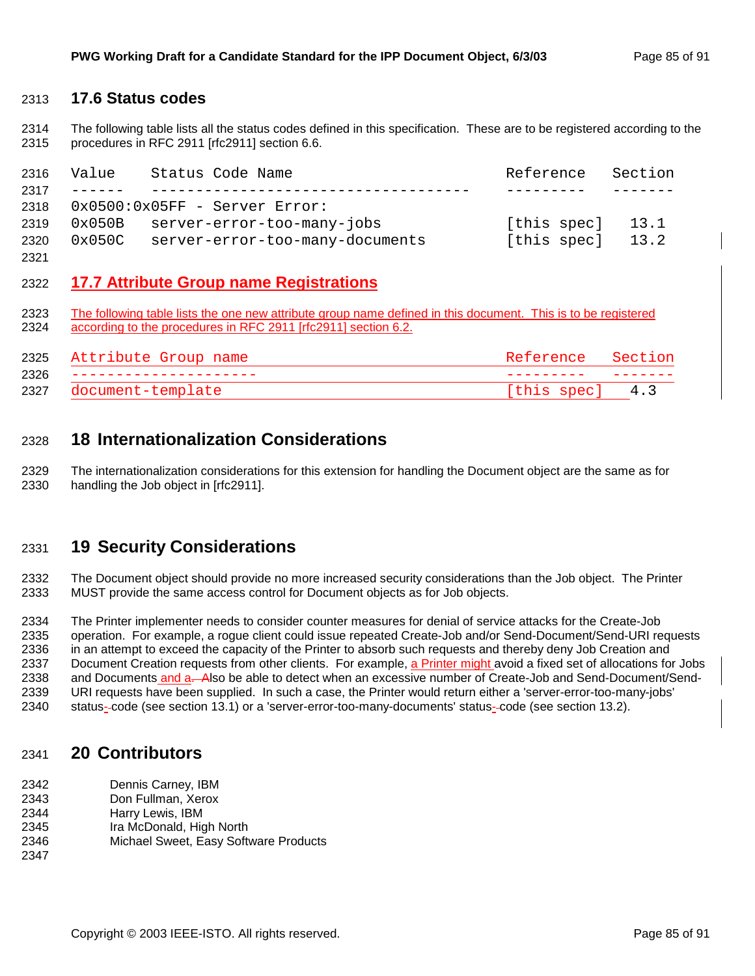## 2313 **17.6 Status codes**

2314 The following table lists all the status codes defined in this specification. These are to be registered according to the 2315 procedures in RFC 2911 [rfc2911] section 6.6.

| 2316 | Value           | Status Code Name                 | Reference   | Section |
|------|-----------------|----------------------------------|-------------|---------|
| 2317 |                 |                                  |             |         |
| 2318 |                 | $0x0500:0x05FF - Server Error$ : |             |         |
| 2319 | $0 \times 050B$ | server-error-too-many-jobs       | [this spec] | 13.1    |
| 2320 | 0x050C          | server-error-too-many-documents  | [this spec] | 13.2    |
| 2321 |                 |                                  |             |         |

## 2322 **17.7 Attribute Group name Registrations**

2323 The following table lists the one new attribute group name defined in this document. This is to be registered 2324 according to the procedures in RFC 2911 [rfc2911] section 6.2.

| 2325 | Attribute Group name | Reference Section |  |
|------|----------------------|-------------------|--|
| 2326 |                      |                   |  |
| 2327 | document-template    | [this spec] 4.3   |  |

# 2328 **18 Internationalization Considerations**

2329 The internationalization considerations for this extension for handling the Document object are the same as for 2330 handling the Job object in [rfc2911].

# 2331 **19 Security Considerations**

2332 The Document object should provide no more increased security considerations than the Job object. The Printer 2333 MUST provide the same access control for Document objects as for Job objects.

2334 The Printer implementer needs to consider counter measures for denial of service attacks for the Create-Job 2335 operation. For example, a rogue client could issue repeated Create-Job and/or Send-Document/Send-URI requests 2336 in an attempt to exceed the capacity of the Printer to absorb such requests and thereby deny Job Creation and 2337 Document Creation requests from other clients. For example, a Printer might avoid a fixed set of allocations for Jobs 2338 and Documents and a-Also be able to detect when an excessive number of Create-Job and Send-Document/Send-2339 URI requests have been supplied. In such a case, the Printer would return either a 'server-error-too-many-jobs' 2340 status- code (see section 13.1) or a 'server-error-too-many-documents' status- code (see section 13.2).

## 2341 **20 Contributors**

- 2342 Dennis Carney, IBM
- 2343 Don Fullman, Xerox
- 2344 Harry Lewis, IBM
- 2345 Ira McDonald, High North
- 2346 Michael Sweet, Easy Software Products
- 2347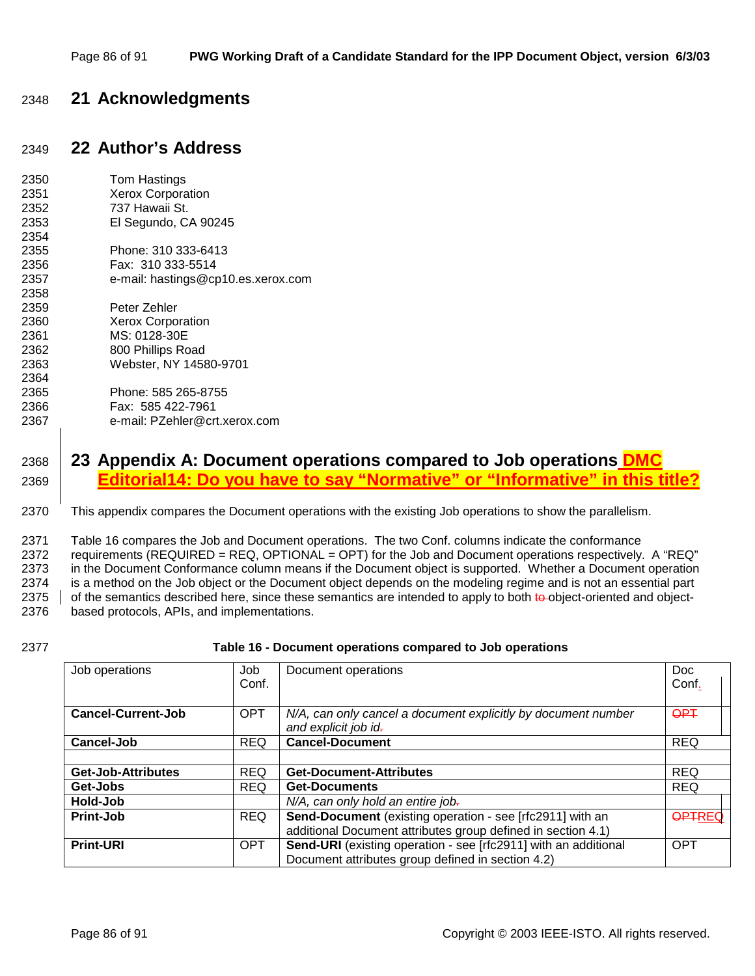# 2348 **21 Acknowledgments**

# 2349 **22 Author's Address**

| 2350 | Tom Hastings                       |
|------|------------------------------------|
| 2351 | <b>Xerox Corporation</b>           |
| 2352 | 737 Hawaii St.                     |
| 2353 | El Segundo, CA 90245               |
| 2354 |                                    |
| 2355 | Phone: 310 333-6413                |
| 2356 | Fax: 310 333-5514                  |
| 2357 | e-mail: hastings@cp10.es.xerox.com |
| 2358 |                                    |
| 2359 | Peter Zehler                       |
| 2360 | <b>Xerox Corporation</b>           |
| 2361 | MS: 0128-30E                       |
| 2362 | 800 Phillips Road                  |
| 2363 | Webster, NY 14580-9701             |
| 2364 |                                    |
| 2365 | Phone: 585 265-8755                |
| 2366 | Fax: 585 422-7961                  |
| 2367 | e-mail: PZehler@crt.xerox.com      |

# 2368 **23 Appendix A: Document operations compared to Job operations DMC**  2369 **Editorial14: Do you have to say "Normative" or "Informative" in this title?**

2370 This appendix compares the Document operations with the existing Job operations to show the parallelism.

2371 Table 16 compares the Job and Document operations. The two Conf. columns indicate the conformance 2372 requirements (REQUIRED = REQ, OPTIONAL = OPT) for the Job and Document operations respectively. A "REQ" 2373 in the Document Conformance column means if the Document object is supported. Whether a Document operation 2374 is a method on the Job object or the Document object depends on the modeling regime and is not an essential part 2375  $\parallel$  of the semantics described here, since these semantics are intended to apply to both to object-oriented and object-2376 based protocols, APIs, and implementations.

#### 2377 **Table 16 - Document operations compared to Job operations**

| Job operations            | Job        | Document operations                                             | Doc           |
|---------------------------|------------|-----------------------------------------------------------------|---------------|
|                           | Conf.      |                                                                 | Conf.         |
|                           |            |                                                                 |               |
| <b>Cancel-Current-Job</b> | <b>OPT</b> | N/A, can only cancel a document explicitly by document number   | <b>OPT</b>    |
|                           |            | and explicit job id-                                            |               |
| Cancel-Job                | <b>REQ</b> | <b>Cancel-Document</b>                                          | <b>REQ</b>    |
|                           |            |                                                                 |               |
| Get-Job-Attributes        | <b>REQ</b> | <b>Get-Document-Attributes</b>                                  | <b>REQ</b>    |
| Get-Jobs                  | <b>REQ</b> | <b>Get-Documents</b>                                            | <b>REQ</b>    |
| Hold-Job                  |            | N/A, can only hold an entire job.                               |               |
| Print-Job                 | <b>REQ</b> | Send-Document (existing operation - see [rfc2911] with an       | <b>OPTREC</b> |
|                           |            | additional Document attributes group defined in section 4.1)    |               |
| <b>Print-URI</b>          | <b>OPT</b> | Send-URI (existing operation - see [rfc2911] with an additional | <b>OPT</b>    |
|                           |            | Document attributes group defined in section 4.2)               |               |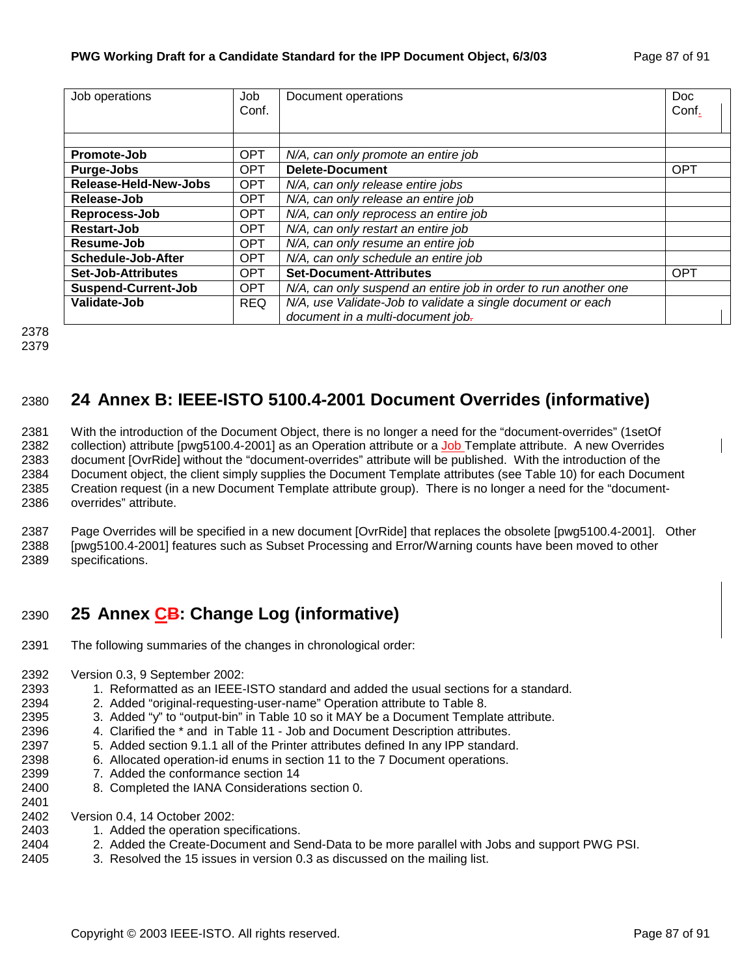| Job operations             | Job        | Document operations                                             | Doc        |
|----------------------------|------------|-----------------------------------------------------------------|------------|
|                            | Conf.      |                                                                 | Conf.      |
|                            |            |                                                                 |            |
|                            |            |                                                                 |            |
| Promote-Job                | <b>OPT</b> | N/A, can only promote an entire job                             |            |
| Purge-Jobs                 | <b>OPT</b> | <b>Delete-Document</b>                                          | <b>OPT</b> |
| Release-Held-New-Jobs      | <b>OPT</b> | N/A, can only release entire jobs                               |            |
| Release-Job                | <b>OPT</b> | N/A, can only release an entire job                             |            |
| Reprocess-Job              | <b>OPT</b> | N/A, can only reprocess an entire job                           |            |
| Restart-Job                | <b>OPT</b> | N/A, can only restart an entire job                             |            |
| Resume-Job                 | <b>OPT</b> | N/A, can only resume an entire job                              |            |
| Schedule-Job-After         | <b>OPT</b> | N/A, can only schedule an entire job                            |            |
| <b>Set-Job-Attributes</b>  | <b>OPT</b> | <b>Set-Document-Attributes</b>                                  | <b>OPT</b> |
| <b>Suspend-Current-Job</b> | <b>OPT</b> | N/A, can only suspend an entire job in order to run another one |            |
| Validate-Job               | <b>REQ</b> | N/A, use Validate-Job to validate a single document or each     |            |
|                            |            | document in a multi-document job-                               |            |

2378 2379

# 2380 **24 Annex B: IEEE-ISTO 5100.4-2001 Document Overrides (informative)**

2381 With the introduction of the Document Object, there is no longer a need for the "document-overrides" (1setOf 2382 collection) attribute [pwg5100.4-2001] as an Operation attribute or a Job Template attribute. A new Overrides 2383 document [OvrRide] without the "document-overrides" attribute will be published. With the introduction of the 2384 Document object, the client simply supplies the Document Template attributes (see Table 10) for each Document 2385 Creation request (in a new Document Template attribute group). There is no longer a need for the "document-2386 overrides" attribute.

2387 Page Overrides will be specified in a new document [OvrRide] that replaces the obsolete [pwg5100.4-2001]. Other 2388 [pwg5100.4-2001] features such as Subset Processing and Error/Warning counts have been moved to other 2389 specifications.

# 2390 **25 Annex CB: Change Log (informative)**

- 2391 The following summaries of the changes in chronological order:
- 2392 Version 0.3, 9 September 2002:
- 2393 1. Reformatted as an IEEE-ISTO standard and added the usual sections for a standard.
- 2394 2. Added "original-requesting-user-name" Operation attribute to Table 8.
- 2395 3. Added "y" to "output-bin" in Table 10 so it MAY be a Document Template attribute.
- 2396 4. Clarified the \* and in Table 11 Job and Document Description attributes.
- 2397 5. Added section 9.1.1 all of the Printer attributes defined In any IPP standard.
- 2398 6. Allocated operation-id enums in section 11 to the 7 Document operations.
- 2399 7. Added the conformance section 14
- 2400 8. Completed the IANA Considerations section 0.
- 2401
- 2402 Version 0.4, 14 October 2002:
- 2403 1. Added the operation specifications.
- 2404 2. Added the Create-Document and Send-Data to be more parallel with Jobs and support PWG PSI.
- 2405 3. Resolved the 15 issues in version 0.3 as discussed on the mailing list.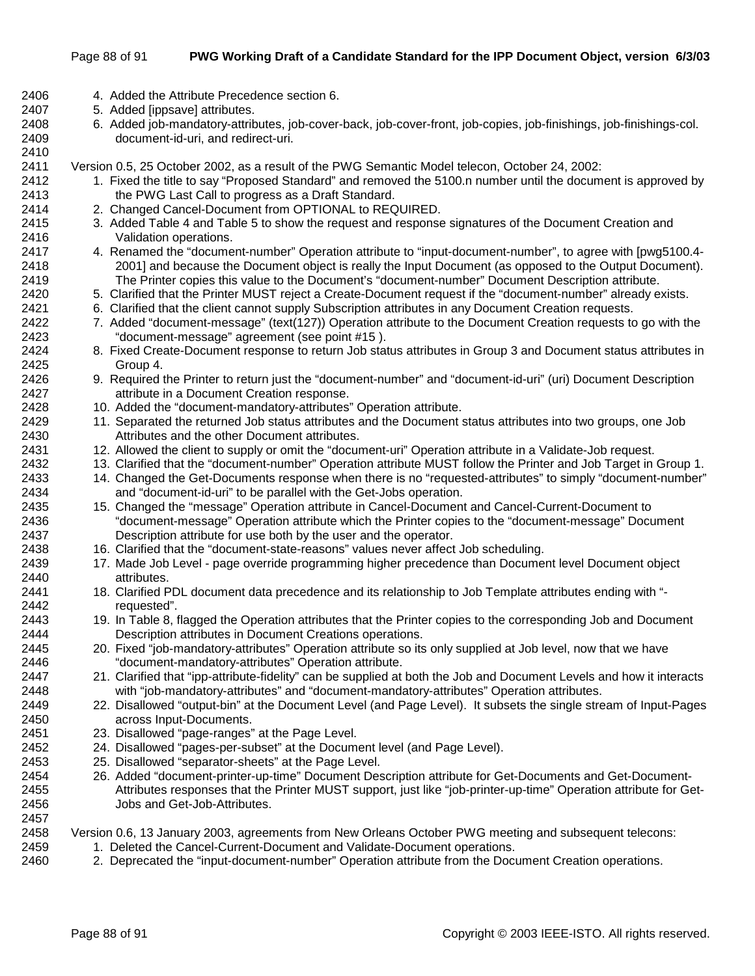#### Page 88 of 91 **PWG Working Draft of a Candidate Standard for the IPP Document Object, version 6/3/03**

- 2406 4. Added the Attribute Precedence section 6.
- 2407 5. Added [ippsave] attributes.

2410

2408 6. Added job-mandatory-attributes, job-cover-back, job-cover-front, job-copies, job-finishings, job-finishings-col. 2409 document-id-uri, and redirect-uri.

2411 Version 0.5, 25 October 2002, as a result of the PWG Semantic Model telecon, October 24, 2002:

- 2412 1. Fixed the title to say "Proposed Standard" and removed the 5100.n number until the document is approved by 2413 the PWG Last Call to progress as a Draft Standard.
- 2414 2. Changed Cancel-Document from OPTIONAL to REQUIRED.
- 2415 3. Added Table 4 and Table 5 to show the request and response signatures of the Document Creation and 2416 Validation operations.
- 2417 4. Renamed the "document-number" Operation attribute to "input-document-number", to agree with [pwg5100.4- 2418 2001] and because the Document object is really the Input Document (as opposed to the Output Document). 2419 The Printer copies this value to the Document's "document-number" Document Description attribute.
- 2420 5. Clarified that the Printer MUST reject a Create-Document request if the "document-number" already exists.
- 2421 6. Clarified that the client cannot supply Subscription attributes in any Document Creation requests.
- 2422 7. Added "document-message" (text(127)) Operation attribute to the Document Creation requests to go with the 2423 "document-message" agreement (see point #15 ).
- 2424 8. Fixed Create-Document response to return Job status attributes in Group 3 and Document status attributes in 2425 Group 4.
- 2426 9. Required the Printer to return just the "document-number" and "document-id-uri" (uri) Document Description 2427 attribute in a Document Creation response.
- 2428 10. Added the "document-mandatory-attributes" Operation attribute.
- 2429 11. Separated the returned Job status attributes and the Document status attributes into two groups, one Job 2430 Attributes and the other Document attributes.
- 2431 12. Allowed the client to supply or omit the "document-uri" Operation attribute in a Validate-Job request.
- 2432 13. Clarified that the "document-number" Operation attribute MUST follow the Printer and Job Target in Group 1.
- 2433 14. Changed the Get-Documents response when there is no "requested-attributes" to simply "document-number" 2434 and "document-id-uri" to be parallel with the Get-Jobs operation.
- 2435 15. Changed the "message" Operation attribute in Cancel-Document and Cancel-Current-Document to 2436 "document-message" Operation attribute which the Printer copies to the "document-message" Document 2437 Description attribute for use both by the user and the operator.
- 2438 16. Clarified that the "document-state-reasons" values never affect Job scheduling.
- 2439 17. Made Job Level page override programming higher precedence than Document level Document object 2440 attributes.
- 2441 18. Clarified PDL document data precedence and its relationship to Job Template attributes ending with "- 2442 requested".
- 2443 19. In Table 8, flagged the Operation attributes that the Printer copies to the corresponding Job and Document 2444 Description attributes in Document Creations operations.
- 2445 20. Fixed "job-mandatory-attributes" Operation attribute so its only supplied at Job level, now that we have 2446 "document-mandatory-attributes" Operation attribute.
- 2447 21. Clarified that "ipp-attribute-fidelity" can be supplied at both the Job and Document Levels and how it interacts 2448 with "job-mandatory-attributes" and "document-mandatory-attributes" Operation attributes.
- 2449 22. Disallowed "output-bin" at the Document Level (and Page Level). It subsets the single stream of Input-Pages 2450 across Input-Documents.
- 2451 23. Disallowed "page-ranges" at the Page Level.
- 2452 24. Disallowed "pages-per-subset" at the Document level (and Page Level).
- 2453 25. Disallowed "separator-sheets" at the Page Level.
- 2454 26. Added "document-printer-up-time" Document Description attribute for Get-Documents and Get-Document-2455 Attributes responses that the Printer MUST support, just like "job-printer-up-time" Operation attribute for Get-2456 Jobs and Get-Job-Attributes.

2458 Version 0.6, 13 January 2003, agreements from New Orleans October PWG meeting and subsequent telecons:

- 2459 1. Deleted the Cancel-Current-Document and Validate-Document operations.
- 2460 2. Deprecated the "input-document-number" Operation attribute from the Document Creation operations.

2457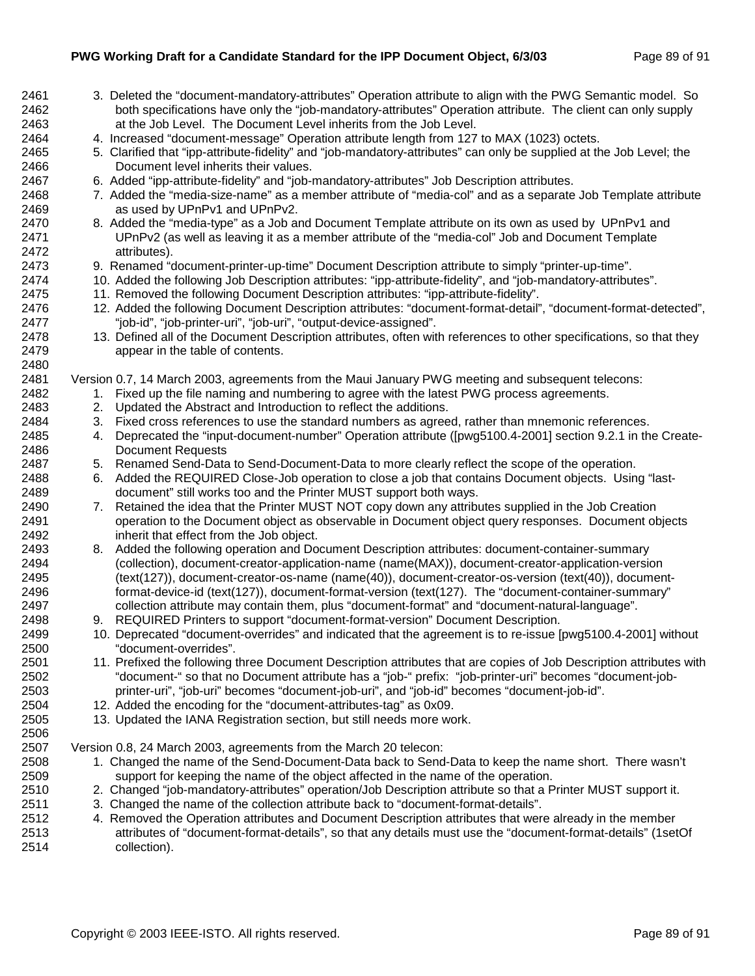| 2461         | 3. Deleted the "document-mandatory-attributes" Operation attribute to align with the PWG Semantic model. So                                                                       |
|--------------|-----------------------------------------------------------------------------------------------------------------------------------------------------------------------------------|
| 2462<br>2463 | both specifications have only the "job-mandatory-attributes" Operation attribute. The client can only supply<br>at the Job Level. The Document Level inherits from the Job Level. |
| 2464         | 4. Increased "document-message" Operation attribute length from 127 to MAX (1023) octets.                                                                                         |
| 2465         | 5. Clarified that "ipp-attribute-fidelity" and "job-mandatory-attributes" can only be supplied at the Job Level; the                                                              |
| 2466         | Document level inherits their values.                                                                                                                                             |
| 2467         | 6. Added "ipp-attribute-fidelity" and "job-mandatory-attributes" Job Description attributes.                                                                                      |
| 2468         | 7. Added the "media-size-name" as a member attribute of "media-col" and as a separate Job Template attribute                                                                      |
| 2469         | as used by UPnPv1 and UPnPv2.                                                                                                                                                     |
| 2470         | 8. Added the "media-type" as a Job and Document Template attribute on its own as used by UPnPv1 and                                                                               |
| 2471         | UPnPv2 (as well as leaving it as a member attribute of the "media-col" Job and Document Template                                                                                  |
| 2472         | attributes).                                                                                                                                                                      |
| 2473         | 9. Renamed "document-printer-up-time" Document Description attribute to simply "printer-up-time".                                                                                 |
| 2474         | 10. Added the following Job Description attributes: "ipp-attribute-fidelity", and "job-mandatory-attributes".                                                                     |
| 2475         | 11. Removed the following Document Description attributes: "ipp-attribute-fidelity".                                                                                              |
| 2476         | 12. Added the following Document Description attributes: "document-format-detail", "document-format-detected",                                                                    |
| 2477         | "job-id", "job-printer-uri", "job-uri", "output-device-assigned".                                                                                                                 |
| 2478         | 13. Defined all of the Document Description attributes, often with references to other specifications, so that they                                                               |
| 2479         | appear in the table of contents.                                                                                                                                                  |
| 2480         |                                                                                                                                                                                   |
| 2481         | Version 0.7, 14 March 2003, agreements from the Maui January PWG meeting and subsequent telecons:                                                                                 |
| 2482         | 1. Fixed up the file naming and numbering to agree with the latest PWG process agreements.                                                                                        |
| 2483         | Updated the Abstract and Introduction to reflect the additions.<br>2.                                                                                                             |
| 2484         | Fixed cross references to use the standard numbers as agreed, rather than mnemonic references.<br>3.                                                                              |
| 2485<br>2486 | Deprecated the "input-document-number" Operation attribute ([pwg5100.4-2001] section 9.2.1 in the Create-<br>4.<br><b>Document Requests</b>                                       |
| 2487         | Renamed Send-Data to Send-Document-Data to more clearly reflect the scope of the operation.<br>5.                                                                                 |
| 2488         | Added the REQUIRED Close-Job operation to close a job that contains Document objects. Using "last-<br>6.                                                                          |
| 2489         | document" still works too and the Printer MUST support both ways.                                                                                                                 |
| 2490         | 7. Retained the idea that the Printer MUST NOT copy down any attributes supplied in the Job Creation                                                                              |
| 2491         | operation to the Document object as observable in Document object query responses. Document objects                                                                               |
| 2492         | inherit that effect from the Job object.                                                                                                                                          |
| 2493         | Added the following operation and Document Description attributes: document-container-summary<br>8.                                                                               |
| 2494         | (collection), document-creator-application-name (name(MAX)), document-creator-application-version                                                                                 |
| 2495         | (text(127)), document-creator-os-name (name(40)), document-creator-os-version (text(40)), document-                                                                               |
| 2496         | format-device-id (text(127)), document-format-version (text(127). The "document-container-summary"                                                                                |
| 2497         | collection attribute may contain them, plus "document-format" and "document-natural-language".                                                                                    |
| 2498         | 9. REQUIRED Printers to support "document-format-version" Document Description.                                                                                                   |
| 2499         | 10. Deprecated "document-overrides" and indicated that the agreement is to re-issue [pwg5100.4-2001] without                                                                      |
| 2500         | "document-overrides".                                                                                                                                                             |
| 2501         | 11. Prefixed the following three Document Description attributes that are copies of Job Description attributes with                                                               |
| 2502         | "document-" so that no Document attribute has a "job-" prefix: "job-printer-uri" becomes "document-job-                                                                           |
| 2503         | printer-uri", "job-uri" becomes "document-job-uri", and "job-id" becomes "document-job-id".                                                                                       |
| 2504         | 12. Added the encoding for the "document-attributes-tag" as 0x09.                                                                                                                 |
| 2505         | 13. Updated the IANA Registration section, but still needs more work.                                                                                                             |
| 2506         |                                                                                                                                                                                   |
| 2507<br>2508 | Version 0.8, 24 March 2003, agreements from the March 20 telecon:<br>1. Changed the name of the Send-Document-Data back to Send-Data to keep the name short. There wasn't         |
| 2509         | support for keeping the name of the object affected in the name of the operation.                                                                                                 |
| 2510         | 2. Changed "job-mandatory-attributes" operation/Job Description attribute so that a Printer MUST support it.                                                                      |
| 2511         | 3. Changed the name of the collection attribute back to "document-format-details".                                                                                                |
| 2512         | 4. Removed the Operation attributes and Document Description attributes that were already in the member                                                                           |
| 2513         | attributes of "document-format-details" so that any details must use the "document-format-details" (1setOf                                                                        |

2513 attributes of "document-format-details", so that any details must use the "document-format-details" (1setOf 2514 collection).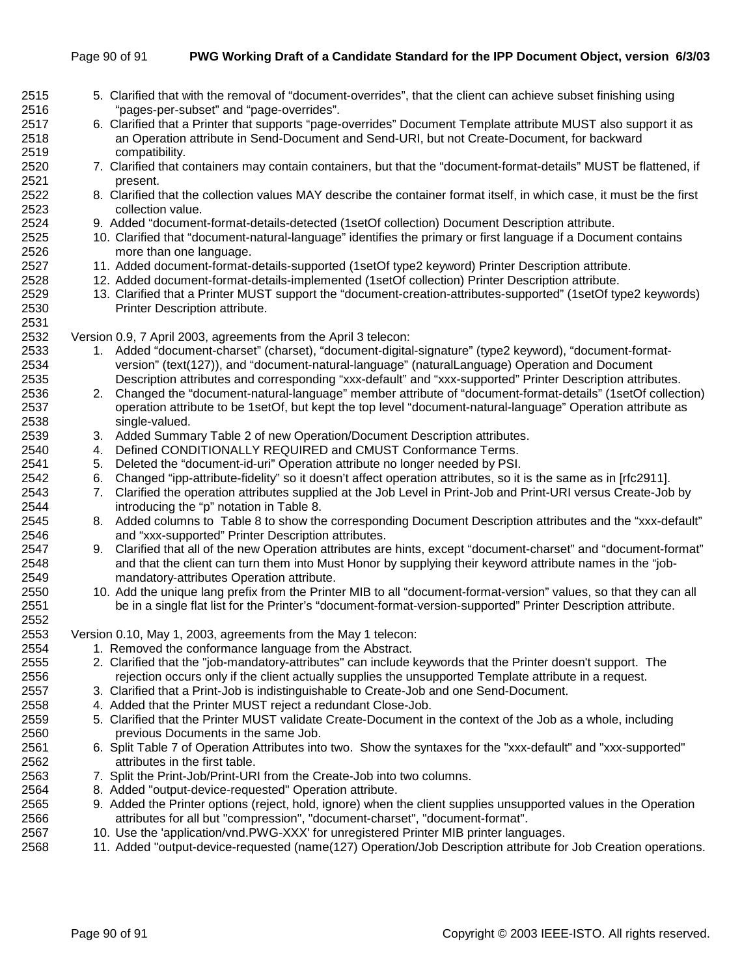| 2515 | 5. Clarified that with the removal of "document-overrides", that the client can achieve subset finishing using        |
|------|-----------------------------------------------------------------------------------------------------------------------|
| 2516 | "pages-per-subset" and "page-overrides".                                                                              |
| 2517 | 6. Clarified that a Printer that supports "page-overrides" Document Template attribute MUST also support it as        |
| 2518 | an Operation attribute in Send-Document and Send-URI, but not Create-Document, for backward                           |
| 2519 | compatibility.                                                                                                        |
| 2520 | 7. Clarified that containers may contain containers, but that the "document-format-details" MUST be flattened, if     |
| 2521 | present.                                                                                                              |
| 2522 | 8. Clarified that the collection values MAY describe the container format itself, in which case, it must be the first |
| 2523 | collection value.                                                                                                     |
| 2524 | 9. Added "document-format-details-detected (1setOf collection) Document Description attribute.                        |
| 2525 | 10. Clarified that "document-natural-language" identifies the primary or first language if a Document contains        |
| 2526 | more than one language.                                                                                               |
| 2527 | 11. Added document-format-details-supported (1setOf type2 keyword) Printer Description attribute.                     |
| 2528 | 12. Added document-format-details-implemented (1setOf collection) Printer Description attribute.                      |
| 2529 | 13. Clarified that a Printer MUST support the "document-creation-attributes-supported" (1setOf type2 keywords)        |
| 2530 | Printer Description attribute.                                                                                        |
| 2531 |                                                                                                                       |
| 2532 | Version 0.9, 7 April 2003, agreements from the April 3 telecon:                                                       |
| 2533 | Added "document-charset" (charset), "document-digital-signature" (type2 keyword), "document-format-<br>1.             |
| 2534 | version" (text(127)), and "document-natural-language" (naturalLanguage) Operation and Document                        |
| 2535 | Description attributes and corresponding "xxx-default" and "xxx-supported" Printer Description attributes.            |
| 2536 | Changed the "document-natural-language" member attribute of "document-format-details" (1setOf collection)<br>2.       |
| 2537 | operation attribute to be 1setOf, but kept the top level "document-natural-language" Operation attribute as           |
| 2538 | single-valued.                                                                                                        |
| 2539 | 3. Added Summary Table 2 of new Operation/Document Description attributes.                                            |
| 2540 | Defined CONDITIONALLY REQUIRED and CMUST Conformance Terms.<br>4.                                                     |
| 2541 | 5. Deleted the "document-id-uri" Operation attribute no longer needed by PSI.                                         |
| 2542 | 6. Changed "ipp-attribute-fidelity" so it doesn't affect operation attributes, so it is the same as in [rfc2911].     |
| 2543 | Clarified the operation attributes supplied at the Job Level in Print-Job and Print-URI versus Create-Job by<br>7.    |
| 2544 | introducing the "p" notation in Table 8.                                                                              |
| 2545 | 8. Added columns to Table 8 to show the corresponding Document Description attributes and the "xxx-default"           |
| 2546 | and "xxx-supported" Printer Description attributes.                                                                   |
| 2547 | Clarified that all of the new Operation attributes are hints, except "document-charset" and "document-format"<br>9.   |
| 2548 | and that the client can turn them into Must Honor by supplying their keyword attribute names in the "job-             |
| 2549 | mandatory-attributes Operation attribute.                                                                             |
| 2550 | 10. Add the unique lang prefix from the Printer MIB to all "document-format-version" values, so that they can all     |
| 2551 | be in a single flat list for the Printer's "document-format-version-supported" Printer Description attribute.         |
| 2552 |                                                                                                                       |
| 2553 | Version 0.10, May 1, 2003, agreements from the May 1 telecon:                                                         |
| 2554 | 1. Removed the conformance language from the Abstract.                                                                |
| 2555 | 2. Clarified that the "job-mandatory-attributes" can include keywords that the Printer doesn't support. The           |
| 2556 | rejection occurs only if the client actually supplies the unsupported Template attribute in a request.                |
| 2557 | 3. Clarified that a Print-Job is indistinguishable to Create-Job and one Send-Document.                               |
| 2558 | 4. Added that the Printer MUST reject a redundant Close-Job.                                                          |
| 2559 | 5. Clarified that the Printer MUST validate Create-Document in the context of the Job as a whole, including           |
| 2560 | previous Documents in the same Job.                                                                                   |
| 2561 | 6. Split Table 7 of Operation Attributes into two. Show the syntaxes for the "xxx-default" and "xxx-supported"        |
| 2562 | attributes in the first table.                                                                                        |
| 2563 | 7. Split the Print-Job/Print-URI from the Create-Job into two columns.                                                |
| 2564 | 8. Added "output-device-requested" Operation attribute.                                                               |
| 2565 | 9. Added the Printer options (reject, hold, ignore) when the client supplies unsupported values in the Operation      |
| 2566 | attributes for all but "compression", "document-charset", "document-format".                                          |
| 2567 | 10. Use the 'application/vnd.PWG-XXX' for unregistered Printer MIB printer languages.                                 |

- 
- 2568 11. Added "output-device-requested (name(127) Operation/Job Description attribute for Job Creation operations.